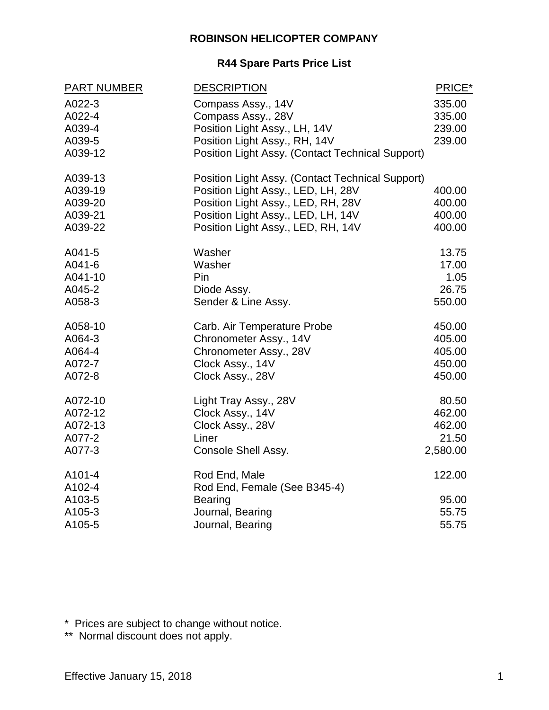#### **ROBINSON HELICOPTER COMPANY**

#### **R44 Spare Parts Price List**

| <b>PART NUMBER</b> | <b>DESCRIPTION</b>                                      | PRICE*   |
|--------------------|---------------------------------------------------------|----------|
| A022-3             | Compass Assy., 14V                                      | 335.00   |
| A022-4             | Compass Assy., 28V                                      | 335.00   |
| A039-4             | Position Light Assy., LH, 14V                           | 239.00   |
| A039-5             | Position Light Assy., RH, 14V                           | 239.00   |
| A039-12            | <b>Position Light Assy. (Contact Technical Support)</b> |          |
| A039-13            | <b>Position Light Assy. (Contact Technical Support)</b> |          |
| A039-19            | Position Light Assy., LED, LH, 28V                      | 400.00   |
| A039-20            | Position Light Assy., LED, RH, 28V                      | 400.00   |
| A039-21            | Position Light Assy., LED, LH, 14V                      | 400.00   |
| A039-22            | Position Light Assy., LED, RH, 14V                      | 400.00   |
| A041-5             | Washer                                                  | 13.75    |
| A041-6             | Washer                                                  | 17.00    |
| A041-10            | Pin                                                     | 1.05     |
| A045-2             | Diode Assy.                                             | 26.75    |
| A058-3             | Sender & Line Assy.                                     | 550.00   |
| A058-10            | Carb. Air Temperature Probe                             | 450.00   |
| A064-3             | Chronometer Assy., 14V                                  | 405.00   |
| A064-4             | Chronometer Assy., 28V                                  | 405.00   |
| A072-7             | Clock Assy., 14V                                        | 450.00   |
| A072-8             | Clock Assy., 28V                                        | 450.00   |
| A072-10            | Light Tray Assy., 28V                                   | 80.50    |
| A072-12            | Clock Assy., 14V                                        | 462.00   |
| A072-13            | Clock Assy., 28V                                        | 462.00   |
| A077-2             | Liner                                                   | 21.50    |
| A077-3             | Console Shell Assy.                                     | 2,580.00 |
| A101-4             | Rod End, Male                                           | 122.00   |
| A102-4             | Rod End, Female (See B345-4)                            |          |
| A103-5             | <b>Bearing</b>                                          | 95.00    |
| A105-3             | Journal, Bearing                                        | 55.75    |
| A105-5             | Journal, Bearing                                        | 55.75    |

\* Prices are subject to change without notice.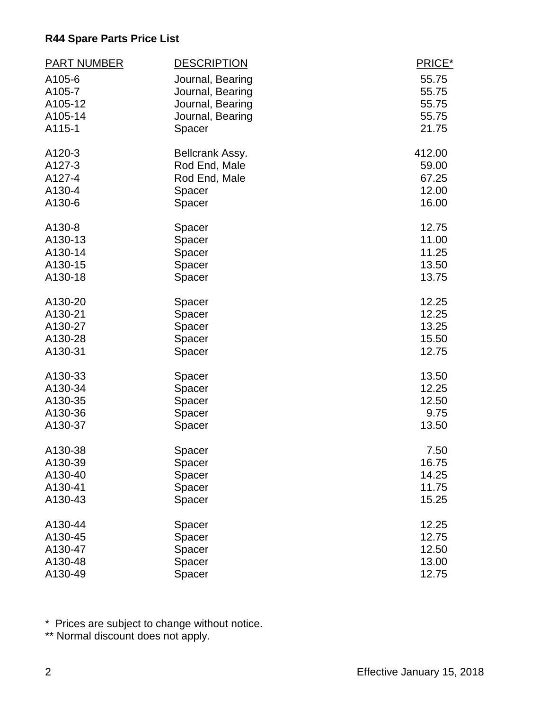| <b>PART NUMBER</b> | <b>DESCRIPTION</b> | PRICE* |
|--------------------|--------------------|--------|
| A105-6             | Journal, Bearing   | 55.75  |
| A105-7             | Journal, Bearing   | 55.75  |
| A105-12            | Journal, Bearing   | 55.75  |
| A105-14            | Journal, Bearing   | 55.75  |
| A115-1             | Spacer             | 21.75  |
| A120-3             | Bellcrank Assy.    | 412.00 |
| A127-3             | Rod End, Male      | 59.00  |
| A127-4             | Rod End, Male      | 67.25  |
| A130-4             | Spacer             | 12.00  |
| A130-6             | Spacer             | 16.00  |
| A130-8             | Spacer             | 12.75  |
| A130-13            | Spacer             | 11.00  |
| A130-14            | Spacer             | 11.25  |
| A130-15            | Spacer             | 13.50  |
| A130-18            | Spacer             | 13.75  |
| A130-20            | Spacer             | 12.25  |
| A130-21            | Spacer             | 12.25  |
| A130-27            | Spacer             | 13.25  |
| A130-28            | Spacer             | 15.50  |
| A130-31            | Spacer             | 12.75  |
| A130-33            | Spacer             | 13.50  |
| A130-34            | Spacer             | 12.25  |
| A130-35            | Spacer             | 12.50  |
| A130-36            | Spacer             | 9.75   |
| A130-37            | Spacer             | 13.50  |
| A130-38            | Spacer             | 7.50   |
| A130-39            | Spacer             | 16.75  |
| A130-40            | Spacer             | 14.25  |
| A130-41            | Spacer             | 11.75  |
| A130-43            | Spacer             | 15.25  |
| A130-44            | Spacer             | 12.25  |
| A130-45            | Spacer             | 12.75  |
| A130-47            | Spacer             | 12.50  |
| A130-48            | Spacer             | 13.00  |
| A130-49            | Spacer             | 12.75  |

\* Prices are subject to change without notice.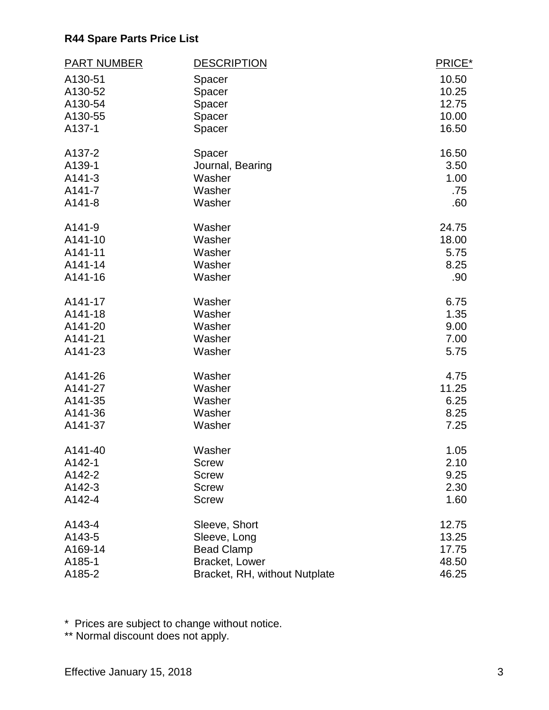| <b>PART NUMBER</b> | <b>DESCRIPTION</b>            | PRICE* |
|--------------------|-------------------------------|--------|
| A130-51            | Spacer                        | 10.50  |
| A130-52            | Spacer                        | 10.25  |
| A130-54            | Spacer                        | 12.75  |
| A130-55            | Spacer                        | 10.00  |
| A137-1             | Spacer                        | 16.50  |
| A137-2             | Spacer                        | 16.50  |
| A139-1             | Journal, Bearing              | 3.50   |
| A141-3             | Washer                        | 1.00   |
| A141-7             | Washer                        | .75    |
| A141-8             | Washer                        | .60    |
| A141-9             | Washer                        | 24.75  |
| A141-10            | Washer                        | 18.00  |
| A141-11            | Washer                        | 5.75   |
| A141-14            | Washer                        | 8.25   |
| A141-16            | Washer                        | .90    |
| A141-17            | Washer                        | 6.75   |
| A141-18            | Washer                        | 1.35   |
| A141-20            | Washer                        | 9.00   |
| A141-21            | Washer                        | 7.00   |
| A141-23            | Washer                        | 5.75   |
| A141-26            | Washer                        | 4.75   |
| A141-27            | Washer                        | 11.25  |
| A141-35            | Washer                        | 6.25   |
| A141-36            | Washer                        | 8.25   |
| A141-37            | Washer                        | 7.25   |
| A141-40            | Washer                        | 1.05   |
| A142-1             | <b>Screw</b>                  | 2.10   |
| A142-2             | <b>Screw</b>                  | 9.25   |
| A142-3             | <b>Screw</b>                  | 2.30   |
| A142-4             | <b>Screw</b>                  | 1.60   |
| A143-4             | Sleeve, Short                 | 12.75  |
| A143-5             | Sleeve, Long                  | 13.25  |
| A169-14            | <b>Bead Clamp</b>             | 17.75  |
| A185-1             | Bracket, Lower                | 48.50  |
| A185-2             | Bracket, RH, without Nutplate | 46.25  |

\* Prices are subject to change without notice.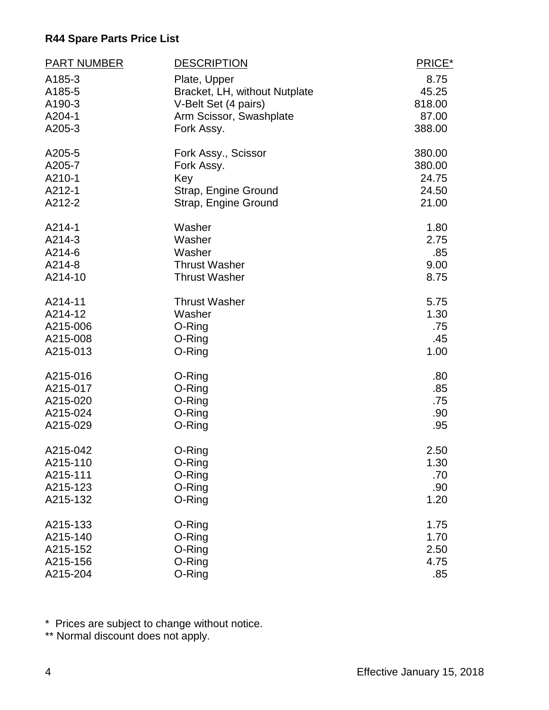| <b>PART NUMBER</b> | <b>DESCRIPTION</b>            | PRICE* |
|--------------------|-------------------------------|--------|
| A185-3             | Plate, Upper                  | 8.75   |
| A185-5             | Bracket, LH, without Nutplate | 45.25  |
| A190-3             | V-Belt Set (4 pairs)          | 818.00 |
| A204-1             | Arm Scissor, Swashplate       | 87.00  |
| A205-3             | Fork Assy.                    | 388.00 |
| A205-5             | Fork Assy., Scissor           | 380.00 |
| A205-7             | Fork Assy.                    | 380.00 |
| A210-1             | Key                           | 24.75  |
| A212-1             | Strap, Engine Ground          | 24.50  |
| A212-2             | Strap, Engine Ground          | 21.00  |
| A214-1             | Washer                        | 1.80   |
| A214-3             | Washer                        | 2.75   |
| A214-6             | Washer                        | .85    |
| A214-8             | <b>Thrust Washer</b>          | 9.00   |
| A214-10            | <b>Thrust Washer</b>          | 8.75   |
| A214-11            | <b>Thrust Washer</b>          | 5.75   |
| A214-12            | Washer                        | 1.30   |
| A215-006           | O-Ring                        | .75    |
| A215-008           | O-Ring                        | .45    |
| A215-013           | O-Ring                        | 1.00   |
| A215-016           | O-Ring                        | .80    |
| A215-017           | O-Ring                        | .85    |
| A215-020           | O-Ring                        | .75    |
| A215-024           | O-Ring                        | .90    |
| A215-029           | O-Ring                        | .95    |
| A215-042           | O-Ring                        | 2.50   |
| A215-110           | O-Ring                        | 1.30   |
| A215-111           | O-Ring                        | .70    |
| A215-123           | O-Ring                        | .90    |
| A215-132           | O-Ring                        | 1.20   |
| A215-133           | O-Ring                        | 1.75   |
| A215-140           | O-Ring                        | 1.70   |
| A215-152           | O-Ring                        | 2.50   |
| A215-156           | O-Ring                        | 4.75   |
| A215-204           | O-Ring                        | .85    |

\* Prices are subject to change without notice.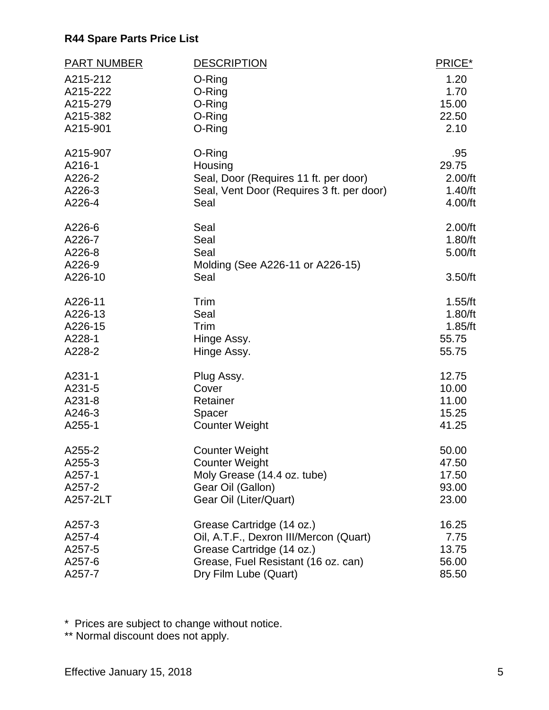| <b>PART NUMBER</b> | <b>DESCRIPTION</b>                        | PRICE*  |
|--------------------|-------------------------------------------|---------|
| A215-212           | O-Ring                                    | 1.20    |
| A215-222           | O-Ring                                    | 1.70    |
| A215-279           | O-Ring                                    | 15.00   |
| A215-382           | O-Ring                                    | 22.50   |
| A215-901           | O-Ring                                    | 2.10    |
| A215-907           | O-Ring                                    | .95     |
| A216-1             | Housing                                   | 29.75   |
| A226-2             | Seal, Door (Requires 11 ft. per door)     | 2.00/ft |
| A226-3             | Seal, Vent Door (Requires 3 ft. per door) | 1.40/ft |
| A226-4             | Seal                                      | 4.00/ft |
| A226-6             | Seal                                      | 2.00/ft |
| A226-7             | Seal                                      | 1.80/ft |
| A226-8             | Seal                                      | 5.00/ft |
| A226-9             | Molding (See A226-11 or A226-15)          |         |
| A226-10            | Seal                                      | 3.50/ft |
| A226-11            | Trim                                      | 1.55/ft |
| A226-13            | Seal                                      | 1.80/ft |
| A226-15            | Trim                                      | 1.85/ft |
| A228-1             | Hinge Assy.                               | 55.75   |
| A228-2             | Hinge Assy.                               | 55.75   |
| A231-1             | Plug Assy.                                | 12.75   |
| A231-5             | Cover                                     | 10.00   |
| A231-8             | Retainer                                  | 11.00   |
| A246-3             | Spacer                                    | 15.25   |
| A255-1             | <b>Counter Weight</b>                     | 41.25   |
| A255-2             | <b>Counter Weight</b>                     | 50.00   |
| A255-3             | <b>Counter Weight</b>                     | 47.50   |
| A257-1             | Moly Grease (14.4 oz. tube)               | 17.50   |
| A257-2             | Gear Oil (Gallon)                         | 93.00   |
| A257-2LT           | Gear Oil (Liter/Quart)                    | 23.00   |
| A257-3             | Grease Cartridge (14 oz.)                 | 16.25   |
| A257-4             | Oil, A.T.F., Dexron III/Mercon (Quart)    | 7.75    |
| A257-5             | Grease Cartridge (14 oz.)                 | 13.75   |
| A257-6             | Grease, Fuel Resistant (16 oz. can)       | 56.00   |
| A257-7             | Dry Film Lube (Quart)                     | 85.50   |

\* Prices are subject to change without notice.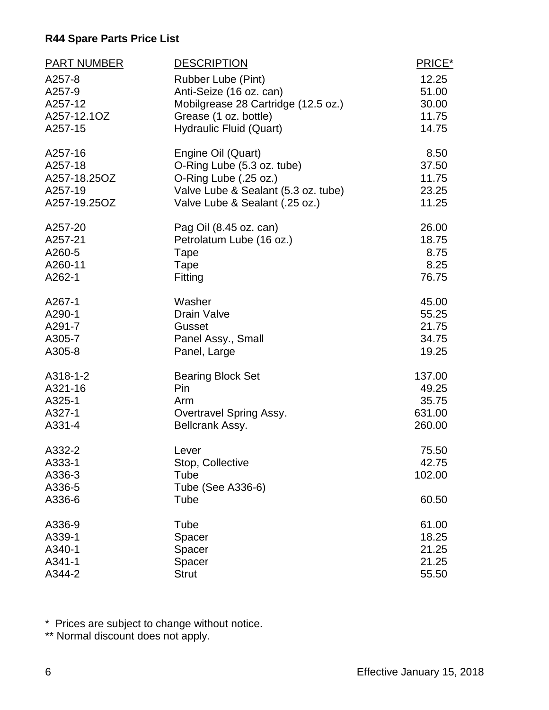| <b>PART NUMBER</b> | <b>DESCRIPTION</b>                  | PRICE* |
|--------------------|-------------------------------------|--------|
| A257-8             | Rubber Lube (Pint)                  | 12.25  |
| A257-9             | Anti-Seize (16 oz. can)             | 51.00  |
| A257-12            | Mobilgrease 28 Cartridge (12.5 oz.) | 30.00  |
| A257-12.1OZ        | Grease (1 oz. bottle)               | 11.75  |
| A257-15            | <b>Hydraulic Fluid (Quart)</b>      | 14.75  |
| A257-16            | Engine Oil (Quart)                  | 8.50   |
| A257-18            | O-Ring Lube (5.3 oz. tube)          | 37.50  |
| A257-18.25OZ       | O-Ring Lube (.25 oz.)               | 11.75  |
| A257-19            | Valve Lube & Sealant (5.3 oz. tube) | 23.25  |
| A257-19.25OZ       | Valve Lube & Sealant (.25 oz.)      | 11.25  |
| A257-20            | Pag Oil (8.45 oz. can)              | 26.00  |
| A257-21            | Petrolatum Lube (16 oz.)            | 18.75  |
| A260-5             | Tape                                | 8.75   |
| A260-11            | Tape                                | 8.25   |
| A262-1             | Fitting                             | 76.75  |
| A267-1             | Washer                              | 45.00  |
| A290-1             | <b>Drain Valve</b>                  | 55.25  |
| A291-7             | Gusset                              | 21.75  |
| A305-7             | Panel Assy., Small                  | 34.75  |
| A305-8             | Panel, Large                        | 19.25  |
| A318-1-2           | <b>Bearing Block Set</b>            | 137.00 |
| A321-16            | Pin                                 | 49.25  |
| A325-1             | Arm                                 | 35.75  |
| A327-1             | Overtravel Spring Assy.             | 631.00 |
| A331-4             | Bellcrank Assy.                     | 260.00 |
| A332-2             | Lever                               | 75.50  |
| A333-1             | Stop, Collective                    | 42.75  |
| A336-3             | Tube                                | 102.00 |
| A336-5             | Tube (See A336-6)                   |        |
| A336-6             | Tube                                | 60.50  |
| A336-9             | Tube                                | 61.00  |
| A339-1             | Spacer                              | 18.25  |
| A340-1             | Spacer                              | 21.25  |
| A341-1             | Spacer                              | 21.25  |
| A344-2             | <b>Strut</b>                        | 55.50  |

\* Prices are subject to change without notice.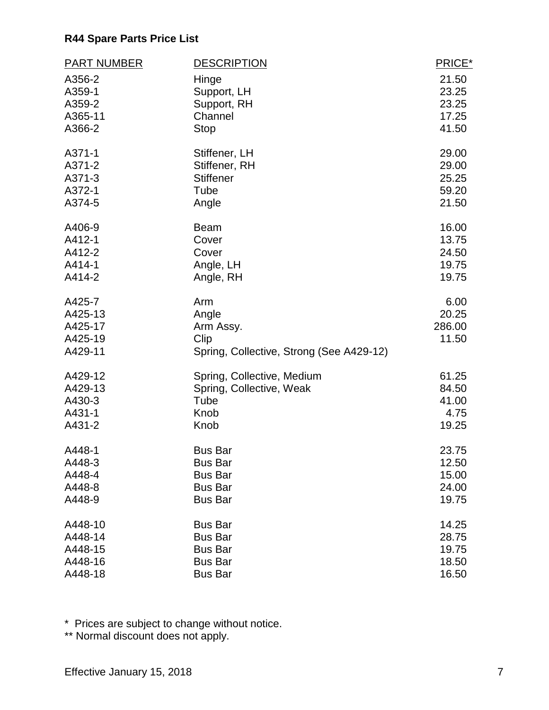| <b>PART NUMBER</b> | <b>DESCRIPTION</b>                       | PRICE* |
|--------------------|------------------------------------------|--------|
| A356-2             | Hinge                                    | 21.50  |
| A359-1             | Support, LH                              | 23.25  |
| A359-2             | Support, RH                              | 23.25  |
| A365-11            | Channel                                  | 17.25  |
| A366-2             | <b>Stop</b>                              | 41.50  |
| A371-1             | Stiffener, LH                            | 29.00  |
| A371-2             | Stiffener, RH                            | 29.00  |
| A371-3             | <b>Stiffener</b>                         | 25.25  |
| A372-1             | Tube                                     | 59.20  |
| A374-5             | Angle                                    | 21.50  |
| A406-9             | Beam                                     | 16.00  |
| A412-1             | Cover                                    | 13.75  |
| A412-2             | Cover                                    | 24.50  |
| A414-1             | Angle, LH                                | 19.75  |
| A414-2             | Angle, RH                                | 19.75  |
| A425-7             | Arm                                      | 6.00   |
| A425-13            | Angle                                    | 20.25  |
| A425-17            | Arm Assy.                                | 286.00 |
| A425-19            | Clip                                     | 11.50  |
| A429-11            | Spring, Collective, Strong (See A429-12) |        |
| A429-12            | Spring, Collective, Medium               | 61.25  |
| A429-13            | Spring, Collective, Weak                 | 84.50  |
| A430-3             | Tube                                     | 41.00  |
| A431-1             | Knob                                     | 4.75   |
| A431-2             | Knob                                     | 19.25  |
| A448-1             | <b>Bus Bar</b>                           | 23.75  |
| A448-3             | <b>Bus Bar</b>                           | 12.50  |
| A448-4             | <b>Bus Bar</b>                           | 15.00  |
| A448-8             | <b>Bus Bar</b>                           | 24.00  |
| A448-9             | <b>Bus Bar</b>                           | 19.75  |
| A448-10            | <b>Bus Bar</b>                           | 14.25  |
| A448-14            | <b>Bus Bar</b>                           | 28.75  |
| A448-15            | <b>Bus Bar</b>                           | 19.75  |
| A448-16            | <b>Bus Bar</b>                           | 18.50  |
| A448-18            | <b>Bus Bar</b>                           | 16.50  |

\* Prices are subject to change without notice.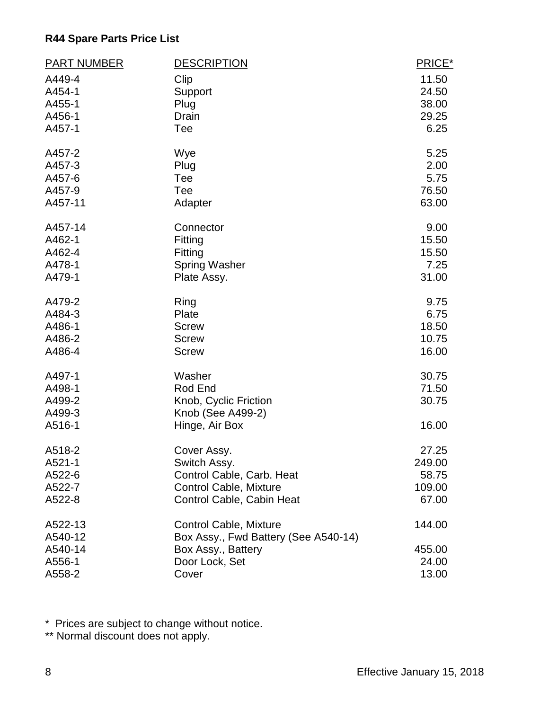| <b>PART NUMBER</b> | <b>DESCRIPTION</b>                   | PRICE* |
|--------------------|--------------------------------------|--------|
| A449-4             | Clip                                 | 11.50  |
| A454-1             | Support                              | 24.50  |
| A455-1             | Plug                                 | 38.00  |
| A456-1             | Drain                                | 29.25  |
| A457-1             | Tee                                  | 6.25   |
| A457-2             | Wye                                  | 5.25   |
| A457-3             | Plug                                 | 2.00   |
| A457-6             | Tee                                  | 5.75   |
| A457-9             | Tee                                  | 76.50  |
| A457-11            | Adapter                              | 63.00  |
| A457-14            | Connector                            | 9.00   |
| A462-1             | Fitting                              | 15.50  |
| A462-4             | Fitting                              | 15.50  |
| A478-1             | <b>Spring Washer</b>                 | 7.25   |
| A479-1             | Plate Assy.                          | 31.00  |
| A479-2             | Ring                                 | 9.75   |
| A484-3             | Plate                                | 6.75   |
| A486-1             | <b>Screw</b>                         | 18.50  |
| A486-2             | <b>Screw</b>                         | 10.75  |
| A486-4             | <b>Screw</b>                         | 16.00  |
| A497-1             | Washer                               | 30.75  |
| A498-1             | Rod End                              | 71.50  |
| A499-2             | Knob, Cyclic Friction                | 30.75  |
| A499-3             | Knob (See A499-2)                    |        |
| A516-1             | Hinge, Air Box                       | 16.00  |
| A518-2             | Cover Assy.                          | 27.25  |
| A521-1             | Switch Assy.                         | 249.00 |
| A522-6             | Control Cable, Carb. Heat            | 58.75  |
| A522-7             | <b>Control Cable, Mixture</b>        | 109.00 |
| A522-8             | Control Cable, Cabin Heat            | 67.00  |
| A522-13            | Control Cable, Mixture               | 144.00 |
| A540-12            | Box Assy., Fwd Battery (See A540-14) |        |
| A540-14            | Box Assy., Battery                   | 455.00 |
| A556-1             | Door Lock, Set                       | 24.00  |
| A558-2             | Cover                                | 13.00  |

\* Prices are subject to change without notice.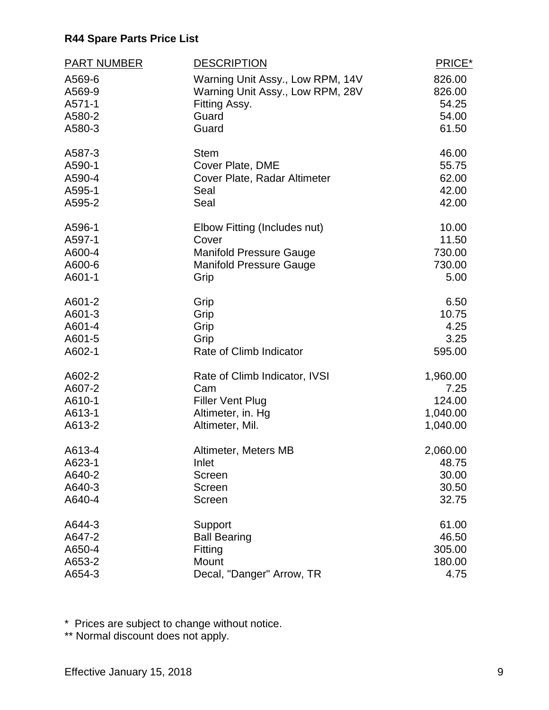| <b>PART NUMBER</b> | <b>DESCRIPTION</b>               | PRICE*   |
|--------------------|----------------------------------|----------|
| A569-6             | Warning Unit Assy., Low RPM, 14V | 826.00   |
| A569-9             | Warning Unit Assy., Low RPM, 28V | 826.00   |
| A571-1             | Fitting Assy.                    | 54.25    |
| A580-2             | Guard                            | 54.00    |
| A580-3             | Guard                            | 61.50    |
| A587-3             | <b>Stem</b>                      | 46.00    |
| A590-1             | Cover Plate, DME                 | 55.75    |
| A590-4             | Cover Plate, Radar Altimeter     | 62.00    |
| A595-1             | Seal                             | 42.00    |
| A595-2             | Seal                             | 42.00    |
| A596-1             | Elbow Fitting (Includes nut)     | 10.00    |
| A597-1             | Cover                            | 11.50    |
| A600-4             | <b>Manifold Pressure Gauge</b>   | 730.00   |
| A600-6             | <b>Manifold Pressure Gauge</b>   | 730.00   |
| A601-1             | Grip                             | 5.00     |
| A601-2             | Grip                             | 6.50     |
| A601-3             | Grip                             | 10.75    |
| A601-4             | Grip                             | 4.25     |
| A601-5             | Grip                             | 3.25     |
| A602-1             | Rate of Climb Indicator          | 595.00   |
| A602-2             | Rate of Climb Indicator, IVSI    | 1,960.00 |
| A607-2             | Cam                              | 7.25     |
| A610-1             | <b>Filler Vent Plug</b>          | 124.00   |
| A613-1             | Altimeter, in. Hg                | 1,040.00 |
| A613-2             | Altimeter, Mil.                  | 1,040.00 |
| A613-4             | Altimeter, Meters MB             | 2,060.00 |
| A623-1             | Inlet                            | 48.75    |
| A640-2             | Screen                           | 30.00    |
| A640-3             | Screen                           | 30.50    |
| A640-4             | Screen                           | 32.75    |
| A644-3             | Support                          | 61.00    |
| A647-2             | <b>Ball Bearing</b>              | 46.50    |
| A650-4             | Fitting                          | 305.00   |
| A653-2             | Mount                            | 180.00   |
| A654-3             | Decal, "Danger" Arrow, TR        | 4.75     |

\* Prices are subject to change without notice.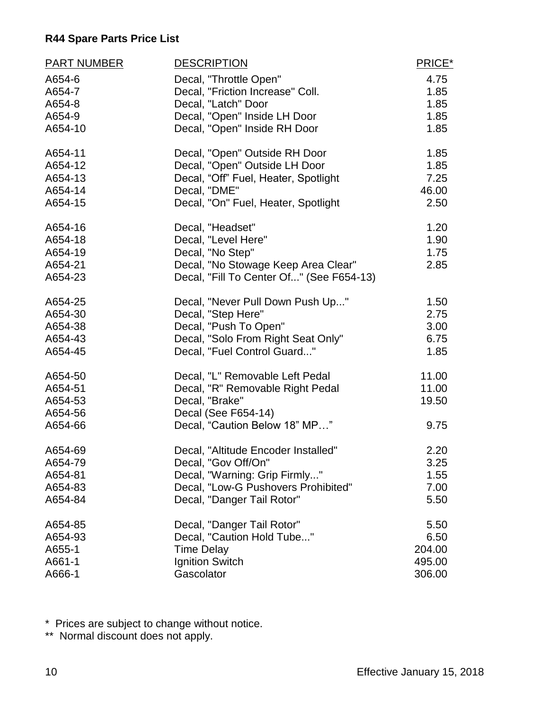| <b>PART NUMBER</b> | <b>DESCRIPTION</b>                       | PRICE* |
|--------------------|------------------------------------------|--------|
| A654-6             | Decal, "Throttle Open"                   | 4.75   |
| A654-7             | Decal, "Friction Increase" Coll.         | 1.85   |
| A654-8             | Decal, "Latch" Door                      | 1.85   |
| A654-9             | Decal, "Open" Inside LH Door             | 1.85   |
| A654-10            | Decal, "Open" Inside RH Door             | 1.85   |
| A654-11            | Decal, "Open" Outside RH Door            | 1.85   |
| A654-12            | Decal, "Open" Outside LH Door            | 1.85   |
| A654-13            | Decal, "Off" Fuel, Heater, Spotlight     | 7.25   |
| A654-14            | Decal, "DME"                             | 46.00  |
| A654-15            | Decal, "On" Fuel, Heater, Spotlight      | 2.50   |
| A654-16            | Decal, "Headset"                         | 1.20   |
| A654-18            | Decal, "Level Here"                      | 1.90   |
| A654-19            | Decal, "No Step"                         | 1.75   |
| A654-21            | Decal, "No Stowage Keep Area Clear"      | 2.85   |
| A654-23            | Decal, "Fill To Center Of" (See F654-13) |        |
| A654-25            | Decal, "Never Pull Down Push Up"         | 1.50   |
| A654-30            | Decal, "Step Here"                       | 2.75   |
| A654-38            | Decal, "Push To Open"                    | 3.00   |
| A654-43            | Decal, "Solo From Right Seat Only"       | 6.75   |
| A654-45            | Decal, "Fuel Control Guard"              | 1.85   |
| A654-50            | Decal, "L" Removable Left Pedal          | 11.00  |
| A654-51            | Decal, "R" Removable Right Pedal         | 11.00  |
| A654-53            | Decal, "Brake"                           | 19.50  |
| A654-56            | Decal (See F654-14)                      |        |
| A654-66            | Decal, "Caution Below 18" MP"            | 9.75   |
| A654-69            | Decal, "Altitude Encoder Installed"      | 2.20   |
| A654-79            | Decal, "Gov Off/On"                      | 3.25   |
| A654-81            | Decal, "Warning: Grip Firmly"            | 1.55   |
| A654-83            | Decal, "Low-G Pushovers Prohibited"      | 7.00   |
| A654-84            | Decal, "Danger Tail Rotor"               | 5.50   |
| A654-85            | Decal, "Danger Tail Rotor"               | 5.50   |
| A654-93            | Decal, "Caution Hold Tube"               | 6.50   |
| A655-1             | <b>Time Delay</b>                        | 204.00 |
| A661-1             | <b>Ignition Switch</b>                   | 495.00 |
| A666-1             | Gascolator                               | 306.00 |

\* Prices are subject to change without notice.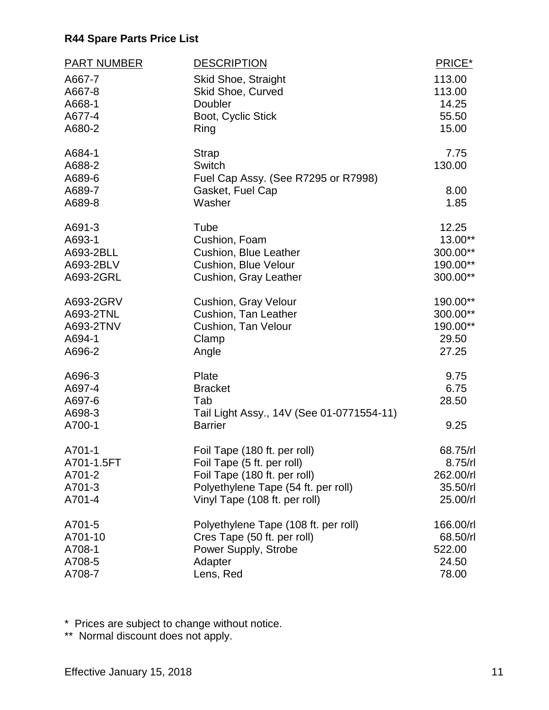| <b>PART NUMBER</b>                             | <b>DESCRIPTION</b>                                                                                 | PRICE*                         |
|------------------------------------------------|----------------------------------------------------------------------------------------------------|--------------------------------|
| A667-7                                         | Skid Shoe, Straight                                                                                | 113.00                         |
| A667-8                                         | Skid Shoe, Curved                                                                                  | 113.00                         |
| A668-1                                         | Doubler                                                                                            | 14.25                          |
| A677-4                                         | Boot, Cyclic Stick                                                                                 | 55.50                          |
| A680-2                                         | Ring                                                                                               | 15.00                          |
| A684-1<br>A688-2<br>A689-6<br>A689-7<br>A689-8 | <b>Strap</b><br><b>Switch</b><br>Fuel Cap Assy. (See R7295 or R7998)<br>Gasket, Fuel Cap<br>Washer | 7.75<br>130.00<br>8.00<br>1.85 |
| A691-3                                         | Tube                                                                                               | 12.25                          |
| A693-1                                         | Cushion, Foam                                                                                      | 13.00**                        |
| A693-2BLL                                      | <b>Cushion, Blue Leather</b>                                                                       | 300.00**                       |
| A693-2BLV                                      | <b>Cushion, Blue Velour</b>                                                                        | 190.00**                       |
| A693-2GRL                                      | Cushion, Gray Leather                                                                              | 300.00**                       |
| A693-2GRV                                      | Cushion, Gray Velour                                                                               | 190.00**                       |
| A693-2TNL                                      | Cushion, Tan Leather                                                                               | 300.00**                       |
| A693-2TNV                                      | Cushion, Tan Velour                                                                                | 190.00**                       |
| A694-1                                         | Clamp                                                                                              | 29.50                          |
| A696-2                                         | Angle                                                                                              | 27.25                          |
| A696-3<br>A697-4<br>A697-6<br>A698-3<br>A700-1 | Plate<br><b>Bracket</b><br>Tab<br>Tail Light Assy., 14V (See 01-0771554-11)<br><b>Barrier</b>      | 9.75<br>6.75<br>28.50<br>9.25  |
| A701-1                                         | Foil Tape (180 ft. per roll)                                                                       | 68.75/rl                       |
| A701-1.5FT                                     | Foil Tape (5 ft. per roll)                                                                         | 8.75/rl                        |
| A701-2                                         | Foil Tape (180 ft. per roll)                                                                       | 262.00/rl                      |
| A701-3                                         | Polyethylene Tape (54 ft. per roll)                                                                | 35.50/rl                       |
| A701-4                                         | Vinyl Tape (108 ft. per roll)                                                                      | 25.00/rl                       |
| A701-5                                         | Polyethylene Tape (108 ft. per roll)                                                               | 166.00/rl                      |
| A701-10                                        | Cres Tape (50 ft. per roll)                                                                        | 68.50/rl                       |
| A708-1                                         | Power Supply, Strobe                                                                               | 522.00                         |
| A708-5                                         | Adapter                                                                                            | 24.50                          |
| A708-7                                         | Lens, Red                                                                                          | 78.00                          |

\* Prices are subject to change without notice.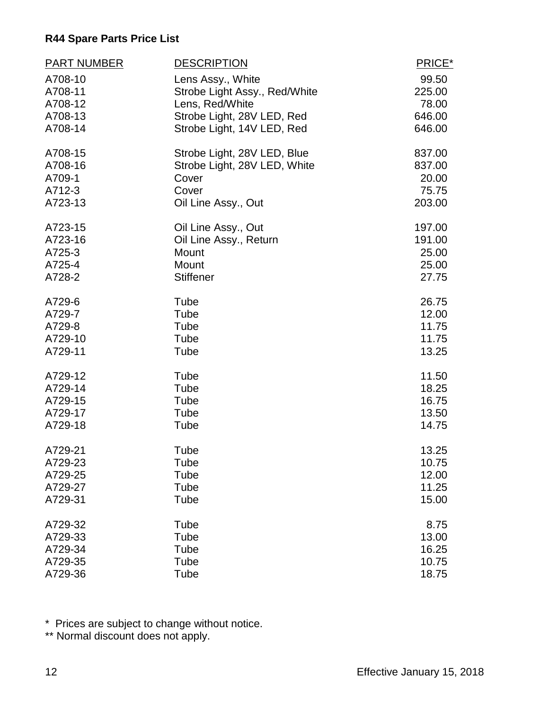| <b>PART NUMBER</b> | <b>DESCRIPTION</b>            | PRICE* |
|--------------------|-------------------------------|--------|
| A708-10            | Lens Assy., White             | 99.50  |
| A708-11            | Strobe Light Assy., Red/White | 225.00 |
| A708-12            | Lens, Red/White               | 78.00  |
| A708-13            | Strobe Light, 28V LED, Red    | 646.00 |
| A708-14            | Strobe Light, 14V LED, Red    | 646.00 |
| A708-15            | Strobe Light, 28V LED, Blue   | 837.00 |
| A708-16            | Strobe Light, 28V LED, White  | 837.00 |
| A709-1             | Cover                         | 20.00  |
| A712-3             | Cover                         | 75.75  |
| A723-13            | Oil Line Assy., Out           | 203.00 |
| A723-15            | Oil Line Assy., Out           | 197.00 |
| A723-16            | Oil Line Assy., Return        | 191.00 |
| A725-3             | Mount                         | 25.00  |
| A725-4             | Mount                         | 25.00  |
| A728-2             | <b>Stiffener</b>              | 27.75  |
| A729-6             | Tube                          | 26.75  |
| A729-7             | Tube                          | 12.00  |
| A729-8             | Tube                          | 11.75  |
| A729-10            | Tube                          | 11.75  |
| A729-11            | Tube                          | 13.25  |
| A729-12            | Tube                          | 11.50  |
| A729-14            | Tube                          | 18.25  |
| A729-15            | Tube                          | 16.75  |
| A729-17            | Tube                          | 13.50  |
| A729-18            | Tube                          | 14.75  |
| A729-21            | Tube                          | 13.25  |
| A729-23            | Tube                          | 10.75  |
| A729-25            | Tube                          | 12.00  |
| A729-27            | Tube                          | 11.25  |
| A729-31            | Tube                          | 15.00  |
| A729-32            | Tube                          | 8.75   |
| A729-33            | Tube                          | 13.00  |
| A729-34            | Tube                          | 16.25  |
| A729-35            | Tube                          | 10.75  |
| A729-36            | Tube                          | 18.75  |

\* Prices are subject to change without notice.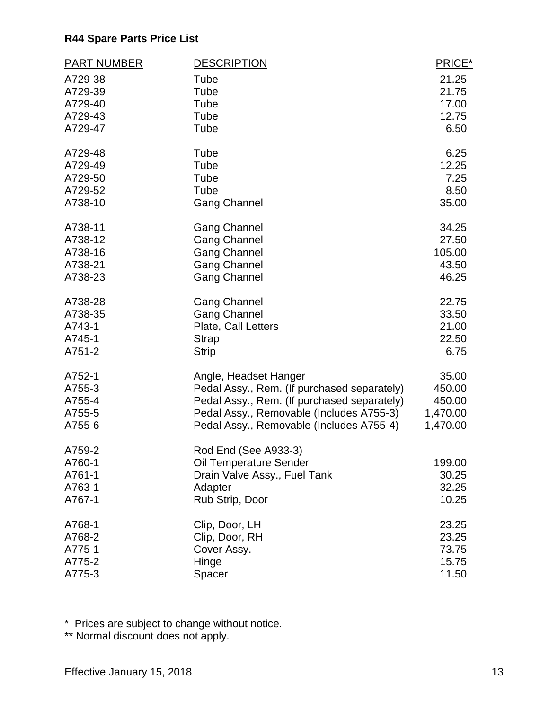| <b>PART NUMBER</b> | <b>DESCRIPTION</b>                          | PRICE*   |
|--------------------|---------------------------------------------|----------|
| A729-38            | Tube                                        | 21.25    |
| A729-39            | Tube                                        | 21.75    |
| A729-40            | Tube                                        | 17.00    |
| A729-43            | Tube                                        | 12.75    |
| A729-47            | Tube                                        | 6.50     |
| A729-48            | Tube                                        | 6.25     |
| A729-49            | Tube                                        | 12.25    |
| A729-50            | Tube                                        | 7.25     |
| A729-52            | Tube                                        | 8.50     |
| A738-10            | <b>Gang Channel</b>                         | 35.00    |
| A738-11            | <b>Gang Channel</b>                         | 34.25    |
| A738-12            | <b>Gang Channel</b>                         | 27.50    |
| A738-16            | <b>Gang Channel</b>                         | 105.00   |
| A738-21            | <b>Gang Channel</b>                         | 43.50    |
| A738-23            | <b>Gang Channel</b>                         | 46.25    |
| A738-28            | <b>Gang Channel</b>                         | 22.75    |
| A738-35            | <b>Gang Channel</b>                         | 33.50    |
| A743-1             | Plate, Call Letters                         | 21.00    |
| A745-1             | <b>Strap</b>                                | 22.50    |
| A751-2             | <b>Strip</b>                                | 6.75     |
| A752-1             | Angle, Headset Hanger                       | 35.00    |
| A755-3             | Pedal Assy., Rem. (If purchased separately) | 450.00   |
| A755-4             | Pedal Assy., Rem. (If purchased separately) | 450.00   |
| A755-5             | Pedal Assy., Removable (Includes A755-3)    | 1,470.00 |
| A755-6             | Pedal Assy., Removable (Includes A755-4)    | 1,470.00 |
| A759-2             | Rod End (See A933-3)                        |          |
| A760-1             | Oil Temperature Sender                      | 199.00   |
| A761-1             | Drain Valve Assy., Fuel Tank                | 30.25    |
| A763-1             | Adapter                                     | 32.25    |
| A767-1             | Rub Strip, Door                             | 10.25    |
| A768-1             | Clip, Door, LH                              | 23.25    |
| A768-2             | Clip, Door, RH                              | 23.25    |
| A775-1             | Cover Assy.                                 | 73.75    |
| A775-2             | Hinge                                       | 15.75    |
| A775-3             | Spacer                                      | 11.50    |

\* Prices are subject to change without notice.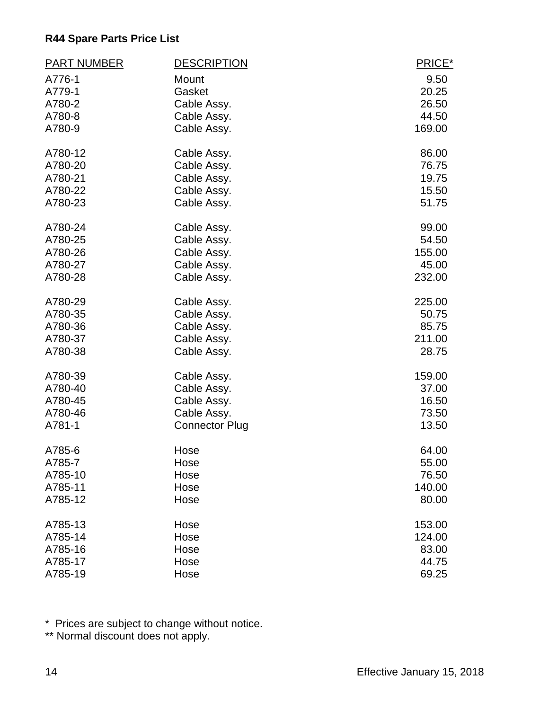| <b>PART NUMBER</b> | <b>DESCRIPTION</b>    | PRICE* |
|--------------------|-----------------------|--------|
| A776-1             | Mount                 | 9.50   |
| A779-1             | Gasket                | 20.25  |
| A780-2             | Cable Assy.           | 26.50  |
| A780-8             | Cable Assy.           | 44.50  |
| A780-9             | Cable Assy.           | 169.00 |
| A780-12            | Cable Assy.           | 86.00  |
| A780-20            | Cable Assy.           | 76.75  |
| A780-21            | Cable Assy.           | 19.75  |
| A780-22            | Cable Assy.           | 15.50  |
| A780-23            | Cable Assy.           | 51.75  |
| A780-24            | Cable Assy.           | 99.00  |
| A780-25            | Cable Assy.           | 54.50  |
| A780-26            | Cable Assy.           | 155.00 |
| A780-27            | Cable Assy.           | 45.00  |
| A780-28            | Cable Assy.           | 232.00 |
| A780-29            | Cable Assy.           | 225.00 |
| A780-35            | Cable Assy.           | 50.75  |
| A780-36            | Cable Assy.           | 85.75  |
| A780-37            | Cable Assy.           | 211.00 |
| A780-38            | Cable Assy.           | 28.75  |
| A780-39            | Cable Assy.           | 159.00 |
| A780-40            | Cable Assy.           | 37.00  |
| A780-45            | Cable Assy.           | 16.50  |
| A780-46            | Cable Assy.           | 73.50  |
| A781-1             | <b>Connector Plug</b> | 13.50  |
| A785-6             | Hose                  | 64.00  |
| A785-7             | Hose                  | 55.00  |
| A785-10            | Hose                  | 76.50  |
| A785-11            | Hose                  | 140.00 |
| A785-12            | Hose                  | 80.00  |
| A785-13            | Hose                  | 153.00 |
| A785-14            | Hose                  | 124.00 |
| A785-16            | Hose                  | 83.00  |
| A785-17            | Hose                  | 44.75  |
| A785-19            | Hose                  | 69.25  |

\* Prices are subject to change without notice.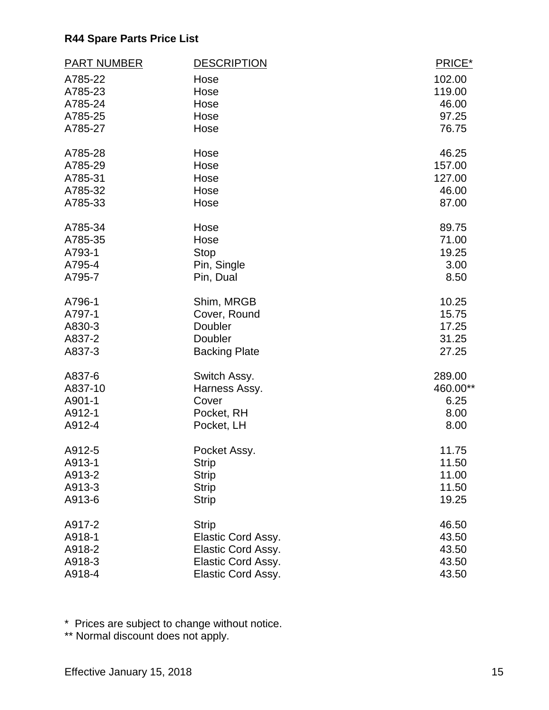| <b>PART NUMBER</b> | <b>DESCRIPTION</b>   | PRICE*   |
|--------------------|----------------------|----------|
| A785-22            | Hose                 | 102.00   |
| A785-23            | Hose                 | 119.00   |
| A785-24            | Hose                 | 46.00    |
| A785-25            | Hose                 | 97.25    |
| A785-27            | Hose                 | 76.75    |
| A785-28            | Hose                 | 46.25    |
| A785-29            | Hose                 | 157.00   |
| A785-31            | Hose                 | 127.00   |
| A785-32            | Hose                 | 46.00    |
| A785-33            | Hose                 | 87.00    |
| A785-34            | Hose                 | 89.75    |
| A785-35            | Hose                 | 71.00    |
| A793-1             | <b>Stop</b>          | 19.25    |
| A795-4             | Pin, Single          | 3.00     |
| A795-7             | Pin, Dual            | 8.50     |
| A796-1             | Shim, MRGB           | 10.25    |
| A797-1             | Cover, Round         | 15.75    |
| A830-3             | Doubler              | 17.25    |
| A837-2             | Doubler              | 31.25    |
| A837-3             | <b>Backing Plate</b> | 27.25    |
| A837-6             | Switch Assy.         | 289.00   |
| A837-10            | Harness Assy.        | 460.00** |
| A901-1             | Cover                | 6.25     |
| A912-1             | Pocket, RH           | 8.00     |
| A912-4             | Pocket, LH           | 8.00     |
| A912-5             | Pocket Assy.         | 11.75    |
| A913-1             | <b>Strip</b>         | 11.50    |
| A913-2             | <b>Strip</b>         | 11.00    |
| A913-3             | <b>Strip</b>         | 11.50    |
| A913-6             | <b>Strip</b>         | 19.25    |
| A917-2             | <b>Strip</b>         | 46.50    |
| A918-1             | Elastic Cord Assy.   | 43.50    |
| A918-2             | Elastic Cord Assy.   | 43.50    |
| A918-3             | Elastic Cord Assy.   | 43.50    |
| A918-4             | Elastic Cord Assy.   | 43.50    |

\* Prices are subject to change without notice.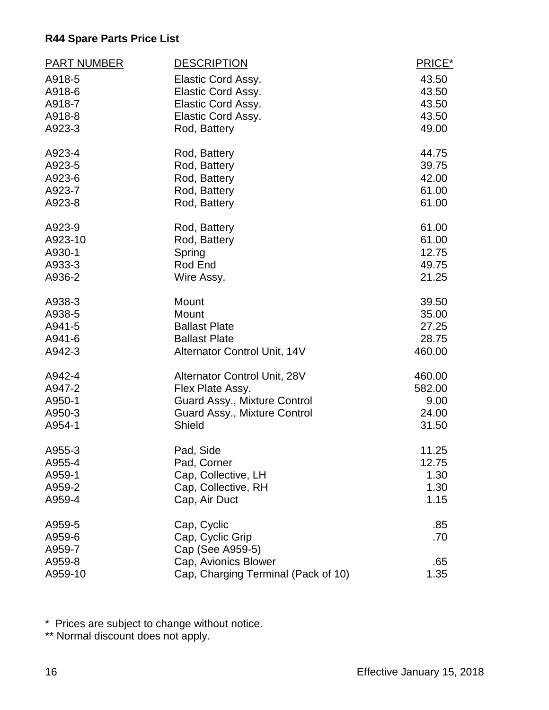| <b>PART NUMBER</b> | <b>DESCRIPTION</b>                  | PRICE* |
|--------------------|-------------------------------------|--------|
| A918-5             | Elastic Cord Assy.                  | 43.50  |
| A918-6             | <b>Elastic Cord Assy.</b>           | 43.50  |
| A918-7             | Elastic Cord Assy.                  | 43.50  |
| A918-8             | Elastic Cord Assy.                  | 43.50  |
| A923-3             | Rod, Battery                        | 49.00  |
| A923-4             | Rod, Battery                        | 44.75  |
| A923-5             | Rod, Battery                        | 39.75  |
| A923-6             | Rod, Battery                        | 42.00  |
| A923-7             | Rod, Battery                        | 61.00  |
| A923-8             | Rod, Battery                        | 61.00  |
| A923-9             | Rod, Battery                        | 61.00  |
| A923-10            | Rod, Battery                        | 61.00  |
| A930-1             | Spring                              | 12.75  |
| A933-3             | Rod End                             | 49.75  |
| A936-2             | Wire Assy.                          | 21.25  |
| A938-3             | Mount                               | 39.50  |
| A938-5             | Mount                               | 35.00  |
| A941-5             | <b>Ballast Plate</b>                | 27.25  |
| A941-6             | <b>Ballast Plate</b>                | 28.75  |
| A942-3             | Alternator Control Unit, 14V        | 460.00 |
| A942-4             | Alternator Control Unit, 28V        | 460.00 |
| A947-2             | Flex Plate Assy.                    | 582.00 |
| A950-1             | Guard Assy., Mixture Control        | 9.00   |
| A950-3             | Guard Assy., Mixture Control        | 24.00  |
| A954-1             | Shield                              | 31.50  |
| A955-3             | Pad, Side                           | 11.25  |
| A955-4             | Pad, Corner                         | 12.75  |
| A959-1             | Cap, Collective, LH                 | 1.30   |
| A959-2             | Cap, Collective, RH                 | 1.30   |
| A959-4             | Cap, Air Duct                       | 1.15   |
| A959-5             | Cap, Cyclic                         | .85    |
| A959-6             | Cap, Cyclic Grip                    | .70    |
| A959-7             | Cap (See A959-5)                    |        |
| A959-8             | Cap, Avionics Blower                | .65    |
| A959-10            | Cap, Charging Terminal (Pack of 10) | 1.35   |

\* Prices are subject to change without notice.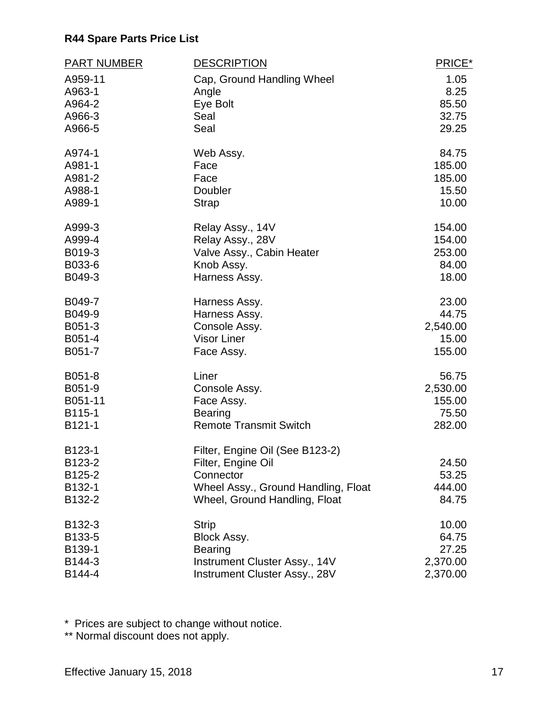| <b>PART NUMBER</b> | <b>DESCRIPTION</b>                  | PRICE*   |
|--------------------|-------------------------------------|----------|
| A959-11            | Cap, Ground Handling Wheel          | 1.05     |
| A963-1             | Angle                               | 8.25     |
| A964-2             | Eye Bolt                            | 85.50    |
| A966-3             | Seal                                | 32.75    |
| A966-5             | Seal                                | 29.25    |
| A974-1             | Web Assy.                           | 84.75    |
| A981-1             | Face                                | 185.00   |
| A981-2             | Face                                | 185.00   |
| A988-1             | Doubler                             | 15.50    |
| A989-1             | <b>Strap</b>                        | 10.00    |
| A999-3             | Relay Assy., 14V                    | 154.00   |
| A999-4             | Relay Assy., 28V                    | 154.00   |
| B019-3             | Valve Assy., Cabin Heater           | 253.00   |
| B033-6             | Knob Assy.                          | 84.00    |
| B049-3             | Harness Assy.                       | 18.00    |
| B049-7             | Harness Assy.                       | 23.00    |
| B049-9             | Harness Assy.                       | 44.75    |
| B051-3             | Console Assy.                       | 2,540.00 |
| B051-4             | <b>Visor Liner</b>                  | 15.00    |
| B051-7             | Face Assy.                          | 155.00   |
| B051-8             | Liner                               | 56.75    |
| B051-9             | Console Assy.                       | 2,530.00 |
| B051-11            | Face Assy.                          | 155.00   |
| B115-1             | <b>Bearing</b>                      | 75.50    |
| B121-1             | <b>Remote Transmit Switch</b>       | 282.00   |
| B123-1             | Filter, Engine Oil (See B123-2)     |          |
| B123-2             | Filter, Engine Oil                  | 24.50    |
| B125-2             | Connector                           | 53.25    |
| B132-1             | Wheel Assy., Ground Handling, Float | 444.00   |
| B132-2             | Wheel, Ground Handling, Float       | 84.75    |
| B132-3             | <b>Strip</b>                        | 10.00    |
| B133-5             | Block Assy.                         | 64.75    |
| B139-1             | <b>Bearing</b>                      | 27.25    |
| B144-3             | Instrument Cluster Assy., 14V       | 2,370.00 |
| B144-4             | Instrument Cluster Assy., 28V       | 2,370.00 |

\* Prices are subject to change without notice.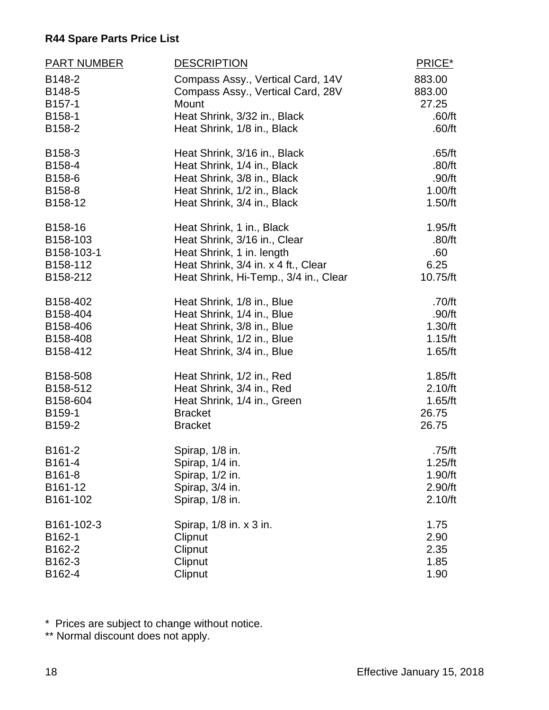| <b>PART NUMBER</b>         | <b>DESCRIPTION</b>                                                              | PRICE*                    |
|----------------------------|---------------------------------------------------------------------------------|---------------------------|
| B148-2<br>B148-5<br>B157-1 | Compass Assy., Vertical Card, 14V<br>Compass Assy., Vertical Card, 28V<br>Mount | 883.00<br>883.00<br>27.25 |
| B158-1                     | Heat Shrink, 3/32 in., Black                                                    | .60/ft                    |
| B158-2                     | Heat Shrink, 1/8 in., Black                                                     | .60/ft                    |
| B158-3                     | Heat Shrink, 3/16 in., Black                                                    | .65/ft                    |
| B158-4                     | Heat Shrink, 1/4 in., Black                                                     | .80/ft                    |
| B158-6                     | Heat Shrink, 3/8 in., Black                                                     | .90/ft                    |
| B158-8                     | Heat Shrink, 1/2 in., Black                                                     | 1.00/ft                   |
| B158-12                    | Heat Shrink, 3/4 in., Black                                                     | 1.50/ft                   |
| B158-16                    | Heat Shrink, 1 in., Black                                                       | 1.95/ft                   |
| B158-103                   | Heat Shrink, 3/16 in., Clear                                                    | .80/ft                    |
| B158-103-1                 | Heat Shrink, 1 in. length                                                       | .60                       |
| B158-112                   | Heat Shrink, 3/4 in. x 4 ft., Clear                                             | 6.25                      |
| B158-212                   | Heat Shrink, Hi-Temp., 3/4 in., Clear                                           | 10.75/ft                  |
| B158-402                   | Heat Shrink, 1/8 in., Blue                                                      | .70/ft                    |
| B158-404                   | Heat Shrink, 1/4 in., Blue                                                      | .90/ft                    |
| B158-406                   | Heat Shrink, 3/8 in., Blue                                                      | 1.30/ft                   |
| B158-408                   | Heat Shrink, 1/2 in., Blue                                                      | 1.15/ft                   |
| B158-412                   | Heat Shrink, 3/4 in., Blue                                                      | 1.65/ft                   |
| B158-508                   | Heat Shrink, 1/2 in., Red                                                       | 1.85/ft                   |
| B158-512                   | Heat Shrink, 3/4 in., Red                                                       | 2.10/ft                   |
| B158-604                   | Heat Shrink, 1/4 in., Green                                                     | 1.65/ft                   |
| B159-1                     | <b>Bracket</b>                                                                  | 26.75                     |
| B159-2                     | <b>Bracket</b>                                                                  | 26.75                     |
| B161-2                     | Spirap, 1/8 in.                                                                 | .75/ft                    |
| B161-4                     | Spirap, 1/4 in.                                                                 | 1.25/ft                   |
| B161-8                     | Spirap, 1/2 in.                                                                 | 1.90/ft                   |
| B161-12                    | Spirap, 3/4 in.                                                                 | 2.90/ft                   |
| B161-102                   | Spirap, 1/8 in.                                                                 | 2.10/ft                   |
| B161-102-3                 | Spirap, 1/8 in. x 3 in.                                                         | 1.75                      |
| B162-1                     | Clipnut                                                                         | 2.90                      |
| B162-2                     | Clipnut                                                                         | 2.35                      |
| B162-3                     | Clipnut                                                                         | 1.85                      |
| B162-4                     | Clipnut                                                                         | 1.90                      |

\* Prices are subject to change without notice.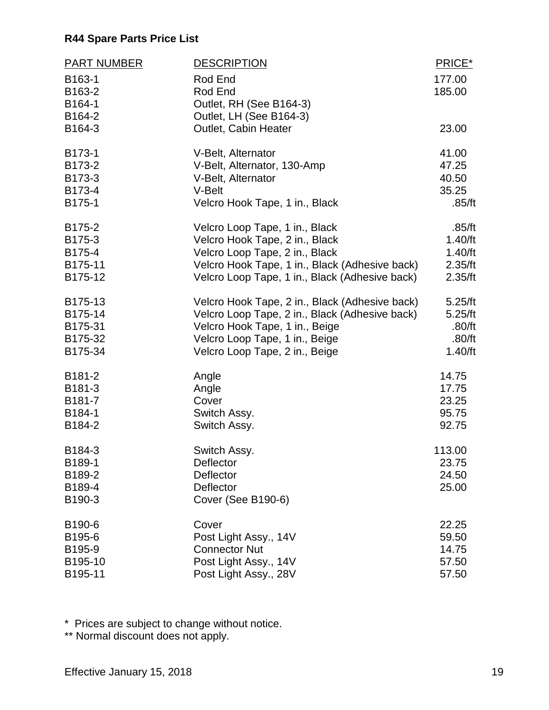| <b>PART NUMBER</b> | <b>DESCRIPTION</b>                             | PRICE*  |
|--------------------|------------------------------------------------|---------|
| B163-1             | Rod End                                        | 177.00  |
| B163-2             | Rod End                                        | 185.00  |
| B164-1             | Outlet, RH (See B164-3)                        |         |
| B164-2             | Outlet, LH (See B164-3)                        |         |
| B164-3             | Outlet, Cabin Heater                           | 23.00   |
| B173-1             | V-Belt, Alternator                             | 41.00   |
| B173-2             | V-Belt, Alternator, 130-Amp                    | 47.25   |
| B173-3             | V-Belt, Alternator                             | 40.50   |
| B173-4             | V-Belt                                         | 35.25   |
| B175-1             | Velcro Hook Tape, 1 in., Black                 | .85/ft  |
| B175-2             | Velcro Loop Tape, 1 in., Black                 | .85/ft  |
| B175-3             | Velcro Hook Tape, 2 in., Black                 | 1.40/ft |
| B175-4             | Velcro Loop Tape, 2 in., Black                 | 1.40/ft |
| B175-11            | Velcro Hook Tape, 1 in., Black (Adhesive back) | 2.35/ft |
| B175-12            | Velcro Loop Tape, 1 in., Black (Adhesive back) | 2.35/ft |
| B175-13            | Velcro Hook Tape, 2 in., Black (Adhesive back) | 5.25/ft |
| B175-14            | Velcro Loop Tape, 2 in., Black (Adhesive back) | 5.25/ft |
| B175-31            | Velcro Hook Tape, 1 in., Beige                 | .80/ft  |
| B175-32            | Velcro Loop Tape, 1 in., Beige                 | .80/ft  |
| B175-34            | Velcro Loop Tape, 2 in., Beige                 | 1.40/ft |
| B181-2             | Angle                                          | 14.75   |
| B181-3             | Angle                                          | 17.75   |
| B181-7             | Cover                                          | 23.25   |
| B184-1             | Switch Assy.                                   | 95.75   |
| B184-2             | Switch Assy.                                   | 92.75   |
| B184-3             | Switch Assy.                                   | 113.00  |
| B189-1             | Deflector                                      | 23.75   |
| B189-2             | Deflector                                      | 24.50   |
| B189-4             | Deflector                                      | 25.00   |
| B190-3             | <b>Cover (See B190-6)</b>                      |         |
| B190-6             | Cover                                          | 22.25   |
| B195-6             | Post Light Assy., 14V                          | 59.50   |
| B195-9             | <b>Connector Nut</b>                           | 14.75   |
| B195-10            | Post Light Assy., 14V                          | 57.50   |
| B195-11            | Post Light Assy., 28V                          | 57.50   |

\* Prices are subject to change without notice.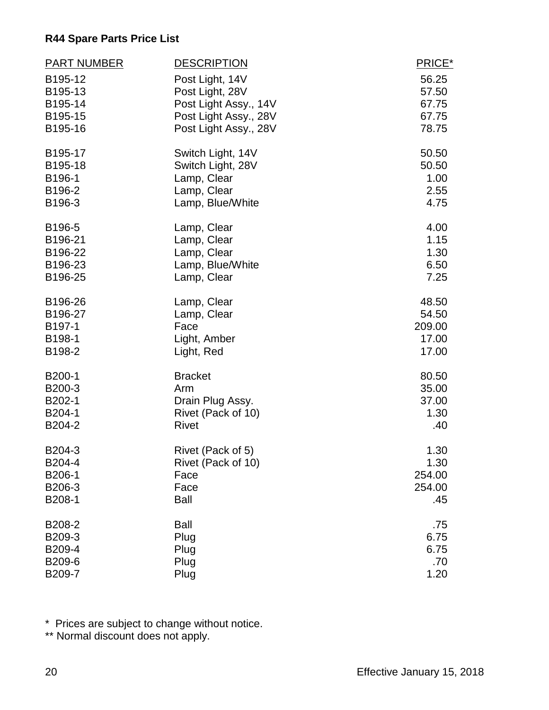| <b>PART NUMBER</b> | <b>DESCRIPTION</b>    | PRICE* |
|--------------------|-----------------------|--------|
| B195-12            | Post Light, 14V       | 56.25  |
| B195-13            | Post Light, 28V       | 57.50  |
| B195-14            | Post Light Assy., 14V | 67.75  |
| B195-15            | Post Light Assy., 28V | 67.75  |
| B195-16            | Post Light Assy., 28V | 78.75  |
| B195-17            | Switch Light, 14V     | 50.50  |
| B195-18            | Switch Light, 28V     | 50.50  |
| B196-1             | Lamp, Clear           | 1.00   |
| B196-2             | Lamp, Clear           | 2.55   |
| B196-3             | Lamp, Blue/White      | 4.75   |
| B196-5             | Lamp, Clear           | 4.00   |
| B196-21            | Lamp, Clear           | 1.15   |
| B196-22            | Lamp, Clear           | 1.30   |
| B196-23            | Lamp, Blue/White      | 6.50   |
| B196-25            | Lamp, Clear           | 7.25   |
| B196-26            | Lamp, Clear           | 48.50  |
| B196-27            | Lamp, Clear           | 54.50  |
| B197-1             | Face                  | 209.00 |
| B198-1             | Light, Amber          | 17.00  |
| B198-2             | Light, Red            | 17.00  |
| B200-1             | <b>Bracket</b>        | 80.50  |
| B200-3             | Arm                   | 35.00  |
| B202-1             | Drain Plug Assy.      | 37.00  |
| B204-1             | Rivet (Pack of 10)    | 1.30   |
| B204-2             | <b>Rivet</b>          | .40    |
| B204-3             | Rivet (Pack of 5)     | 1.30   |
| B204-4             | Rivet (Pack of 10)    | 1.30   |
| B206-1             | Face                  | 254.00 |
| B206-3             | Face                  | 254.00 |
| B208-1             | <b>Ball</b>           | .45    |
| B208-2             | <b>Ball</b>           | .75    |
| B209-3             | Plug                  | 6.75   |
| B209-4             | Plug                  | 6.75   |
| B209-6             | Plug                  | .70    |
| B209-7             | Plug                  | 1.20   |

\* Prices are subject to change without notice.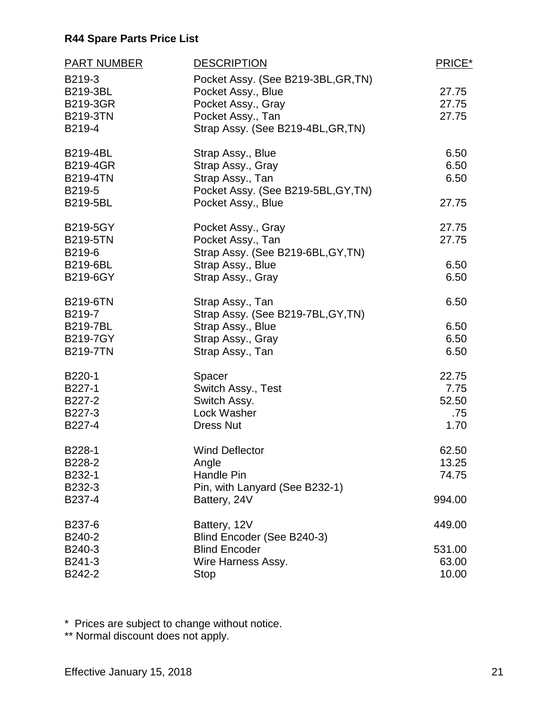| <b>PART NUMBER</b> | <b>DESCRIPTION</b>                  | PRICE* |
|--------------------|-------------------------------------|--------|
| B219-3             | Pocket Assy. (See B219-3BL, GR, TN) |        |
| B219-3BL           | Pocket Assy., Blue                  | 27.75  |
| <b>B219-3GR</b>    | Pocket Assy., Gray                  | 27.75  |
| <b>B219-3TN</b>    | Pocket Assy., Tan                   | 27.75  |
| B219-4             | Strap Assy. (See B219-4BL, GR, TN)  |        |
| <b>B219-4BL</b>    | Strap Assy., Blue                   | 6.50   |
| <b>B219-4GR</b>    | Strap Assy., Gray                   | 6.50   |
| <b>B219-4TN</b>    | Strap Assy., Tan                    | 6.50   |
| B219-5             | Pocket Assy. (See B219-5BL, GY, TN) |        |
| <b>B219-5BL</b>    | Pocket Assy., Blue                  | 27.75  |
| <b>B219-5GY</b>    | Pocket Assy., Gray                  | 27.75  |
| <b>B219-5TN</b>    | Pocket Assy., Tan                   | 27.75  |
| B219-6             | Strap Assy. (See B219-6BL, GY, TN)  |        |
| <b>B219-6BL</b>    | Strap Assy., Blue                   | 6.50   |
| <b>B219-6GY</b>    | Strap Assy., Gray                   | 6.50   |
| <b>B219-6TN</b>    | Strap Assy., Tan                    | 6.50   |
| B219-7             | Strap Assy. (See B219-7BL, GY, TN)  |        |
| <b>B219-7BL</b>    | Strap Assy., Blue                   | 6.50   |
| <b>B219-7GY</b>    | Strap Assy., Gray                   | 6.50   |
| <b>B219-7TN</b>    | Strap Assy., Tan                    | 6.50   |
| B220-1             | Spacer                              | 22.75  |
| B227-1             | Switch Assy., Test                  | 7.75   |
| B227-2             | Switch Assy.                        | 52.50  |
| B227-3             | Lock Washer                         | .75    |
| B227-4             | <b>Dress Nut</b>                    | 1.70   |
| B228-1             | <b>Wind Deflector</b>               | 62.50  |
| B228-2             | Angle                               | 13.25  |
| B232-1             | <b>Handle Pin</b>                   | 74.75  |
| B232-3             | Pin, with Lanyard (See B232-1)      |        |
| B237-4             | Battery, 24V                        | 994.00 |
| B237-6             | Battery, 12V                        | 449.00 |
| B240-2             | Blind Encoder (See B240-3)          |        |
| B240-3             | <b>Blind Encoder</b>                | 531.00 |
| B241-3             | Wire Harness Assy.                  | 63.00  |
| B242-2             | <b>Stop</b>                         | 10.00  |

\* Prices are subject to change without notice.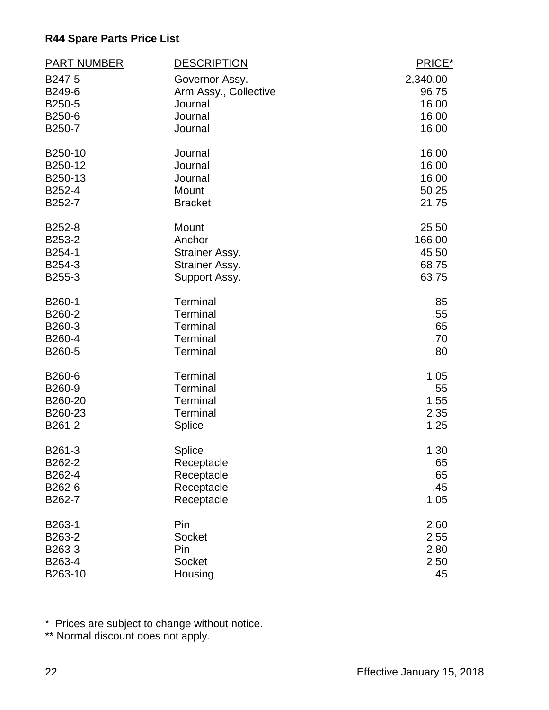| <b>PART NUMBER</b> | <b>DESCRIPTION</b>    | PRICE*   |
|--------------------|-----------------------|----------|
| B247-5             | Governor Assy.        | 2,340.00 |
| B249-6             | Arm Assy., Collective | 96.75    |
| B250-5             | Journal               | 16.00    |
| B250-6             | Journal               | 16.00    |
| B250-7             | Journal               | 16.00    |
| B250-10            | Journal               | 16.00    |
| B250-12            | Journal               | 16.00    |
| B250-13            | Journal               | 16.00    |
| B252-4             | Mount                 | 50.25    |
| B252-7             | <b>Bracket</b>        | 21.75    |
| B252-8             | Mount                 | 25.50    |
| B253-2             | Anchor                | 166.00   |
| B254-1             | Strainer Assy.        | 45.50    |
| B254-3             | Strainer Assy.        | 68.75    |
| B255-3             | Support Assy.         | 63.75    |
| B260-1             | Terminal              | .85      |
| B260-2             | <b>Terminal</b>       | .55      |
| B260-3             | Terminal              | .65      |
| B260-4             | <b>Terminal</b>       | .70      |
| B260-5             | <b>Terminal</b>       | .80      |
| B260-6             | <b>Terminal</b>       | 1.05     |
| B260-9             | Terminal              | .55      |
| B260-20            | <b>Terminal</b>       | 1.55     |
| B260-23            | Terminal              | 2.35     |
| B261-2             | Splice                | 1.25     |
| B261-3             | Splice                | 1.30     |
| B262-2             | Receptacle            | .65      |
| B262-4             | Receptacle            | .65      |
| B262-6             | Receptacle            | .45      |
| B262-7             | Receptacle            | 1.05     |
| B263-1             | Pin                   | 2.60     |
| B263-2             | <b>Socket</b>         | 2.55     |
| B263-3             | Pin                   | 2.80     |
| B263-4             | Socket                | 2.50     |
| B263-10            | Housing               | .45      |

\* Prices are subject to change without notice.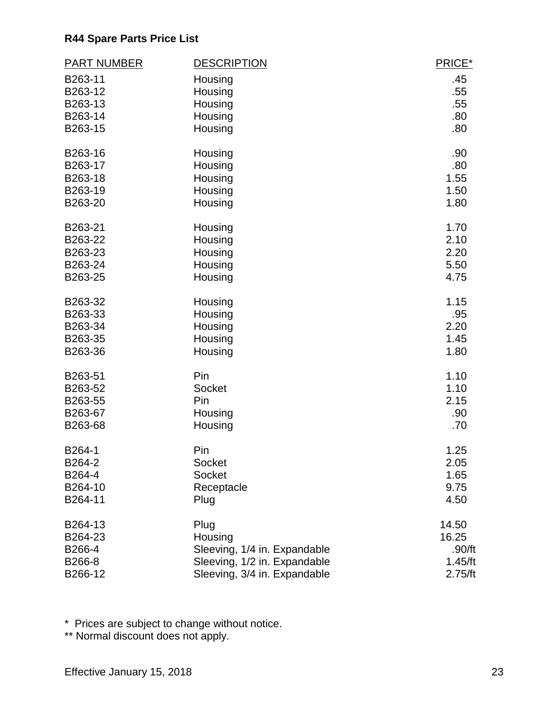| <b>PART NUMBER</b> | <b>DESCRIPTION</b>           | PRICE*  |
|--------------------|------------------------------|---------|
| B263-11            | Housing                      | .45     |
| B263-12            | Housing                      | .55     |
| B263-13            | Housing                      | .55     |
| B263-14            | Housing                      | .80     |
| B263-15            | Housing                      | .80     |
| B263-16            | Housing                      | .90     |
| B263-17            | Housing                      | .80     |
| B263-18            | Housing                      | 1.55    |
| B263-19            | Housing                      | 1.50    |
| B263-20            | Housing                      | 1.80    |
| B263-21            | Housing                      | 1.70    |
| B263-22            | Housing                      | 2.10    |
| B263-23            | Housing                      | 2.20    |
| B263-24            | Housing                      | 5.50    |
| B263-25            | Housing                      | 4.75    |
| B263-32            | Housing                      | 1.15    |
| B263-33            | Housing                      | .95     |
| B263-34            | Housing                      | 2.20    |
| B263-35            | Housing                      | 1.45    |
| B263-36            | Housing                      | 1.80    |
| B263-51            | Pin                          | 1.10    |
| B263-52            | Socket                       | 1.10    |
| B263-55            | Pin                          | 2.15    |
| B263-67            | Housing                      | .90     |
| B263-68            | Housing                      | .70     |
| B264-1             | Pin                          | 1.25    |
| B264-2             | Socket                       | 2.05    |
| B264-4             | Socket                       | 1.65    |
| B264-10            | Receptacle                   | 9.75    |
| B264-11            | Plug                         | 4.50    |
| B264-13            | Plug                         | 14.50   |
| B264-23            | Housing                      | 16.25   |
| B266-4             | Sleeving, 1/4 in. Expandable | .90/ft  |
| B266-8             | Sleeving, 1/2 in. Expandable | 1.45/ft |
| B266-12            | Sleeving, 3/4 in. Expandable | 2.75/ft |

\* Prices are subject to change without notice.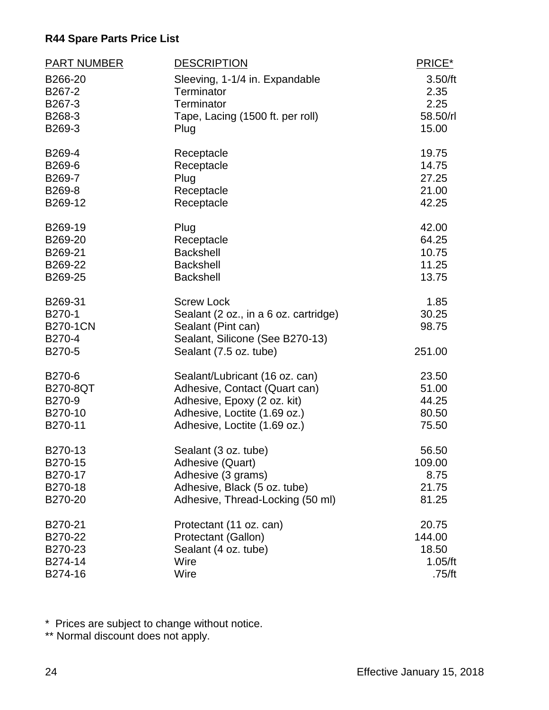| PART NUMBER        | <b>DESCRIPTION</b>                    | PRICE*         |
|--------------------|---------------------------------------|----------------|
| B266-20            | Sleeving, 1-1/4 in. Expandable        | 3.50/ft        |
| B267-2             | Terminator                            | 2.35           |
| B267-3             | Terminator                            | 2.25           |
| B268-3             | Tape, Lacing (1500 ft. per roll)      | 58.50/rl       |
| B269-3             | Plug                                  | 15.00          |
| B269-4             | Receptacle                            | 19.75          |
| B269-6             | Receptacle                            | 14.75          |
| B269-7             | Plug                                  | 27.25          |
| B269-8             | Receptacle                            | 21.00          |
| B269-12            | Receptacle                            | 42.25          |
| B269-19            | Plug                                  | 42.00          |
| B269-20            | Receptacle                            | 64.25          |
| B269-21            | <b>Backshell</b>                      | 10.75          |
| B269-22<br>B269-25 | <b>Backshell</b>                      | 11.25<br>13.75 |
|                    | <b>Backshell</b>                      |                |
| B269-31            | <b>Screw Lock</b>                     | 1.85           |
| B270-1             | Sealant (2 oz., in a 6 oz. cartridge) | 30.25          |
| <b>B270-1CN</b>    | Sealant (Pint can)                    | 98.75          |
| B270-4             | Sealant, Silicone (See B270-13)       |                |
| B270-5             | Sealant (7.5 oz. tube)                | 251.00         |
| B270-6             | Sealant/Lubricant (16 oz. can)        | 23.50          |
| <b>B270-8QT</b>    | Adhesive, Contact (Quart can)         | 51.00          |
| B270-9             | Adhesive, Epoxy (2 oz. kit)           | 44.25          |
| B270-10            | Adhesive, Loctite (1.69 oz.)          | 80.50          |
| B270-11            | Adhesive, Loctite (1.69 oz.)          | 75.50          |
| B270-13            | Sealant (3 oz. tube)                  | 56.50          |
| B270-15            | Adhesive (Quart)                      | 109.00         |
| B270-17            | Adhesive (3 grams)                    | 8.75           |
| B270-18            | Adhesive, Black (5 oz. tube)          | 21.75          |
| B270-20            | Adhesive, Thread-Locking (50 ml)      | 81.25          |
| B270-21            | Protectant (11 oz. can)               | 20.75          |
| B270-22            | Protectant (Gallon)                   | 144.00         |
| B270-23            | Sealant (4 oz. tube)                  | 18.50          |
| B274-14            | Wire                                  | 1.05/ft        |
| B274-16            | Wire                                  | .75/ft         |

\* Prices are subject to change without notice.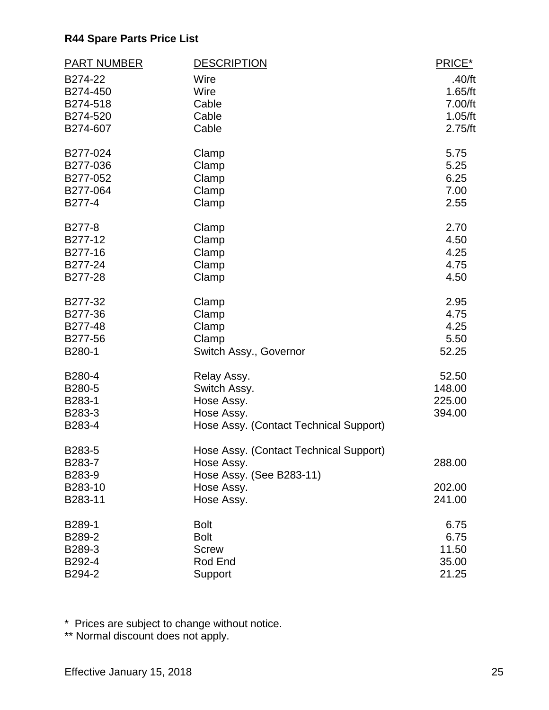| <b>PART NUMBER</b> | <b>DESCRIPTION</b>                     | PRICE*  |
|--------------------|----------------------------------------|---------|
| B274-22            | Wire                                   | .40/ft  |
| B274-450           | Wire                                   | 1.65/ft |
| B274-518           | Cable                                  | 7.00/ft |
| B274-520           | Cable                                  | 1.05/ft |
| B274-607           | Cable                                  | 2.75/ft |
| B277-024           | Clamp                                  | 5.75    |
| B277-036           | Clamp                                  | 5.25    |
| B277-052           | Clamp                                  | 6.25    |
| B277-064           | Clamp                                  | 7.00    |
| B277-4             | Clamp                                  | 2.55    |
| B277-8             | Clamp                                  | 2.70    |
| B277-12            | Clamp                                  | 4.50    |
| B277-16            | Clamp                                  | 4.25    |
| B277-24            | Clamp                                  | 4.75    |
| B277-28            | Clamp                                  | 4.50    |
| B277-32            | Clamp                                  | 2.95    |
| B277-36            | Clamp                                  | 4.75    |
| B277-48            | Clamp                                  | 4.25    |
| B277-56            | Clamp                                  | 5.50    |
| B280-1             | Switch Assy., Governor                 | 52.25   |
| B280-4             | Relay Assy.                            | 52.50   |
| B280-5             | Switch Assy.                           | 148.00  |
| B283-1             | Hose Assy.                             | 225.00  |
| B283-3             | Hose Assy.                             | 394.00  |
| B283-4             | Hose Assy. (Contact Technical Support) |         |
| B283-5             | Hose Assy. (Contact Technical Support) |         |
| B283-7             | Hose Assy.                             | 288.00  |
| B283-9             | Hose Assy. (See B283-11)               |         |
| B283-10            | Hose Assy.                             | 202.00  |
| B283-11            | Hose Assy.                             | 241.00  |
| B289-1             | <b>Bolt</b>                            | 6.75    |
| B289-2             | <b>Bolt</b>                            | 6.75    |
| B289-3             | <b>Screw</b>                           | 11.50   |
| B292-4             | Rod End                                | 35.00   |
| B294-2             | Support                                | 21.25   |

\* Prices are subject to change without notice.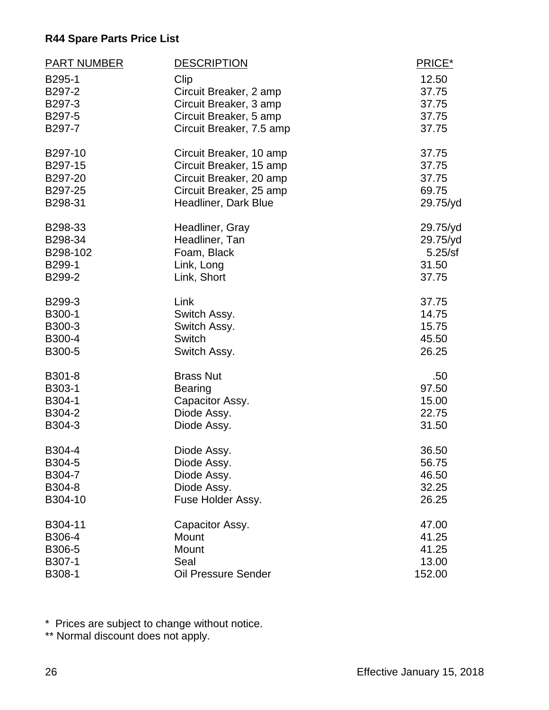| <b>PART NUMBER</b> | <b>DESCRIPTION</b>         | PRICE*   |
|--------------------|----------------------------|----------|
| B295-1             | Clip                       | 12.50    |
| B297-2             | Circuit Breaker, 2 amp     | 37.75    |
| B297-3             | Circuit Breaker, 3 amp     | 37.75    |
| B297-5             | Circuit Breaker, 5 amp     | 37.75    |
| B297-7             | Circuit Breaker, 7.5 amp   | 37.75    |
| B297-10            | Circuit Breaker, 10 amp    | 37.75    |
| B297-15            | Circuit Breaker, 15 amp    | 37.75    |
| B297-20            | Circuit Breaker, 20 amp    | 37.75    |
| B297-25            | Circuit Breaker, 25 amp    | 69.75    |
| B298-31            | Headliner, Dark Blue       | 29.75/yd |
| B298-33            | Headliner, Gray            | 29.75/yd |
| B298-34            | Headliner, Tan             | 29.75/yd |
| B298-102           | Foam, Black                | 5.25/sf  |
| B299-1             | Link, Long                 | 31.50    |
| B299-2             | Link, Short                | 37.75    |
| B299-3             | Link                       | 37.75    |
| B300-1             | Switch Assy.               | 14.75    |
| B300-3             | Switch Assy.               | 15.75    |
| B300-4             | Switch                     | 45.50    |
| B300-5             | Switch Assy.               | 26.25    |
| B301-8             | <b>Brass Nut</b>           | .50      |
| B303-1             | <b>Bearing</b>             | 97.50    |
| B304-1             | Capacitor Assy.            | 15.00    |
| B304-2             | Diode Assy.                | 22.75    |
| B304-3             | Diode Assy.                | 31.50    |
| B304-4             | Diode Assy.                | 36.50    |
| B304-5             | Diode Assy.                | 56.75    |
| B304-7             | Diode Assy.                | 46.50    |
| B304-8             | Diode Assy.                | 32.25    |
| B304-10            | Fuse Holder Assy.          | 26.25    |
| B304-11            | Capacitor Assy.            | 47.00    |
| B306-4             | Mount                      | 41.25    |
| B306-5             | Mount                      | 41.25    |
| B307-1             | Seal                       | 13.00    |
| B308-1             | <b>Oil Pressure Sender</b> | 152.00   |

\* Prices are subject to change without notice.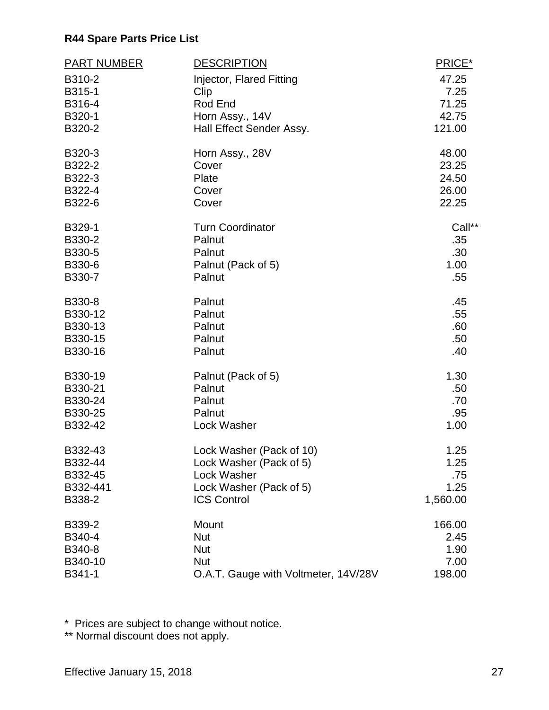| <b>PART NUMBER</b> | <b>DESCRIPTION</b>                   | PRICE*   |
|--------------------|--------------------------------------|----------|
| B310-2             | Injector, Flared Fitting             | 47.25    |
| B315-1             | Clip                                 | 7.25     |
| B316-4             | Rod End                              | 71.25    |
| B320-1             | Horn Assy., 14V                      | 42.75    |
| B320-2             | Hall Effect Sender Assy.             | 121.00   |
| B320-3             | Horn Assy., 28V                      | 48.00    |
| B322-2             | Cover                                | 23.25    |
| B322-3             | Plate                                | 24.50    |
| B322-4             | Cover                                | 26.00    |
| B322-6             | Cover                                | 22.25    |
| B329-1             | <b>Turn Coordinator</b>              | Call**   |
| B330-2             | Palnut                               | .35      |
| B330-5             | Palnut                               | .30      |
| B330-6             | Palnut (Pack of 5)                   | 1.00     |
| B330-7             | Palnut                               | .55      |
| B330-8             | Palnut                               | .45      |
| B330-12            | Palnut                               | .55      |
| B330-13            | Palnut                               | .60      |
| B330-15            | Palnut                               | .50      |
| B330-16            | Palnut                               | .40      |
| B330-19            | Palnut (Pack of 5)                   | 1.30     |
| B330-21            | Palnut                               | .50      |
| B330-24            | Palnut                               | .70      |
| B330-25            | Palnut                               | .95      |
| B332-42            | Lock Washer                          | 1.00     |
| B332-43            | Lock Washer (Pack of 10)             | 1.25     |
| B332-44            | Lock Washer (Pack of 5)              | 1.25     |
| B332-45            | <b>Lock Washer</b>                   | .75      |
| B332-441           | Lock Washer (Pack of 5)              | 1.25     |
| B338-2             | <b>ICS Control</b>                   | 1,560.00 |
| B339-2             | Mount                                | 166.00   |
| B340-4             | <b>Nut</b>                           | 2.45     |
| B340-8             | <b>Nut</b>                           | 1.90     |
| B340-10            | <b>Nut</b>                           | 7.00     |
| B341-1             | O.A.T. Gauge with Voltmeter, 14V/28V | 198.00   |

\* Prices are subject to change without notice.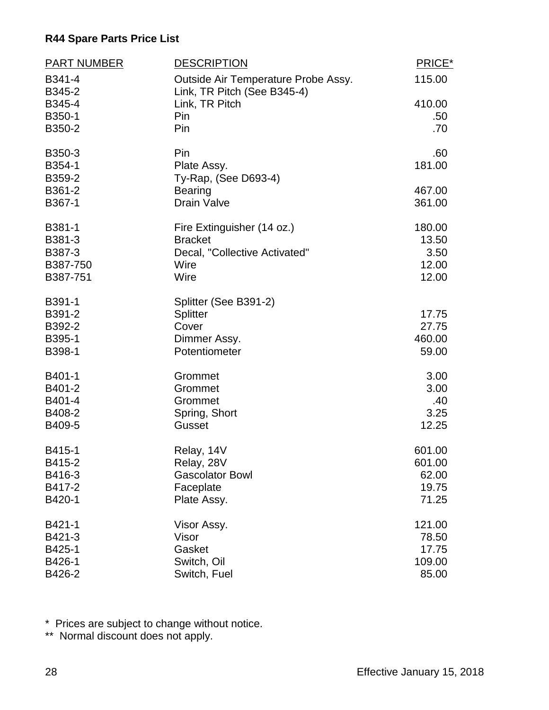| PART NUMBER      | <b>DESCRIPTION</b>                                                 | PRICE* |
|------------------|--------------------------------------------------------------------|--------|
| B341-4<br>B345-2 | Outside Air Temperature Probe Assy.<br>Link, TR Pitch (See B345-4) | 115.00 |
| B345-4           | Link, TR Pitch                                                     | 410.00 |
| B350-1           | Pin                                                                | .50    |
| B350-2           | Pin                                                                | .70    |
| B350-3           | Pin                                                                | .60    |
| B354-1<br>B359-2 | Plate Assy.<br>Ty-Rap, (See D693-4)                                | 181.00 |
| B361-2           | <b>Bearing</b>                                                     | 467.00 |
| B367-1           | <b>Drain Valve</b>                                                 | 361.00 |
| B381-1           | Fire Extinguisher (14 oz.)                                         | 180.00 |
| B381-3           | <b>Bracket</b>                                                     | 13.50  |
| B387-3           | Decal, "Collective Activated"                                      | 3.50   |
| B387-750         | Wire                                                               | 12.00  |
| B387-751         | Wire                                                               | 12.00  |
| B391-1           | Splitter (See B391-2)                                              |        |
| B391-2           | <b>Splitter</b>                                                    | 17.75  |
| B392-2           | Cover                                                              | 27.75  |
| B395-1           | Dimmer Assy.                                                       | 460.00 |
| B398-1           | Potentiometer                                                      | 59.00  |
| B401-1           | Grommet                                                            | 3.00   |
| B401-2           | Grommet                                                            | 3.00   |
| B401-4           | Grommet                                                            | .40    |
| B408-2           | Spring, Short                                                      | 3.25   |
| B409-5           | <b>Gusset</b>                                                      | 12.25  |
| B415-1           | Relay, 14V                                                         | 601.00 |
| B415-2           | Relay, 28V                                                         | 601.00 |
| B416-3           | <b>Gascolator Bowl</b>                                             | 62.00  |
| B417-2           | Faceplate                                                          | 19.75  |
| B420-1           | Plate Assy.                                                        | 71.25  |
| B421-1           | Visor Assy.                                                        | 121.00 |
| B421-3           | Visor                                                              | 78.50  |
| B425-1           | Gasket                                                             | 17.75  |
| B426-1           | Switch, Oil                                                        | 109.00 |
| B426-2           | Switch, Fuel                                                       | 85.00  |

\* Prices are subject to change without notice.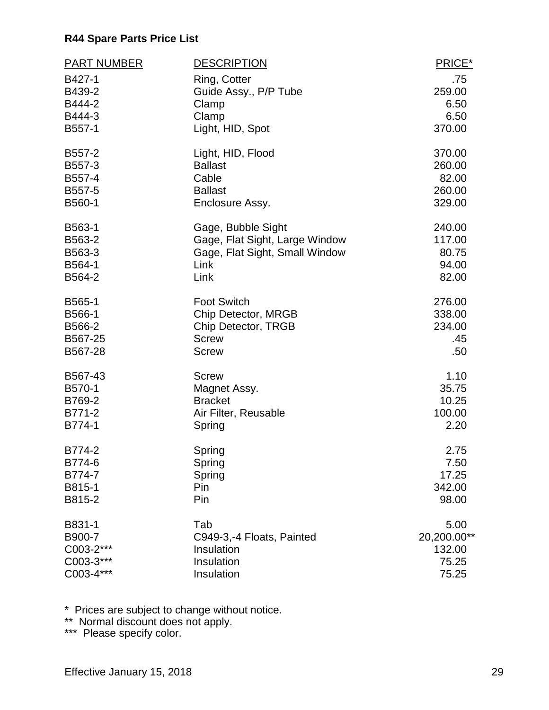| <b>PART NUMBER</b> | <b>DESCRIPTION</b>             | PRICE*      |
|--------------------|--------------------------------|-------------|
| B427-1             | Ring, Cotter                   | .75         |
| B439-2             | Guide Assy., P/P Tube          | 259.00      |
| B444-2             | Clamp                          | 6.50        |
| B444-3             | Clamp                          | 6.50        |
| B557-1             | Light, HID, Spot               | 370.00      |
| B557-2             | Light, HID, Flood              | 370.00      |
| B557-3             | <b>Ballast</b>                 | 260.00      |
| B557-4             | Cable                          | 82.00       |
| B557-5             | <b>Ballast</b>                 | 260.00      |
| B560-1             | Enclosure Assy.                | 329.00      |
| B563-1             | Gage, Bubble Sight             | 240.00      |
| B563-2             | Gage, Flat Sight, Large Window | 117.00      |
| B563-3             | Gage, Flat Sight, Small Window | 80.75       |
| B564-1             | Link                           | 94.00       |
| B564-2             | Link                           | 82.00       |
| B565-1             | <b>Foot Switch</b>             | 276.00      |
| B566-1             | Chip Detector, MRGB            | 338.00      |
| B566-2             | Chip Detector, TRGB            | 234.00      |
| B567-25            | <b>Screw</b>                   | .45         |
| B567-28            | <b>Screw</b>                   | .50         |
| B567-43            | <b>Screw</b>                   | 1.10        |
| B570-1             | Magnet Assy.                   | 35.75       |
| B769-2             | <b>Bracket</b>                 | 10.25       |
| B771-2             | Air Filter, Reusable           | 100.00      |
| B774-1             | Spring                         | 2.20        |
| B774-2             | Spring                         | 2.75        |
| B774-6             | Spring                         | 7.50        |
| B774-7             | Spring                         | 17.25       |
| B815-1             | Pin                            | 342.00      |
| B815-2             | Pin                            | 98.00       |
| B831-1             | Tab                            | 5.00        |
| B900-7             | C949-3,-4 Floats, Painted      | 20,200.00** |
| C003-2***          | Insulation                     | 132.00      |
| C003-3***          | Insulation                     | 75.25       |
| C003-4***          | Insulation                     | 75.25       |

\* Prices are subject to change without notice.

\*\* Normal discount does not apply.

\*\*\* Please specify color.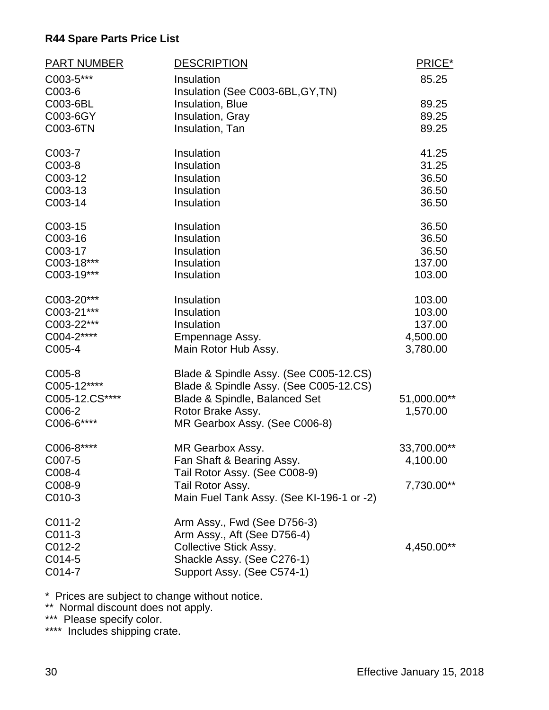| PART NUMBER              | <b>DESCRIPTION</b>                                            | PRICE*                  |
|--------------------------|---------------------------------------------------------------|-------------------------|
| C003-5***<br>C003-6      | Insulation<br>Insulation (See C003-6BL, GY, TN)               | 85.25                   |
| C003-6BL                 | Insulation, Blue                                              | 89.25                   |
| C003-6GY                 | Insulation, Gray                                              | 89.25                   |
| C003-6TN                 | Insulation, Tan                                               | 89.25                   |
| C003-7                   | Insulation                                                    | 41.25                   |
| C003-8                   | Insulation                                                    | 31.25                   |
| C003-12                  | Insulation                                                    | 36.50                   |
| C003-13                  | Insulation                                                    | 36.50                   |
| C003-14                  | Insulation                                                    | 36.50                   |
| C003-15                  | Insulation                                                    | 36.50                   |
| C003-16                  | Insulation                                                    | 36.50                   |
| C003-17<br>C003-18***    | Insulation<br>Insulation                                      | 36.50<br>137.00         |
| C003-19***               | Insulation                                                    | 103.00                  |
|                          |                                                               |                         |
| C003-20***               | Insulation                                                    | 103.00                  |
| C003-21***               | Insulation                                                    | 103.00                  |
| C003-22***               | Insulation                                                    | 137.00                  |
| C004-2****               | Empennage Assy.                                               | 4,500.00                |
| C005-4                   | Main Rotor Hub Assy.                                          | 3,780.00                |
| C005-8                   | Blade & Spindle Assy. (See C005-12.CS)                        |                         |
| C005-12****              | Blade & Spindle Assy. (See C005-12.CS)                        |                         |
| C005-12.CS****<br>C006-2 | Blade & Spindle, Balanced Set<br>Rotor Brake Assy.            | 51,000.00**<br>1,570.00 |
| C006-6****               | MR Gearbox Assy. (See C006-8)                                 |                         |
|                          |                                                               |                         |
| C006-8****               | MR Gearbox Assy.                                              | 33,700.00**             |
| C007-5                   | Fan Shaft & Bearing Assy.                                     | 4,100.00                |
| C008-4                   | Tail Rotor Assy. (See C008-9)                                 |                         |
| C008-9<br>C010-3         | Tail Rotor Assy.<br>Main Fuel Tank Assy. (See KI-196-1 or -2) | 7,730.00**              |
|                          |                                                               |                         |
| $C011-2$                 | Arm Assy., Fwd (See D756-3)                                   |                         |
| C011-3                   | Arm Assy., Aft (See D756-4)                                   |                         |
| C012-2                   | <b>Collective Stick Assy.</b>                                 | 4,450.00**              |
| C014-5                   | Shackle Assy. (See C276-1)                                    |                         |
| C014-7                   | Support Assy. (See C574-1)                                    |                         |

\* Prices are subject to change without notice.

\*\* Normal discount does not apply.

\*\*\* Please specify color.

\*\*\*\* Includes shipping crate.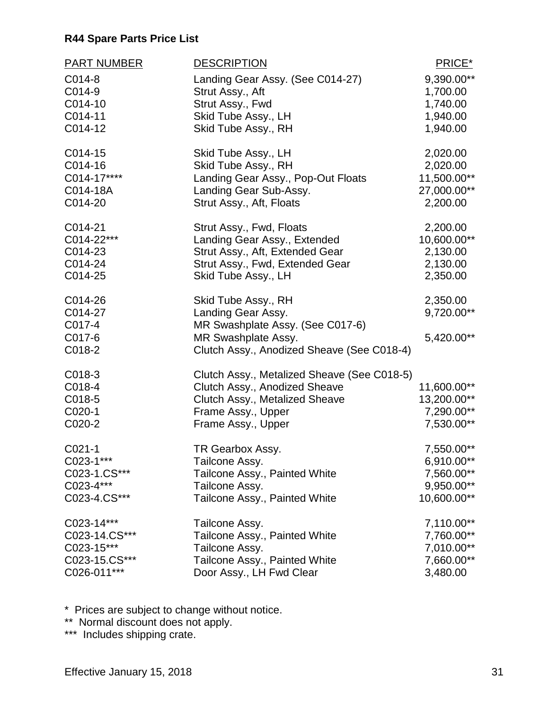| <b>PART NUMBER</b>  | <b>DESCRIPTION</b>                                   | PRICE*                  |
|---------------------|------------------------------------------------------|-------------------------|
| C014-8<br>C014-9    | Landing Gear Assy. (See C014-27)<br>Strut Assy., Aft | 9,390.00**<br>1,700.00  |
| C014-10             | Strut Assy., Fwd                                     | 1,740.00                |
| C014-11             | Skid Tube Assy., LH                                  | 1,940.00                |
| C014-12             | Skid Tube Assy., RH                                  | 1,940.00                |
| C014-15             | Skid Tube Assy., LH                                  | 2,020.00                |
| C014-16             | Skid Tube Assy., RH                                  | 2,020.00                |
| C014-17****         | Landing Gear Assy., Pop-Out Floats                   | 11,500.00**             |
| C014-18A<br>C014-20 | Landing Gear Sub-Assy.                               | 27,000.00**<br>2,200.00 |
|                     | Strut Assy., Aft, Floats                             |                         |
| C014-21             | Strut Assy., Fwd, Floats                             | 2,200.00                |
| C014-22***          | Landing Gear Assy., Extended                         | 10,600.00**             |
| C014-23             | Strut Assy., Aft, Extended Gear                      | 2,130.00                |
| C014-24             | Strut Assy., Fwd, Extended Gear                      | 2,130.00                |
| C014-25             | Skid Tube Assy., LH                                  | 2,350.00                |
| C014-26             | Skid Tube Assy., RH                                  | 2,350.00                |
| C014-27             | Landing Gear Assy.                                   | 9,720.00**              |
| C017-4              | MR Swashplate Assy. (See C017-6)                     |                         |
| C017-6              | MR Swashplate Assy.                                  | 5,420.00**              |
| C018-2              | Clutch Assy., Anodized Sheave (See C018-4)           |                         |
| C018-3              | Clutch Assy., Metalized Sheave (See C018-5)          |                         |
| C018-4              | Clutch Assy., Anodized Sheave                        | 11,600.00**             |
| C018-5              | Clutch Assy., Metalized Sheave                       | 13,200.00**             |
| C020-1              | Frame Assy., Upper                                   | 7,290.00**              |
| C020-2              | Frame Assy., Upper                                   | 7,530.00**              |
| $C021-1$            | TR Gearbox Assy.                                     | 7,550.00**              |
| C023-1***           | Tailcone Assy.                                       | 6,910.00**              |
| C023-1.CS***        | Tailcone Assy., Painted White                        | 7,560.00**              |
| C023-4***           | Tailcone Assy.                                       | 9,950.00**              |
| C023-4.CS***        | Tailcone Assy., Painted White                        | 10,600.00**             |
| C023-14***          |                                                      | $7,110.00**$            |
| C023-14.CS***       | Tailcone Assy.<br>Tailcone Assy., Painted White      | 7,760.00**              |
| C023-15***          | Tailcone Assy.                                       | 7,010.00**              |
| C023-15.CS***       | Tailcone Assy., Painted White                        | 7,660.00**              |
| C026-011***         | Door Assy., LH Fwd Clear                             | 3,480.00                |

\* Prices are subject to change without notice.

\*\* Normal discount does not apply.

\*\*\* Includes shipping crate.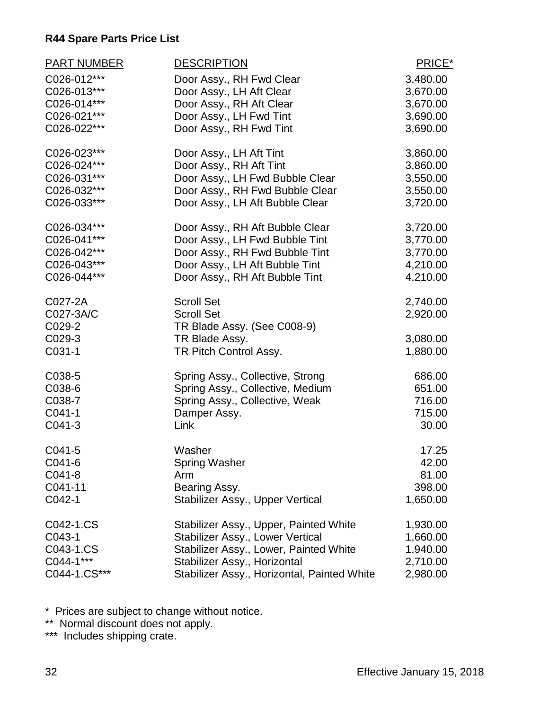| <b>PART NUMBER</b> | <b>DESCRIPTION</b>                          | PRICE*   |
|--------------------|---------------------------------------------|----------|
| C026-012***        | Door Assy., RH Fwd Clear                    | 3,480.00 |
| C026-013***        | Door Assy., LH Aft Clear                    | 3,670.00 |
| C026-014***        | Door Assy., RH Aft Clear                    | 3,670.00 |
| C026-021***        | Door Assy., LH Fwd Tint                     | 3,690.00 |
| C026-022***        | Door Assy., RH Fwd Tint                     | 3,690.00 |
| C026-023***        | Door Assy., LH Aft Tint                     | 3,860.00 |
| C026-024***        | Door Assy., RH Aft Tint                     | 3,860.00 |
| C026-031***        | Door Assy., LH Fwd Bubble Clear             | 3,550.00 |
| C026-032***        | Door Assy., RH Fwd Bubble Clear             | 3,550.00 |
| C026-033***        | Door Assy., LH Aft Bubble Clear             | 3,720.00 |
| C026-034***        | Door Assy., RH Aft Bubble Clear             | 3,720.00 |
| C026-041***        | Door Assy., LH Fwd Bubble Tint              | 3,770.00 |
| C026-042***        | Door Assy., RH Fwd Bubble Tint              | 3,770.00 |
| C026-043***        | Door Assy., LH Aft Bubble Tint              | 4,210.00 |
| C026-044***        | Door Assy., RH Aft Bubble Tint              | 4,210.00 |
| C027-2A            | <b>Scroll Set</b>                           | 2,740.00 |
| C027-3A/C          | <b>Scroll Set</b>                           | 2,920.00 |
| C029-2             | TR Blade Assy. (See C008-9)                 |          |
| C029-3             | TR Blade Assy.                              | 3,080.00 |
| C031-1             | TR Pitch Control Assy.                      | 1,880.00 |
| C038-5             | Spring Assy., Collective, Strong            | 686.00   |
| C038-6             | Spring Assy., Collective, Medium            | 651.00   |
| C038-7             | Spring Assy., Collective, Weak              | 716.00   |
| C041-1             | Damper Assy.                                | 715.00   |
| C041-3             | Link                                        | 30.00    |
| C041-5             | Washer                                      | 17.25    |
| $C041-6$           | <b>Spring Washer</b>                        | 42.00    |
| $C041-8$           | Arm                                         | 81.00    |
| C041-11            | Bearing Assy.                               | 398.00   |
| C042-1             | Stabilizer Assy., Upper Vertical            | 1,650.00 |
| C042-1.CS          | Stabilizer Assy., Upper, Painted White      | 1,930.00 |
| C043-1             | Stabilizer Assy., Lower Vertical            | 1,660.00 |
| C043-1.CS          | Stabilizer Assy., Lower, Painted White      | 1,940.00 |
| C044-1***          | Stabilizer Assy., Horizontal                | 2,710.00 |
| C044-1.CS***       | Stabilizer Assy., Horizontal, Painted White | 2,980.00 |

\* Prices are subject to change without notice.

\*\* Normal discount does not apply.

\*\*\* Includes shipping crate.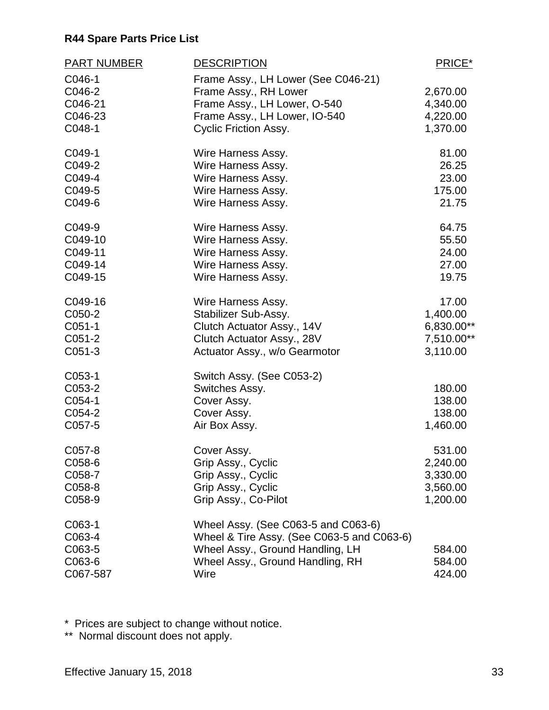| <b>PART NUMBER</b> | <b>DESCRIPTION</b>                         | PRICE*     |
|--------------------|--------------------------------------------|------------|
| C046-1             | Frame Assy., LH Lower (See C046-21)        |            |
| C046-2             | Frame Assy., RH Lower                      | 2,670.00   |
| C046-21            | Frame Assy., LH Lower, O-540               | 4,340.00   |
| C046-23            | Frame Assy., LH Lower, IO-540              | 4,220.00   |
| C048-1             | <b>Cyclic Friction Assy.</b>               | 1,370.00   |
| C049-1             | Wire Harness Assy.                         | 81.00      |
| C049-2             | Wire Harness Assy.                         | 26.25      |
| C049-4             | Wire Harness Assy.                         | 23.00      |
| C049-5             | Wire Harness Assy.                         | 175.00     |
| C049-6             | Wire Harness Assy.                         | 21.75      |
| C049-9             | Wire Harness Assy.                         | 64.75      |
| C049-10            | Wire Harness Assy.                         | 55.50      |
| C049-11            | Wire Harness Assy.                         | 24.00      |
| C049-14            | Wire Harness Assy.                         | 27.00      |
| C049-15            | Wire Harness Assy.                         | 19.75      |
| C049-16            | Wire Harness Assy.                         | 17.00      |
| C050-2             | Stabilizer Sub-Assy.                       | 1,400.00   |
| $C051-1$           | Clutch Actuator Assy., 14V                 | 6,830.00** |
| C051-2             | Clutch Actuator Assy., 28V                 | 7,510.00** |
| C051-3             | Actuator Assy., w/o Gearmotor              | 3,110.00   |
| C053-1             | Switch Assy. (See C053-2)                  |            |
| C053-2             | Switches Assy.                             | 180.00     |
| C054-1             | Cover Assy.                                | 138.00     |
| C054-2             | Cover Assy.                                | 138.00     |
| C057-5             | Air Box Assy.                              | 1,460.00   |
| C057-8             | Cover Assy.                                | 531.00     |
| C058-6             | Grip Assy., Cyclic                         | 2,240.00   |
| C058-7             | Grip Assy., Cyclic                         | 3,330.00   |
| C058-8             | Grip Assy., Cyclic                         | 3,560.00   |
| C058-9             | Grip Assy., Co-Pilot                       | 1,200.00   |
| C063-1             | Wheel Assy. (See C063-5 and C063-6)        |            |
| C063-4             | Wheel & Tire Assy. (See C063-5 and C063-6) |            |
| C063-5             | Wheel Assy., Ground Handling, LH           | 584.00     |
| C063-6             | Wheel Assy., Ground Handling, RH           | 584.00     |
| C067-587           | Wire                                       | 424.00     |

\* Prices are subject to change without notice.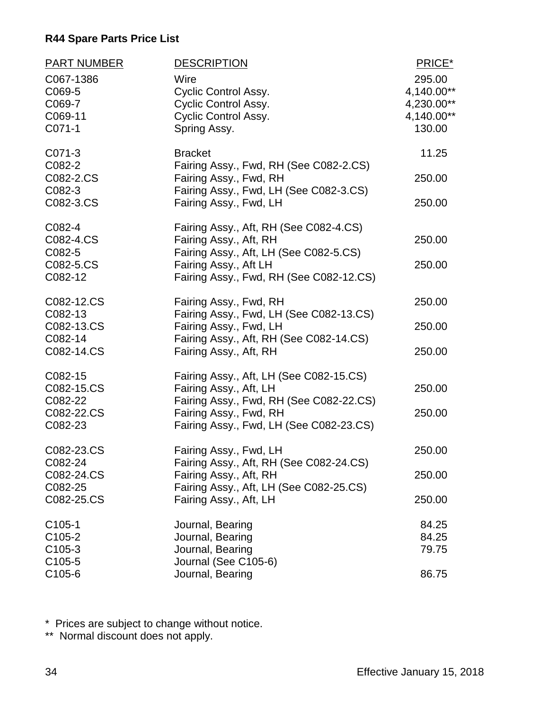| <b>PART NUMBER</b>               | <b>DESCRIPTION</b>                                                                                           | PRICE*                             |
|----------------------------------|--------------------------------------------------------------------------------------------------------------|------------------------------------|
| C067-1386<br>C069-5<br>C069-7    | Wire<br><b>Cyclic Control Assy.</b><br><b>Cyclic Control Assy.</b>                                           | 295.00<br>4,140.00**<br>4,230.00** |
| C069-11<br>C071-1                | <b>Cyclic Control Assy.</b><br>Spring Assy.                                                                  | 4,140.00**<br>130.00               |
| C071-3<br>C082-2                 | <b>Bracket</b><br>Fairing Assy., Fwd, RH (See C082-2.CS)                                                     | 11.25                              |
| C082-2.CS<br>C082-3              | Fairing Assy., Fwd, RH<br>Fairing Assy., Fwd, LH (See C082-3.CS)                                             | 250.00                             |
| C082-3.CS                        | Fairing Assy., Fwd, LH                                                                                       | 250.00                             |
| C082-4<br>C082-4.CS<br>C082-5    | Fairing Assy., Aft, RH (See C082-4.CS)<br>Fairing Assy., Aft, RH<br>Fairing Assy., Aft, LH (See C082-5.CS)   | 250.00                             |
| C082-5.CS<br>C082-12             | Fairing Assy., Aft LH<br>Fairing Assy., Fwd, RH (See C082-12.CS)                                             | 250.00                             |
| C082-12.CS<br>C082-13            | Fairing Assy., Fwd, RH                                                                                       | 250.00                             |
| C082-13.CS<br>C082-14            | Fairing Assy., Fwd, LH (See C082-13.CS)<br>Fairing Assy., Fwd, LH<br>Fairing Assy., Aft, RH (See C082-14.CS) | 250.00                             |
| C082-14.CS                       | Fairing Assy., Aft, RH                                                                                       | 250.00                             |
| C082-15<br>C082-15.CS            | Fairing Assy., Aft, LH (See C082-15.CS)<br>Fairing Assy., Aft, LH                                            | 250.00                             |
| C082-22<br>C082-22.CS<br>C082-23 | Fairing Assy., Fwd, RH (See C082-22.CS)<br>Fairing Assy., Fwd, RH<br>Fairing Assy., Fwd, LH (See C082-23.CS) | 250.00                             |
| C082-23.CS<br>C082-24            | Fairing Assy., Fwd, LH<br>Fairing Assy., Aft, RH (See C082-24.CS)                                            | 250.00                             |
| C082-24.CS<br>C082-25            | Fairing Assy., Aft, RH<br>Fairing Assy., Aft, LH (See C082-25.CS)                                            | 250.00                             |
| C082-25.CS                       | Fairing Assy., Aft, LH                                                                                       | 250.00                             |
| $C105-1$<br>C105-2               | Journal, Bearing<br>Journal, Bearing                                                                         | 84.25<br>84.25                     |
| C105-3<br>C105-5                 | Journal, Bearing<br>Journal (See C105-6)                                                                     | 79.75                              |
| C105-6                           | Journal, Bearing                                                                                             | 86.75                              |

\* Prices are subject to change without notice.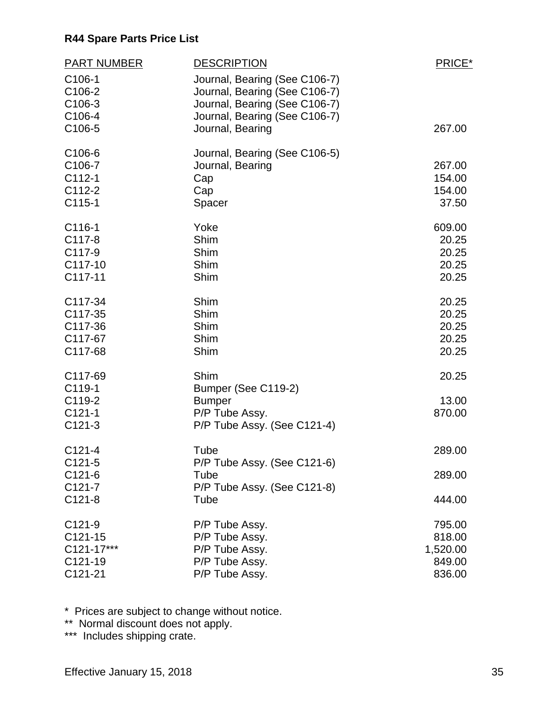| <b>PART NUMBER</b><br>C106-1<br>C106-2                         | <b>DESCRIPTION</b><br>Journal, Bearing (See C106-7)<br>Journal, Bearing (See C106-7)          | PRICE*                                           |
|----------------------------------------------------------------|-----------------------------------------------------------------------------------------------|--------------------------------------------------|
| C106-3<br>C106-4<br>C106-5                                     | Journal, Bearing (See C106-7)<br>Journal, Bearing (See C106-7)<br>Journal, Bearing            | 267.00                                           |
| C <sub>106-6</sub><br>C106-7<br>$C112-1$<br>C112-2<br>$C115-1$ | Journal, Bearing (See C106-5)<br>Journal, Bearing<br>Cap<br>Cap<br>Spacer                     | 267.00<br>154.00<br>154.00<br>37.50              |
| C116-1<br>C117-8<br>C117-9<br>C117-10<br>C117-11               | Yoke<br>Shim<br>Shim<br>Shim<br>Shim                                                          | 609.00<br>20.25<br>20.25<br>20.25<br>20.25       |
| C117-34<br>C117-35<br>C117-36<br>C117-67<br>C117-68            | Shim<br>Shim<br>Shim<br>Shim<br>Shim                                                          | 20.25<br>20.25<br>20.25<br>20.25<br>20.25        |
| C117-69<br>C119-1<br>C119-2<br>$C121-1$<br>$C121-3$            | Shim<br>Bumper (See C119-2)<br><b>Bumper</b><br>P/P Tube Assy.<br>P/P Tube Assy. (See C121-4) | 20.25<br>13.00<br>870.00                         |
| $C121-4$<br>$C121-5$<br>$C121-6$<br>$C121-7$<br>$C121-8$       | Tube<br>P/P Tube Assy. (See C121-6)<br>Tube<br>P/P Tube Assy. (See C121-8)<br>Tube            | 289.00<br>289.00<br>444.00                       |
| $C121-9$<br>$C121-15$<br>C121-17***<br>C121-19<br>C121-21      | P/P Tube Assy.<br>P/P Tube Assy.<br>P/P Tube Assy.<br>P/P Tube Assy.<br>P/P Tube Assy.        | 795.00<br>818.00<br>1,520.00<br>849.00<br>836.00 |

\* Prices are subject to change without notice.

\*\* Normal discount does not apply.

\*\*\* Includes shipping crate.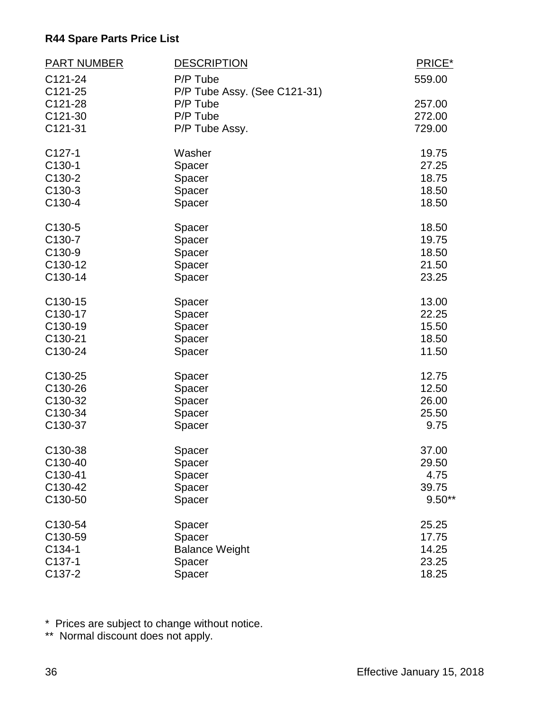| <b>PART NUMBER</b> | <b>DESCRIPTION</b>           | PRICE*   |
|--------------------|------------------------------|----------|
| C121-24            | P/P Tube                     | 559.00   |
| C121-25            | P/P Tube Assy. (See C121-31) |          |
| C121-28            | P/P Tube                     | 257.00   |
| C121-30            | P/P Tube                     | 272.00   |
| C121-31            | P/P Tube Assy.               | 729.00   |
| $C127-1$           | Washer                       | 19.75    |
| C130-1             | Spacer                       | 27.25    |
| C130-2             | Spacer                       | 18.75    |
| C130-3             | Spacer                       | 18.50    |
| C130-4             | Spacer                       | 18.50    |
| C130-5             | Spacer                       | 18.50    |
| C130-7             | Spacer                       | 19.75    |
| C130-9             | Spacer                       | 18.50    |
| C130-12            | Spacer                       | 21.50    |
| C130-14            | Spacer                       | 23.25    |
| C130-15            | Spacer                       | 13.00    |
| C130-17            | Spacer                       | 22.25    |
| C130-19            | Spacer                       | 15.50    |
| C130-21            | Spacer                       | 18.50    |
| C130-24            | Spacer                       | 11.50    |
| C130-25            | Spacer                       | 12.75    |
| C130-26            | Spacer                       | 12.50    |
| C130-32            | Spacer                       | 26.00    |
| C130-34            | Spacer                       | 25.50    |
| C130-37            | Spacer                       | 9.75     |
| C130-38            | Spacer                       | 37.00    |
| C130-40            | Spacer                       | 29.50    |
| C130-41            | Spacer                       | 4.75     |
| C130-42            | Spacer                       | 39.75    |
| C130-50            | Spacer                       | $9.50**$ |
| C130-54            | Spacer                       | 25.25    |
| C130-59            | Spacer                       | 17.75    |
| C134-1             | <b>Balance Weight</b>        | 14.25    |
| C137-1             | Spacer                       | 23.25    |
| C137-2             | Spacer                       | 18.25    |

\* Prices are subject to change without notice.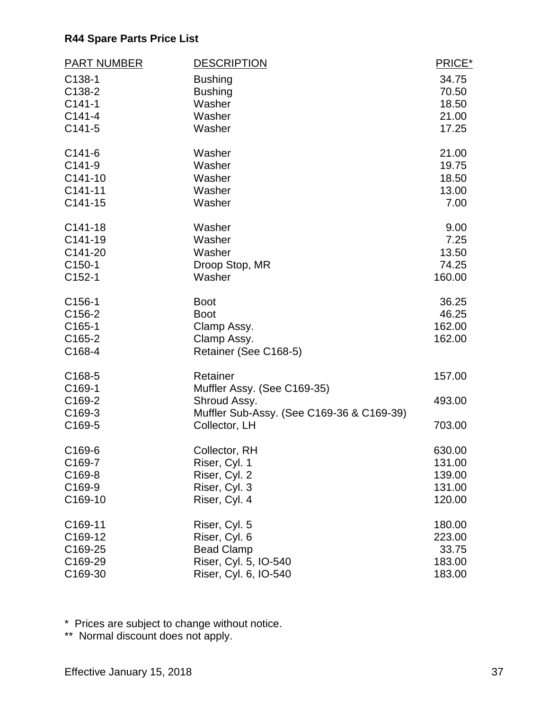| <b>PART NUMBER</b> | <b>DESCRIPTION</b>                        | PRICE* |
|--------------------|-------------------------------------------|--------|
| C138-1             | <b>Bushing</b>                            | 34.75  |
| C138-2             | <b>Bushing</b>                            | 70.50  |
| $C141-1$           | Washer                                    | 18.50  |
| $C141 - 4$         | Washer                                    | 21.00  |
| $C141-5$           | Washer                                    | 17.25  |
| $C141-6$           | Washer                                    | 21.00  |
| $C141-9$           | Washer                                    | 19.75  |
| C141-10            | Washer                                    | 18.50  |
| C141-11            | Washer                                    | 13.00  |
| C141-15            | Washer                                    | 7.00   |
| C141-18            | Washer                                    | 9.00   |
| C141-19            | Washer                                    | 7.25   |
| C141-20            | Washer                                    | 13.50  |
| C150-1             | Droop Stop, MR                            | 74.25  |
| C152-1             | Washer                                    | 160.00 |
| C156-1             | <b>Boot</b>                               | 36.25  |
| C156-2             | <b>Boot</b>                               | 46.25  |
| C165-1             | Clamp Assy.                               | 162.00 |
| C165-2             | Clamp Assy.                               | 162.00 |
| C168-4             | Retainer (See C168-5)                     |        |
| C168-5             | Retainer                                  | 157.00 |
| C169-1             | Muffler Assy. (See C169-35)               |        |
| C169-2             | Shroud Assy.                              | 493.00 |
| C169-3             | Muffler Sub-Assy. (See C169-36 & C169-39) |        |
| C169-5             | Collector, LH                             | 703.00 |
| C <sub>169-6</sub> | Collector, RH                             | 630.00 |
| C169-7             | Riser, Cyl. 1                             | 131.00 |
| C169-8             | Riser, Cyl. 2                             | 139.00 |
| C169-9             | Riser, Cyl. 3                             | 131.00 |
| C169-10            | Riser, Cyl. 4                             | 120.00 |
| C169-11            | Riser, Cyl. 5                             | 180.00 |
| C169-12            | Riser, Cyl. 6                             | 223.00 |
| C169-25            | <b>Bead Clamp</b>                         | 33.75  |
| C169-29            | Riser, Cyl. 5, IO-540                     | 183.00 |
| C169-30            | Riser, Cyl. 6, IO-540                     | 183.00 |

\* Prices are subject to change without notice.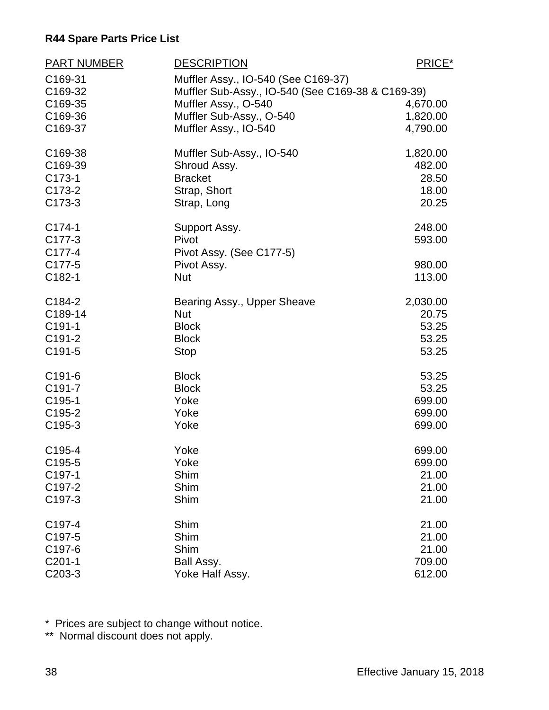| <b>PART NUMBER</b>  | <b>DESCRIPTION</b>                                                                       | PRICE*           |
|---------------------|------------------------------------------------------------------------------------------|------------------|
| C169-31<br>C169-32  | Muffler Assy., IO-540 (See C169-37)<br>Muffler Sub-Assy., IO-540 (See C169-38 & C169-39) |                  |
| C169-35             | Muffler Assy., O-540                                                                     | 4,670.00         |
| C169-36             | Muffler Sub-Assy., O-540                                                                 | 1,820.00         |
| C169-37             | Muffler Assy., IO-540                                                                    | 4,790.00         |
| C169-38             | Muffler Sub-Assy., IO-540                                                                | 1,820.00         |
| C169-39             | Shroud Assy.                                                                             | 482.00           |
| C173-1              | <b>Bracket</b>                                                                           | 28.50            |
| C173-2              | Strap, Short                                                                             | 18.00            |
| C173-3              | Strap, Long                                                                              | 20.25            |
| C174-1              | Support Assy.                                                                            | 248.00           |
| C177-3              | Pivot                                                                                    | 593.00           |
| C177-4<br>C177-5    | Pivot Assy. (See C177-5)                                                                 |                  |
| C182-1              | Pivot Assy.<br><b>Nut</b>                                                                | 980.00<br>113.00 |
|                     |                                                                                          |                  |
| C184-2              | Bearing Assy., Upper Sheave                                                              | 2,030.00         |
| C189-14             | <b>Nut</b>                                                                               | 20.75            |
| C191-1              | <b>Block</b>                                                                             | 53.25            |
| C <sub>191-2</sub>  | <b>Block</b>                                                                             | 53.25            |
| C191-5              | <b>Stop</b>                                                                              | 53.25            |
| C191-6              | <b>Block</b>                                                                             | 53.25            |
| C <sub>191-7</sub>  | <b>Block</b>                                                                             | 53.25            |
| C195-1              | Yoke                                                                                     | 699.00           |
| C <sub>195</sub> -2 | Yoke                                                                                     | 699.00           |
| C195-3              | Yoke                                                                                     | 699.00           |
| C195-4              | Yoke                                                                                     | 699.00           |
| C195-5              | Yoke                                                                                     | 699.00           |
| C197-1              | Shim                                                                                     | 21.00            |
| C <sub>197-2</sub>  | Shim                                                                                     | 21.00            |
| C197-3              | Shim                                                                                     | 21.00            |
| C <sub>197-4</sub>  | Shim                                                                                     | 21.00            |
| C197-5              | Shim                                                                                     | 21.00            |
| C197-6              | Shim                                                                                     | 21.00            |
| $C201-1$            | Ball Assy.                                                                               | 709.00           |
| C203-3              | Yoke Half Assy.                                                                          | 612.00           |

\* Prices are subject to change without notice.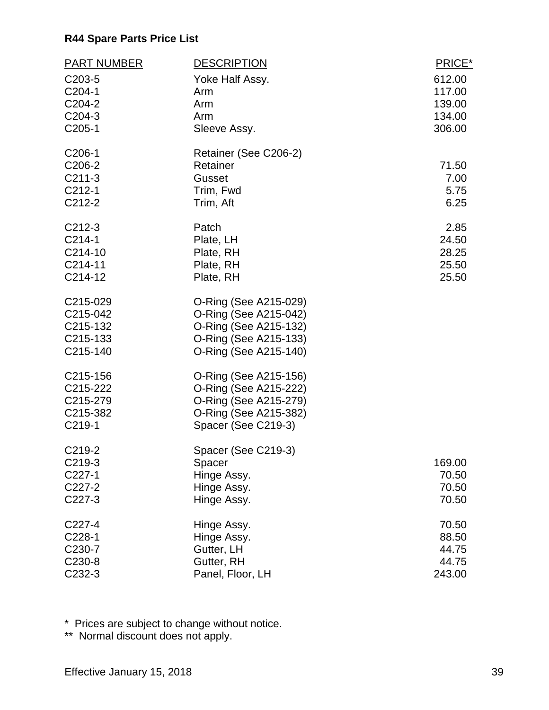| PART NUMBER         | <b>DESCRIPTION</b>    | PRICE* |
|---------------------|-----------------------|--------|
| C <sub>203</sub> -5 | Yoke Half Assy.       | 612.00 |
| C204-1              | Arm                   | 117.00 |
| C204-2              | Arm                   | 139.00 |
| C <sub>204</sub> -3 | Arm                   | 134.00 |
| C205-1              | Sleeve Assy.          | 306.00 |
| C206-1              | Retainer (See C206-2) |        |
| C206-2              | Retainer              | 71.50  |
| $C211-3$            | Gusset                | 7.00   |
| $C212-1$            | Trim, Fwd             | 5.75   |
| C <sub>212</sub> -2 | Trim, Aft             | 6.25   |
| $C212-3$            | Patch                 | 2.85   |
| $C214-1$            | Plate, LH             | 24.50  |
| C214-10             | Plate, RH             | 28.25  |
| C214-11             | Plate, RH             | 25.50  |
| C214-12             | Plate, RH             | 25.50  |
| C215-029            | O-Ring (See A215-029) |        |
| C215-042            | O-Ring (See A215-042) |        |
| C215-132            | O-Ring (See A215-132) |        |
| C215-133            | O-Ring (See A215-133) |        |
| C215-140            | O-Ring (See A215-140) |        |
| C215-156            | O-Ring (See A215-156) |        |
| C215-222            | O-Ring (See A215-222) |        |
| C215-279            | O-Ring (See A215-279) |        |
| C215-382            | O-Ring (See A215-382) |        |
| C219-1              | Spacer (See C219-3)   |        |
| C219-2              | Spacer (See C219-3)   |        |
| C219-3              | Spacer                | 169.00 |
| C227-1              | Hinge Assy.           | 70.50  |
| C227-2              | Hinge Assy.           | 70.50  |
| C227-3              | Hinge Assy.           | 70.50  |
| C227-4              | Hinge Assy.           | 70.50  |
| C228-1              | Hinge Assy.           | 88.50  |
| C230-7              | Gutter, LH            | 44.75  |
| C230-8              | Gutter, RH            | 44.75  |
| C232-3              | Panel, Floor, LH      | 243.00 |

\* Prices are subject to change without notice.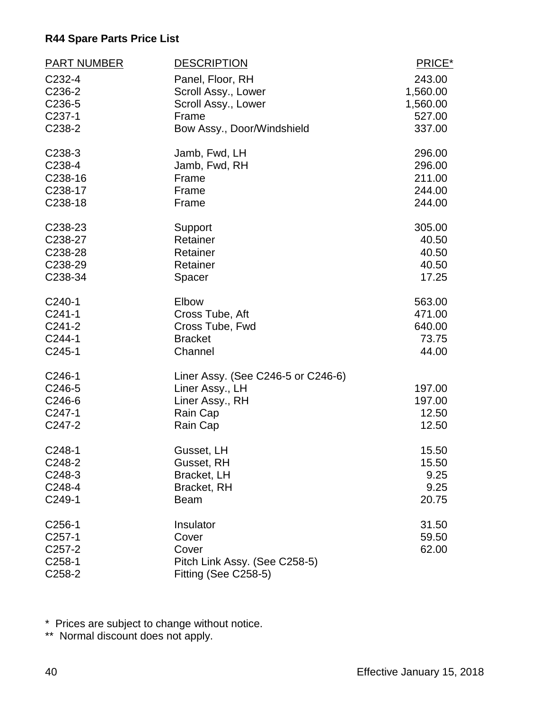| <b>PART NUMBER</b>  | <b>DESCRIPTION</b>                 | PRICE*   |
|---------------------|------------------------------------|----------|
| C232-4              | Panel, Floor, RH                   | 243.00   |
| C236-2              | Scroll Assy., Lower                | 1,560.00 |
| C236-5              | Scroll Assy., Lower                | 1,560.00 |
| C237-1              | Frame                              | 527.00   |
| C238-2              | Bow Assy., Door/Windshield         | 337.00   |
| C238-3              | Jamb, Fwd, LH                      | 296.00   |
| C238-4              | Jamb, Fwd, RH                      | 296.00   |
| C238-16             | Frame                              | 211.00   |
| C238-17             | Frame                              | 244.00   |
| C238-18             | Frame                              | 244.00   |
| C238-23             | Support                            | 305.00   |
| C238-27             | Retainer                           | 40.50    |
| C238-28             | Retainer                           | 40.50    |
| C238-29             | Retainer                           | 40.50    |
| C238-34             | Spacer                             | 17.25    |
| $C240-1$            | Elbow                              | 563.00   |
| $C241-1$            | Cross Tube, Aft                    | 471.00   |
| $C241-2$            | Cross Tube, Fwd                    | 640.00   |
| C244-1              | <b>Bracket</b>                     | 73.75    |
| C245-1              | Channel                            | 44.00    |
| C246-1              | Liner Assy. (See C246-5 or C246-6) |          |
| C246-5              | Liner Assy., LH                    | 197.00   |
| C <sub>246</sub> -6 | Liner Assy., RH                    | 197.00   |
| C247-1              | Rain Cap                           | 12.50    |
| C247-2              | Rain Cap                           | 12.50    |
| C248-1              | Gusset, LH                         | 15.50    |
| C248-2              | Gusset, RH                         | 15.50    |
| C248-3              | Bracket, LH                        | 9.25     |
| C248-4              | Bracket, RH                        | 9.25     |
| C249-1              | <b>Beam</b>                        | 20.75    |
| C <sub>256</sub> -1 | Insulator                          | 31.50    |
| $C257-1$            | Cover                              | 59.50    |
| C <sub>257</sub> -2 | Cover                              | 62.00    |
| C <sub>258</sub> -1 | Pitch Link Assy. (See C258-5)      |          |
| C258-2              | Fitting (See C258-5)               |          |

\* Prices are subject to change without notice.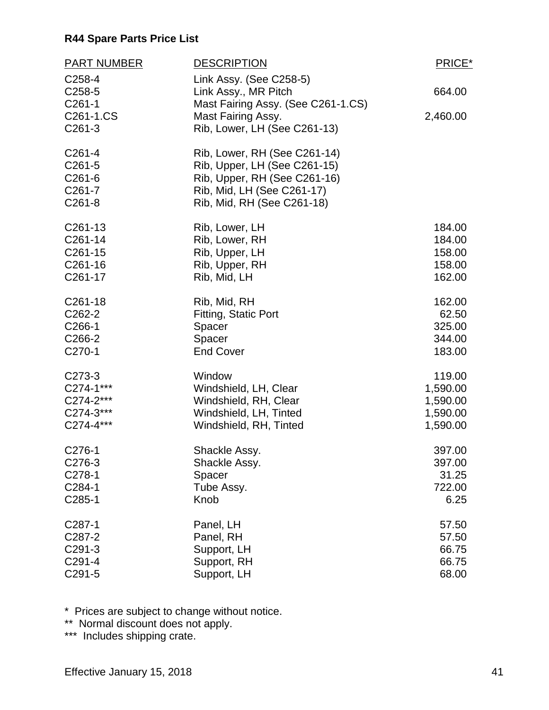| <b>PART NUMBER</b>                                                | <b>DESCRIPTION</b>                                                                                                                                       | PRICE*   |
|-------------------------------------------------------------------|----------------------------------------------------------------------------------------------------------------------------------------------------------|----------|
| C258-4<br>C <sub>258</sub> -5                                     | Link Assy. (See C258-5)<br>Link Assy., MR Pitch                                                                                                          | 664.00   |
| $C261-1$<br>C261-1.CS<br>$C261-3$                                 | Mast Fairing Assy. (See C261-1.CS)<br>Mast Fairing Assy.<br>Rib, Lower, LH (See C261-13)                                                                 | 2,460.00 |
| $C261-4$<br>$C261-5$<br>C261-6<br>C <sub>261</sub> -7<br>$C261-8$ | Rib, Lower, RH (See C261-14)<br>Rib, Upper, LH (See C261-15)<br>Rib, Upper, RH (See C261-16)<br>Rib, Mid, LH (See C261-17)<br>Rib, Mid, RH (See C261-18) |          |
| C <sub>261</sub> -13                                              | Rib, Lower, LH                                                                                                                                           | 184.00   |
| C261-14                                                           | Rib, Lower, RH                                                                                                                                           | 184.00   |
| C261-15                                                           | Rib, Upper, LH                                                                                                                                           | 158.00   |
| C <sub>261</sub> -16                                              | Rib, Upper, RH                                                                                                                                           | 158.00   |
| C <sub>261</sub> -17                                              | Rib, Mid, LH                                                                                                                                             | 162.00   |
| C <sub>261</sub> -18                                              | Rib, Mid, RH                                                                                                                                             | 162.00   |
| C <sub>262</sub> -2                                               | Fitting, Static Port                                                                                                                                     | 62.50    |
| C266-1                                                            | Spacer                                                                                                                                                   | 325.00   |
| C <sub>266</sub> -2                                               | Spacer                                                                                                                                                   | 344.00   |
| C270-1                                                            | <b>End Cover</b>                                                                                                                                         | 183.00   |
| C273-3                                                            | Window                                                                                                                                                   | 119.00   |
| C274-1***                                                         | Windshield, LH, Clear                                                                                                                                    | 1,590.00 |
| C274-2***                                                         | Windshield, RH, Clear                                                                                                                                    | 1,590.00 |
| C274-3***                                                         | Windshield, LH, Tinted                                                                                                                                   | 1,590.00 |
| C274-4***                                                         | Windshield, RH, Tinted                                                                                                                                   | 1,590.00 |
| C276-1                                                            | Shackle Assy.                                                                                                                                            | 397.00   |
| C276-3                                                            | Shackle Assy.                                                                                                                                            | 397.00   |
| C278-1                                                            | Spacer                                                                                                                                                   | 31.25    |
| C284-1                                                            | Tube Assy.                                                                                                                                               | 722.00   |
| C285-1                                                            | Knob                                                                                                                                                     | 6.25     |
| C <sub>287-1</sub>                                                | Panel, LH                                                                                                                                                | 57.50    |
| C287-2                                                            | Panel, RH                                                                                                                                                | 57.50    |
| C291-3                                                            | Support, LH                                                                                                                                              | 66.75    |
| C291-4                                                            | Support, RH                                                                                                                                              | 66.75    |
| C291-5                                                            | Support, LH                                                                                                                                              | 68.00    |

\* Prices are subject to change without notice.

\*\* Normal discount does not apply.

\*\*\* Includes shipping crate.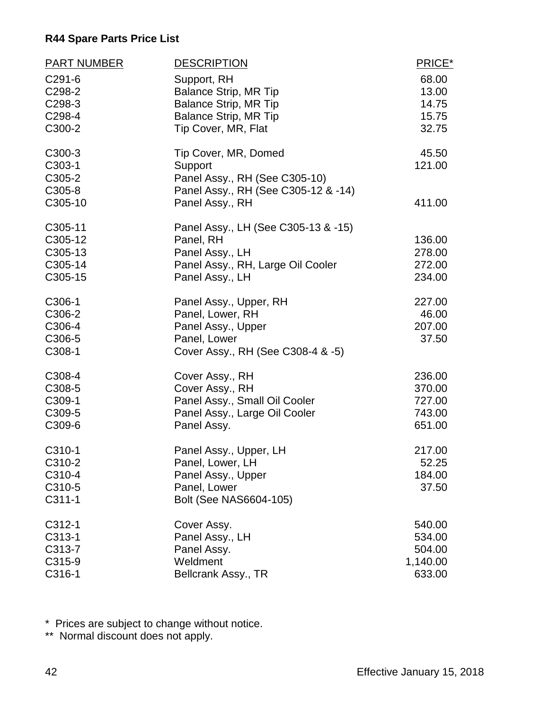| <b>PART NUMBER</b> | <b>DESCRIPTION</b>                  | PRICE*   |
|--------------------|-------------------------------------|----------|
| C291-6             | Support, RH                         | 68.00    |
| C298-2             | <b>Balance Strip, MR Tip</b>        | 13.00    |
| C298-3             | <b>Balance Strip, MR Tip</b>        | 14.75    |
| C298-4             | <b>Balance Strip, MR Tip</b>        | 15.75    |
| C300-2             | Tip Cover, MR, Flat                 | 32.75    |
| C300-3             | Tip Cover, MR, Domed                | 45.50    |
| C303-1             | Support                             | 121.00   |
| C305-2             | Panel Assy., RH (See C305-10)       |          |
| C305-8             | Panel Assy., RH (See C305-12 & -14) |          |
| C305-10            | Panel Assy., RH                     | 411.00   |
| C305-11            | Panel Assy., LH (See C305-13 & -15) |          |
| C305-12            | Panel, RH                           | 136.00   |
| C305-13            | Panel Assy., LH                     | 278.00   |
| C305-14            | Panel Assy., RH, Large Oil Cooler   | 272.00   |
| C305-15            | Panel Assy., LH                     | 234.00   |
| C306-1             | Panel Assy., Upper, RH              | 227.00   |
| C306-2             | Panel, Lower, RH                    | 46.00    |
| C306-4             | Panel Assy., Upper                  | 207.00   |
| C306-5             | Panel, Lower                        | 37.50    |
| C308-1             | Cover Assy., RH (See C308-4 & -5)   |          |
| C308-4             | Cover Assy., RH                     | 236.00   |
| C308-5             | Cover Assy., RH                     | 370.00   |
| C309-1             | Panel Assy., Small Oil Cooler       | 727.00   |
| C309-5             | Panel Assy., Large Oil Cooler       | 743.00   |
| C309-6             | Panel Assy.                         | 651.00   |
| C310-1             | Panel Assy., Upper, LH              | 217.00   |
| C310-2             | Panel, Lower, LH                    | 52.25    |
| C310-4             | Panel Assy., Upper                  | 184.00   |
| C310-5             | Panel, Lower                        | 37.50    |
| C311-1             | Bolt (See NAS6604-105)              |          |
| C312-1             | Cover Assy.                         | 540.00   |
| C313-1             | Panel Assy., LH                     | 534.00   |
| C313-7             | Panel Assy.                         | 504.00   |
| C315-9             | Weldment                            | 1,140.00 |
| C316-1             | Bellcrank Assy., TR                 | 633.00   |

\* Prices are subject to change without notice.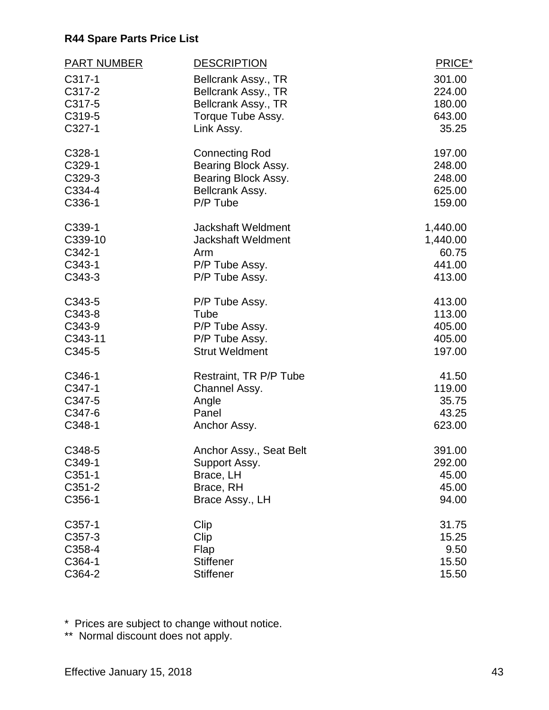| <b>PART NUMBER</b> | <b>DESCRIPTION</b>        | PRICE*   |
|--------------------|---------------------------|----------|
| C317-1             | Bellcrank Assy., TR       | 301.00   |
| C317-2             | Bellcrank Assy., TR       | 224.00   |
| C317-5             | Bellcrank Assy., TR       | 180.00   |
| C319-5             | Torque Tube Assy.         | 643.00   |
| C327-1             | Link Assy.                | 35.25    |
| C328-1             | <b>Connecting Rod</b>     | 197.00   |
| C329-1             | Bearing Block Assy.       | 248.00   |
| C329-3             | Bearing Block Assy.       | 248.00   |
| C334-4             | Bellcrank Assy.           | 625.00   |
| C336-1             | P/P Tube                  | 159.00   |
| C339-1             | <b>Jackshaft Weldment</b> | 1,440.00 |
| C339-10            | <b>Jackshaft Weldment</b> | 1,440.00 |
| C342-1             | Arm                       | 60.75    |
| C343-1             | P/P Tube Assy.            | 441.00   |
| C343-3             | P/P Tube Assy.            | 413.00   |
| C343-5             | P/P Tube Assy.            | 413.00   |
| C343-8             | Tube                      | 113.00   |
| C343-9             | P/P Tube Assy.            | 405.00   |
| C343-11            | P/P Tube Assy.            | 405.00   |
| C345-5             | <b>Strut Weldment</b>     | 197.00   |
| C346-1             | Restraint, TR P/P Tube    | 41.50    |
| C347-1             | Channel Assy.             | 119.00   |
| C347-5             | Angle                     | 35.75    |
| C347-6             | Panel                     | 43.25    |
| C348-1             | Anchor Assy.              | 623.00   |
| C348-5             | Anchor Assy., Seat Belt   | 391.00   |
| C349-1             | Support Assy.             | 292.00   |
| $C351-1$           | Brace, LH                 | 45.00    |
| C351-2             | Brace, RH                 | 45.00    |
| C356-1             | Brace Assy., LH           | 94.00    |
| C <sub>357-1</sub> | Clip                      | 31.75    |
| C357-3             | Clip                      | 15.25    |
| C358-4             | Flap                      | 9.50     |
| C364-1             | <b>Stiffener</b>          | 15.50    |
| C364-2             | <b>Stiffener</b>          | 15.50    |

\* Prices are subject to change without notice.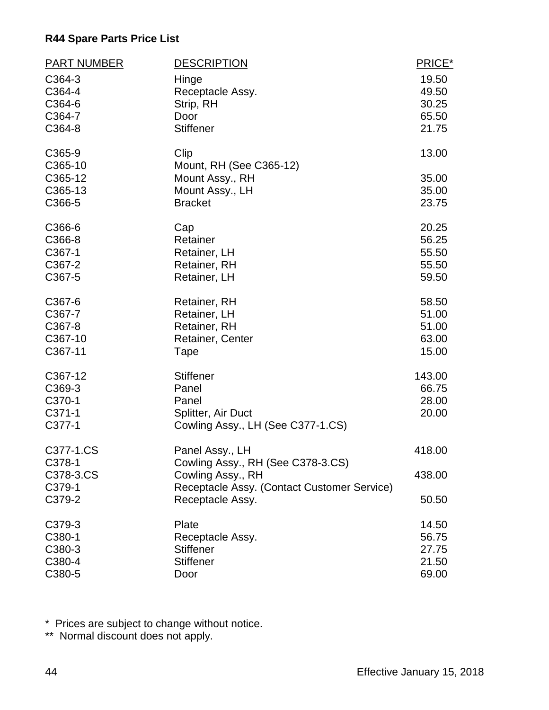| <b>PART NUMBER</b> | <b>DESCRIPTION</b>                          | PRICE* |
|--------------------|---------------------------------------------|--------|
| C364-3             | Hinge                                       | 19.50  |
| C364-4             | Receptacle Assy.                            | 49.50  |
| C364-6             | Strip, RH                                   | 30.25  |
| C364-7             | Door                                        | 65.50  |
| C364-8             | <b>Stiffener</b>                            | 21.75  |
| C365-9             | Clip                                        | 13.00  |
| C365-10            | Mount, RH (See C365-12)                     |        |
| C365-12            | Mount Assy., RH                             | 35.00  |
| C365-13            | Mount Assy., LH                             | 35.00  |
| C366-5             | <b>Bracket</b>                              | 23.75  |
| C366-6             | Cap                                         | 20.25  |
| C366-8             | Retainer                                    | 56.25  |
| C367-1             | Retainer, LH                                | 55.50  |
| C367-2             | Retainer, RH                                | 55.50  |
| C367-5             | Retainer, LH                                | 59.50  |
| C367-6             | Retainer, RH                                | 58.50  |
| C367-7             | Retainer, LH                                | 51.00  |
| C367-8             | Retainer, RH                                | 51.00  |
| C367-10            | <b>Retainer, Center</b>                     | 63.00  |
| C367-11            | Tape                                        | 15.00  |
| C367-12            | <b>Stiffener</b>                            | 143.00 |
| C369-3             | Panel                                       | 66.75  |
| C370-1             | Panel                                       | 28.00  |
| $C371-1$           | Splitter, Air Duct                          | 20.00  |
| C377-1             | Cowling Assy., LH (See C377-1.CS)           |        |
| C377-1.CS          | Panel Assy., LH                             | 418.00 |
| C378-1             | Cowling Assy., RH (See C378-3.CS)           |        |
| C378-3.CS          | Cowling Assy., RH                           | 438.00 |
| C379-1             | Receptacle Assy. (Contact Customer Service) |        |
| C379-2             | Receptacle Assy.                            | 50.50  |
| C379-3             | Plate                                       | 14.50  |
| C380-1             | Receptacle Assy.                            | 56.75  |
| C380-3             | <b>Stiffener</b>                            | 27.75  |
| C380-4             | <b>Stiffener</b>                            | 21.50  |
| C380-5             | Door                                        | 69.00  |

\* Prices are subject to change without notice.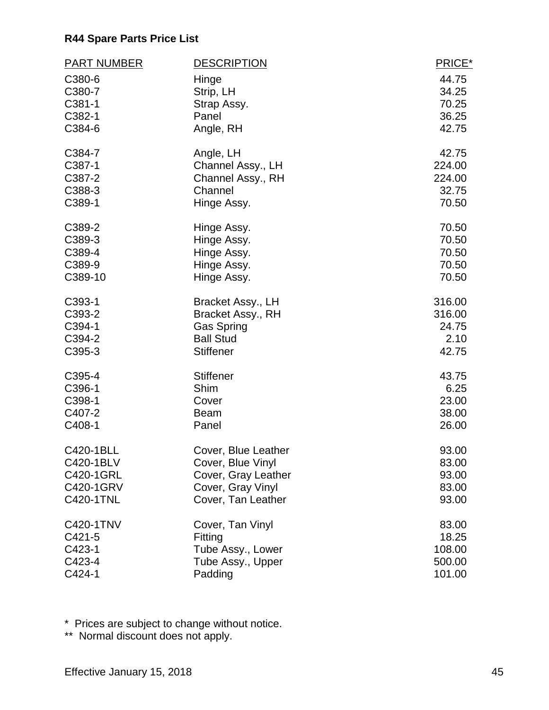| <b>PART NUMBER</b> | <b>DESCRIPTION</b>  | PRICE* |
|--------------------|---------------------|--------|
| C380-6             | Hinge               | 44.75  |
| C380-7             | Strip, LH           | 34.25  |
| C381-1             | Strap Assy.         | 70.25  |
| C382-1             | Panel               | 36.25  |
| C384-6             | Angle, RH           | 42.75  |
| C384-7             | Angle, LH           | 42.75  |
| C387-1             | Channel Assy., LH   | 224.00 |
| C387-2             | Channel Assy., RH   | 224.00 |
| C388-3             | Channel             | 32.75  |
| C389-1             | Hinge Assy.         | 70.50  |
| C389-2             | Hinge Assy.         | 70.50  |
| C389-3             | Hinge Assy.         | 70.50  |
| C389-4             | Hinge Assy.         | 70.50  |
| C389-9             | Hinge Assy.         | 70.50  |
| C389-10            | Hinge Assy.         | 70.50  |
| C393-1             | Bracket Assy., LH   | 316.00 |
| C393-2             | Bracket Assy., RH   | 316.00 |
| C394-1             | <b>Gas Spring</b>   | 24.75  |
| C394-2             | <b>Ball Stud</b>    | 2.10   |
| C395-3             | <b>Stiffener</b>    | 42.75  |
| C395-4             | <b>Stiffener</b>    | 43.75  |
| C396-1             | Shim                | 6.25   |
| C398-1             | Cover               | 23.00  |
| C407-2             | <b>Beam</b>         | 38.00  |
| C408-1             | Panel               | 26.00  |
| C420-1BLL          | Cover, Blue Leather | 93.00  |
| C420-1BLV          | Cover, Blue Vinyl   | 83.00  |
| C420-1GRL          | Cover, Gray Leather | 93.00  |
| C420-1GRV          | Cover, Gray Vinyl   | 83.00  |
| C420-1TNL          | Cover, Tan Leather  | 93.00  |
| C420-1TNV          | Cover, Tan Vinyl    | 83.00  |
| C421-5             | Fitting             | 18.25  |
| C423-1             | Tube Assy., Lower   | 108.00 |
| C423-4             | Tube Assy., Upper   | 500.00 |
| C424-1             | Padding             | 101.00 |

\* Prices are subject to change without notice.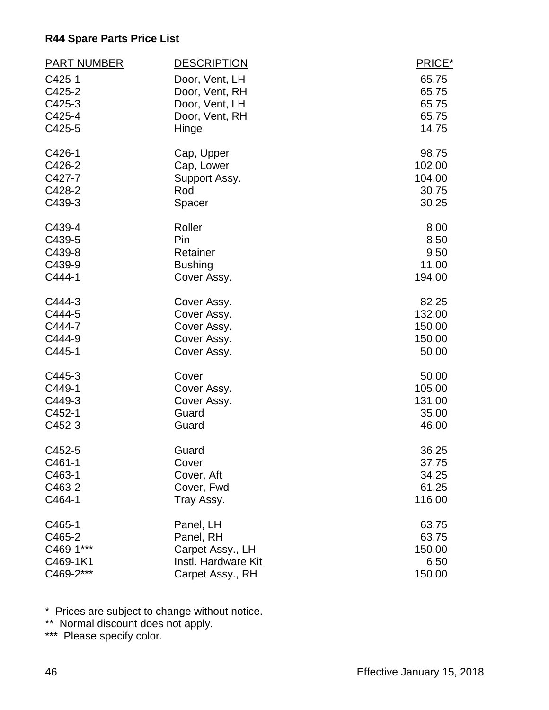| <b>PART NUMBER</b> | <b>DESCRIPTION</b>  | PRICE* |
|--------------------|---------------------|--------|
| C425-1             | Door, Vent, LH      | 65.75  |
| C425-2             | Door, Vent, RH      | 65.75  |
| C425-3             | Door, Vent, LH      | 65.75  |
| C425-4             | Door, Vent, RH      | 65.75  |
| C425-5             | Hinge               | 14.75  |
| C426-1             | Cap, Upper          | 98.75  |
| C426-2             | Cap, Lower          | 102.00 |
| C427-7             | Support Assy.       | 104.00 |
| C428-2             | Rod                 | 30.75  |
| C439-3             | Spacer              | 30.25  |
| C439-4             | Roller              | 8.00   |
| C439-5             | Pin                 | 8.50   |
| C439-8             | Retainer            | 9.50   |
| C439-9             | <b>Bushing</b>      | 11.00  |
| C444-1             | Cover Assy.         | 194.00 |
| C444-3             | Cover Assy.         | 82.25  |
| C444-5             | Cover Assy.         | 132.00 |
| C444-7             | Cover Assy.         | 150.00 |
| C444-9             | Cover Assy.         | 150.00 |
| C445-1             | Cover Assy.         | 50.00  |
| C445-3             | Cover               | 50.00  |
| C449-1             | Cover Assy.         | 105.00 |
| C449-3             | Cover Assy.         | 131.00 |
| C452-1             | Guard               | 35.00  |
| C452-3             | Guard               | 46.00  |
| C452-5             | Guard               | 36.25  |
| C461-1             | Cover               | 37.75  |
| C463-1             | Cover, Aft          | 34.25  |
| C463-2             | Cover, Fwd          | 61.25  |
| C464-1             | Tray Assy.          | 116.00 |
| C465-1             | Panel, LH           | 63.75  |
| C465-2             | Panel, RH           | 63.75  |
| C469-1***          | Carpet Assy., LH    | 150.00 |
| C469-1K1           | Instl. Hardware Kit | 6.50   |
| C469-2***          | Carpet Assy., RH    | 150.00 |

\* Prices are subject to change without notice.

\*\* Normal discount does not apply.

\*\*\* Please specify color.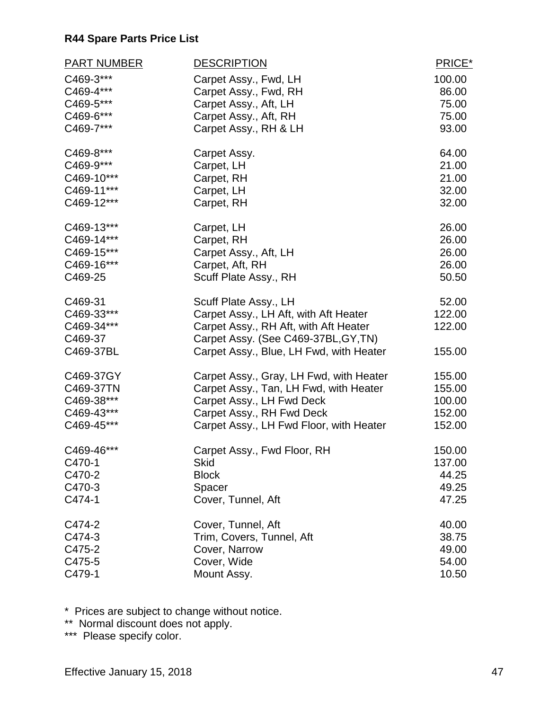| <b>PART NUMBER</b> | <b>DESCRIPTION</b>                      | PRICE* |
|--------------------|-----------------------------------------|--------|
| C469-3***          | Carpet Assy., Fwd, LH                   | 100.00 |
| C469-4***          | Carpet Assy., Fwd, RH                   | 86.00  |
| C469-5***          | Carpet Assy., Aft, LH                   | 75.00  |
| C469-6***          | Carpet Assy., Aft, RH                   | 75.00  |
| C469-7***          | Carpet Assy., RH & LH                   | 93.00  |
| C469-8***          | Carpet Assy.                            | 64.00  |
| C469-9***          | Carpet, LH                              | 21.00  |
| C469-10***         | Carpet, RH                              | 21.00  |
| C469-11***         | Carpet, LH                              | 32.00  |
| C469-12***         | Carpet, RH                              | 32.00  |
| C469-13***         | Carpet, LH                              | 26.00  |
| C469-14***         | Carpet, RH                              | 26.00  |
| C469-15***         | Carpet Assy., Aft, LH                   | 26.00  |
| C469-16***         | Carpet, Aft, RH                         | 26.00  |
| C469-25            | Scuff Plate Assy., RH                   | 50.50  |
| C469-31            | Scuff Plate Assy., LH                   | 52.00  |
| C469-33***         | Carpet Assy., LH Aft, with Aft Heater   | 122.00 |
| C469-34***         | Carpet Assy., RH Aft, with Aft Heater   | 122.00 |
| C469-37            | Carpet Assy. (See C469-37BL, GY, TN)    |        |
| C469-37BL          | Carpet Assy., Blue, LH Fwd, with Heater | 155.00 |
| C469-37GY          | Carpet Assy., Gray, LH Fwd, with Heater | 155.00 |
| C469-37TN          | Carpet Assy., Tan, LH Fwd, with Heater  | 155.00 |
| C469-38***         | Carpet Assy., LH Fwd Deck               | 100.00 |
| C469-43***         | Carpet Assy., RH Fwd Deck               | 152.00 |
| C469-45***         | Carpet Assy., LH Fwd Floor, with Heater | 152.00 |
| C469-46***         | Carpet Assy., Fwd Floor, RH             | 150.00 |
| C470-1             | <b>Skid</b>                             | 137.00 |
| C470-2             | <b>Block</b>                            | 44.25  |
| C470-3             | Spacer                                  | 49.25  |
| C474-1             | Cover, Tunnel, Aft                      | 47.25  |
| C474-2             | Cover, Tunnel, Aft                      | 40.00  |
| C474-3             | Trim, Covers, Tunnel, Aft               | 38.75  |
| C475-2             | Cover, Narrow                           | 49.00  |
| C475-5             | Cover, Wide                             | 54.00  |
| C479-1             | Mount Assy.                             | 10.50  |

\* Prices are subject to change without notice.

\*\* Normal discount does not apply.

\*\*\* Please specify color.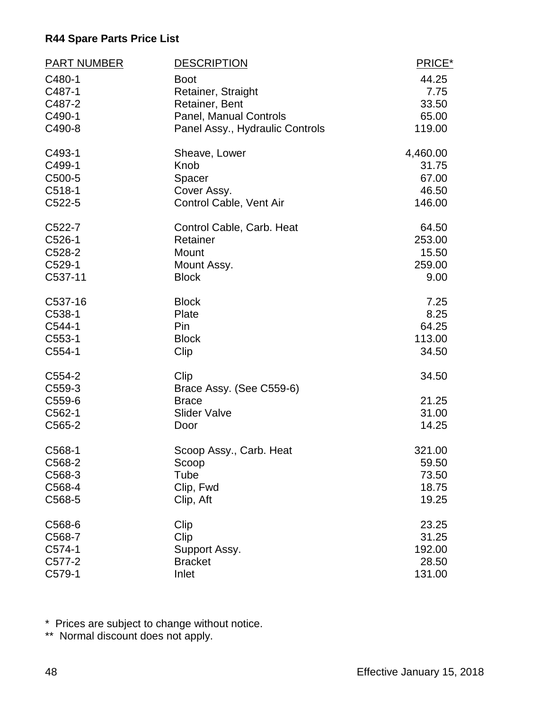| <b>PART NUMBER</b> | <b>DESCRIPTION</b>              | PRICE*   |
|--------------------|---------------------------------|----------|
| C480-1             | <b>Boot</b>                     | 44.25    |
| C487-1             | Retainer, Straight              | 7.75     |
| C487-2             | Retainer, Bent                  | 33.50    |
| C490-1             | <b>Panel, Manual Controls</b>   | 65.00    |
| C490-8             | Panel Assy., Hydraulic Controls | 119.00   |
| C493-1             | Sheave, Lower                   | 4,460.00 |
| C499-1             | Knob                            | 31.75    |
| C500-5             | Spacer                          | 67.00    |
| $C518-1$           | Cover Assy.                     | 46.50    |
| C522-5             | Control Cable, Vent Air         | 146.00   |
| C522-7             | Control Cable, Carb. Heat       | 64.50    |
| C526-1             | Retainer                        | 253.00   |
| C528-2             | Mount                           | 15.50    |
| C529-1             | Mount Assy.                     | 259.00   |
| C537-11            | <b>Block</b>                    | 9.00     |
| C537-16            | <b>Block</b>                    | 7.25     |
| C538-1             | Plate                           | 8.25     |
| C544-1             | Pin                             | 64.25    |
| C553-1             | <b>Block</b>                    | 113.00   |
| $C554-1$           | Clip                            | 34.50    |
| C554-2             | Clip                            | 34.50    |
| C559-3             | Brace Assy. (See C559-6)        |          |
| C559-6             | <b>Brace</b>                    | 21.25    |
| C562-1             | <b>Slider Valve</b>             | 31.00    |
| C565-2             | Door                            | 14.25    |
| C568-1             | Scoop Assy., Carb. Heat         | 321.00   |
| C568-2             | Scoop                           | 59.50    |
| C568-3             | Tube                            | 73.50    |
| C568-4             | Clip, Fwd                       | 18.75    |
| C568-5             | Clip, Aft                       | 19.25    |
| C568-6             | Clip                            | 23.25    |
| C568-7             | Clip                            | 31.25    |
| C574-1             | Support Assy.                   | 192.00   |
| C577-2             | <b>Bracket</b>                  | 28.50    |
| C579-1             | Inlet                           | 131.00   |

\* Prices are subject to change without notice.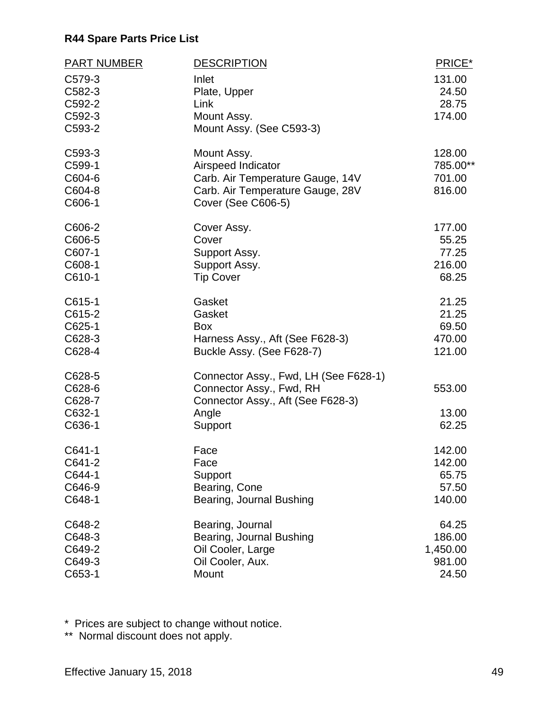| <b>PART NUMBER</b> | <b>DESCRIPTION</b>                                     | PRICE*         |
|--------------------|--------------------------------------------------------|----------------|
| C579-3             | Inlet                                                  | 131.00         |
| C582-3             | Plate, Upper                                           | 24.50          |
| C592-2             | Link                                                   | 28.75          |
| C592-3             | Mount Assy.                                            | 174.00         |
| C593-2             | Mount Assy. (See C593-3)                               |                |
| C593-3             | Mount Assy.                                            | 128.00         |
| C599-1             | Airspeed Indicator                                     | 785.00**       |
| C604-6             | Carb. Air Temperature Gauge, 14V                       | 701.00         |
| C604-8<br>C606-1   | Carb. Air Temperature Gauge, 28V<br>Cover (See C606-5) | 816.00         |
| C606-2             | Cover Assy.                                            | 177.00         |
| C606-5             | Cover                                                  | 55.25          |
| C607-1             | Support Assy.                                          | 77.25          |
| C608-1             | Support Assy.                                          | 216.00         |
| C610-1             | <b>Tip Cover</b>                                       | 68.25          |
| C615-1             | Gasket                                                 | 21.25          |
| C615-2             | Gasket                                                 | 21.25          |
| C625-1             | <b>Box</b>                                             | 69.50          |
| C628-3             | Harness Assy., Aft (See F628-3)                        | 470.00         |
| C628-4             | Buckle Assy. (See F628-7)                              | 121.00         |
| C628-5             | Connector Assy., Fwd, LH (See F628-1)                  |                |
| C628-6             | Connector Assy., Fwd, RH                               | 553.00         |
| C628-7             | Connector Assy., Aft (See F628-3)                      |                |
| C632-1<br>C636-1   | Angle                                                  | 13.00<br>62.25 |
|                    | Support                                                |                |
| C641-1             | Face                                                   | 142.00         |
| C641-2             | Face                                                   | 142.00         |
| C644-1             | Support                                                | 65.75          |
| C646-9             | Bearing, Cone                                          | 57.50          |
| C648-1             | Bearing, Journal Bushing                               | 140.00         |
| C648-2             | Bearing, Journal                                       | 64.25          |
| C648-3             | Bearing, Journal Bushing                               | 186.00         |
| C649-2             | Oil Cooler, Large                                      | 1,450.00       |
| C649-3             | Oil Cooler, Aux.                                       | 981.00         |
| C653-1             | Mount                                                  | 24.50          |

\* Prices are subject to change without notice.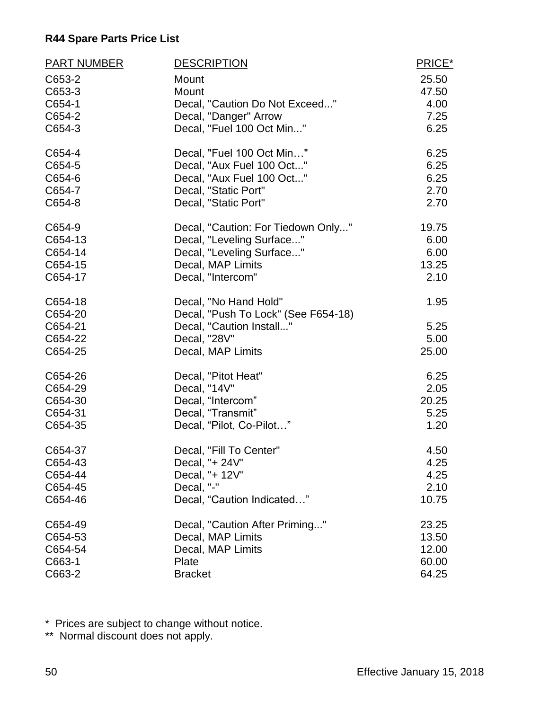| <b>PART NUMBER</b> | <b>DESCRIPTION</b>                  | PRICE* |
|--------------------|-------------------------------------|--------|
| C653-2             | Mount                               | 25.50  |
| C653-3             | Mount                               | 47.50  |
| C654-1             | Decal, "Caution Do Not Exceed"      | 4.00   |
| C654-2             | Decal, "Danger" Arrow               | 7.25   |
| C654-3             | Decal, "Fuel 100 Oct Min"           | 6.25   |
| C654-4             | Decal, "Fuel 100 Oct Min"           | 6.25   |
| C654-5             | Decal, "Aux Fuel 100 Oct"           | 6.25   |
| C654-6             | Decal, "Aux Fuel 100 Oct"           | 6.25   |
| C654-7             | Decal, "Static Port"                | 2.70   |
| C654-8             | Decal, "Static Port"                | 2.70   |
| C654-9             | Decal, "Caution: For Tiedown Only"  | 19.75  |
| C654-13            | Decal, "Leveling Surface"           | 6.00   |
| C654-14            | Decal, "Leveling Surface"           | 6.00   |
| C654-15            | Decal, MAP Limits                   | 13.25  |
| C654-17            | Decal, "Intercom"                   | 2.10   |
| C654-18            | Decal, "No Hand Hold"               | 1.95   |
| C654-20            | Decal, "Push To Lock" (See F654-18) |        |
| C654-21            | Decal, "Caution Install"            | 5.25   |
| C654-22            | Decal, "28V"                        | 5.00   |
| C654-25            | Decal, MAP Limits                   | 25.00  |
| C654-26            | Decal, "Pitot Heat"                 | 6.25   |
| C654-29            | Decal, "14V"                        | 2.05   |
| C654-30            | Decal, "Intercom"                   | 20.25  |
| C654-31            | Decal, "Transmit"                   | 5.25   |
| C654-35            | Decal, "Pilot, Co-Pilot"            | 1.20   |
| C654-37            | Decal, "Fill To Center"             | 4.50   |
| C654-43            | Decal, "+ 24V"                      | 4.25   |
| C654-44            | Decal, "+ 12V"                      | 4.25   |
| C654-45            | Decal, "-"                          | 2.10   |
| C654-46            | Decal, "Caution Indicated"          | 10.75  |
| C654-49            | Decal, "Caution After Priming"      | 23.25  |
| C654-53            | Decal, MAP Limits                   | 13.50  |
| C654-54            | Decal, MAP Limits                   | 12.00  |
| C663-1             | Plate                               | 60.00  |
| C663-2             | <b>Bracket</b>                      | 64.25  |

\* Prices are subject to change without notice.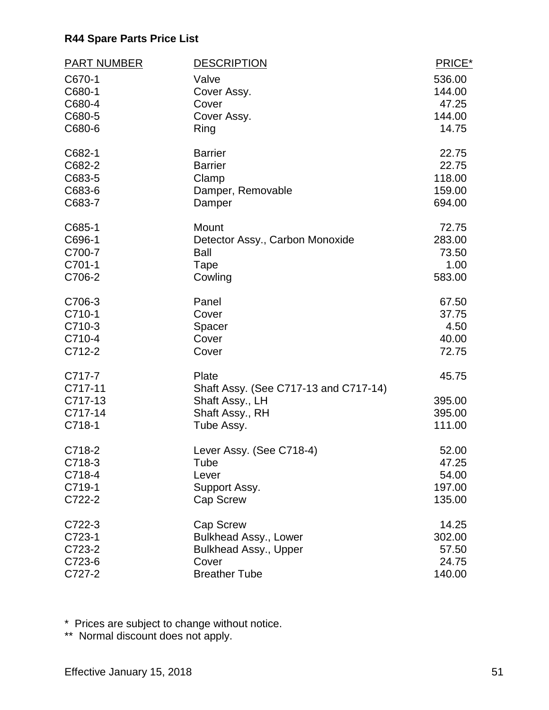| <b>PART NUMBER</b> | <b>DESCRIPTION</b>                    | PRICE* |
|--------------------|---------------------------------------|--------|
| C670-1             | Valve                                 | 536.00 |
| C680-1             | Cover Assy.                           | 144.00 |
| C680-4             | Cover                                 | 47.25  |
| C680-5             | Cover Assy.                           | 144.00 |
| C680-6             | Ring                                  | 14.75  |
| C682-1             | <b>Barrier</b>                        | 22.75  |
| C682-2             | <b>Barrier</b>                        | 22.75  |
| C683-5             | Clamp                                 | 118.00 |
| C683-6             | Damper, Removable                     | 159.00 |
| C683-7             | Damper                                | 694.00 |
| C685-1             | Mount                                 | 72.75  |
| C696-1             | Detector Assy., Carbon Monoxide       | 283.00 |
| C700-7             | <b>Ball</b>                           | 73.50  |
| C701-1             | Tape                                  | 1.00   |
| C706-2             | Cowling                               | 583.00 |
| C706-3             | Panel                                 | 67.50  |
| C710-1             | Cover                                 | 37.75  |
| C710-3             | Spacer                                | 4.50   |
| C710-4             | Cover                                 | 40.00  |
| C712-2             | Cover                                 | 72.75  |
| C717-7             | Plate                                 | 45.75  |
| C717-11            | Shaft Assy. (See C717-13 and C717-14) |        |
| C717-13            | Shaft Assy., LH                       | 395.00 |
| C717-14            | Shaft Assy., RH                       | 395.00 |
| C718-1             | Tube Assy.                            | 111.00 |
| C718-2             | Lever Assy. (See C718-4)              | 52.00  |
| C718-3             | Tube                                  | 47.25  |
| C718-4             | Lever                                 | 54.00  |
| C719-1             | Support Assy.                         | 197.00 |
| C722-2             | Cap Screw                             | 135.00 |
| C722-3             | <b>Cap Screw</b>                      | 14.25  |
| C723-1             | <b>Bulkhead Assy., Lower</b>          | 302.00 |
| C723-2             | <b>Bulkhead Assy., Upper</b>          | 57.50  |
| C723-6             | Cover                                 | 24.75  |
| C727-2             | <b>Breather Tube</b>                  | 140.00 |

\* Prices are subject to change without notice.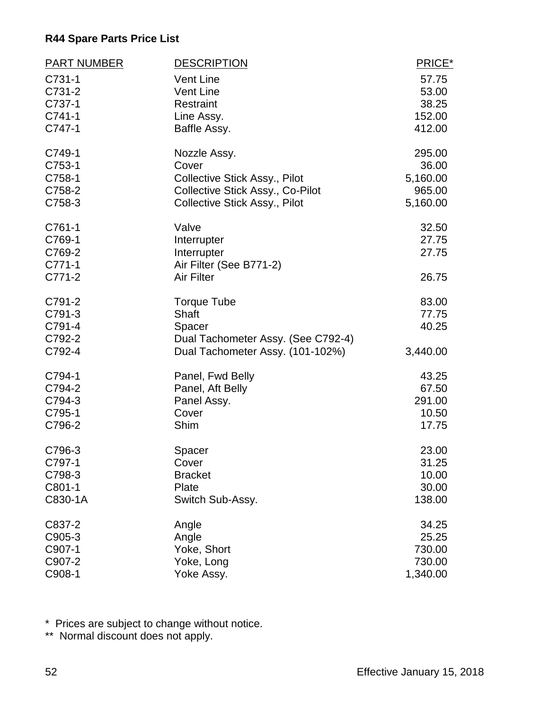| <b>PART NUMBER</b> | <b>DESCRIPTION</b>                   | PRICE*   |
|--------------------|--------------------------------------|----------|
| C731-1             | <b>Vent Line</b>                     | 57.75    |
| C731-2             | <b>Vent Line</b>                     | 53.00    |
| C737-1             | Restraint                            | 38.25    |
| C741-1             | Line Assy.                           | 152.00   |
| C747-1             | Baffle Assy.                         | 412.00   |
| C749-1             | Nozzle Assy.                         | 295.00   |
| C753-1             | Cover                                | 36.00    |
| C758-1             | <b>Collective Stick Assy., Pilot</b> | 5,160.00 |
| C758-2             | Collective Stick Assy., Co-Pilot     | 965.00   |
| C758-3             | <b>Collective Stick Assy., Pilot</b> | 5,160.00 |
| C761-1             | Valve                                | 32.50    |
| C769-1             | Interrupter                          | 27.75    |
| C769-2             | Interrupter                          | 27.75    |
| $C771-1$           | Air Filter (See B771-2)              |          |
| C771-2             | <b>Air Filter</b>                    | 26.75    |
| C791-2             | <b>Torque Tube</b>                   | 83.00    |
| C791-3             | <b>Shaft</b>                         | 77.75    |
| C791-4             | Spacer                               | 40.25    |
| C792-2             | Dual Tachometer Assy. (See C792-4)   |          |
| C792-4             | Dual Tachometer Assy. (101-102%)     | 3,440.00 |
| C794-1             | Panel, Fwd Belly                     | 43.25    |
| C794-2             | Panel, Aft Belly                     | 67.50    |
| C794-3             | Panel Assy.                          | 291.00   |
| C795-1             | Cover                                | 10.50    |
| C796-2             | Shim                                 | 17.75    |
| C796-3             | Spacer                               | 23.00    |
| C797-1             | Cover                                | 31.25    |
| C798-3             | <b>Bracket</b>                       | 10.00    |
| C801-1             | Plate                                | 30.00    |
| C830-1A            | Switch Sub-Assy.                     | 138.00   |
| C837-2             | Angle                                | 34.25    |
| C905-3             | Angle                                | 25.25    |
| C907-1             | Yoke, Short                          | 730.00   |
| C907-2             | Yoke, Long                           | 730.00   |
| C908-1             | Yoke Assy.                           | 1,340.00 |

\* Prices are subject to change without notice.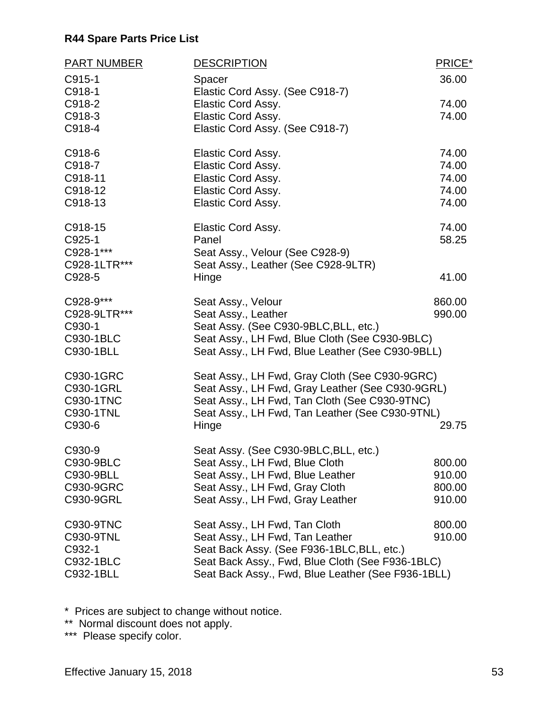| <b>PART NUMBER</b> | <b>DESCRIPTION</b>                                 | PRICE* |
|--------------------|----------------------------------------------------|--------|
| C915-1             | Spacer                                             | 36.00  |
| C918-1             | Elastic Cord Assy. (See C918-7)                    |        |
| C918-2             | Elastic Cord Assy.                                 | 74.00  |
| C918-3             | Elastic Cord Assy.                                 | 74.00  |
| C918-4             | Elastic Cord Assy. (See C918-7)                    |        |
| C918-6             | <b>Elastic Cord Assy.</b>                          | 74.00  |
| C918-7             | Elastic Cord Assy.                                 | 74.00  |
| C918-11            | Elastic Cord Assy.                                 | 74.00  |
| C918-12            | Elastic Cord Assy.                                 | 74.00  |
| C918-13            | Elastic Cord Assy.                                 | 74.00  |
| C918-15            | Elastic Cord Assy.                                 | 74.00  |
| C925-1             | Panel                                              | 58.25  |
| C928-1***          | Seat Assy., Velour (See C928-9)                    |        |
| C928-1LTR***       | Seat Assy., Leather (See C928-9LTR)                |        |
| C928-5             | Hinge                                              | 41.00  |
| C928-9***          | Seat Assy., Velour                                 | 860.00 |
| C928-9LTR***       | Seat Assy., Leather                                | 990.00 |
| C930-1             | Seat Assy. (See C930-9BLC, BLL, etc.)              |        |
| C930-1BLC          | Seat Assy., LH Fwd, Blue Cloth (See C930-9BLC)     |        |
| C930-1BLL          | Seat Assy., LH Fwd, Blue Leather (See C930-9BLL)   |        |
| C930-1GRC          | Seat Assy., LH Fwd, Gray Cloth (See C930-9GRC)     |        |
| C930-1GRL          | Seat Assy., LH Fwd, Gray Leather (See C930-9GRL)   |        |
| C930-1TNC          | Seat Assy., LH Fwd, Tan Cloth (See C930-9TNC)      |        |
| C930-1TNL          | Seat Assy., LH Fwd, Tan Leather (See C930-9TNL)    |        |
| C930-6             | Hinge                                              | 29.75  |
| C930-9             | Seat Assy. (See C930-9BLC, BLL, etc.)              |        |
| C930-9BLC          | Seat Assy., LH Fwd, Blue Cloth                     | 800.00 |
| C930-9BLL          | Seat Assy., LH Fwd, Blue Leather                   | 910.00 |
| C930-9GRC          | Seat Assy., LH Fwd, Gray Cloth                     | 800.00 |
| C930-9GRL          | Seat Assy., LH Fwd, Gray Leather                   | 910.00 |
| C930-9TNC          | Seat Assy., LH Fwd, Tan Cloth                      | 800.00 |
| C930-9TNL          | Seat Assy., LH Fwd, Tan Leather                    | 910.00 |
| C932-1             | Seat Back Assy. (See F936-1BLC, BLL, etc.)         |        |
| C932-1BLC          | Seat Back Assy., Fwd, Blue Cloth (See F936-1BLC)   |        |
| C932-1BLL          | Seat Back Assy., Fwd, Blue Leather (See F936-1BLL) |        |

\* Prices are subject to change without notice.

\*\* Normal discount does not apply.

\*\*\* Please specify color.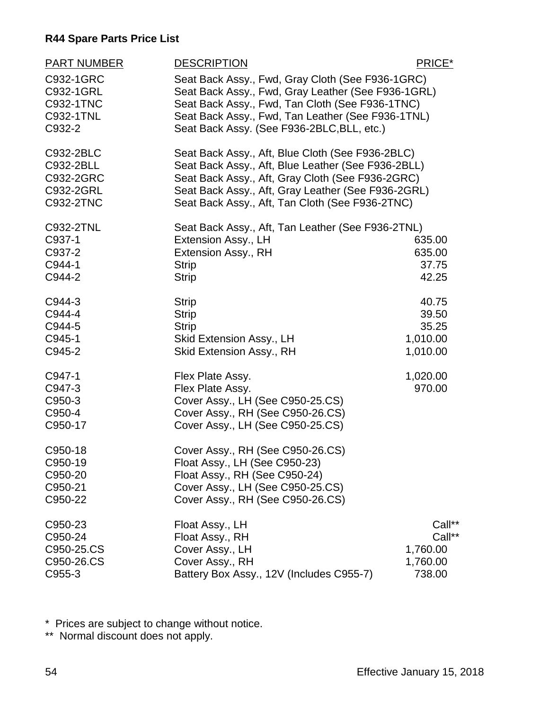| PART NUMBER<br>C932-1GRC<br>C932-1GRL<br>C932-1TNC<br>C932-1TNL<br>C932-2 | <b>DESCRIPTION</b><br>Seat Back Assy., Fwd, Gray Cloth (See F936-1GRC)<br>Seat Back Assy., Fwd, Gray Leather (See F936-1GRL)<br>Seat Back Assy., Fwd, Tan Cloth (See F936-1TNC)<br>Seat Back Assy., Fwd, Tan Leather (See F936-1TNL)<br>Seat Back Assy. (See F936-2BLC, BLL, etc.) | PRICE*                                             |
|---------------------------------------------------------------------------|------------------------------------------------------------------------------------------------------------------------------------------------------------------------------------------------------------------------------------------------------------------------------------|----------------------------------------------------|
| C932-2BLC<br>C932-2BLL<br>C932-2GRC<br>C932-2GRL<br>C932-2TNC             | Seat Back Assy., Aft, Blue Cloth (See F936-2BLC)<br>Seat Back Assy., Aft, Blue Leather (See F936-2BLL)<br>Seat Back Assy., Aft, Gray Cloth (See F936-2GRC)<br>Seat Back Assy., Aft, Gray Leather (See F936-2GRL)<br>Seat Back Assy., Aft, Tan Cloth (See F936-2TNC)                |                                                    |
| C932-2TNL<br>C937-1<br>C937-2<br>C944-1<br>C944-2                         | Seat Back Assy., Aft, Tan Leather (See F936-2TNL)<br>Extension Assy., LH<br>Extension Assy., RH<br><b>Strip</b><br><b>Strip</b>                                                                                                                                                    | 635.00<br>635.00<br>37.75<br>42.25                 |
| C944-3<br>C944-4<br>C944-5<br>C945-1<br>C945-2                            | <b>Strip</b><br><b>Strip</b><br><b>Strip</b><br>Skid Extension Assy., LH<br>Skid Extension Assy., RH                                                                                                                                                                               | 40.75<br>39.50<br>35.25<br>1,010.00<br>1,010.00    |
| C947-1<br>C947-3<br>C950-3<br>C950-4<br>C950-17                           | Flex Plate Assy.<br>Flex Plate Assy.<br>Cover Assy., LH (See C950-25.CS)<br>Cover Assy., RH (See C950-26.CS)<br>Cover Assy., LH (See C950-25.CS)                                                                                                                                   | 1,020.00<br>970.00                                 |
| C950-18<br>C950-19<br>C950-20<br>C950-21<br>C950-22                       | Cover Assy., RH (See C950-26.CS)<br>Float Assy., LH (See C950-23)<br>Float Assy., RH (See C950-24)<br>Cover Assy., LH (See C950-25.CS)<br>Cover Assy., RH (See C950-26.CS)                                                                                                         |                                                    |
| C950-23<br>C950-24<br>C950-25.CS<br>C950-26.CS<br>C955-3                  | Float Assy., LH<br>Float Assy., RH<br>Cover Assy., LH<br>Cover Assy., RH<br>Battery Box Assy., 12V (Includes C955-7)                                                                                                                                                               | Call**<br>Call**<br>1,760.00<br>1,760.00<br>738.00 |

\* Prices are subject to change without notice.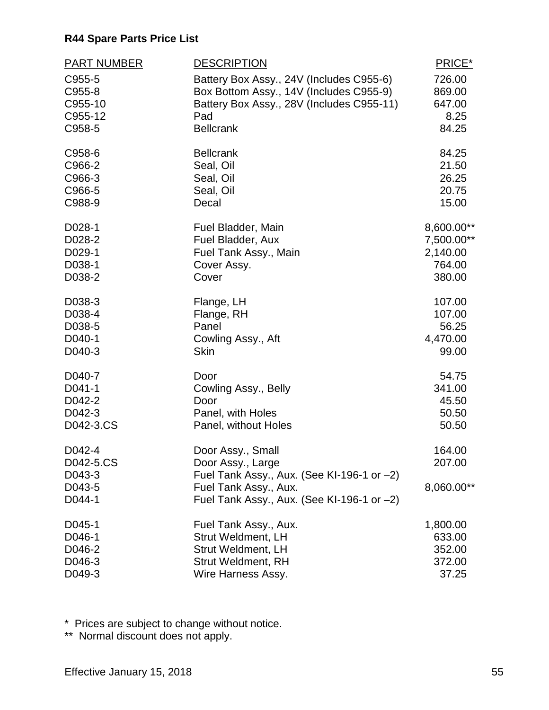| <b>PART NUMBER</b> | <b>DESCRIPTION</b>                            | PRICE*         |
|--------------------|-----------------------------------------------|----------------|
| C955-5             | Battery Box Assy., 24V (Includes C955-6)      | 726.00         |
| C955-8             | Box Bottom Assy., 14V (Includes C955-9)       | 869.00         |
| C955-10            | Battery Box Assy., 28V (Includes C955-11)     | 647.00         |
| C955-12            | Pad                                           | 8.25           |
| C958-5             | <b>Bellcrank</b>                              | 84.25          |
| C958-6             | <b>Bellcrank</b>                              | 84.25          |
| C966-2             | Seal, Oil                                     | 21.50          |
| C966-3             | Seal, Oil                                     | 26.25<br>20.75 |
| C966-5<br>C988-9   | Seal, Oil<br>Decal                            | 15.00          |
| D028-1             | Fuel Bladder, Main                            | 8,600.00**     |
| D028-2             | Fuel Bladder, Aux                             | 7,500.00**     |
| D029-1             | Fuel Tank Assy., Main                         | 2,140.00       |
| D038-1             | Cover Assy.                                   | 764.00         |
| D038-2             | Cover                                         | 380.00         |
| D038-3             | Flange, LH                                    | 107.00         |
| D038-4             | Flange, RH                                    | 107.00         |
| D038-5             | Panel                                         | 56.25          |
| D040-1             | Cowling Assy., Aft                            | 4,470.00       |
| D040-3             | <b>Skin</b>                                   | 99.00          |
| D040-7             | Door                                          | 54.75          |
| D041-1             | Cowling Assy., Belly                          | 341.00         |
| D042-2<br>D042-3   | Door<br>Panel, with Holes                     | 45.50<br>50.50 |
| D042-3.CS          | Panel, without Holes                          | 50.50          |
|                    |                                               |                |
| D042-4             | Door Assy., Small                             | 164.00         |
| D042-5.CS          | Door Assy., Large                             | 207.00         |
| D043-3             | Fuel Tank Assy., Aux. (See KI-196-1 or $-2$ ) |                |
| D043-5             | Fuel Tank Assy., Aux.                         | 8,060.00**     |
| D044-1             | Fuel Tank Assy., Aux. (See KI-196-1 or $-2$ ) |                |
| D045-1             | Fuel Tank Assy., Aux.                         | 1,800.00       |
| D046-1             | <b>Strut Weldment, LH</b>                     | 633.00         |
| D046-2             | <b>Strut Weldment, LH</b>                     | 352.00         |
| D046-3             | <b>Strut Weldment, RH</b>                     | 372.00         |
| D049-3             | Wire Harness Assy.                            | 37.25          |

\* Prices are subject to change without notice.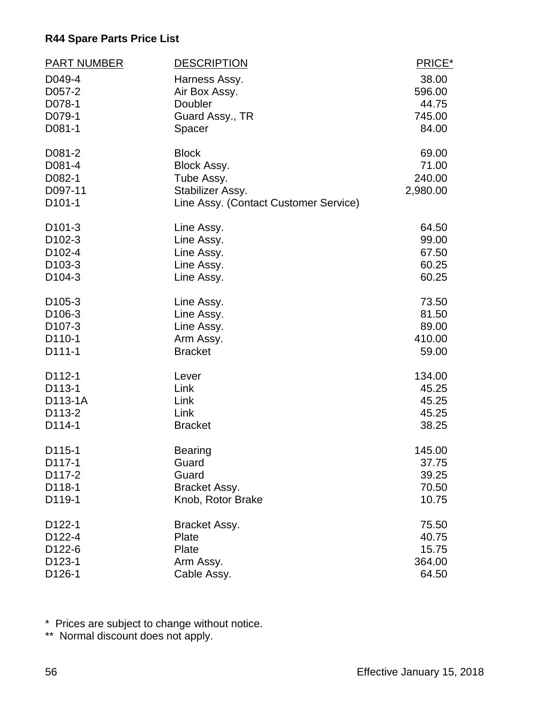| <b>PART NUMBER</b>            | <b>DESCRIPTION</b>                                        | PRICE*   |
|-------------------------------|-----------------------------------------------------------|----------|
| D049-4                        | Harness Assy.                                             | 38.00    |
| D057-2                        | Air Box Assy.                                             | 596.00   |
| D078-1                        | Doubler                                                   | 44.75    |
| D079-1                        | Guard Assy., TR                                           | 745.00   |
| D081-1                        | Spacer                                                    | 84.00    |
| D081-2                        | <b>Block</b>                                              | 69.00    |
| D081-4                        | Block Assy.                                               | 71.00    |
| D082-1                        | Tube Assy.                                                | 240.00   |
| D097-11<br>D <sub>101-1</sub> | Stabilizer Assy.<br>Line Assy. (Contact Customer Service) | 2,980.00 |
|                               |                                                           |          |
| D <sub>101</sub> -3           | Line Assy.                                                | 64.50    |
| D <sub>102</sub> -3           | Line Assy.                                                | 99.00    |
| D102-4                        | Line Assy.                                                | 67.50    |
| D <sub>103</sub> -3           | Line Assy.                                                | 60.25    |
| D <sub>104</sub> -3           | Line Assy.                                                | 60.25    |
| D <sub>105</sub> -3           | Line Assy.                                                | 73.50    |
| D106-3                        | Line Assy.                                                | 81.50    |
| D <sub>107</sub> -3           | Line Assy.                                                | 89.00    |
| D110-1                        | Arm Assy.                                                 | 410.00   |
| D111-1                        | <b>Bracket</b>                                            | 59.00    |
| D112-1                        | Lever                                                     | 134.00   |
| D113-1                        | Link                                                      | 45.25    |
| D113-1A                       | Link                                                      | 45.25    |
| D <sub>113</sub> -2           | Link                                                      | 45.25    |
| D114-1                        | <b>Bracket</b>                                            | 38.25    |
| D115-1                        | <b>Bearing</b>                                            | 145.00   |
| D117-1                        | Guard                                                     | 37.75    |
| D117-2                        | Guard                                                     | 39.25    |
| D118-1                        | Bracket Assy.                                             | 70.50    |
| D119-1                        | Knob, Rotor Brake                                         | 10.75    |
| D122-1                        | Bracket Assy.                                             | 75.50    |
| D122-4                        | Plate                                                     | 40.75    |
| D <sub>122</sub> -6           | Plate                                                     | 15.75    |
| D123-1                        | Arm Assy.                                                 | 364.00   |
| D126-1                        | Cable Assy.                                               | 64.50    |

\* Prices are subject to change without notice.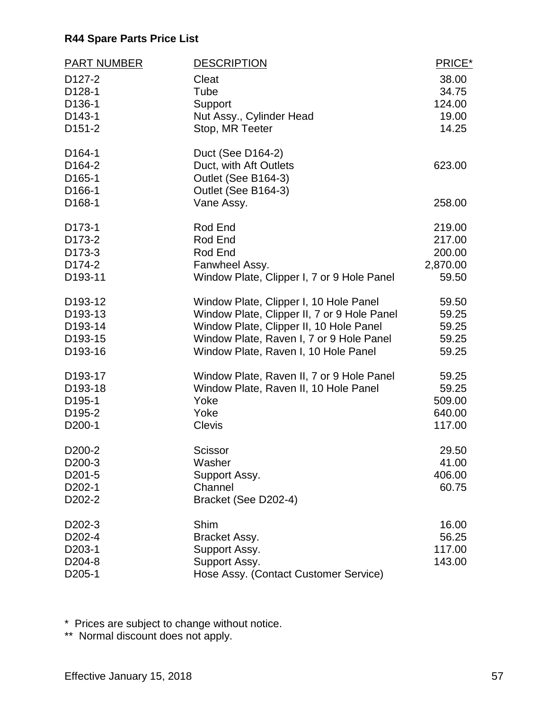| <b>PART NUMBER</b>                                                                      | <b>DESCRIPTION</b>                                                                        | PRICE*   |
|-----------------------------------------------------------------------------------------|-------------------------------------------------------------------------------------------|----------|
| D <sub>127</sub> -2                                                                     | Cleat                                                                                     | 38.00    |
| D128-1                                                                                  | Tube                                                                                      | 34.75    |
| D136-1                                                                                  | Support                                                                                   | 124.00   |
| D <sub>143</sub> -1                                                                     | Nut Assy., Cylinder Head                                                                  | 19.00    |
| D <sub>151</sub> -2                                                                     | Stop, MR Teeter                                                                           | 14.25    |
| D <sub>164-1</sub><br>D <sub>164</sub> -2<br>D <sub>165</sub> -1<br>D <sub>166</sub> -1 | Duct (See D164-2)<br>Duct, with Aft Outlets<br>Outlet (See B164-3)<br>Outlet (See B164-3) | 623.00   |
| D <sub>168</sub> -1                                                                     | Vane Assy.                                                                                | 258.00   |
| D173-1                                                                                  | Rod End                                                                                   | 219.00   |
| D173-2                                                                                  | Rod End                                                                                   | 217.00   |
| D173-3                                                                                  | Rod End                                                                                   | 200.00   |
| D174-2                                                                                  | Fanwheel Assy.                                                                            | 2,870.00 |
| D193-11                                                                                 | Window Plate, Clipper I, 7 or 9 Hole Panel                                                | 59.50    |
| D193-12                                                                                 | Window Plate, Clipper I, 10 Hole Panel                                                    | 59.50    |
| D193-13                                                                                 | Window Plate, Clipper II, 7 or 9 Hole Panel                                               | 59.25    |
| D193-14                                                                                 | Window Plate, Clipper II, 10 Hole Panel                                                   | 59.25    |
| D193-15                                                                                 | Window Plate, Raven I, 7 or 9 Hole Panel                                                  | 59.25    |
| D193-16                                                                                 | Window Plate, Raven I, 10 Hole Panel                                                      | 59.25    |
| D193-17                                                                                 | Window Plate, Raven II, 7 or 9 Hole Panel                                                 | 59.25    |
| D193-18                                                                                 | Window Plate, Raven II, 10 Hole Panel                                                     | 59.25    |
| D <sub>195</sub> -1                                                                     | Yoke                                                                                      | 509.00   |
| D <sub>195</sub> -2                                                                     | Yoke                                                                                      | 640.00   |
| D <sub>200</sub> -1                                                                     | <b>Clevis</b>                                                                             | 117.00   |
| D <sub>200</sub> -2                                                                     | Scissor                                                                                   | 29.50    |
| D200-3                                                                                  | Washer                                                                                    | 41.00    |
| D <sub>201</sub> -5                                                                     | Support Assy.                                                                             | 406.00   |
| D <sub>202</sub> -1                                                                     | Channel                                                                                   | 60.75    |
| D <sub>202</sub> -2                                                                     | Bracket (See D202-4)                                                                      |          |
| D <sub>202</sub> -3                                                                     | Shim                                                                                      | 16.00    |
| D <sub>202</sub> -4                                                                     | Bracket Assy.                                                                             | 56.25    |
| D203-1                                                                                  | Support Assy.                                                                             | 117.00   |
| D <sub>204</sub> -8                                                                     | Support Assy.                                                                             | 143.00   |
| D205-1                                                                                  | Hose Assy. (Contact Customer Service)                                                     |          |

\* Prices are subject to change without notice.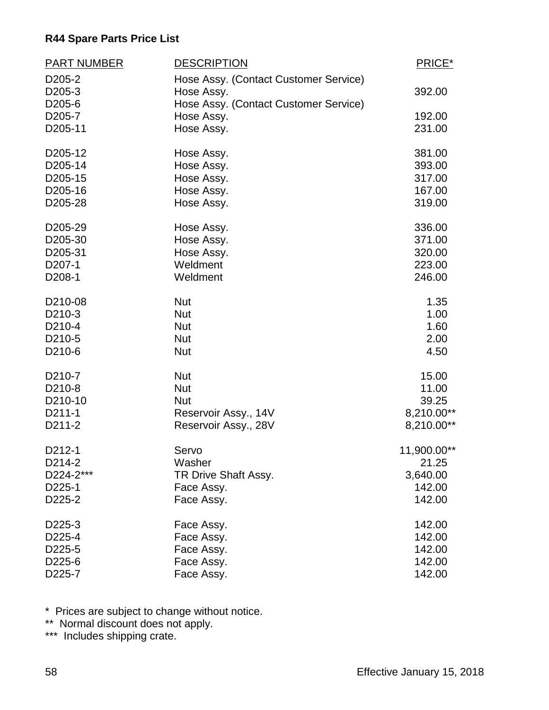| <b>PART NUMBER</b>  | <b>DESCRIPTION</b>                    | PRICE*      |
|---------------------|---------------------------------------|-------------|
| D <sub>205</sub> -2 | Hose Assy. (Contact Customer Service) |             |
| D205-3              | Hose Assy.                            | 392.00      |
| D <sub>205</sub> -6 | Hose Assy. (Contact Customer Service) |             |
| D <sub>205</sub> -7 | Hose Assy.                            | 192.00      |
| D205-11             | Hose Assy.                            | 231.00      |
| D205-12             | Hose Assy.                            | 381.00      |
| D205-14             | Hose Assy.                            | 393.00      |
| D205-15             | Hose Assy.                            | 317.00      |
| D205-16             | Hose Assy.                            | 167.00      |
| D205-28             | Hose Assy.                            | 319.00      |
| D205-29             | Hose Assy.                            | 336.00      |
| D205-30             | Hose Assy.                            | 371.00      |
| D205-31             | Hose Assy.                            | 320.00      |
| D207-1              | Weldment                              | 223.00      |
| D208-1              | Weldment                              | 246.00      |
| D210-08             | <b>Nut</b>                            | 1.35        |
| D210-3              | <b>Nut</b>                            | 1.00        |
| D210-4              | <b>Nut</b>                            | 1.60        |
| D210-5              | <b>Nut</b>                            | 2.00        |
| D210-6              | <b>Nut</b>                            | 4.50        |
| D <sub>210</sub> -7 | <b>Nut</b>                            | 15.00       |
| D210-8              | <b>Nut</b>                            | 11.00       |
| D210-10             | <b>Nut</b>                            | 39.25       |
| D211-1              | Reservoir Assy., 14V                  | 8,210.00**  |
| D211-2              | Reservoir Assy., 28V                  | 8,210.00**  |
| D212-1              | Servo                                 | 11,900.00** |
| D214-2              | Washer                                | 21.25       |
| D224-2***           | TR Drive Shaft Assy.                  | 3,640.00    |
| D225-1              | Face Assy.                            | 142.00      |
| D225-2              | Face Assy.                            | 142.00      |
| D225-3              | Face Assy.                            | 142.00      |
| D225-4              | Face Assy.                            | 142.00      |
| D225-5              | Face Assy.                            | 142.00      |
| D225-6              | Face Assy.                            | 142.00      |
| D225-7              | Face Assy.                            | 142.00      |

\* Prices are subject to change without notice.

\*\* Normal discount does not apply.

\*\*\* Includes shipping crate.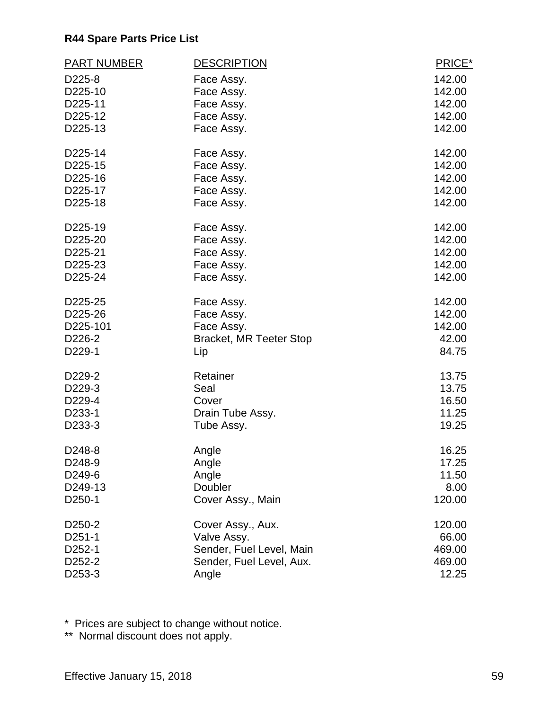| <b>PART NUMBER</b>  | <b>DESCRIPTION</b>             | PRICE* |
|---------------------|--------------------------------|--------|
| D225-8              | Face Assy.                     | 142.00 |
| D225-10             | Face Assy.                     | 142.00 |
| D225-11             | Face Assy.                     | 142.00 |
| D225-12             | Face Assy.                     | 142.00 |
| D225-13             | Face Assy.                     | 142.00 |
| D225-14             | Face Assy.                     | 142.00 |
| D225-15             | Face Assy.                     | 142.00 |
| D225-16             | Face Assy.                     | 142.00 |
| D225-17             | Face Assy.                     | 142.00 |
| D225-18             | Face Assy.                     | 142.00 |
| D225-19             | Face Assy.                     | 142.00 |
| D225-20             | Face Assy.                     | 142.00 |
| D225-21             | Face Assy.                     | 142.00 |
| D225-23             | Face Assy.                     | 142.00 |
| D225-24             | Face Assy.                     | 142.00 |
| D225-25             | Face Assy.                     | 142.00 |
| D225-26             | Face Assy.                     | 142.00 |
| D225-101            | Face Assy.                     | 142.00 |
| D226-2              | <b>Bracket, MR Teeter Stop</b> | 42.00  |
| D229-1              | Lip                            | 84.75  |
| D229-2              | Retainer                       | 13.75  |
| D229-3              | Seal                           | 13.75  |
| D229-4              | Cover                          | 16.50  |
| D233-1              | Drain Tube Assy.               | 11.25  |
| D233-3              | Tube Assy.                     | 19.25  |
| D248-8              | Angle                          | 16.25  |
| D248-9              | Angle                          | 17.25  |
| D249-6              | Angle                          | 11.50  |
| D249-13             | Doubler                        | 8.00   |
| D <sub>250</sub> -1 | Cover Assy., Main              | 120.00 |
| D <sub>250</sub> -2 | Cover Assy., Aux.              | 120.00 |
| D251-1              | Valve Assy.                    | 66.00  |
| D <sub>252</sub> -1 | Sender, Fuel Level, Main       | 469.00 |
| D252-2              | Sender, Fuel Level, Aux.       | 469.00 |
| D253-3              | Angle                          | 12.25  |

\* Prices are subject to change without notice.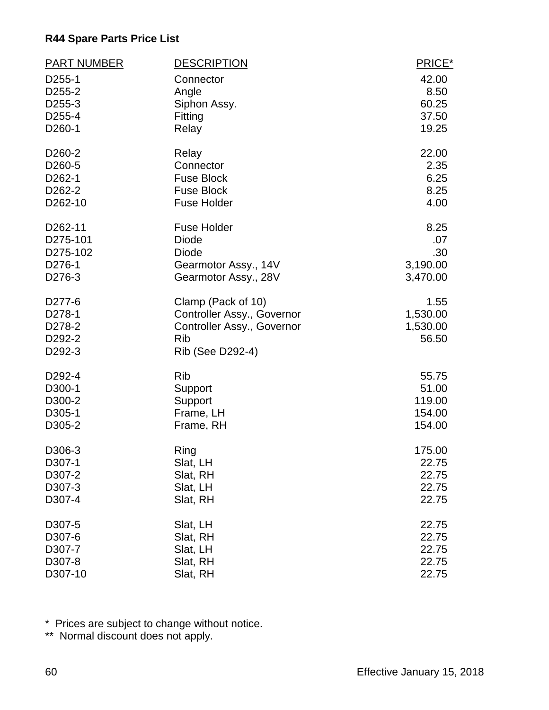| <b>PART NUMBER</b>  | <b>DESCRIPTION</b>         | PRICE*   |
|---------------------|----------------------------|----------|
| D255-1              | Connector                  | 42.00    |
| D <sub>255</sub> -2 | Angle                      | 8.50     |
| D255-3              | Siphon Assy.               | 60.25    |
| D255-4              | Fitting                    | 37.50    |
| D260-1              | Relay                      | 19.25    |
| D <sub>260</sub> -2 | Relay                      | 22.00    |
| D260-5              | Connector                  | 2.35     |
| D262-1              | <b>Fuse Block</b>          | 6.25     |
| D262-2              | <b>Fuse Block</b>          | 8.25     |
| D262-10             | <b>Fuse Holder</b>         | 4.00     |
| D262-11             | <b>Fuse Holder</b>         | 8.25     |
| D275-101            | <b>Diode</b>               | .07      |
| D275-102            | <b>Diode</b>               | .30      |
| D276-1              | Gearmotor Assy., 14V       | 3,190.00 |
| D276-3              | Gearmotor Assy., 28V       | 3,470.00 |
| D277-6              | Clamp (Pack of 10)         | 1.55     |
| D278-1              | Controller Assy., Governor | 1,530.00 |
| D278-2              | Controller Assy., Governor | 1,530.00 |
| D292-2              | <b>Rib</b>                 | 56.50    |
| D292-3              | Rib (See D292-4)           |          |
| D292-4              | <b>Rib</b>                 | 55.75    |
| D300-1              | Support                    | 51.00    |
| D300-2              | Support                    | 119.00   |
| D305-1              | Frame, LH                  | 154.00   |
| D305-2              | Frame, RH                  | 154.00   |
| D306-3              | Ring                       | 175.00   |
| D307-1              | Slat, LH                   | 22.75    |
| D307-2              | Slat, RH                   | 22.75    |
| D307-3              | Slat, LH                   | 22.75    |
| D307-4              | Slat, RH                   | 22.75    |
| D307-5              | Slat, LH                   | 22.75    |
| D307-6              | Slat, RH                   | 22.75    |
| D307-7              | Slat, LH                   | 22.75    |
| D307-8              | Slat, RH                   | 22.75    |
| D307-10             | Slat, RH                   | 22.75    |

\* Prices are subject to change without notice.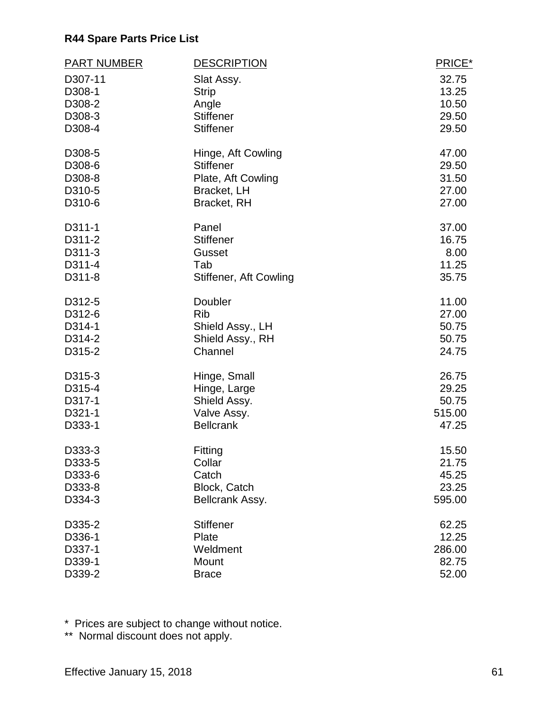| <b>PART NUMBER</b> | <b>DESCRIPTION</b>            | PRICE* |
|--------------------|-------------------------------|--------|
| D307-11            | Slat Assy.                    | 32.75  |
| D308-1             | <b>Strip</b>                  | 13.25  |
| D308-2             | Angle                         | 10.50  |
| D308-3             | <b>Stiffener</b>              | 29.50  |
| D308-4             | <b>Stiffener</b>              | 29.50  |
| D308-5             | Hinge, Aft Cowling            | 47.00  |
| D308-6             | <b>Stiffener</b>              | 29.50  |
| D308-8             | Plate, Aft Cowling            | 31.50  |
| D310-5             | Bracket, LH                   | 27.00  |
| D310-6             | Bracket, RH                   | 27.00  |
| D311-1             | Panel                         | 37.00  |
| D311-2             | <b>Stiffener</b>              | 16.75  |
| D311-3             | Gusset                        | 8.00   |
| D311-4             | Tab                           | 11.25  |
| D311-8             | <b>Stiffener, Aft Cowling</b> | 35.75  |
| D312-5             | Doubler                       | 11.00  |
| D312-6             | <b>Rib</b>                    | 27.00  |
| D314-1             | Shield Assy., LH              | 50.75  |
| D314-2             | Shield Assy., RH              | 50.75  |
| D315-2             | Channel                       | 24.75  |
| D315-3             | Hinge, Small                  | 26.75  |
| D315-4             | Hinge, Large                  | 29.25  |
| D317-1             | Shield Assy.                  | 50.75  |
| D321-1             | Valve Assy.                   | 515.00 |
| D333-1             | <b>Bellcrank</b>              | 47.25  |
| D333-3             | Fitting                       | 15.50  |
| D333-5             | Collar                        | 21.75  |
| D333-6             | Catch                         | 45.25  |
| D333-8             | Block, Catch                  | 23.25  |
| D334-3             | Bellcrank Assy.               | 595.00 |
| D335-2             | <b>Stiffener</b>              | 62.25  |
| D336-1             | Plate                         | 12.25  |
| D337-1             | Weldment                      | 286.00 |
| D339-1             | Mount                         | 82.75  |
| D339-2             | <b>Brace</b>                  | 52.00  |

\* Prices are subject to change without notice.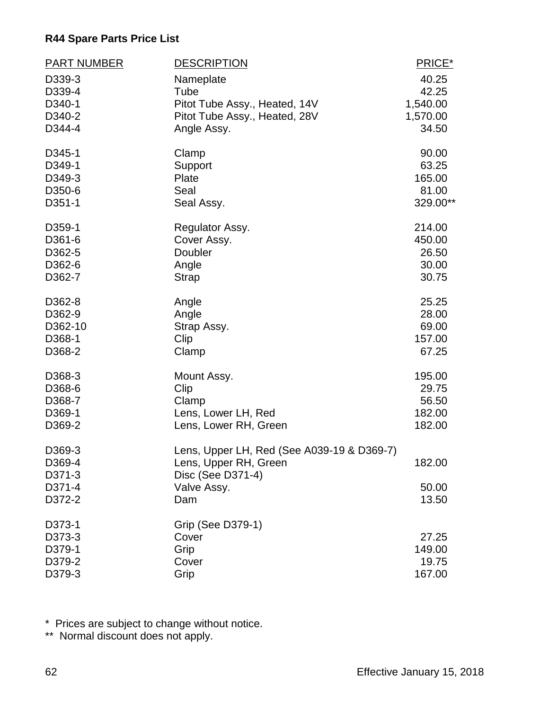| <b>PART NUMBER</b> | <b>DESCRIPTION</b>                         | PRICE*   |
|--------------------|--------------------------------------------|----------|
| D339-3             | Nameplate                                  | 40.25    |
| D339-4             | Tube                                       | 42.25    |
| D340-1             | Pitot Tube Assy., Heated, 14V              | 1,540.00 |
| D340-2             | Pitot Tube Assy., Heated, 28V              | 1,570.00 |
| D344-4             | Angle Assy.                                | 34.50    |
| D345-1             | Clamp                                      | 90.00    |
| D349-1             | Support                                    | 63.25    |
| D349-3             | Plate                                      | 165.00   |
| D350-6             | Seal                                       | 81.00    |
| D351-1             | Seal Assy.                                 | 329.00** |
| D359-1             | Regulator Assy.                            | 214.00   |
| D361-6             | Cover Assy.                                | 450.00   |
| D362-5             | Doubler                                    | 26.50    |
| D362-6             | Angle                                      | 30.00    |
| D362-7             | <b>Strap</b>                               | 30.75    |
| D362-8             | Angle                                      | 25.25    |
| D362-9             | Angle                                      | 28.00    |
| D362-10            | Strap Assy.                                | 69.00    |
| D368-1             | Clip                                       | 157.00   |
| D368-2             | Clamp                                      | 67.25    |
| D368-3             | Mount Assy.                                | 195.00   |
| D368-6             | Clip                                       | 29.75    |
| D368-7             | Clamp                                      | 56.50    |
| D369-1             | Lens, Lower LH, Red                        | 182.00   |
| D369-2             | Lens, Lower RH, Green                      | 182.00   |
| D369-3             | Lens, Upper LH, Red (See A039-19 & D369-7) |          |
| D369-4             | Lens, Upper RH, Green                      | 182.00   |
| D371-3             | Disc (See D371-4)                          |          |
| D371-4             | Valve Assy.                                | 50.00    |
| D372-2             | Dam                                        | 13.50    |
| D373-1             | Grip (See D379-1)                          |          |
| D373-3             | Cover                                      | 27.25    |
| D379-1             | Grip                                       | 149.00   |
| D379-2             | Cover                                      | 19.75    |
| D379-3             | Grip                                       | 167.00   |

\* Prices are subject to change without notice.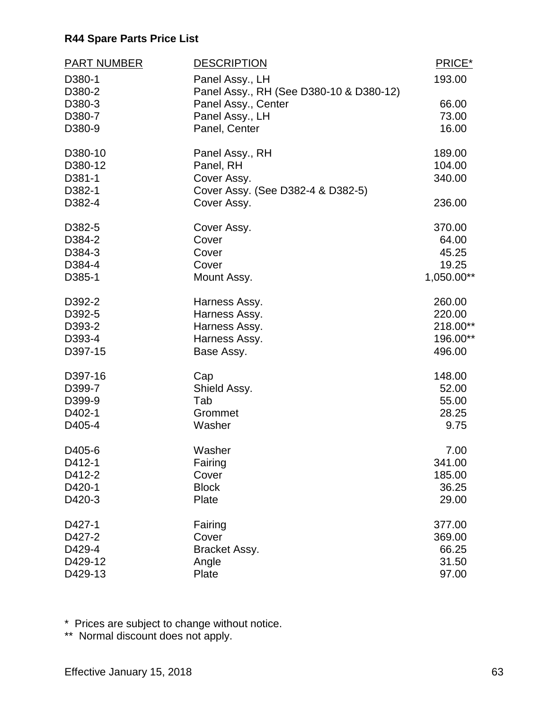| <b>PART NUMBER</b> | <b>DESCRIPTION</b>                      | PRICE*     |
|--------------------|-----------------------------------------|------------|
| D380-1             | Panel Assy., LH                         | 193.00     |
| D380-2             | Panel Assy., RH (See D380-10 & D380-12) |            |
| D380-3             | Panel Assy., Center                     | 66.00      |
| D380-7             | Panel Assy., LH                         | 73.00      |
| D380-9             | Panel, Center                           | 16.00      |
| D380-10            | Panel Assy., RH                         | 189.00     |
| D380-12            | Panel, RH                               | 104.00     |
| D381-1             | Cover Assy.                             | 340.00     |
| D382-1             | Cover Assy. (See D382-4 & D382-5)       |            |
| D382-4             | Cover Assy.                             | 236.00     |
| D382-5             | Cover Assy.                             | 370.00     |
| D384-2             | Cover                                   | 64.00      |
| D384-3             | Cover                                   | 45.25      |
| D384-4             | Cover                                   | 19.25      |
| D385-1             | Mount Assy.                             | 1,050.00** |
| D392-2             | Harness Assy.                           | 260.00     |
| D392-5             | Harness Assy.                           | 220.00     |
| D393-2             | Harness Assy.                           | 218.00**   |
| D393-4             | Harness Assy.                           | 196.00**   |
| D397-15            | Base Assy.                              | 496.00     |
| D397-16            | Cap                                     | 148.00     |
| D399-7             | Shield Assy.                            | 52.00      |
| D399-9             | Tab                                     | 55.00      |
| D402-1             | Grommet                                 | 28.25      |
| D405-4             | Washer                                  | 9.75       |
| D405-6             | Washer                                  | 7.00       |
| D412-1             | Fairing                                 | 341.00     |
| D412-2             | Cover                                   | 185.00     |
| D420-1             | <b>Block</b>                            | 36.25      |
| D420-3             | Plate                                   | 29.00      |
| D427-1             | Fairing                                 | 377.00     |
| D427-2             | Cover                                   | 369.00     |
| D429-4             | Bracket Assy.                           | 66.25      |
| D429-12            | Angle                                   | 31.50      |
| D429-13            | Plate                                   | 97.00      |

\* Prices are subject to change without notice.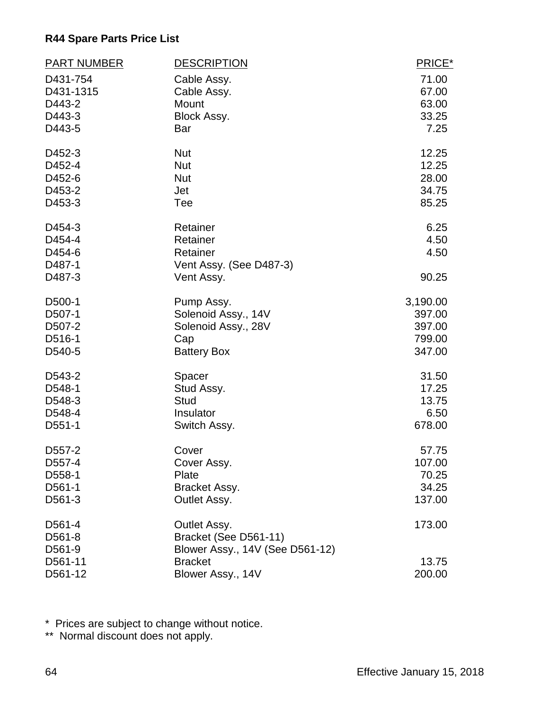| <b>PART NUMBER</b> | <b>DESCRIPTION</b>              | PRICE*   |
|--------------------|---------------------------------|----------|
| D431-754           | Cable Assy.                     | 71.00    |
| D431-1315          | Cable Assy.                     | 67.00    |
| D443-2             | Mount                           | 63.00    |
| D443-3             | Block Assy.                     | 33.25    |
| D443-5             | Bar                             | 7.25     |
| D452-3             | <b>Nut</b>                      | 12.25    |
| D452-4             | <b>Nut</b>                      | 12.25    |
| D452-6             | <b>Nut</b>                      | 28.00    |
| D453-2             | Jet                             | 34.75    |
| D453-3             | Tee                             | 85.25    |
| D454-3             | Retainer                        | 6.25     |
| D454-4             | Retainer                        | 4.50     |
| D454-6             | Retainer                        | 4.50     |
| D487-1             | Vent Assy. (See D487-3)         |          |
| D487-3             | Vent Assy.                      | 90.25    |
| D500-1             | Pump Assy.                      | 3,190.00 |
| D507-1             | Solenoid Assy., 14V             | 397.00   |
| D507-2             | Solenoid Assy., 28V             | 397.00   |
| D516-1             | Cap                             | 799.00   |
| D540-5             | <b>Battery Box</b>              | 347.00   |
| D543-2             | Spacer                          | 31.50    |
| D548-1             | Stud Assy.                      | 17.25    |
| D548-3             | <b>Stud</b>                     | 13.75    |
| D548-4             | Insulator                       | 6.50     |
| D551-1             | Switch Assy.                    | 678.00   |
| D557-2             | Cover                           | 57.75    |
| D557-4             | Cover Assy.                     | 107.00   |
| D558-1             | Plate                           | 70.25    |
| D561-1             | Bracket Assy.                   | 34.25    |
| D561-3             | Outlet Assy.                    | 137.00   |
| D561-4             | Outlet Assy.                    | 173.00   |
| D561-8             | Bracket (See D561-11)           |          |
| D561-9             | Blower Assy., 14V (See D561-12) |          |
| D561-11            | <b>Bracket</b>                  | 13.75    |
| D561-12            | Blower Assy., 14V               | 200.00   |

\* Prices are subject to change without notice.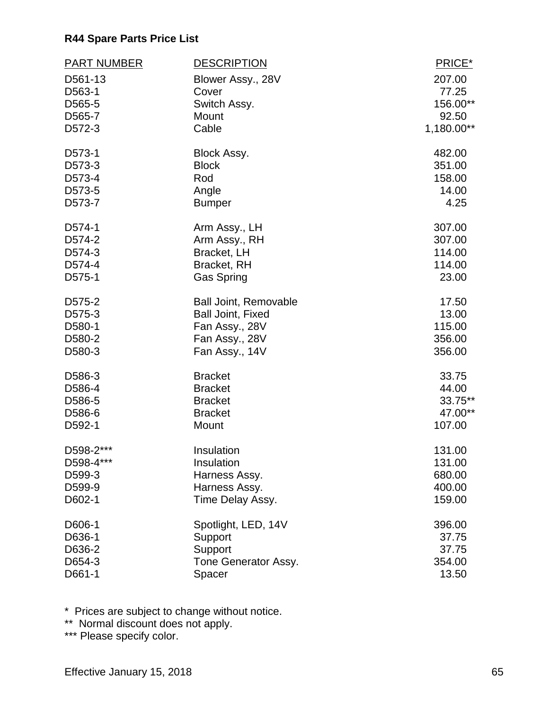| <b>PART NUMBER</b> | <b>DESCRIPTION</b>           | PRICE*     |
|--------------------|------------------------------|------------|
| D561-13            | Blower Assy., 28V            | 207.00     |
| D563-1             | Cover                        | 77.25      |
| D565-5             | Switch Assy.                 | 156.00**   |
| D565-7             | Mount                        | 92.50      |
| D572-3             | Cable                        | 1,180.00** |
| D573-1             | Block Assy.                  | 482.00     |
| D573-3             | <b>Block</b>                 | 351.00     |
| D573-4             | Rod                          | 158.00     |
| D573-5             | Angle                        | 14.00      |
| D573-7             | <b>Bumper</b>                | 4.25       |
| D574-1             | Arm Assy., LH                | 307.00     |
| D574-2             | Arm Assy., RH                | 307.00     |
| D574-3             | Bracket, LH                  | 114.00     |
| D574-4             | Bracket, RH                  | 114.00     |
| D575-1             | <b>Gas Spring</b>            | 23.00      |
| D575-2             | <b>Ball Joint, Removable</b> | 17.50      |
| D575-3             | <b>Ball Joint, Fixed</b>     | 13.00      |
| D580-1             | Fan Assy., 28V               | 115.00     |
| D580-2             | Fan Assy., 28V               | 356.00     |
| D580-3             | Fan Assy., 14V               | 356.00     |
| D586-3             | <b>Bracket</b>               | 33.75      |
| D586-4             | <b>Bracket</b>               | 44.00      |
| D586-5             | <b>Bracket</b>               | 33.75**    |
| D586-6             | <b>Bracket</b>               | 47.00**    |
| D592-1             | Mount                        | 107.00     |
| D598-2***          | Insulation                   | 131.00     |
| D598-4***          | Insulation                   | 131.00     |
| D599-3             | Harness Assy.                | 680.00     |
| D599-9             | Harness Assy.                | 400.00     |
| D602-1             | Time Delay Assy.             | 159.00     |
| D606-1             | Spotlight, LED, 14V          | 396.00     |
| D636-1             | Support                      | 37.75      |
| D636-2             | Support                      | 37.75      |
| D654-3             | Tone Generator Assy.         | 354.00     |
| D661-1             | Spacer                       | 13.50      |

\* Prices are subject to change without notice.

\*\* Normal discount does not apply.

\*\*\* Please specify color.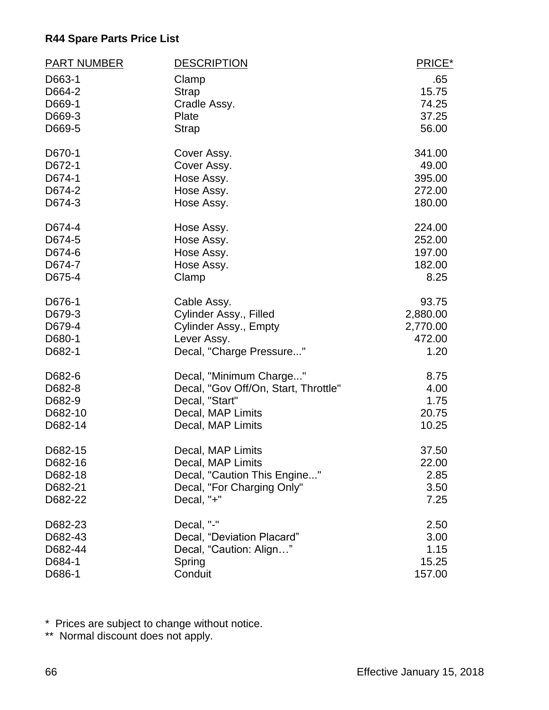| <b>PART NUMBER</b> | <b>DESCRIPTION</b>                   | PRICE*   |
|--------------------|--------------------------------------|----------|
| D663-1             | Clamp                                | .65      |
| D664-2             | <b>Strap</b>                         | 15.75    |
| D669-1             | Cradle Assy.                         | 74.25    |
| D669-3             | Plate                                | 37.25    |
| D669-5             | <b>Strap</b>                         | 56.00    |
| D670-1             | Cover Assy.                          | 341.00   |
| D672-1             | Cover Assy.                          | 49.00    |
| D674-1             | Hose Assy.                           | 395.00   |
| D674-2             | Hose Assy.                           | 272.00   |
| D674-3             | Hose Assy.                           | 180.00   |
| D674-4             | Hose Assy.                           | 224.00   |
| D674-5             | Hose Assy.                           | 252.00   |
| D674-6             | Hose Assy.                           | 197.00   |
| D674-7             | Hose Assy.                           | 182.00   |
| D675-4             | Clamp                                | 8.25     |
| D676-1             | Cable Assy.                          | 93.75    |
| D679-3             | Cylinder Assy., Filled               | 2,880.00 |
| D679-4             | Cylinder Assy., Empty                | 2,770.00 |
| D680-1             | Lever Assy.                          | 472.00   |
| D682-1             | Decal, "Charge Pressure"             | 1.20     |
| D682-6             | Decal, "Minimum Charge"              | 8.75     |
| D682-8             | Decal, "Gov Off/On, Start, Throttle" | 4.00     |
| D682-9             | Decal, "Start"                       | 1.75     |
| D682-10            | Decal, MAP Limits                    | 20.75    |
| D682-14            | Decal, MAP Limits                    | 10.25    |
| D682-15            | Decal, MAP Limits                    | 37.50    |
| D682-16            | Decal, MAP Limits                    | 22.00    |
| D682-18            | Decal, "Caution This Engine"         | 2.85     |
| D682-21            | Decal, "For Charging Only"           | 3.50     |
| D682-22            | Decal, "+"                           | 7.25     |
| D682-23            | Decal, "-"                           | 2.50     |
| D682-43            | Decal, "Deviation Placard"           | 3.00     |
| D682-44            | Decal, "Caution: Align"              | 1.15     |
| D684-1             | Spring                               | 15.25    |
| D686-1             | Conduit                              | 157.00   |

\* Prices are subject to change without notice.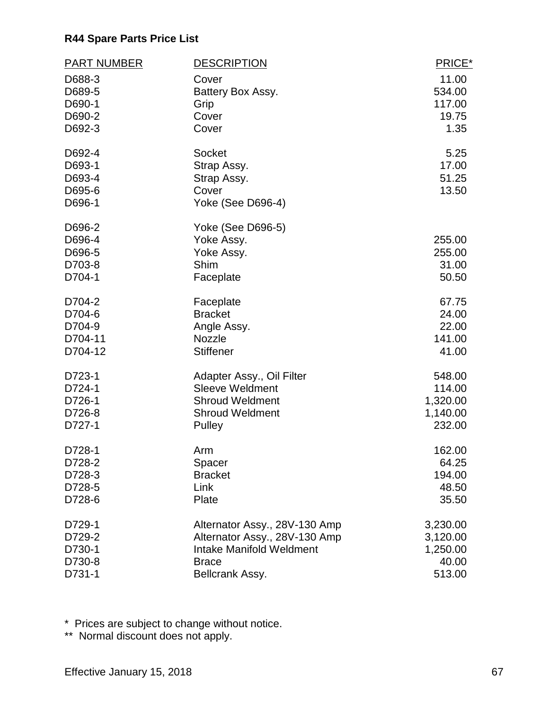| <b>PART NUMBER</b> | <b>DESCRIPTION</b>              | PRICE*          |
|--------------------|---------------------------------|-----------------|
| D688-3             | Cover                           | 11.00           |
| D689-5             | Battery Box Assy.               | 534.00          |
| D690-1             | Grip                            | 117.00          |
| D690-2             | Cover                           | 19.75           |
| D692-3             | Cover                           | 1.35            |
| D692-4             | Socket                          | 5.25            |
| D693-1             | Strap Assy.                     | 17.00           |
| D693-4             | Strap Assy.                     | 51.25           |
| D695-6             | Cover                           | 13.50           |
| D696-1             | Yoke (See D696-4)               |                 |
| D696-2             | Yoke (See D696-5)               |                 |
| D696-4             | Yoke Assy.                      | 255.00          |
| D696-5             | Yoke Assy.<br>Shim              | 255.00<br>31.00 |
| D703-8<br>D704-1   | Faceplate                       | 50.50           |
|                    |                                 |                 |
| D704-2             | Faceplate                       | 67.75           |
| D704-6             | <b>Bracket</b>                  | 24.00           |
| D704-9             | Angle Assy.                     | 22.00           |
| D704-11            | <b>Nozzle</b>                   | 141.00          |
| D704-12            | <b>Stiffener</b>                | 41.00           |
| D723-1             | Adapter Assy., Oil Filter       | 548.00          |
| D724-1             | <b>Sleeve Weldment</b>          | 114.00          |
| D726-1             | <b>Shroud Weldment</b>          | 1,320.00        |
| D726-8             | <b>Shroud Weldment</b>          | 1,140.00        |
| D727-1             | Pulley                          | 232.00          |
| D728-1             | Arm                             | 162.00          |
| D728-2             | Spacer                          | 64.25           |
| D728-3             | <b>Bracket</b>                  | 194.00          |
| D728-5             | Link                            | 48.50           |
| D728-6             | Plate                           | 35.50           |
| D729-1             | Alternator Assy., 28V-130 Amp   | 3,230.00        |
| D729-2             | Alternator Assy., 28V-130 Amp   | 3,120.00        |
| D730-1             | <b>Intake Manifold Weldment</b> | 1,250.00        |
| D730-8             | <b>Brace</b>                    | 40.00           |
| D731-1             | Bellcrank Assy.                 | 513.00          |

\* Prices are subject to change without notice.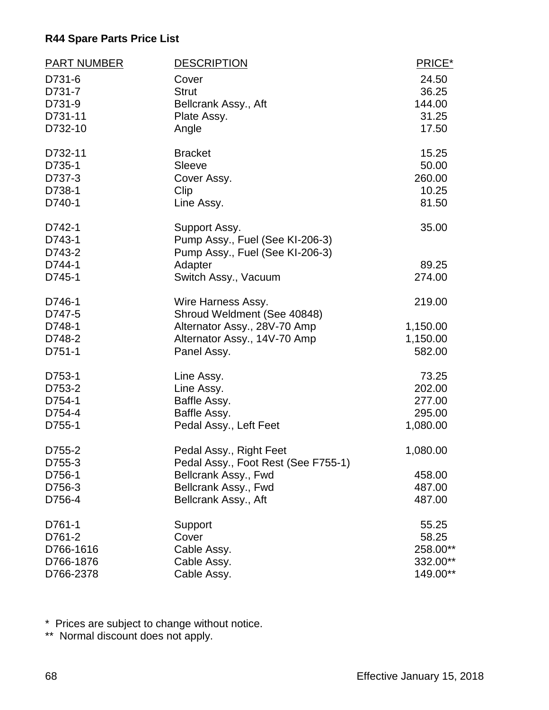| <b>PART NUMBER</b> | <b>DESCRIPTION</b>                                             | PRICE*   |
|--------------------|----------------------------------------------------------------|----------|
| D731-6             | Cover                                                          | 24.50    |
| D731-7             | <b>Strut</b>                                                   | 36.25    |
| D731-9             | Bellcrank Assy., Aft                                           | 144.00   |
| D731-11            | Plate Assy.                                                    | 31.25    |
| D732-10            | Angle                                                          | 17.50    |
| D732-11            | <b>Bracket</b>                                                 | 15.25    |
| D735-1             | Sleeve                                                         | 50.00    |
| D737-3             | Cover Assy.                                                    | 260.00   |
| D738-1             | Clip                                                           | 10.25    |
| D740-1             | Line Assy.                                                     | 81.50    |
| D742-1             | Support Assy.                                                  | 35.00    |
| D743-1             | Pump Assy., Fuel (See KI-206-3)                                |          |
| D743-2             | Pump Assy., Fuel (See KI-206-3)                                |          |
| D744-1             | Adapter                                                        | 89.25    |
| D745-1             | Switch Assy., Vacuum                                           | 274.00   |
| D746-1             | Wire Harness Assy.                                             | 219.00   |
| D747-5             | Shroud Weldment (See 40848)                                    |          |
| D748-1             | Alternator Assy., 28V-70 Amp                                   | 1,150.00 |
| D748-2             | Alternator Assy., 14V-70 Amp                                   | 1,150.00 |
| D751-1             | Panel Assy.                                                    | 582.00   |
| D753-1             | Line Assy.                                                     | 73.25    |
| D753-2             | Line Assy.                                                     | 202.00   |
| D754-1             | Baffle Assy.                                                   | 277.00   |
| D754-4             | Baffle Assy.                                                   | 295.00   |
| D755-1             | Pedal Assy., Left Feet                                         | 1,080.00 |
| D755-2<br>D755-3   | Pedal Assy., Right Feet<br>Pedal Assy., Foot Rest (See F755-1) | 1,080.00 |
| D756-1             | Bellcrank Assy., Fwd                                           | 458.00   |
| D756-3             | Bellcrank Assy., Fwd                                           | 487.00   |
| D756-4             | Bellcrank Assy., Aft                                           | 487.00   |
| D761-1             | Support                                                        | 55.25    |
| D761-2             | Cover                                                          | 58.25    |
| D766-1616          | Cable Assy.                                                    | 258.00** |
| D766-1876          | Cable Assy.                                                    | 332.00** |
| D766-2378          | Cable Assy.                                                    | 149.00** |
|                    |                                                                |          |

\* Prices are subject to change without notice.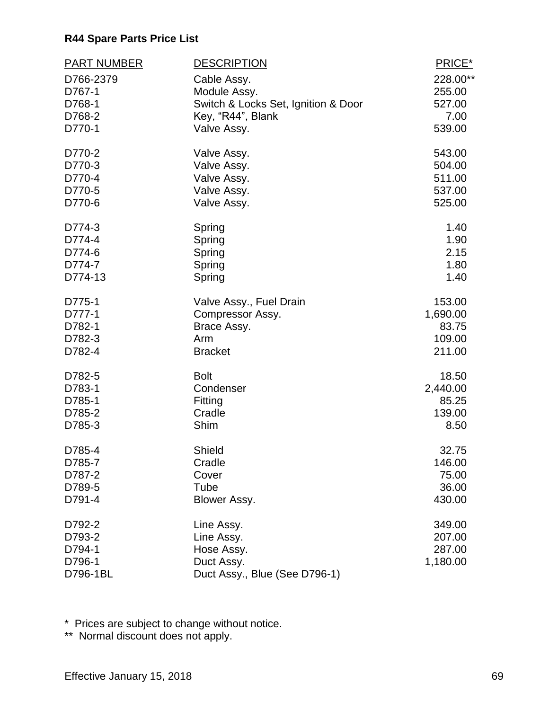| <b>PART NUMBER</b> | <b>DESCRIPTION</b>                  | PRICE*   |
|--------------------|-------------------------------------|----------|
| D766-2379          | Cable Assy.                         | 228.00** |
| D767-1             | Module Assy.                        | 255.00   |
| D768-1             | Switch & Locks Set, Ignition & Door | 527.00   |
| D768-2             | Key, "R44", Blank                   | 7.00     |
| D770-1             | Valve Assy.                         | 539.00   |
| D770-2             | Valve Assy.                         | 543.00   |
| D770-3             | Valve Assy.                         | 504.00   |
| D770-4             | Valve Assy.                         | 511.00   |
| D770-5             | Valve Assy.                         | 537.00   |
| D770-6             | Valve Assy.                         | 525.00   |
| D774-3             | Spring                              | 1.40     |
| D774-4             | Spring                              | 1.90     |
| D774-6             | Spring                              | 2.15     |
| D774-7             | Spring                              | 1.80     |
| D774-13            | Spring                              | 1.40     |
| D775-1             | Valve Assy., Fuel Drain             | 153.00   |
| D777-1             | Compressor Assy.                    | 1,690.00 |
| D782-1             | Brace Assy.                         | 83.75    |
| D782-3             | Arm                                 | 109.00   |
| D782-4             | <b>Bracket</b>                      | 211.00   |
| D782-5             | <b>Bolt</b>                         | 18.50    |
| D783-1             | Condenser                           | 2,440.00 |
| D785-1             | Fitting                             | 85.25    |
| D785-2             | Cradle                              | 139.00   |
| D785-3             | Shim                                | 8.50     |
| D785-4             | Shield                              | 32.75    |
| D785-7             | Cradle                              | 146.00   |
| D787-2             | Cover                               | 75.00    |
| D789-5             | Tube                                | 36.00    |
| D791-4             | Blower Assy.                        | 430.00   |
| D792-2             | Line Assy.                          | 349.00   |
| D793-2             | Line Assy.                          | 207.00   |
| D794-1             | Hose Assy.                          | 287.00   |
| D796-1             | Duct Assy.                          | 1,180.00 |
| D796-1BL           | Duct Assy., Blue (See D796-1)       |          |

\* Prices are subject to change without notice.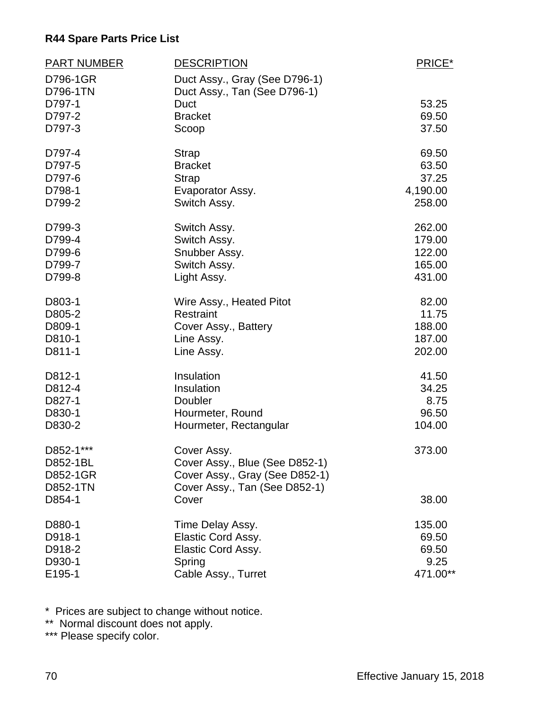| <b>PART NUMBER</b> | <b>DESCRIPTION</b>             | PRICE*   |
|--------------------|--------------------------------|----------|
| D796-1GR           | Duct Assy., Gray (See D796-1)  |          |
| D796-1TN           | Duct Assy., Tan (See D796-1)   |          |
| D797-1             | <b>Duct</b>                    | 53.25    |
| D797-2             | <b>Bracket</b>                 | 69.50    |
| D797-3             | Scoop                          | 37.50    |
| D797-4             | <b>Strap</b>                   | 69.50    |
| D797-5             | <b>Bracket</b>                 | 63.50    |
| D797-6             | <b>Strap</b>                   | 37.25    |
| D798-1             | Evaporator Assy.               | 4,190.00 |
| D799-2             | Switch Assy.                   | 258.00   |
| D799-3             | Switch Assy.                   | 262.00   |
| D799-4             | Switch Assy.                   | 179.00   |
| D799-6             | Snubber Assy.                  | 122.00   |
| D799-7             | Switch Assy.                   | 165.00   |
| D799-8             | Light Assy.                    | 431.00   |
| D803-1             | Wire Assy., Heated Pitot       | 82.00    |
| D805-2             | Restraint                      | 11.75    |
| D809-1             | Cover Assy., Battery           | 188.00   |
| D810-1             | Line Assy.                     | 187.00   |
| D811-1             | Line Assy.                     | 202.00   |
| D812-1             | Insulation                     | 41.50    |
| D812-4             | Insulation                     | 34.25    |
| D827-1             | Doubler                        | 8.75     |
| D830-1             | Hourmeter, Round               | 96.50    |
| D830-2             | Hourmeter, Rectangular         | 104.00   |
| D852-1***          | Cover Assy.                    | 373.00   |
| D852-1BL           | Cover Assy., Blue (See D852-1) |          |
| D852-1GR           | Cover Assy., Gray (See D852-1) |          |
| D852-1TN           | Cover Assy., Tan (See D852-1)  |          |
| D854-1             | Cover                          | 38.00    |
| D880-1             | Time Delay Assy.               | 135.00   |
| D918-1             | Elastic Cord Assy.             | 69.50    |
| D918-2             | Elastic Cord Assy.             | 69.50    |
| D930-1             | Spring                         | 9.25     |
| E195-1             | Cable Assy., Turret            | 471.00** |

\* Prices are subject to change without notice.

\*\* Normal discount does not apply.

\*\*\* Please specify color.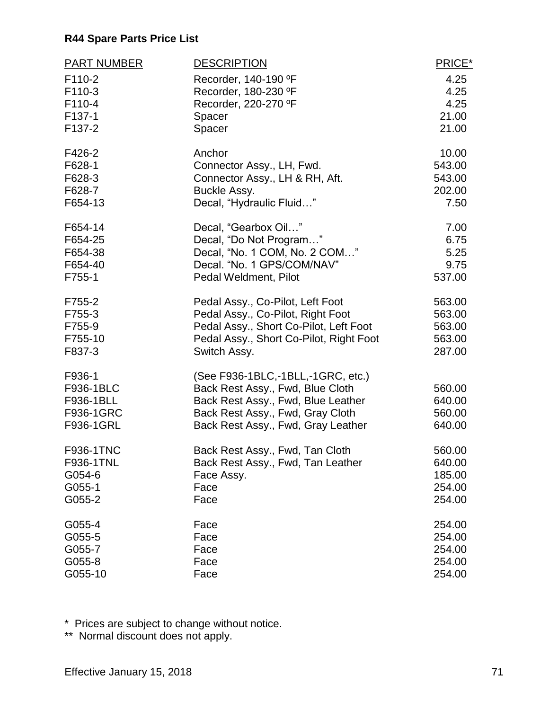| <b>PART NUMBER</b> | <b>DESCRIPTION</b>                      | PRICE* |
|--------------------|-----------------------------------------|--------|
| F110-2             | Recorder, 140-190 °F                    | 4.25   |
| F110-3             | Recorder, 180-230 °F                    | 4.25   |
| F110-4             | Recorder, 220-270 °F                    | 4.25   |
| F137-1             | Spacer                                  | 21.00  |
| F137-2             | Spacer                                  | 21.00  |
| F426-2             | Anchor                                  | 10.00  |
| F628-1             | Connector Assy., LH, Fwd.               | 543.00 |
| F628-3             | Connector Assy., LH & RH, Aft.          | 543.00 |
| F628-7             | Buckle Assy.                            | 202.00 |
| F654-13            | Decal, "Hydraulic Fluid"                | 7.50   |
| F654-14            | Decal, "Gearbox Oil"                    | 7.00   |
| F654-25            | Decal, "Do Not Program"                 | 6.75   |
| F654-38            | Decal, "No. 1 COM, No. 2 COM"           | 5.25   |
| F654-40            | Decal. "No. 1 GPS/COM/NAV"              | 9.75   |
| F755-1             | Pedal Weldment, Pilot                   | 537.00 |
| F755-2             | Pedal Assy., Co-Pilot, Left Foot        | 563.00 |
| F755-3             | Pedal Assy., Co-Pilot, Right Foot       | 563.00 |
| F755-9             | Pedal Assy., Short Co-Pilot, Left Foot  | 563.00 |
| F755-10            | Pedal Assy., Short Co-Pilot, Right Foot | 563.00 |
| F837-3             | Switch Assy.                            | 287.00 |
| F936-1             | (See F936-1BLC,-1BLL,-1GRC, etc.)       |        |
| F936-1BLC          | Back Rest Assy., Fwd, Blue Cloth        | 560.00 |
| F936-1BLL          | Back Rest Assy., Fwd, Blue Leather      | 640.00 |
| F936-1GRC          | Back Rest Assy., Fwd, Gray Cloth        | 560.00 |
| F936-1GRL          | Back Rest Assy., Fwd, Gray Leather      | 640.00 |
| <b>F936-1TNC</b>   | Back Rest Assy., Fwd, Tan Cloth         | 560.00 |
| F936-1TNL          | Back Rest Assy., Fwd, Tan Leather       | 640.00 |
| G054-6             | Face Assy.                              | 185.00 |
| G055-1             | Face                                    | 254.00 |
| G055-2             | Face                                    | 254.00 |
| G055-4             | Face                                    | 254.00 |
| G055-5             | Face                                    | 254.00 |
| G055-7             | Face                                    | 254.00 |
| G055-8             | Face                                    | 254.00 |
| G055-10            | Face                                    | 254.00 |

\* Prices are subject to change without notice.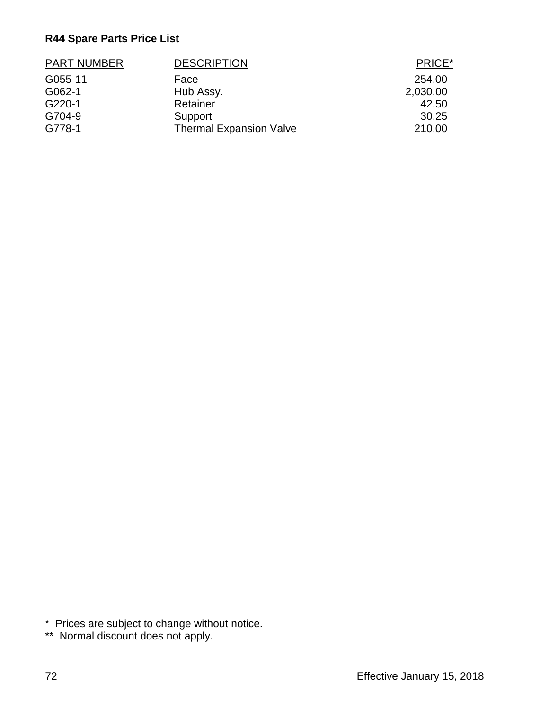| <b>PART NUMBER</b> | <b>DESCRIPTION</b>             | PRICE*   |
|--------------------|--------------------------------|----------|
| G055-11            | Face                           | 254.00   |
| G062-1             | Hub Assy.                      | 2,030.00 |
| G220-1             | Retainer                       | 42.50    |
| G704-9             | Support                        | 30.25    |
| G778-1             | <b>Thermal Expansion Valve</b> | 210.00   |

\* Prices are subject to change without notice.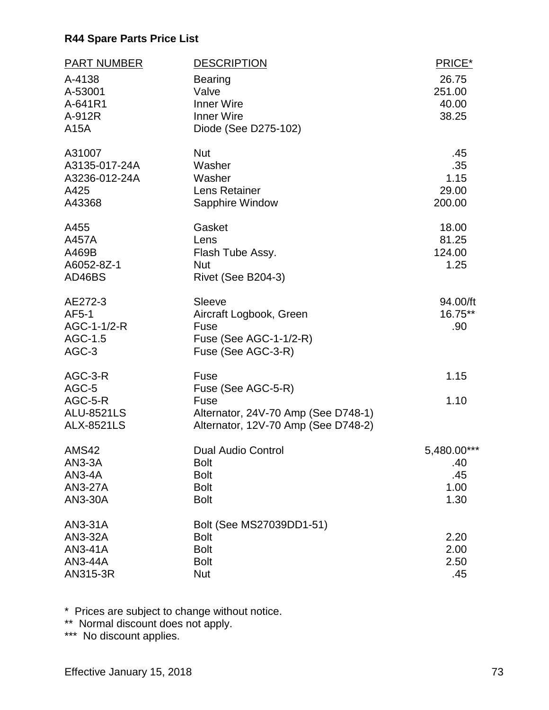| <b>PART NUMBER</b><br>A-4138<br>A-53001<br>A-641R1<br>A-912R<br>A15A        | <b>DESCRIPTION</b><br><b>Bearing</b><br>Valve<br><b>Inner Wire</b><br><b>Inner Wire</b><br>Diode (See D275-102)  | PRICE*<br>26.75<br>251.00<br>40.00<br>38.25 |
|-----------------------------------------------------------------------------|------------------------------------------------------------------------------------------------------------------|---------------------------------------------|
| A31007<br>A3135-017-24A<br>A3236-012-24A<br>A425<br>A43368                  | <b>Nut</b><br>Washer<br>Washer<br>Lens Retainer<br>Sapphire Window                                               | .45<br>.35<br>1.15<br>29.00<br>200.00       |
| A455<br>A457A<br>A469B<br>A6052-8Z-1<br>AD46BS                              | Gasket<br>Lens<br>Flash Tube Assy.<br><b>Nut</b><br>Rivet (See B204-3)                                           | 18.00<br>81.25<br>124.00<br>1.25            |
| AE272-3<br>AF5-1<br>AGC-1-1/2-R<br>AGC-1.5<br>AGC-3                         | <b>Sleeve</b><br>Aircraft Logbook, Green<br>Fuse<br>Fuse (See AGC-1-1/2-R)<br>Fuse (See AGC-3-R)                 | 94.00/ft<br>16.75**<br>.90                  |
| AGC-3-R<br>AGC-5<br>AGC-5-R<br><b>ALU-8521LS</b><br><b>ALX-8521LS</b>       | Fuse<br>Fuse (See AGC-5-R)<br>Fuse<br>Alternator, 24V-70 Amp (See D748-1)<br>Alternator, 12V-70 Amp (See D748-2) | 1.15<br>1.10                                |
| <b>AMS42</b><br><b>AN3-3A</b><br><b>AN3-4A</b><br><b>AN3-27A</b><br>AN3-30A | <b>Dual Audio Control</b><br><b>Bolt</b><br><b>Bolt</b><br><b>Bolt</b><br><b>Bolt</b>                            | 5,480.00***<br>.40<br>.45<br>1.00<br>1.30   |
| AN3-31A<br>AN3-32A<br>AN3-41A<br>AN3-44A<br>AN315-3R                        | Bolt (See MS27039DD1-51)<br><b>Bolt</b><br><b>Bolt</b><br><b>Bolt</b><br><b>Nut</b>                              | 2.20<br>2.00<br>2.50<br>.45                 |

\* Prices are subject to change without notice.

\*\* Normal discount does not apply.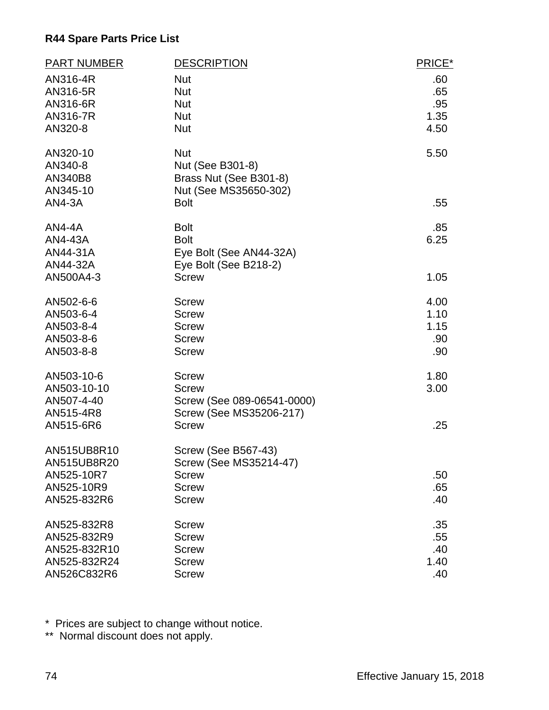| <b>PART NUMBER</b> | <b>DESCRIPTION</b>         | PRICE* |
|--------------------|----------------------------|--------|
| AN316-4R           | <b>Nut</b>                 | .60    |
| AN316-5R           | <b>Nut</b>                 | .65    |
| AN316-6R           | <b>Nut</b>                 | .95    |
| AN316-7R           | <b>Nut</b>                 | 1.35   |
| AN320-8            | <b>Nut</b>                 | 4.50   |
| AN320-10           | <b>Nut</b>                 | 5.50   |
| AN340-8            | Nut (See B301-8)           |        |
| AN340B8            | Brass Nut (See B301-8)     |        |
| AN345-10           | Nut (See MS35650-302)      |        |
| <b>AN4-3A</b>      | <b>Bolt</b>                | .55    |
| <b>AN4-4A</b>      | <b>Bolt</b>                | .85    |
| AN4-43A            | <b>Bolt</b>                | 6.25   |
| AN44-31A           | Eye Bolt (See AN44-32A)    |        |
| AN44-32A           | Eye Bolt (See B218-2)      |        |
| AN500A4-3          | <b>Screw</b>               | 1.05   |
| AN502-6-6          | <b>Screw</b>               | 4.00   |
| AN503-6-4          | <b>Screw</b>               | 1.10   |
| AN503-8-4          | <b>Screw</b>               | 1.15   |
| AN503-8-6          | <b>Screw</b>               | .90    |
| AN503-8-8          | <b>Screw</b>               | .90    |
| AN503-10-6         | <b>Screw</b>               | 1.80   |
| AN503-10-10        | <b>Screw</b>               | 3.00   |
| AN507-4-40         | Screw (See 089-06541-0000) |        |
| AN515-4R8          | Screw (See MS35206-217)    |        |
| AN515-6R6          | <b>Screw</b>               | .25    |
| AN515UB8R10        | <b>Screw (See B567-43)</b> |        |
| AN515UB8R20        | Screw (See MS35214-47)     |        |
| AN525-10R7         | <b>Screw</b>               | .50    |
| AN525-10R9         | <b>Screw</b>               | .65    |
| AN525-832R6        | <b>Screw</b>               | .40    |
| AN525-832R8        | <b>Screw</b>               | .35    |
| AN525-832R9        | <b>Screw</b>               | .55    |
| AN525-832R10       | <b>Screw</b>               | .40    |
| AN525-832R24       | <b>Screw</b>               | 1.40   |
| AN526C832R6        | <b>Screw</b>               | .40    |

\* Prices are subject to change without notice.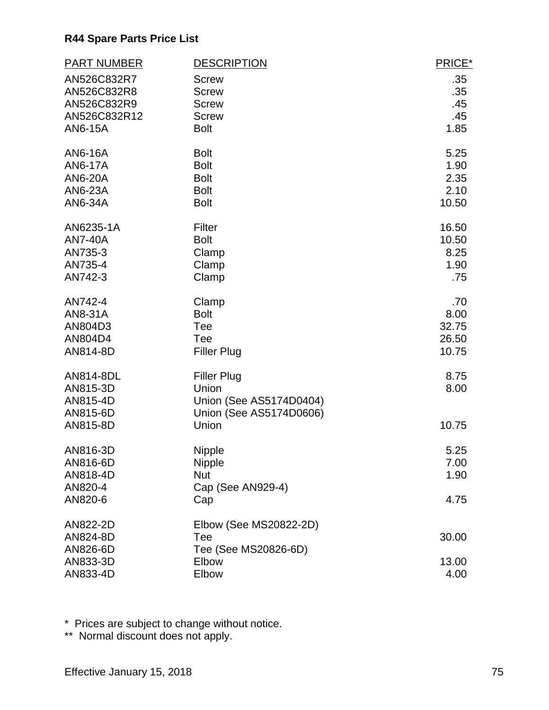| <b>PART NUMBER</b> | <b>DESCRIPTION</b>      | PRICE*      |
|--------------------|-------------------------|-------------|
| AN526C832R7        | <b>Screw</b>            | .35         |
| AN526C832R8        | <b>Screw</b>            | .35         |
| AN526C832R9        | <b>Screw</b>            | .45         |
| AN526C832R12       | <b>Screw</b>            | .45         |
| AN6-15A            | <b>Bolt</b>             | 1.85        |
| AN6-16A            | <b>Bolt</b>             | 5.25        |
| <b>AN6-17A</b>     | <b>Bolt</b>             | 1.90        |
| AN6-20A            | <b>Bolt</b>             | 2.35        |
| AN6-23A            | <b>Bolt</b>             | 2.10        |
| AN6-34A            | <b>Bolt</b>             | 10.50       |
| AN6235-1A          | Filter                  | 16.50       |
| <b>AN7-40A</b>     | <b>Bolt</b>             | 10.50       |
| AN735-3            | Clamp                   | 8.25        |
| AN735-4<br>AN742-3 | Clamp                   | 1.90<br>.75 |
|                    | Clamp                   |             |
| AN742-4            | Clamp                   | .70         |
| AN8-31A            | <b>Bolt</b>             | 8.00        |
| AN804D3            | Tee                     | 32.75       |
| AN804D4            | Tee                     | 26.50       |
| AN814-8D           | <b>Filler Plug</b>      | 10.75       |
| AN814-8DL          | <b>Filler Plug</b>      | 8.75        |
| AN815-3D           | Union                   | 8.00        |
| AN815-4D           | Union (See AS5174D0404) |             |
| AN815-6D           | Union (See AS5174D0606) |             |
| AN815-8D           | Union                   | 10.75       |
| AN816-3D           | <b>Nipple</b>           | 5.25        |
| AN816-6D           | Nipple                  | 7.00        |
| AN818-4D           | <b>Nut</b>              | 1.90        |
| AN820-4            | Cap (See AN929-4)       |             |
| AN820-6            | Cap                     | 4.75        |
| AN822-2D           | Elbow (See MS20822-2D)  |             |
| AN824-8D           | Tee                     | 30.00       |
| AN826-6D           | Tee (See MS20826-6D)    |             |
| AN833-3D           | Elbow                   | 13.00       |
| AN833-4D           | Elbow                   | 4.00        |

\* Prices are subject to change without notice.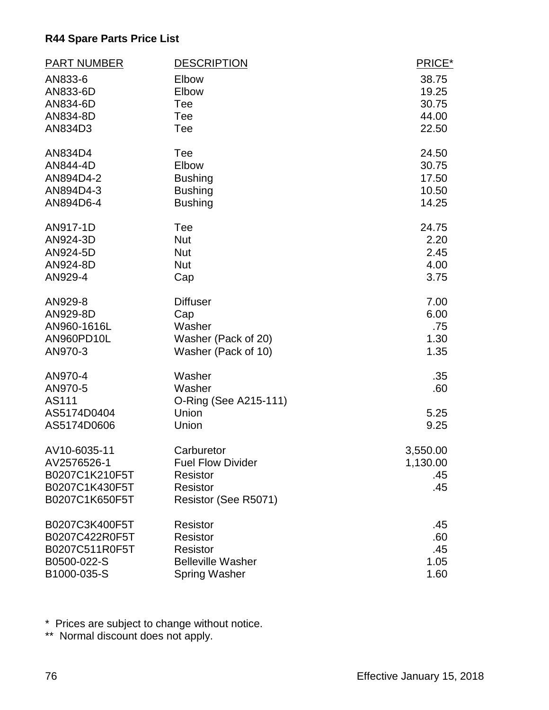| <b>PART NUMBER</b> | <b>DESCRIPTION</b>       | PRICE*   |
|--------------------|--------------------------|----------|
| AN833-6            | Elbow                    | 38.75    |
| AN833-6D           | Elbow                    | 19.25    |
| AN834-6D           | Tee                      | 30.75    |
| AN834-8D           | Tee                      | 44.00    |
| AN834D3            | Tee                      | 22.50    |
| AN834D4            | Tee                      | 24.50    |
| AN844-4D           | Elbow                    | 30.75    |
| AN894D4-2          | <b>Bushing</b>           | 17.50    |
| AN894D4-3          | <b>Bushing</b>           | 10.50    |
| AN894D6-4          | <b>Bushing</b>           | 14.25    |
| AN917-1D           | Tee                      | 24.75    |
| AN924-3D           | <b>Nut</b>               | 2.20     |
| AN924-5D           | <b>Nut</b>               | 2.45     |
| AN924-8D           | <b>Nut</b>               | 4.00     |
| AN929-4            | Cap                      | 3.75     |
| AN929-8            | <b>Diffuser</b>          | 7.00     |
| AN929-8D           | Cap                      | 6.00     |
| AN960-1616L        | Washer                   | .75      |
| AN960PD10L         | Washer (Pack of 20)      | 1.30     |
| AN970-3            | Washer (Pack of 10)      | 1.35     |
| AN970-4            | Washer                   | .35      |
| AN970-5            | Washer                   | .60      |
| AS111              | O-Ring (See A215-111)    |          |
| AS5174D0404        | Union                    | 5.25     |
| AS5174D0606        | Union                    | 9.25     |
| AV10-6035-11       | Carburetor               | 3,550.00 |
| AV2576526-1        | <b>Fuel Flow Divider</b> | 1,130.00 |
| B0207C1K210F5T     | <b>Resistor</b>          | .45      |
| B0207C1K430F5T     | <b>Resistor</b>          | .45      |
| B0207C1K650F5T     | Resistor (See R5071)     |          |
| B0207C3K400F5T     | Resistor                 | .45      |
| B0207C422R0F5T     | <b>Resistor</b>          | .60      |
| B0207C511R0F5T     | <b>Resistor</b>          | .45      |
| B0500-022-S        | <b>Belleville Washer</b> | 1.05     |
| B1000-035-S        | <b>Spring Washer</b>     | 1.60     |

\* Prices are subject to change without notice.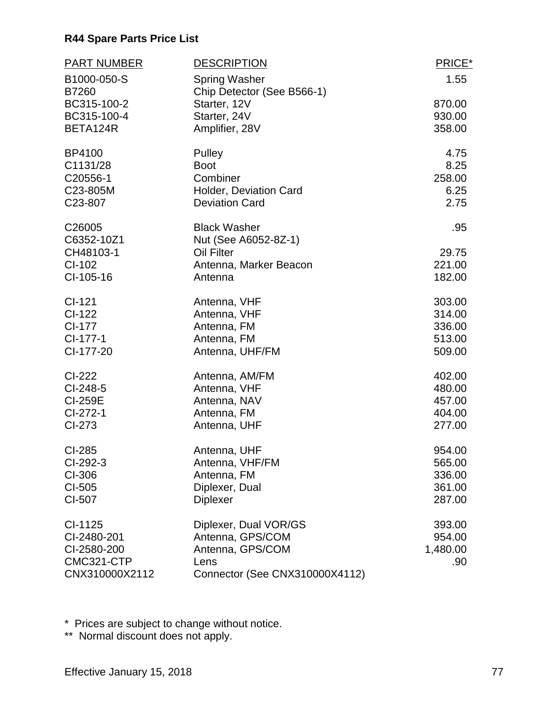| <b>PART NUMBER</b> | <b>DESCRIPTION</b>             | PRICE*   |
|--------------------|--------------------------------|----------|
| B1000-050-S        | <b>Spring Washer</b>           | 1.55     |
| B7260              | Chip Detector (See B566-1)     |          |
| BC315-100-2        | Starter, 12V                   | 870.00   |
| BC315-100-4        | Starter, 24V                   | 930.00   |
| BETA124R           | Amplifier, 28V                 | 358.00   |
| BP4100             | Pulley                         | 4.75     |
| C1131/28           | <b>Boot</b>                    | 8.25     |
| C20556-1           | Combiner                       | 258.00   |
| C23-805M           | Holder, Deviation Card         | 6.25     |
| C23-807            | <b>Deviation Card</b>          | 2.75     |
| C26005             | <b>Black Washer</b>            | .95      |
| C6352-10Z1         | Nut (See A6052-8Z-1)           |          |
| CH48103-1          | Oil Filter                     | 29.75    |
| CI-102             | Antenna, Marker Beacon         | 221.00   |
| CI-105-16          | Antenna                        | 182.00   |
| $CI-121$           | Antenna, VHF                   | 303.00   |
| CI-122             | Antenna, VHF                   | 314.00   |
| CI-177             | Antenna, FM                    | 336.00   |
| CI-177-1           | Antenna, FM                    | 513.00   |
| CI-177-20          | Antenna, UHF/FM                | 509.00   |
| CI-222             | Antenna, AM/FM                 | 402.00   |
| CI-248-5           | Antenna, VHF                   | 480.00   |
| <b>CI-259E</b>     | Antenna, NAV                   | 457.00   |
| CI-272-1           | Antenna, FM                    | 404.00   |
| CI-273             | Antenna, UHF                   | 277.00   |
| CI-285             | Antenna, UHF                   | 954.00   |
| CI-292-3           | Antenna, VHF/FM                | 565.00   |
| CI-306             | Antenna, FM                    | 336.00   |
| CI-505             | Diplexer, Dual                 | 361.00   |
| CI-507             | <b>Diplexer</b>                | 287.00   |
| CI-1125            | Diplexer, Dual VOR/GS          | 393.00   |
| CI-2480-201        | Antenna, GPS/COM               | 954.00   |
| CI-2580-200        | Antenna, GPS/COM               | 1,480.00 |
| CMC321-CTP         | Lens                           | .90      |
| CNX310000X2112     | Connector (See CNX310000X4112) |          |

\* Prices are subject to change without notice.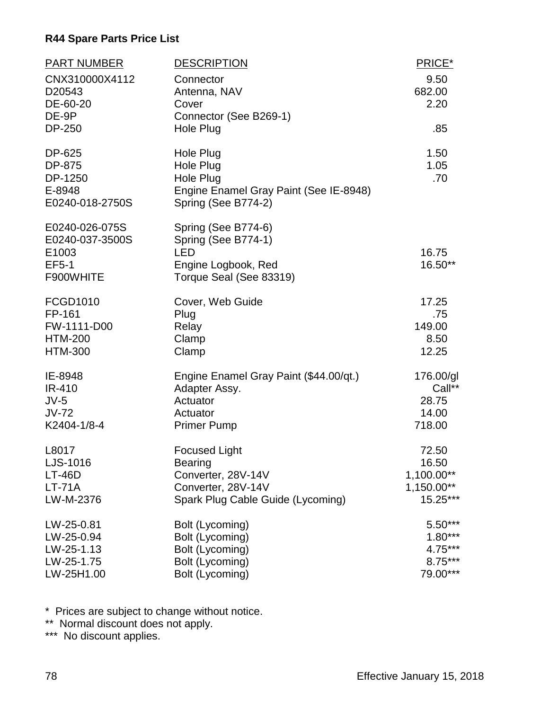| <b>PART NUMBER</b><br>CNX310000X4112<br>D20543<br>DE-60-20<br>DE-9P     | <b>DESCRIPTION</b><br>Connector<br>Antenna, NAV<br>Cover<br>Connector (See B269-1)                         | PRICE*<br>9.50<br>682.00<br>2.20 |
|-------------------------------------------------------------------------|------------------------------------------------------------------------------------------------------------|----------------------------------|
| <b>DP-250</b>                                                           | Hole Plug                                                                                                  | .85                              |
| DP-625<br>DP-875<br>DP-1250<br>E-8948<br>E0240-018-2750S                | Hole Plug<br>Hole Plug<br>Hole Plug<br>Engine Enamel Gray Paint (See IE-8948)<br>Spring (See B774-2)       | 1.50<br>1.05<br>.70              |
| E0240-026-075S<br>E0240-037-3500S<br>E1003<br><b>EF5-1</b><br>F900WHITE | Spring (See B774-6)<br>Spring (See B774-1)<br><b>LED</b><br>Engine Logbook, Red<br>Torque Seal (See 83319) | 16.75<br>16.50**                 |
| FCGD1010                                                                | Cover, Web Guide                                                                                           | 17.25                            |
| FP-161                                                                  | Plug                                                                                                       | .75                              |
| FW-1111-D00                                                             | Relay                                                                                                      | 149.00                           |
| <b>HTM-200</b>                                                          | Clamp                                                                                                      | 8.50                             |
| <b>HTM-300</b>                                                          | Clamp                                                                                                      | 12.25                            |
| IE-8948                                                                 | Engine Enamel Gray Paint (\$44.00/qt.)                                                                     | 176.00/gl                        |
| IR-410                                                                  | Adapter Assy.                                                                                              | Call**                           |
| $JV-5$                                                                  | Actuator                                                                                                   | 28.75                            |
| $JV-72$                                                                 | Actuator                                                                                                   | 14.00                            |
| K2404-1/8-4                                                             | <b>Primer Pump</b>                                                                                         | 718.00                           |
| L8017                                                                   | <b>Focused Light</b>                                                                                       | 72.50                            |
| LJS-1016                                                                | <b>Bearing</b>                                                                                             | 16.50                            |
| $LT-46D$                                                                | Converter, 28V-14V                                                                                         | 1,100.00**                       |
| $LT-71A$                                                                | Converter, 28V-14V                                                                                         | 1,150.00**                       |
| LW-M-2376                                                               | Spark Plug Cable Guide (Lycoming)                                                                          | 15.25***                         |
| LW-25-0.81                                                              | Bolt (Lycoming)                                                                                            | 5.50***                          |
| LW-25-0.94                                                              | Bolt (Lycoming)                                                                                            | $1.80***$                        |
| LW-25-1.13                                                              | Bolt (Lycoming)                                                                                            | 4.75***                          |
| LW-25-1.75                                                              | Bolt (Lycoming)                                                                                            | 8.75***                          |
| LW-25H1.00                                                              | Bolt (Lycoming)                                                                                            | 79.00***                         |

\* Prices are subject to change without notice.

\*\* Normal discount does not apply.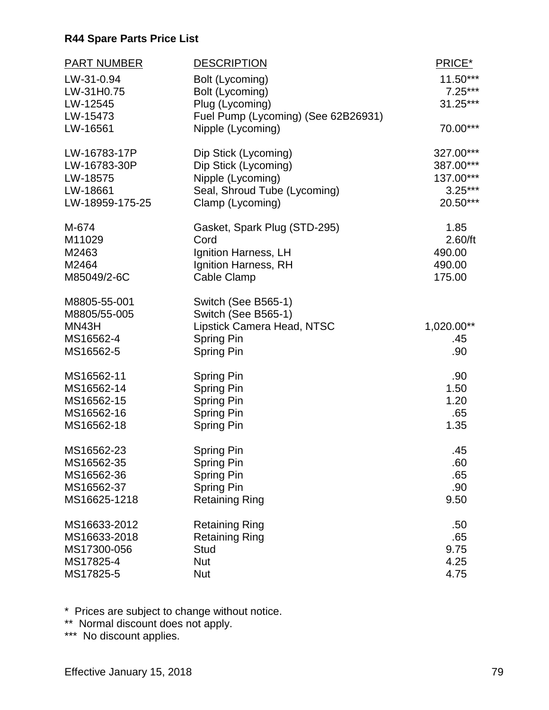| <b>PART NUMBER</b> | <b>DESCRIPTION</b>                  | PRICE*     |
|--------------------|-------------------------------------|------------|
| LW-31-0.94         | Bolt (Lycoming)                     | 11.50***   |
| LW-31H0.75         | Bolt (Lycoming)                     | $7.25***$  |
| LW-12545           | Plug (Lycoming)                     | 31.25***   |
| LW-15473           | Fuel Pump (Lycoming) (See 62B26931) |            |
| LW-16561           | Nipple (Lycoming)                   | 70.00***   |
| LW-16783-17P       | Dip Stick (Lycoming)                | 327.00***  |
| LW-16783-30P       | Dip Stick (Lycoming)                | 387.00***  |
| LW-18575           | Nipple (Lycoming)                   | 137.00***  |
| LW-18661           | Seal, Shroud Tube (Lycoming)        | $3.25***$  |
| LW-18959-175-25    | Clamp (Lycoming)                    | 20.50***   |
| M-674              | Gasket, Spark Plug (STD-295)        | 1.85       |
| M11029             | Cord                                | 2.60/ft    |
| M2463              | Ignition Harness, LH                | 490.00     |
| M2464              | Ignition Harness, RH                | 490.00     |
| M85049/2-6C        | Cable Clamp                         | 175.00     |
| M8805-55-001       | Switch (See B565-1)                 |            |
| M8805/55-005       | Switch (See B565-1)                 |            |
| MN43H              | Lipstick Camera Head, NTSC          | 1,020.00** |
| MS16562-4          | Spring Pin                          | .45        |
| MS16562-5          | <b>Spring Pin</b>                   | .90        |
| MS16562-11         | <b>Spring Pin</b>                   | .90        |
| MS16562-14         | <b>Spring Pin</b>                   | 1.50       |
| MS16562-15         | <b>Spring Pin</b>                   | 1.20       |
| MS16562-16         | <b>Spring Pin</b>                   | .65        |
| MS16562-18         | Spring Pin                          | 1.35       |
| MS16562-23         | <b>Spring Pin</b>                   | .45        |
| MS16562-35         | <b>Spring Pin</b>                   | .60        |
| MS16562-36         | <b>Spring Pin</b>                   | .65        |
| MS16562-37         | <b>Spring Pin</b>                   | .90        |
| MS16625-1218       | <b>Retaining Ring</b>               | 9.50       |
| MS16633-2012       | <b>Retaining Ring</b>               | .50        |
| MS16633-2018       | <b>Retaining Ring</b>               | .65        |
| MS17300-056        | <b>Stud</b>                         | 9.75       |
| MS17825-4          | <b>Nut</b>                          | 4.25       |
| MS17825-5          | <b>Nut</b>                          | 4.75       |

\* Prices are subject to change without notice.

\*\* Normal discount does not apply.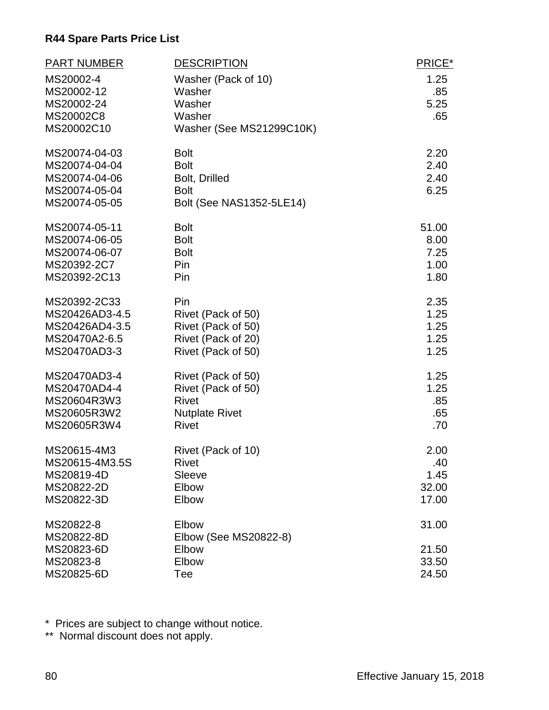| <b>PART NUMBER</b> | <b>DESCRIPTION</b>       | PRICE* |
|--------------------|--------------------------|--------|
| MS20002-4          | Washer (Pack of 10)      | 1.25   |
| MS20002-12         | Washer                   | .85    |
| MS20002-24         | Washer                   | 5.25   |
| MS20002C8          | Washer                   | .65    |
| MS20002C10         | Washer (See MS21299C10K) |        |
| MS20074-04-03      | <b>Bolt</b>              | 2.20   |
| MS20074-04-04      | <b>Bolt</b>              | 2.40   |
| MS20074-04-06      | Bolt, Drilled            | 2.40   |
| MS20074-05-04      | <b>Bolt</b>              | 6.25   |
| MS20074-05-05      | Bolt (See NAS1352-5LE14) |        |
| MS20074-05-11      | <b>Bolt</b>              | 51.00  |
| MS20074-06-05      | <b>Bolt</b>              | 8.00   |
| MS20074-06-07      | <b>Bolt</b>              | 7.25   |
| MS20392-2C7        | Pin                      | 1.00   |
| MS20392-2C13       | Pin                      | 1.80   |
| MS20392-2C33       | Pin                      | 2.35   |
| MS20426AD3-4.5     | Rivet (Pack of 50)       | 1.25   |
| MS20426AD4-3.5     | Rivet (Pack of 50)       | 1.25   |
| MS20470A2-6.5      | Rivet (Pack of 20)       | 1.25   |
| MS20470AD3-3       | Rivet (Pack of 50)       | 1.25   |
| MS20470AD3-4       | Rivet (Pack of 50)       | 1.25   |
| MS20470AD4-4       | Rivet (Pack of 50)       | 1.25   |
| MS20604R3W3        | <b>Rivet</b>             | .85    |
| MS20605R3W2        | <b>Nutplate Rivet</b>    | .65    |
| MS20605R3W4        | <b>Rivet</b>             | .70    |
| MS20615-4M3        | Rivet (Pack of 10)       | 2.00   |
| MS20615-4M3.5S     | <b>Rivet</b>             | .40    |
| MS20819-4D         | Sleeve                   | 1.45   |
| MS20822-2D         | Elbow                    | 32.00  |
| MS20822-3D         | Elbow                    | 17.00  |
| MS20822-8          | Elbow                    | 31.00  |
| MS20822-8D         | Elbow (See MS20822-8)    |        |
| MS20823-6D         | Elbow                    | 21.50  |
| MS20823-8          | Elbow                    | 33.50  |
| MS20825-6D         | Tee                      | 24.50  |

\* Prices are subject to change without notice.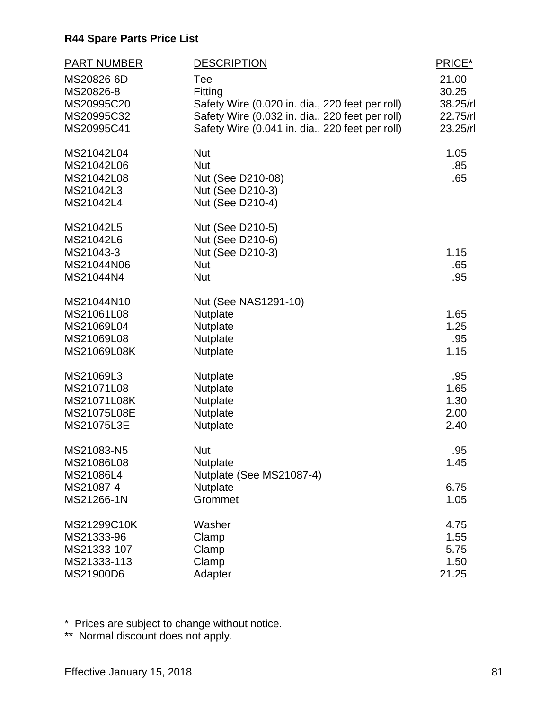| <b>PART NUMBER</b><br>MS20826-6D<br>MS20826-8<br>MS20995C20<br>MS20995C32<br>MS20995C41 | <b>DESCRIPTION</b><br>Tee<br>Fitting<br>Safety Wire (0.020 in. dia., 220 feet per roll)<br>Safety Wire (0.032 in. dia., 220 feet per roll)<br>Safety Wire (0.041 in. dia., 220 feet per roll) | PRICE*<br>21.00<br>30.25<br>38.25/rl<br>22.75/rl<br>23.25/rl |
|-----------------------------------------------------------------------------------------|-----------------------------------------------------------------------------------------------------------------------------------------------------------------------------------------------|--------------------------------------------------------------|
| MS21042L04<br>MS21042L06<br>MS21042L08<br>MS21042L3<br>MS21042L4                        | <b>Nut</b><br><b>Nut</b><br>Nut (See D210-08)<br>Nut (See D210-3)<br>Nut (See D210-4)                                                                                                         | 1.05<br>.85<br>.65                                           |
| MS21042L5<br>MS21042L6<br>MS21043-3<br>MS21044N06<br>MS21044N4                          | Nut (See D210-5)<br>Nut (See D210-6)<br>Nut (See D210-3)<br><b>Nut</b><br><b>Nut</b>                                                                                                          | 1.15<br>.65<br>.95                                           |
| MS21044N10<br>MS21061L08<br>MS21069L04<br>MS21069L08<br>MS21069L08K                     | Nut (See NAS1291-10)<br><b>Nutplate</b><br>Nutplate<br>Nutplate<br>Nutplate                                                                                                                   | 1.65<br>1.25<br>.95<br>1.15                                  |
| MS21069L3<br>MS21071L08<br>MS21071L08K<br>MS21075L08E<br>MS21075L3E                     | Nutplate<br>Nutplate<br>Nutplate<br><b>Nutplate</b><br>Nutplate                                                                                                                               | .95<br>1.65<br>1.30<br>2.00<br>2.40                          |
| MS21083-N5<br>MS21086L08<br>MS21086L4<br>MS21087-4<br>MS21266-1N                        | <b>Nut</b><br>Nutplate<br>Nutplate (See MS21087-4)<br><b>Nutplate</b><br>Grommet                                                                                                              | .95<br>1.45<br>6.75<br>1.05                                  |
| MS21299C10K<br>MS21333-96<br>MS21333-107<br>MS21333-113<br>MS21900D6                    | Washer<br>Clamp<br>Clamp<br>Clamp<br>Adapter                                                                                                                                                  | 4.75<br>1.55<br>5.75<br>1.50<br>21.25                        |

\* Prices are subject to change without notice.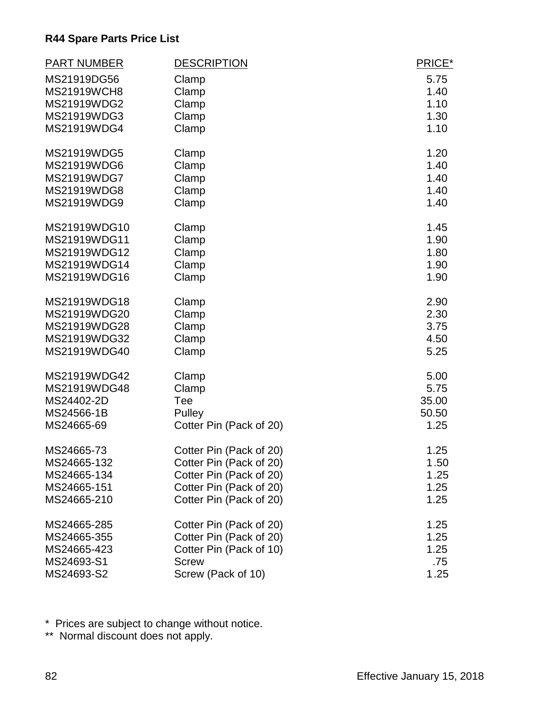| <b>PART NUMBER</b> | <b>DESCRIPTION</b>      | PRICE* |
|--------------------|-------------------------|--------|
| MS21919DG56        | Clamp                   | 5.75   |
| <b>MS21919WCH8</b> | Clamp                   | 1.40   |
| MS21919WDG2        | Clamp                   | 1.10   |
| MS21919WDG3        | Clamp                   | 1.30   |
| MS21919WDG4        | Clamp                   | 1.10   |
| MS21919WDG5        | Clamp                   | 1.20   |
| MS21919WDG6        | Clamp                   | 1.40   |
| MS21919WDG7        | Clamp                   | 1.40   |
| MS21919WDG8        | Clamp                   | 1.40   |
| MS21919WDG9        | Clamp                   | 1.40   |
| MS21919WDG10       | Clamp                   | 1.45   |
| MS21919WDG11       | Clamp                   | 1.90   |
| MS21919WDG12       | Clamp                   | 1.80   |
| MS21919WDG14       | Clamp                   | 1.90   |
| MS21919WDG16       | Clamp                   | 1.90   |
| MS21919WDG18       | Clamp                   | 2.90   |
| MS21919WDG20       | Clamp                   | 2.30   |
| MS21919WDG28       | Clamp                   | 3.75   |
| MS21919WDG32       | Clamp                   | 4.50   |
| MS21919WDG40       | Clamp                   | 5.25   |
| MS21919WDG42       | Clamp                   | 5.00   |
| MS21919WDG48       | Clamp                   | 5.75   |
| MS24402-2D         | Tee                     | 35.00  |
| MS24566-1B         | Pulley                  | 50.50  |
| MS24665-69         | Cotter Pin (Pack of 20) | 1.25   |
| MS24665-73         | Cotter Pin (Pack of 20) | 1.25   |
| MS24665-132        | Cotter Pin (Pack of 20) | 1.50   |
| MS24665-134        | Cotter Pin (Pack of 20) | 1.25   |
| MS24665-151        | Cotter Pin (Pack of 20) | 1.25   |
| MS24665-210        | Cotter Pin (Pack of 20) | 1.25   |
| MS24665-285        | Cotter Pin (Pack of 20) | 1.25   |
| MS24665-355        | Cotter Pin (Pack of 20) | 1.25   |
| MS24665-423        | Cotter Pin (Pack of 10) | 1.25   |
| MS24693-S1         | <b>Screw</b>            | .75    |
| MS24693-S2         | Screw (Pack of 10)      | 1.25   |

\* Prices are subject to change without notice.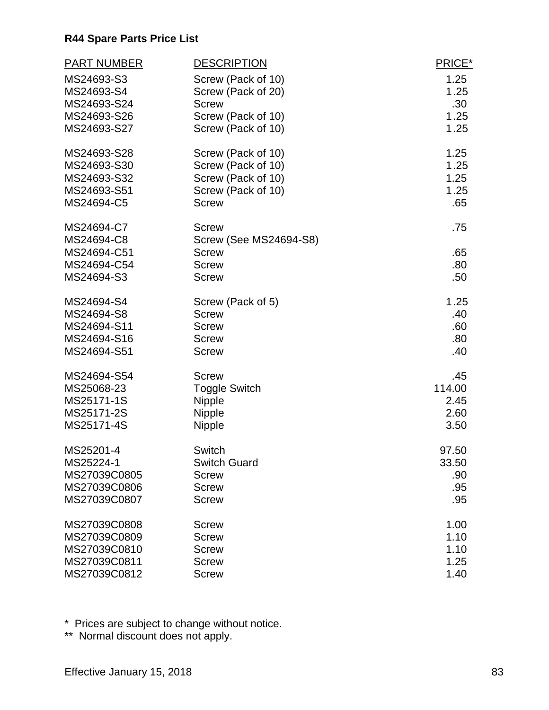| <b>PART NUMBER</b> | <b>DESCRIPTION</b>            | PRICE*           |
|--------------------|-------------------------------|------------------|
| MS24693-S3         | Screw (Pack of 10)            | 1.25             |
| MS24693-S4         | Screw (Pack of 20)            | 1.25             |
| MS24693-S24        | <b>Screw</b>                  | .30 <sub>1</sub> |
| MS24693-S26        | Screw (Pack of 10)            | 1.25             |
| MS24693-S27        | Screw (Pack of 10)            | 1.25             |
| MS24693-S28        | Screw (Pack of 10)            | 1.25             |
| MS24693-S30        | Screw (Pack of 10)            | 1.25             |
| MS24693-S32        | Screw (Pack of 10)            | 1.25             |
| MS24693-S51        | Screw (Pack of 10)            | 1.25             |
| MS24694-C5         | <b>Screw</b>                  | .65              |
| MS24694-C7         | <b>Screw</b>                  | .75              |
| MS24694-C8         | <b>Screw (See MS24694-S8)</b> |                  |
| MS24694-C51        | <b>Screw</b>                  | .65              |
| MS24694-C54        | <b>Screw</b>                  | .80              |
| MS24694-S3         | <b>Screw</b>                  | .50              |
| MS24694-S4         | Screw (Pack of 5)             | 1.25             |
| MS24694-S8         | <b>Screw</b>                  | .40              |
| MS24694-S11        | <b>Screw</b>                  | .60              |
| MS24694-S16        | <b>Screw</b>                  | .80              |
| MS24694-S51        | <b>Screw</b>                  | .40              |
| MS24694-S54        | <b>Screw</b>                  | .45              |
| MS25068-23         | <b>Toggle Switch</b>          | 114.00           |
| MS25171-1S         | <b>Nipple</b>                 | 2.45             |
| MS25171-2S         | <b>Nipple</b>                 | 2.60             |
| MS25171-4S         | <b>Nipple</b>                 | 3.50             |
| MS25201-4          | Switch                        | 97.50            |
| MS25224-1          | <b>Switch Guard</b>           | 33.50            |
| MS27039C0805       | <b>Screw</b>                  | .90              |
| MS27039C0806       | Screw                         | .95              |
| MS27039C0807       | <b>Screw</b>                  | .95              |
| MS27039C0808       | Screw                         | 1.00             |
| MS27039C0809       | <b>Screw</b>                  | 1.10             |
| MS27039C0810       | <b>Screw</b>                  | 1.10             |
| MS27039C0811       | <b>Screw</b>                  | 1.25             |
| MS27039C0812       | <b>Screw</b>                  | 1.40             |

\* Prices are subject to change without notice.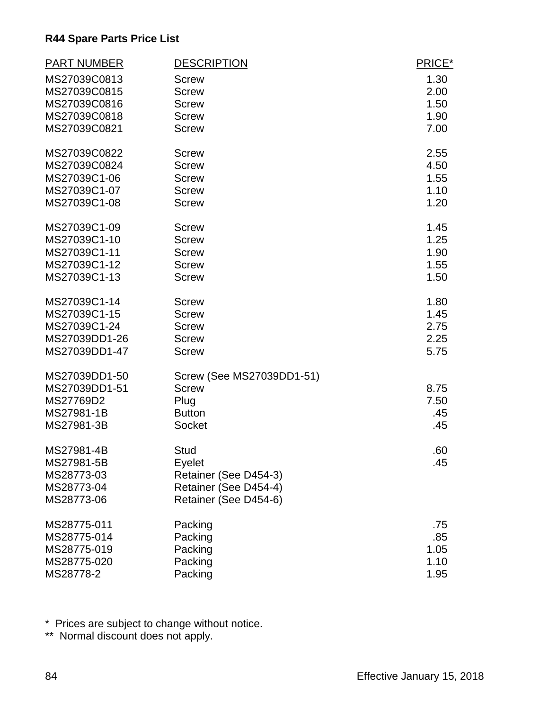| <b>PART NUMBER</b> | <b>DESCRIPTION</b>        | PRICE* |
|--------------------|---------------------------|--------|
| MS27039C0813       | <b>Screw</b>              | 1.30   |
| MS27039C0815       | <b>Screw</b>              | 2.00   |
| MS27039C0816       | <b>Screw</b>              | 1.50   |
| MS27039C0818       | <b>Screw</b>              | 1.90   |
| MS27039C0821       | <b>Screw</b>              | 7.00   |
| MS27039C0822       | <b>Screw</b>              | 2.55   |
| MS27039C0824       | <b>Screw</b>              | 4.50   |
| MS27039C1-06       | <b>Screw</b>              | 1.55   |
| MS27039C1-07       | <b>Screw</b>              | 1.10   |
| MS27039C1-08       | <b>Screw</b>              | 1.20   |
| MS27039C1-09       | <b>Screw</b>              | 1.45   |
| MS27039C1-10       | <b>Screw</b>              | 1.25   |
| MS27039C1-11       | <b>Screw</b>              | 1.90   |
| MS27039C1-12       | <b>Screw</b>              | 1.55   |
| MS27039C1-13       | <b>Screw</b>              | 1.50   |
| MS27039C1-14       | <b>Screw</b>              | 1.80   |
| MS27039C1-15       | <b>Screw</b>              | 1.45   |
| MS27039C1-24       | <b>Screw</b>              | 2.75   |
| MS27039DD1-26      | <b>Screw</b>              | 2.25   |
| MS27039DD1-47      | <b>Screw</b>              | 5.75   |
| MS27039DD1-50      | Screw (See MS27039DD1-51) |        |
| MS27039DD1-51      | <b>Screw</b>              | 8.75   |
| MS27769D2          | Plug                      | 7.50   |
| MS27981-1B         | <b>Button</b>             | .45    |
| MS27981-3B         | Socket                    | .45    |
| MS27981-4B         | <b>Stud</b>               | .60    |
| MS27981-5B         | Eyelet                    | .45    |
| MS28773-03         | Retainer (See D454-3)     |        |
| MS28773-04         | Retainer (See D454-4)     |        |
| MS28773-06         | Retainer (See D454-6)     |        |
| MS28775-011        | Packing                   | .75    |
| MS28775-014        | Packing                   | .85    |
| MS28775-019        | Packing                   | 1.05   |
| MS28775-020        | Packing                   | 1.10   |
| MS28778-2          | Packing                   | 1.95   |

\* Prices are subject to change without notice.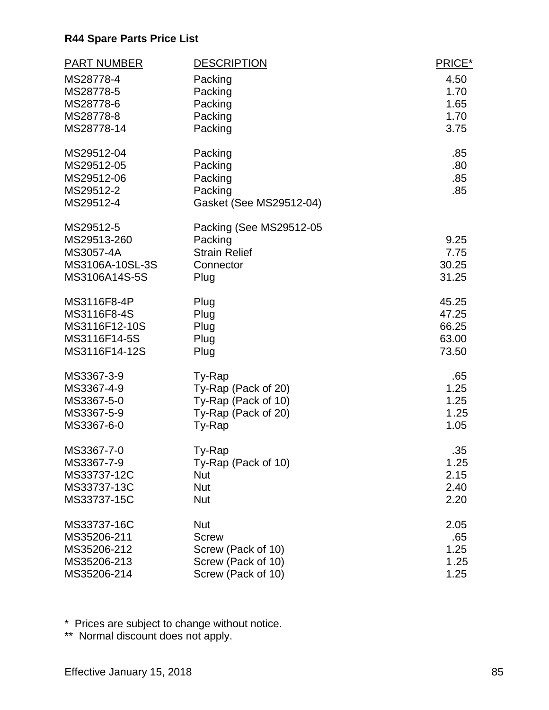| <b>PART NUMBER</b> | <b>DESCRIPTION</b>      | PRICE* |
|--------------------|-------------------------|--------|
| MS28778-4          | Packing                 | 4.50   |
| MS28778-5          | Packing                 | 1.70   |
| MS28778-6          | Packing                 | 1.65   |
| MS28778-8          | Packing                 | 1.70   |
| MS28778-14         | Packing                 | 3.75   |
| MS29512-04         | Packing                 | .85    |
| MS29512-05         | Packing                 | .80    |
| MS29512-06         | Packing                 | .85    |
| MS29512-2          | Packing                 | .85    |
| MS29512-4          | Gasket (See MS29512-04) |        |
| MS29512-5          | Packing (See MS29512-05 |        |
| MS29513-260        | Packing                 | 9.25   |
| MS3057-4A          | <b>Strain Relief</b>    | 7.75   |
| MS3106A-10SL-3S    | Connector               | 30.25  |
| MS3106A14S-5S      | Plug                    | 31.25  |
| MS3116F8-4P        | Plug                    | 45.25  |
| MS3116F8-4S        | Plug                    | 47.25  |
| MS3116F12-10S      | Plug                    | 66.25  |
| MS3116F14-5S       | Plug                    | 63.00  |
| MS3116F14-12S      | Plug                    | 73.50  |
| MS3367-3-9         | Ty-Rap                  | .65    |
| MS3367-4-9         | Ty-Rap (Pack of 20)     | 1.25   |
| MS3367-5-0         | Ty-Rap (Pack of 10)     | 1.25   |
| MS3367-5-9         | Ty-Rap (Pack of 20)     | 1.25   |
| MS3367-6-0         | Ty-Rap                  | 1.05   |
| MS3367-7-0         | Ty-Rap                  | .35    |
| MS3367-7-9         | Ty-Rap (Pack of 10)     | 1.25   |
| MS33737-12C        | Nut                     | 2.15   |
| MS33737-13C        | <b>Nut</b>              | 2.40   |
| MS33737-15C        | <b>Nut</b>              | 2.20   |
| MS33737-16C        | <b>Nut</b>              | 2.05   |
| MS35206-211        | <b>Screw</b>            | .65    |
| MS35206-212        | Screw (Pack of 10)      | 1.25   |
| MS35206-213        | Screw (Pack of 10)      | 1.25   |
| MS35206-214        | Screw (Pack of 10)      | 1.25   |

\* Prices are subject to change without notice.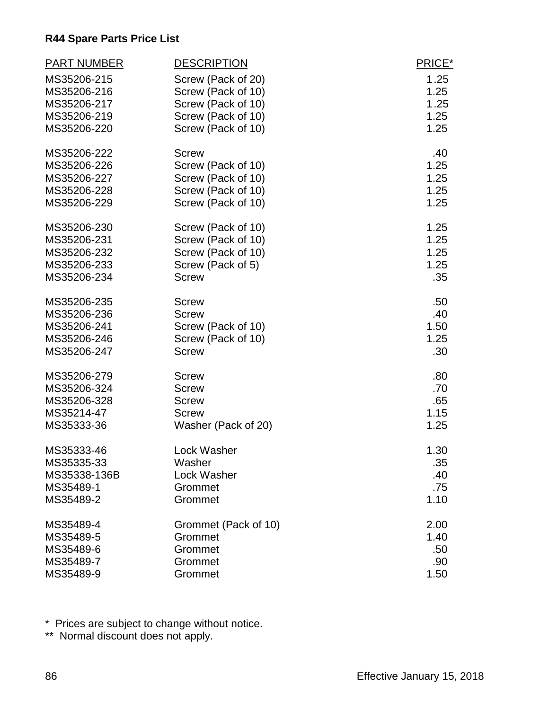| <b>PART NUMBER</b> | <b>DESCRIPTION</b>   | PRICE* |
|--------------------|----------------------|--------|
| MS35206-215        | Screw (Pack of 20)   | 1.25   |
| MS35206-216        | Screw (Pack of 10)   | 1.25   |
| MS35206-217        | Screw (Pack of 10)   | 1.25   |
| MS35206-219        | Screw (Pack of 10)   | 1.25   |
| MS35206-220        | Screw (Pack of 10)   | 1.25   |
| MS35206-222        | <b>Screw</b>         | .40    |
| MS35206-226        | Screw (Pack of 10)   | 1.25   |
| MS35206-227        | Screw (Pack of 10)   | 1.25   |
| MS35206-228        | Screw (Pack of 10)   | 1.25   |
| MS35206-229        | Screw (Pack of 10)   | 1.25   |
| MS35206-230        | Screw (Pack of 10)   | 1.25   |
| MS35206-231        | Screw (Pack of 10)   | 1.25   |
| MS35206-232        | Screw (Pack of 10)   | 1.25   |
| MS35206-233        | Screw (Pack of 5)    | 1.25   |
| MS35206-234        | <b>Screw</b>         | .35    |
| MS35206-235        | <b>Screw</b>         | .50    |
| MS35206-236        | <b>Screw</b>         | .40    |
| MS35206-241        | Screw (Pack of 10)   | 1.50   |
| MS35206-246        | Screw (Pack of 10)   | 1.25   |
| MS35206-247        | <b>Screw</b>         | .30    |
| MS35206-279        | <b>Screw</b>         | .80    |
| MS35206-324        | <b>Screw</b>         | .70    |
| MS35206-328        | <b>Screw</b>         | .65    |
| MS35214-47         | <b>Screw</b>         | 1.15   |
| MS35333-36         | Washer (Pack of 20)  | 1.25   |
| MS35333-46         | <b>Lock Washer</b>   | 1.30   |
| MS35335-33         | Washer               | .35    |
| MS35338-136B       | Lock Washer          | .40    |
| MS35489-1          | Grommet              | .75    |
| MS35489-2          | Grommet              | 1.10   |
| MS35489-4          | Grommet (Pack of 10) | 2.00   |
| MS35489-5          | Grommet              | 1.40   |
| MS35489-6          | Grommet              | .50    |
| MS35489-7          | Grommet              | .90    |
| MS35489-9          | Grommet              | 1.50   |

\* Prices are subject to change without notice.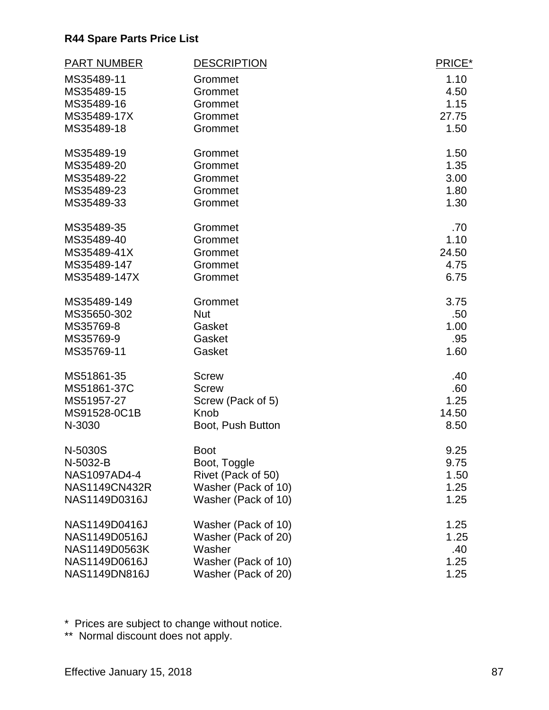| <b>PART NUMBER</b> | <b>DESCRIPTION</b>  | PRICE* |
|--------------------|---------------------|--------|
| MS35489-11         | Grommet             | 1.10   |
| MS35489-15         | Grommet             | 4.50   |
| MS35489-16         | Grommet             | 1.15   |
| MS35489-17X        | Grommet             | 27.75  |
| MS35489-18         | Grommet             | 1.50   |
| MS35489-19         | Grommet             | 1.50   |
| MS35489-20         | Grommet             | 1.35   |
| MS35489-22         | Grommet             | 3.00   |
| MS35489-23         | Grommet             | 1.80   |
| MS35489-33         | Grommet             | 1.30   |
| MS35489-35         | Grommet             | .70    |
| MS35489-40         | Grommet             | 1.10   |
| MS35489-41X        | Grommet             | 24.50  |
| MS35489-147        | Grommet             | 4.75   |
| MS35489-147X       | Grommet             | 6.75   |
| MS35489-149        | Grommet             | 3.75   |
| MS35650-302        | <b>Nut</b>          | .50    |
| MS35769-8          | Gasket              | 1.00   |
| MS35769-9          | Gasket              | .95    |
| MS35769-11         | Gasket              | 1.60   |
| MS51861-35         | <b>Screw</b>        | .40    |
| MS51861-37C        | <b>Screw</b>        | .60    |
| MS51957-27         | Screw (Pack of 5)   | 1.25   |
| MS91528-0C1B       | Knob                | 14.50  |
| N-3030             | Boot, Push Button   | 8.50   |
| N-5030S            | <b>Boot</b>         | 9.25   |
| N-5032-B           | Boot, Toggle        | 9.75   |
| NAS1097AD4-4       | Rivet (Pack of 50)  | 1.50   |
| NAS1149CN432R      | Washer (Pack of 10) | 1.25   |
| NAS1149D0316J      | Washer (Pack of 10) | 1.25   |
| NAS1149D0416J      | Washer (Pack of 10) | 1.25   |
| NAS1149D0516J      | Washer (Pack of 20) | 1.25   |
| NAS1149D0563K      | Washer              | .40    |
| NAS1149D0616J      | Washer (Pack of 10) | 1.25   |
| NAS1149DN816J      | Washer (Pack of 20) | 1.25   |

\* Prices are subject to change without notice.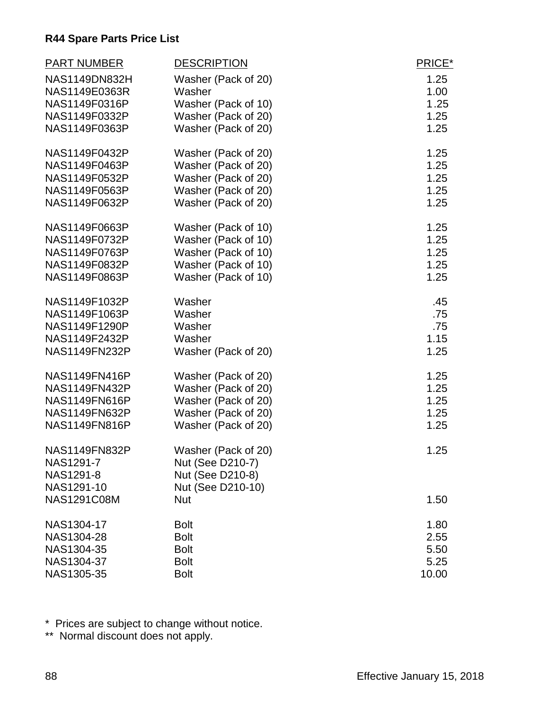| <b>PART NUMBER</b>   | <b>DESCRIPTION</b>  | PRICE* |
|----------------------|---------------------|--------|
| <b>NAS1149DN832H</b> | Washer (Pack of 20) | 1.25   |
| NAS1149E0363R        | Washer              | 1.00   |
| NAS1149F0316P        | Washer (Pack of 10) | 1.25   |
| NAS1149F0332P        | Washer (Pack of 20) | 1.25   |
| NAS1149F0363P        | Washer (Pack of 20) | 1.25   |
| NAS1149F0432P        | Washer (Pack of 20) | 1.25   |
| NAS1149F0463P        | Washer (Pack of 20) | 1.25   |
| NAS1149F0532P        | Washer (Pack of 20) | 1.25   |
| NAS1149F0563P        | Washer (Pack of 20) | 1.25   |
| NAS1149F0632P        | Washer (Pack of 20) | 1.25   |
| NAS1149F0663P        | Washer (Pack of 10) | 1.25   |
| NAS1149F0732P        | Washer (Pack of 10) | 1.25   |
| NAS1149F0763P        | Washer (Pack of 10) | 1.25   |
| NAS1149F0832P        | Washer (Pack of 10) | 1.25   |
| NAS1149F0863P        | Washer (Pack of 10) | 1.25   |
| NAS1149F1032P        | Washer              | .45    |
| NAS1149F1063P        | Washer              | .75    |
| NAS1149F1290P        | Washer              | .75    |
| NAS1149F2432P        | Washer              | 1.15   |
| NAS1149FN232P        | Washer (Pack of 20) | 1.25   |
| <b>NAS1149FN416P</b> | Washer (Pack of 20) | 1.25   |
| <b>NAS1149FN432P</b> | Washer (Pack of 20) | 1.25   |
| NAS1149FN616P        | Washer (Pack of 20) | 1.25   |
| <b>NAS1149FN632P</b> | Washer (Pack of 20) | 1.25   |
| <b>NAS1149FN816P</b> | Washer (Pack of 20) | 1.25   |
| <b>NAS1149FN832P</b> | Washer (Pack of 20) | 1.25   |
| NAS1291-7            | Nut (See D210-7)    |        |
| NAS1291-8            | Nut (See D210-8)    |        |
| NAS1291-10           | Nut (See D210-10)   |        |
| <b>NAS1291C08M</b>   | <b>Nut</b>          | 1.50   |
| NAS1304-17           | <b>Bolt</b>         | 1.80   |
| NAS1304-28           | <b>Bolt</b>         | 2.55   |
| NAS1304-35           | <b>Bolt</b>         | 5.50   |
| NAS1304-37           | <b>Bolt</b>         | 5.25   |
| NAS1305-35           | <b>Bolt</b>         | 10.00  |

\* Prices are subject to change without notice.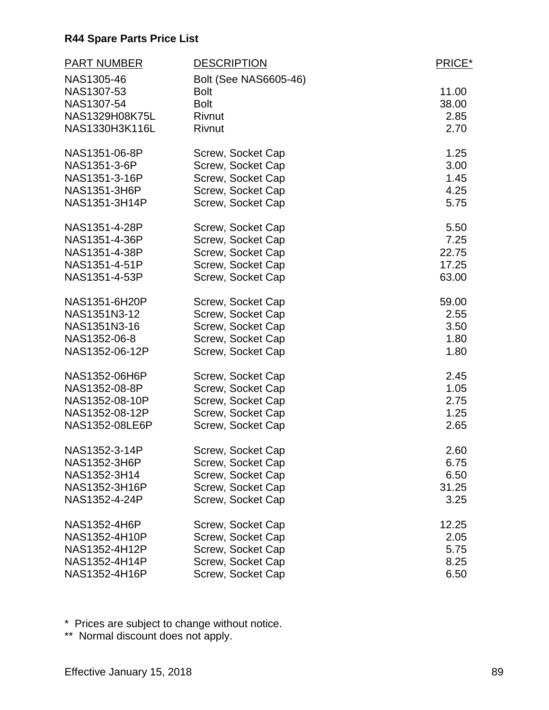| <b>PART NUMBER</b> | <b>DESCRIPTION</b>    | PRICE* |
|--------------------|-----------------------|--------|
| NAS1305-46         | Bolt (See NAS6605-46) |        |
| NAS1307-53         | <b>Bolt</b>           | 11.00  |
| NAS1307-54         | <b>Bolt</b>           | 38.00  |
| NAS1329H08K75L     | Rivnut                | 2.85   |
| NAS1330H3K116L     | Rivnut                | 2.70   |
| NAS1351-06-8P      | Screw, Socket Cap     | 1.25   |
| NAS1351-3-6P       | Screw, Socket Cap     | 3.00   |
| NAS1351-3-16P      | Screw, Socket Cap     | 1.45   |
| NAS1351-3H6P       | Screw, Socket Cap     | 4.25   |
| NAS1351-3H14P      | Screw, Socket Cap     | 5.75   |
| NAS1351-4-28P      | Screw, Socket Cap     | 5.50   |
| NAS1351-4-36P      | Screw, Socket Cap     | 7.25   |
| NAS1351-4-38P      | Screw, Socket Cap     | 22.75  |
| NAS1351-4-51P      | Screw, Socket Cap     | 17.25  |
| NAS1351-4-53P      | Screw, Socket Cap     | 63.00  |
| NAS1351-6H20P      | Screw, Socket Cap     | 59.00  |
| NAS1351N3-12       | Screw, Socket Cap     | 2.55   |
| NAS1351N3-16       | Screw, Socket Cap     | 3.50   |
| NAS1352-06-8       | Screw, Socket Cap     | 1.80   |
| NAS1352-06-12P     | Screw, Socket Cap     | 1.80   |
| NAS1352-06H6P      | Screw, Socket Cap     | 2.45   |
| NAS1352-08-8P      | Screw, Socket Cap     | 1.05   |
| NAS1352-08-10P     | Screw, Socket Cap     | 2.75   |
| NAS1352-08-12P     | Screw, Socket Cap     | 1.25   |
| NAS1352-08LE6P     | Screw, Socket Cap     | 2.65   |
| NAS1352-3-14P      | Screw, Socket Cap     | 2.60   |
| NAS1352-3H6P       | Screw, Socket Cap     | 6.75   |
| NAS1352-3H14       | Screw, Socket Cap     | 6.50   |
| NAS1352-3H16P      | Screw, Socket Cap     | 31.25  |
| NAS1352-4-24P      | Screw, Socket Cap     | 3.25   |
| NAS1352-4H6P       | Screw, Socket Cap     | 12.25  |
| NAS1352-4H10P      | Screw, Socket Cap     | 2.05   |
| NAS1352-4H12P      | Screw, Socket Cap     | 5.75   |
| NAS1352-4H14P      | Screw, Socket Cap     | 8.25   |
| NAS1352-4H16P      | Screw, Socket Cap     | 6.50   |

\* Prices are subject to change without notice.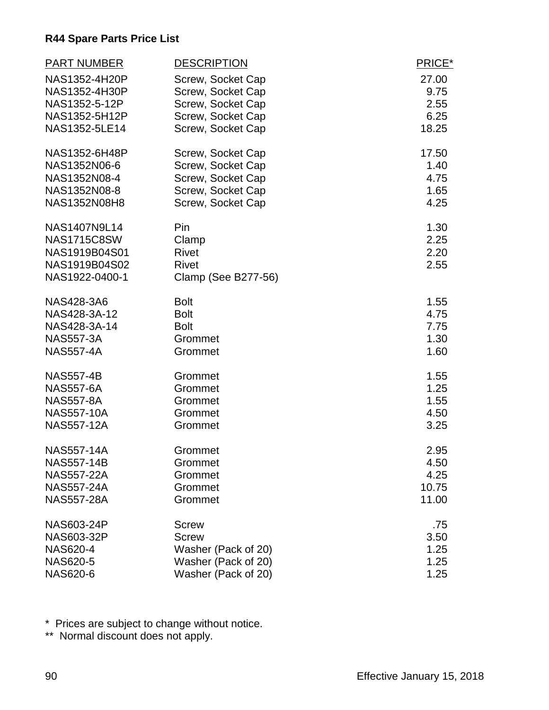| <b>PART NUMBER</b> | <b>DESCRIPTION</b>  | PRICE* |
|--------------------|---------------------|--------|
| NAS1352-4H20P      | Screw, Socket Cap   | 27.00  |
| NAS1352-4H30P      | Screw, Socket Cap   | 9.75   |
| NAS1352-5-12P      | Screw, Socket Cap   | 2.55   |
| NAS1352-5H12P      | Screw, Socket Cap   | 6.25   |
| NAS1352-5LE14      | Screw, Socket Cap   | 18.25  |
| NAS1352-6H48P      | Screw, Socket Cap   | 17.50  |
| NAS1352N06-6       | Screw, Socket Cap   | 1.40   |
| NAS1352N08-4       | Screw, Socket Cap   | 4.75   |
| NAS1352N08-8       | Screw, Socket Cap   | 1.65   |
| NAS1352N08H8       | Screw, Socket Cap   | 4.25   |
| NAS1407N9L14       | Pin                 | 1.30   |
| <b>NAS1715C8SW</b> | Clamp               | 2.25   |
| NAS1919B04S01      | <b>Rivet</b>        | 2.20   |
| NAS1919B04S02      | <b>Rivet</b>        | 2.55   |
| NAS1922-0400-1     | Clamp (See B277-56) |        |
| <b>NAS428-3A6</b>  | <b>Bolt</b>         | 1.55   |
| NAS428-3A-12       | <b>Bolt</b>         | 4.75   |
| NAS428-3A-14       | <b>Bolt</b>         | 7.75   |
| <b>NAS557-3A</b>   | Grommet             | 1.30   |
| <b>NAS557-4A</b>   | Grommet             | 1.60   |
| <b>NAS557-4B</b>   | Grommet             | 1.55   |
| <b>NAS557-6A</b>   | Grommet             | 1.25   |
| <b>NAS557-8A</b>   | Grommet             | 1.55   |
| <b>NAS557-10A</b>  | Grommet             | 4.50   |
| <b>NAS557-12A</b>  | Grommet             | 3.25   |
| <b>NAS557-14A</b>  | Grommet             | 2.95   |
| <b>NAS557-14B</b>  | Grommet             | 4.50   |
| <b>NAS557-22A</b>  | Grommet             | 4.25   |
| <b>NAS557-24A</b>  | Grommet             | 10.75  |
| <b>NAS557-28A</b>  | Grommet             | 11.00  |
| <b>NAS603-24P</b>  | <b>Screw</b>        | .75    |
| NAS603-32P         | <b>Screw</b>        | 3.50   |
| <b>NAS620-4</b>    | Washer (Pack of 20) | 1.25   |
| <b>NAS620-5</b>    | Washer (Pack of 20) | 1.25   |
| <b>NAS620-6</b>    | Washer (Pack of 20) | 1.25   |

\* Prices are subject to change without notice.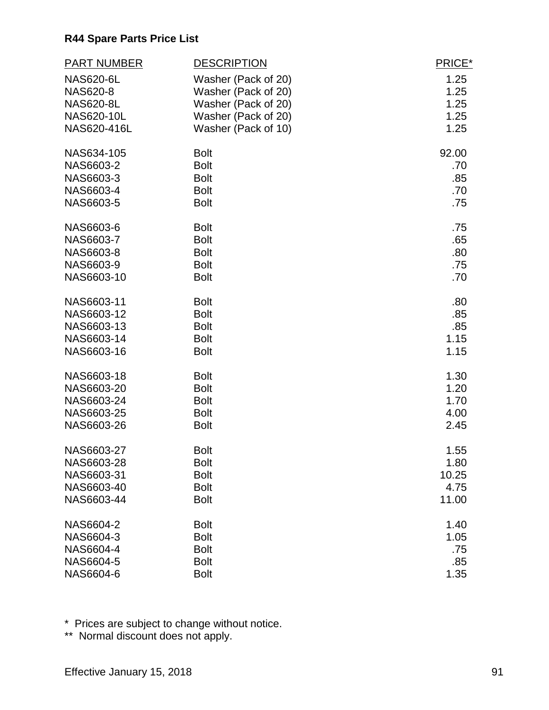| <b>PART NUMBER</b> | <b>DESCRIPTION</b>  | PRICE* |
|--------------------|---------------------|--------|
| <b>NAS620-6L</b>   | Washer (Pack of 20) | 1.25   |
| <b>NAS620-8</b>    | Washer (Pack of 20) | 1.25   |
| <b>NAS620-8L</b>   | Washer (Pack of 20) | 1.25   |
| NAS620-10L         | Washer (Pack of 20) | 1.25   |
| NAS620-416L        | Washer (Pack of 10) | 1.25   |
| NAS634-105         | <b>Bolt</b>         | 92.00  |
| NAS6603-2          | <b>Bolt</b>         | .70    |
| NAS6603-3          | <b>Bolt</b>         | .85    |
| NAS6603-4          | <b>Bolt</b>         | .70    |
| NAS6603-5          | <b>Bolt</b>         | .75    |
| NAS6603-6          | <b>Bolt</b>         | .75    |
| NAS6603-7          | <b>Bolt</b>         | .65    |
| NAS6603-8          | <b>Bolt</b>         | .80    |
| NAS6603-9          | <b>Bolt</b>         | .75    |
| NAS6603-10         | <b>Bolt</b>         | .70    |
| NAS6603-11         | <b>Bolt</b>         | .80    |
| NAS6603-12         | <b>Bolt</b>         | .85    |
| NAS6603-13         | <b>Bolt</b>         | .85    |
| NAS6603-14         | <b>Bolt</b>         | 1.15   |
| NAS6603-16         | <b>Bolt</b>         | 1.15   |
| NAS6603-18         | <b>Bolt</b>         | 1.30   |
| NAS6603-20         | <b>Bolt</b>         | 1.20   |
| NAS6603-24         | <b>Bolt</b>         | 1.70   |
| NAS6603-25         | <b>Bolt</b>         | 4.00   |
| NAS6603-26         | <b>Bolt</b>         | 2.45   |
| NAS6603-27         | <b>Bolt</b>         | 1.55   |
| NAS6603-28         | <b>Bolt</b>         | 1.80   |
| NAS6603-31         | <b>Bolt</b>         | 10.25  |
| NAS6603-40         | <b>Bolt</b>         | 4.75   |
| NAS6603-44         | <b>Bolt</b>         | 11.00  |
| NAS6604-2          | <b>Bolt</b>         | 1.40   |
| NAS6604-3          | <b>Bolt</b>         | 1.05   |
| NAS6604-4          | <b>Bolt</b>         | .75    |
| NAS6604-5          | <b>Bolt</b>         | .85    |
| NAS6604-6          | <b>Bolt</b>         | 1.35   |

\* Prices are subject to change without notice.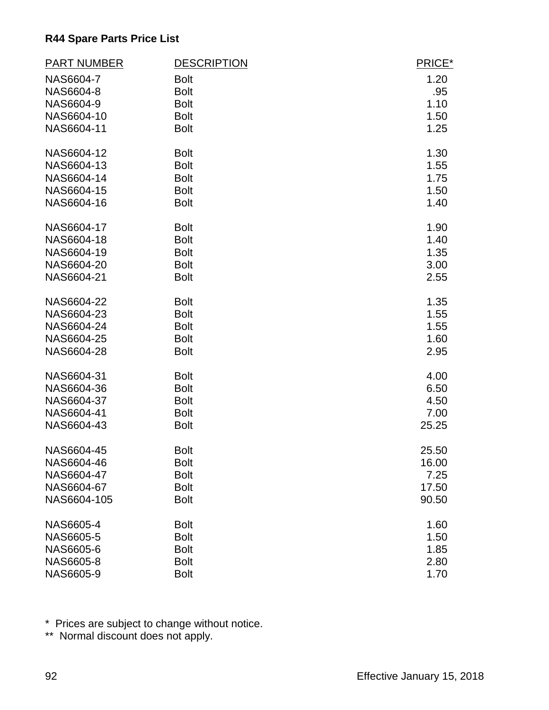| <b>PART NUMBER</b> | <b>DESCRIPTION</b> | PRICE* |
|--------------------|--------------------|--------|
| NAS6604-7          | <b>Bolt</b>        | 1.20   |
| NAS6604-8          | <b>Bolt</b>        | .95    |
| NAS6604-9          | <b>Bolt</b>        | 1.10   |
| NAS6604-10         | <b>Bolt</b>        | 1.50   |
| NAS6604-11         | <b>Bolt</b>        | 1.25   |
| NAS6604-12         | <b>Bolt</b>        | 1.30   |
| NAS6604-13         | <b>Bolt</b>        | 1.55   |
| NAS6604-14         | <b>Bolt</b>        | 1.75   |
| NAS6604-15         | <b>Bolt</b>        | 1.50   |
| NAS6604-16         | <b>Bolt</b>        | 1.40   |
| NAS6604-17         | <b>Bolt</b>        | 1.90   |
| NAS6604-18         | <b>Bolt</b>        | 1.40   |
| NAS6604-19         | <b>Bolt</b>        | 1.35   |
| NAS6604-20         | <b>Bolt</b>        | 3.00   |
| NAS6604-21         | <b>Bolt</b>        | 2.55   |
| NAS6604-22         | <b>Bolt</b>        | 1.35   |
| NAS6604-23         | <b>Bolt</b>        | 1.55   |
| NAS6604-24         | <b>Bolt</b>        | 1.55   |
| NAS6604-25         | <b>Bolt</b>        | 1.60   |
| NAS6604-28         | <b>Bolt</b>        | 2.95   |
| NAS6604-31         | <b>Bolt</b>        | 4.00   |
| NAS6604-36         | <b>Bolt</b>        | 6.50   |
| NAS6604-37         | <b>Bolt</b>        | 4.50   |
| NAS6604-41         | <b>Bolt</b>        | 7.00   |
| NAS6604-43         | <b>Bolt</b>        | 25.25  |
| NAS6604-45         | <b>Bolt</b>        | 25.50  |
| NAS6604-46         | <b>Bolt</b>        | 16.00  |
| NAS6604-47         | <b>Bolt</b>        | 7.25   |
| NAS6604-67         | <b>Bolt</b>        | 17.50  |
| NAS6604-105        | <b>Bolt</b>        | 90.50  |
| NAS6605-4          | <b>Bolt</b>        | 1.60   |
| NAS6605-5          | <b>Bolt</b>        | 1.50   |
| NAS6605-6          | <b>Bolt</b>        | 1.85   |
| NAS6605-8          | <b>Bolt</b>        | 2.80   |
| NAS6605-9          | <b>Bolt</b>        | 1.70   |

\* Prices are subject to change without notice.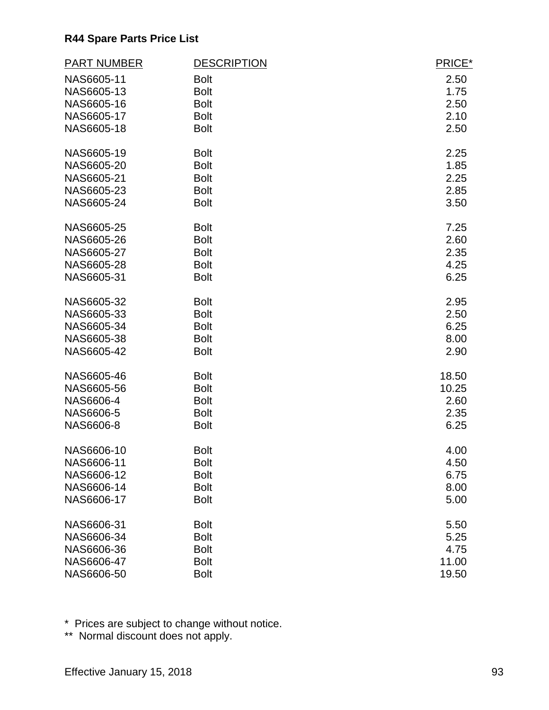| <b>PART NUMBER</b> | <b>DESCRIPTION</b> | PRICE* |
|--------------------|--------------------|--------|
| NAS6605-11         | <b>Bolt</b>        | 2.50   |
| NAS6605-13         | <b>Bolt</b>        | 1.75   |
| NAS6605-16         | <b>Bolt</b>        | 2.50   |
| NAS6605-17         | <b>Bolt</b>        | 2.10   |
| NAS6605-18         | <b>Bolt</b>        | 2.50   |
| NAS6605-19         | <b>Bolt</b>        | 2.25   |
| NAS6605-20         | <b>Bolt</b>        | 1.85   |
| NAS6605-21         | <b>Bolt</b>        | 2.25   |
| NAS6605-23         | <b>Bolt</b>        | 2.85   |
| NAS6605-24         | <b>Bolt</b>        | 3.50   |
| NAS6605-25         | <b>Bolt</b>        | 7.25   |
| NAS6605-26         | <b>Bolt</b>        | 2.60   |
| NAS6605-27         | <b>Bolt</b>        | 2.35   |
| NAS6605-28         | <b>Bolt</b>        | 4.25   |
| NAS6605-31         | <b>Bolt</b>        | 6.25   |
| NAS6605-32         | <b>Bolt</b>        | 2.95   |
| NAS6605-33         | <b>Bolt</b>        | 2.50   |
| NAS6605-34         | <b>Bolt</b>        | 6.25   |
| NAS6605-38         | <b>Bolt</b>        | 8.00   |
| NAS6605-42         | <b>Bolt</b>        | 2.90   |
| NAS6605-46         | <b>Bolt</b>        | 18.50  |
| NAS6605-56         | <b>Bolt</b>        | 10.25  |
| NAS6606-4          | <b>Bolt</b>        | 2.60   |
| NAS6606-5          | <b>Bolt</b>        | 2.35   |
| NAS6606-8          | <b>Bolt</b>        | 6.25   |
| NAS6606-10         | <b>Bolt</b>        | 4.00   |
| NAS6606-11         | <b>Bolt</b>        | 4.50   |
| NAS6606-12         | <b>Bolt</b>        | 6.75   |
| NAS6606-14         | <b>Bolt</b>        | 8.00   |
| NAS6606-17         | <b>Bolt</b>        | 5.00   |
| NAS6606-31         | <b>Bolt</b>        | 5.50   |
| NAS6606-34         | <b>Bolt</b>        | 5.25   |
| NAS6606-36         | <b>Bolt</b>        | 4.75   |
| NAS6606-47         | <b>Bolt</b>        | 11.00  |
| NAS6606-50         | <b>Bolt</b>        | 19.50  |

\* Prices are subject to change without notice.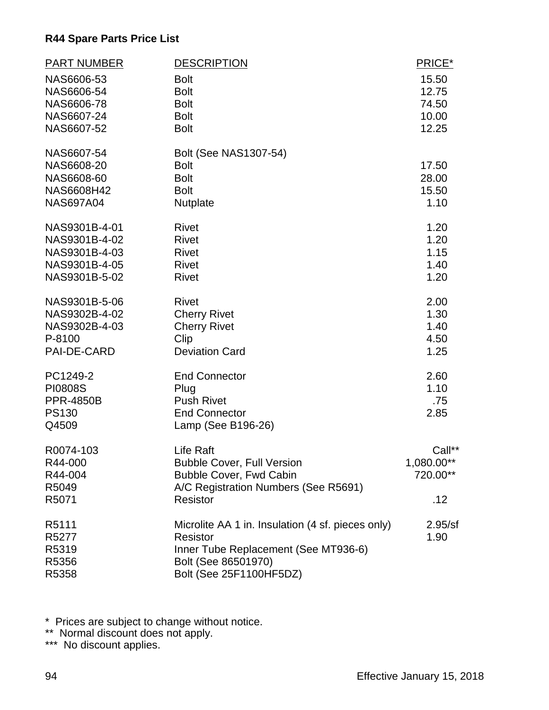| <b>PART NUMBER</b>             | <b>DESCRIPTION</b>                                | PRICE*       |
|--------------------------------|---------------------------------------------------|--------------|
| NAS6606-53                     | <b>Bolt</b>                                       | 15.50        |
| NAS6606-54                     | <b>Bolt</b>                                       | 12.75        |
| NAS6606-78                     | <b>Bolt</b>                                       | 74.50        |
| NAS6607-24                     | <b>Bolt</b>                                       | 10.00        |
| NAS6607-52                     | <b>Bolt</b>                                       | 12.25        |
| NAS6607-54                     | <b>Bolt (See NAS1307-54)</b>                      |              |
| NAS6608-20                     | <b>Bolt</b>                                       | 17.50        |
| NAS6608-60                     | <b>Bolt</b>                                       | 28.00        |
| NAS6608H42                     | <b>Bolt</b>                                       | 15.50        |
| <b>NAS697A04</b>               | Nutplate                                          | 1.10         |
| NAS9301B-4-01                  | <b>Rivet</b>                                      | 1.20         |
| NAS9301B-4-02                  | <b>Rivet</b>                                      | 1.20         |
| NAS9301B-4-03                  | <b>Rivet</b>                                      | 1.15         |
| NAS9301B-4-05<br>NAS9301B-5-02 | <b>Rivet</b><br><b>Rivet</b>                      | 1.40<br>1.20 |
|                                |                                                   |              |
| NAS9301B-5-06                  | <b>Rivet</b>                                      | 2.00         |
| NAS9302B-4-02                  | <b>Cherry Rivet</b>                               | 1.30         |
| NAS9302B-4-03                  | <b>Cherry Rivet</b>                               | 1.40         |
| P-8100                         | Clip                                              | 4.50         |
| PAI-DE-CARD                    | <b>Deviation Card</b>                             | 1.25         |
| PC1249-2                       | <b>End Connector</b>                              | 2.60         |
| <b>PI0808S</b>                 | Plug                                              | 1.10         |
| <b>PPR-4850B</b>               | <b>Push Rivet</b>                                 | .75          |
| <b>PS130</b>                   | <b>End Connector</b>                              | 2.85         |
| Q4509                          | Lamp (See B196-26)                                |              |
| R0074-103                      | Life Raft                                         | Call**       |
| R44-000                        | <b>Bubble Cover, Full Version</b>                 | 1,080.00**   |
| R44-004                        | <b>Bubble Cover, Fwd Cabin</b>                    | 720.00**     |
| R5049                          | A/C Registration Numbers (See R5691)              |              |
| R5071                          | Resistor                                          | .12          |
| R5111                          | Microlite AA 1 in. Insulation (4 sf. pieces only) | 2.95/sf      |
| R5277                          | <b>Resistor</b>                                   | 1.90         |
| R5319                          | Inner Tube Replacement (See MT936-6)              |              |
| R5356                          | Bolt (See 86501970)                               |              |
| R5358                          | Bolt (See 25F1100HF5DZ)                           |              |

\* Prices are subject to change without notice.

\*\* Normal discount does not apply.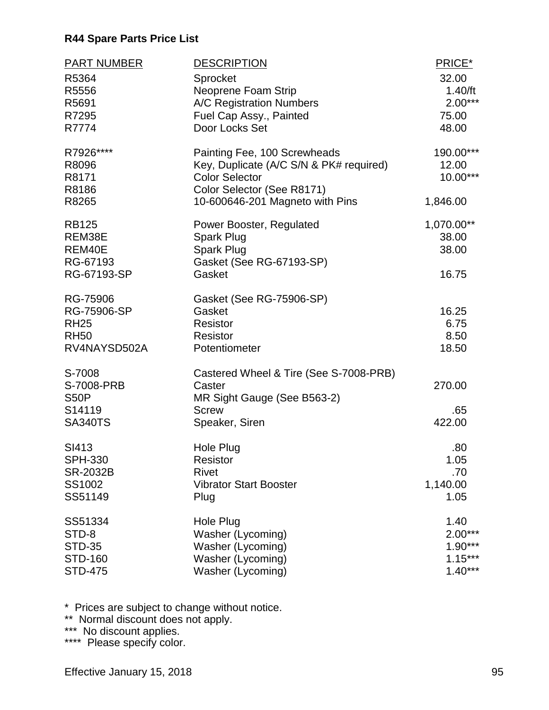| <b>PART NUMBER</b> | <b>DESCRIPTION</b>                      | PRICE*     |
|--------------------|-----------------------------------------|------------|
| R5364              | Sprocket                                | 32.00      |
| R5556              | Neoprene Foam Strip                     | 1.40/ft    |
| R5691              | A/C Registration Numbers                | $2.00***$  |
| R7295              | Fuel Cap Assy., Painted                 | 75.00      |
| R7774              | Door Locks Set                          | 48.00      |
| R7926****          | Painting Fee, 100 Screwheads            | 190.00***  |
| R8096              | Key, Duplicate (A/C S/N & PK# required) | 12.00      |
| R8171              | <b>Color Selector</b>                   | 10.00***   |
| R8186              | Color Selector (See R8171)              |            |
| R8265              | 10-600646-201 Magneto with Pins         | 1,846.00   |
| <b>RB125</b>       | Power Booster, Regulated                | 1,070.00** |
| REM38E             | Spark Plug                              | 38.00      |
| REM40E             | Spark Plug                              | 38.00      |
| RG-67193           | Gasket (See RG-67193-SP)                |            |
| RG-67193-SP        | Gasket                                  | 16.75      |
| RG-75906           | Gasket (See RG-75906-SP)                |            |
| RG-75906-SP        | Gasket                                  | 16.25      |
| <b>RH25</b>        | Resistor                                | 6.75       |
| <b>RH50</b>        | Resistor                                | 8.50       |
| RV4NAYSD502A       | Potentiometer                           | 18.50      |
| S-7008             | Castered Wheel & Tire (See S-7008-PRB)  |            |
| S-7008-PRB         | Caster                                  | 270.00     |
| <b>S50P</b>        | MR Sight Gauge (See B563-2)             |            |
| S14119             | <b>Screw</b>                            | .65        |
| <b>SA340TS</b>     | Speaker, Siren                          | 422.00     |
| SI413              | <b>Hole Plug</b>                        | .80        |
| <b>SPH-330</b>     | Resistor                                | 1.05       |
| <b>SR-2032B</b>    | <b>Rivet</b>                            | .70        |
| SS1002             | <b>Vibrator Start Booster</b>           | 1,140.00   |
| SS51149            | Plug                                    | 1.05       |
| SS51334            | Hole Plug                               | 1.40       |
| STD-8              | Washer (Lycoming)                       | $2.00***$  |
| <b>STD-35</b>      | Washer (Lycoming)                       | $1.90***$  |
| <b>STD-160</b>     | Washer (Lycoming)                       | $1.15***$  |
| <b>STD-475</b>     | Washer (Lycoming)                       | $1.40***$  |

\* Prices are subject to change without notice.

\*\* Normal discount does not apply.

\*\*\* No discount applies.

\*\*\*\* Please specify color.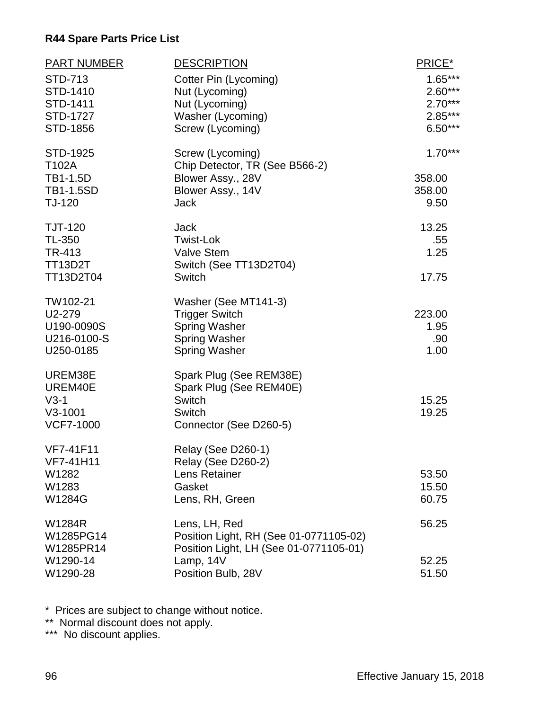| <b>PART NUMBER</b>                          | <b>DESCRIPTION</b>                                                               | PRICE*                                           |
|---------------------------------------------|----------------------------------------------------------------------------------|--------------------------------------------------|
| STD-713<br>STD-1410<br>STD-1411<br>STD-1727 | Cotter Pin (Lycoming)<br>Nut (Lycoming)<br>Nut (Lycoming)<br>Washer (Lycoming)   | $1.65***$<br>$2.60***$<br>$2.70***$<br>$2.85***$ |
| STD-1856                                    | Screw (Lycoming)                                                                 | $6.50***$                                        |
| STD-1925<br>T102A                           | Screw (Lycoming)<br>Chip Detector, TR (See B566-2)                               | $1.70***$                                        |
| TB1-1.5D                                    | Blower Assy., 28V                                                                | 358.00                                           |
| <b>TB1-1.5SD</b>                            | Blower Assy., 14V                                                                | 358.00                                           |
| TJ-120                                      | <b>Jack</b>                                                                      | 9.50                                             |
| <b>TJT-120</b>                              | <b>Jack</b>                                                                      | 13.25                                            |
| TL-350                                      | <b>Twist-Lok</b>                                                                 | .55                                              |
| TR-413<br><b>TT13D2T</b>                    | <b>Valve Stem</b><br>Switch (See TT13D2T04)                                      | 1.25                                             |
| TT13D2T04                                   | <b>Switch</b>                                                                    | 17.75                                            |
| TW102-21                                    | Washer (See MT141-3)                                                             |                                                  |
| U2-279                                      | <b>Trigger Switch</b>                                                            | 223.00                                           |
| U190-0090S                                  | <b>Spring Washer</b>                                                             | 1.95                                             |
| U216-0100-S                                 | <b>Spring Washer</b>                                                             | .90                                              |
| U250-0185                                   | <b>Spring Washer</b>                                                             | 1.00                                             |
| UREM38E<br>UREM40E                          | Spark Plug (See REM38E)<br>Spark Plug (See REM40E)                               |                                                  |
| $V3-1$                                      | Switch                                                                           | 15.25                                            |
| $V3-1001$                                   | Switch                                                                           | 19.25                                            |
| <b>VCF7-1000</b>                            | Connector (See D260-5)                                                           |                                                  |
| <b>VF7-41F11</b>                            | Relay (See D260-1)                                                               |                                                  |
| VF7-41H11                                   | Relay (See D260-2)                                                               |                                                  |
| W1282                                       | Lens Retainer                                                                    | 53.50                                            |
| W1283                                       | Gasket                                                                           | 15.50                                            |
| W1284G                                      | Lens, RH, Green                                                                  | 60.75                                            |
| W1284R                                      | Lens, LH, Red                                                                    | 56.25                                            |
| W1285PG14<br>W1285PR14                      | Position Light, RH (See 01-0771105-02)<br>Position Light, LH (See 01-0771105-01) |                                                  |
| W1290-14                                    | Lamp, 14V                                                                        | 52.25                                            |
| W1290-28                                    | Position Bulb, 28V                                                               | 51.50                                            |

\* Prices are subject to change without notice.

\*\* Normal discount does not apply.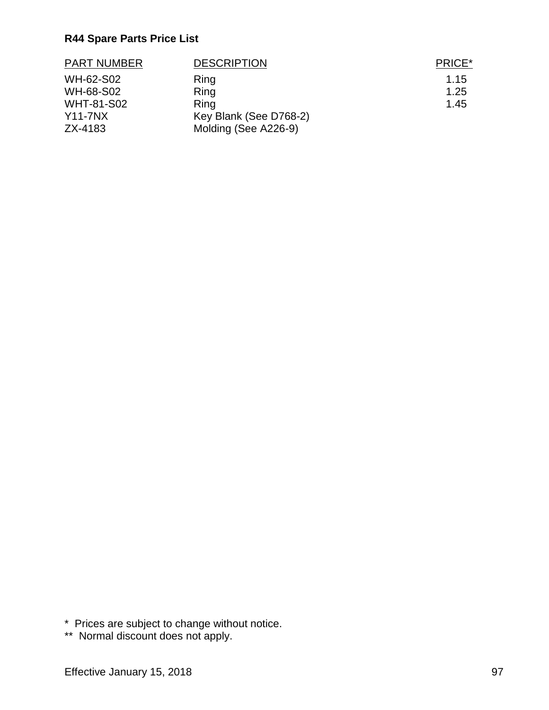| <b>PART NUMBER</b> | <b>DESCRIPTION</b>     | PRICE* |
|--------------------|------------------------|--------|
| WH-62-S02          | Ring                   | 1.15   |
| WH-68-S02          | Ring                   | 1.25   |
| <b>WHT-81-S02</b>  | Ring                   | 1.45   |
| $Y11-7NX$          | Key Blank (See D768-2) |        |
| ZX-4183            | Molding (See A226-9)   |        |

\* Prices are subject to change without notice.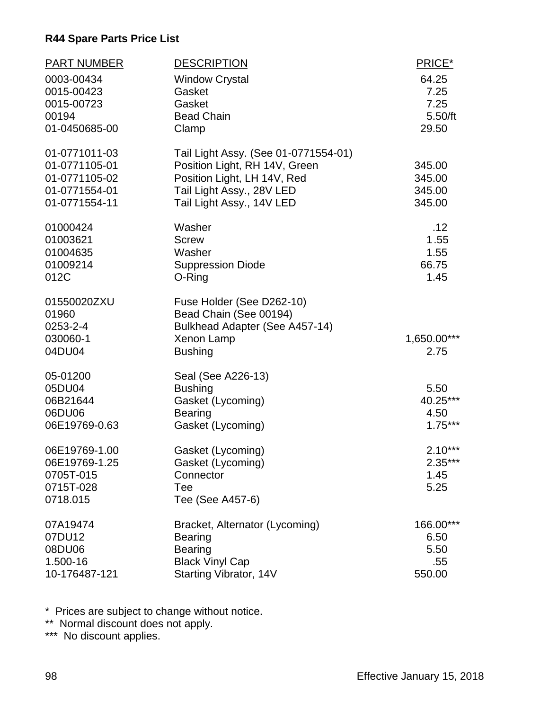| <b>PART NUMBER</b><br>0003-00434<br>0015-00423<br>0015-00723<br>00194<br>01-0450685-00 | <b>DESCRIPTION</b><br><b>Window Crystal</b><br>Gasket<br>Gasket<br><b>Bead Chain</b><br>Clamp                                                                  | PRICE*<br>64.25<br>7.25<br>7.25<br>5.50/ft<br>29.50 |
|----------------------------------------------------------------------------------------|----------------------------------------------------------------------------------------------------------------------------------------------------------------|-----------------------------------------------------|
| 01-0771011-03<br>01-0771105-01<br>01-0771105-02<br>01-0771554-01<br>01-0771554-11      | Tail Light Assy. (See 01-0771554-01)<br>Position Light, RH 14V, Green<br>Position Light, LH 14V, Red<br>Tail Light Assy., 28V LED<br>Tail Light Assy., 14V LED | 345.00<br>345.00<br>345.00<br>345.00                |
| 01000424<br>01003621<br>01004635<br>01009214<br>012C                                   | Washer<br><b>Screw</b><br>Washer<br><b>Suppression Diode</b><br>O-Ring                                                                                         | .12<br>1.55<br>1.55<br>66.75<br>1.45                |
| 01550020ZXU<br>01960<br>0253-2-4<br>030060-1<br>04DU04                                 | Fuse Holder (See D262-10)<br>Bead Chain (See 00194)<br>Bulkhead Adapter (See A457-14)<br><b>Xenon Lamp</b><br><b>Bushing</b>                                   | 1,650.00***<br>2.75                                 |
| 05-01200<br>05DU04<br>06B21644<br>06DU06<br>06E19769-0.63                              | Seal (See A226-13)<br><b>Bushing</b><br>Gasket (Lycoming)<br><b>Bearing</b><br>Gasket (Lycoming)                                                               | 5.50<br>40.25***<br>4.50<br>$1.75***$               |
| 06E19769-1.00<br>06E19769-1.25<br>0705T-015<br>0715T-028<br>0718.015                   | Gasket (Lycoming)<br>Gasket (Lycoming)<br>Connector<br>Tee<br>Tee (See A457-6)                                                                                 | $2.10***$<br>$2.35***$<br>1.45<br>5.25              |
| 07A19474<br>07DU12<br>08DU06<br>1.500-16<br>10-176487-121                              | Bracket, Alternator (Lycoming)<br><b>Bearing</b><br><b>Bearing</b><br><b>Black Vinyl Cap</b><br>Starting Vibrator, 14V                                         | 166.00***<br>6.50<br>5.50<br>.55<br>550.00          |

\* Prices are subject to change without notice.

\*\* Normal discount does not apply.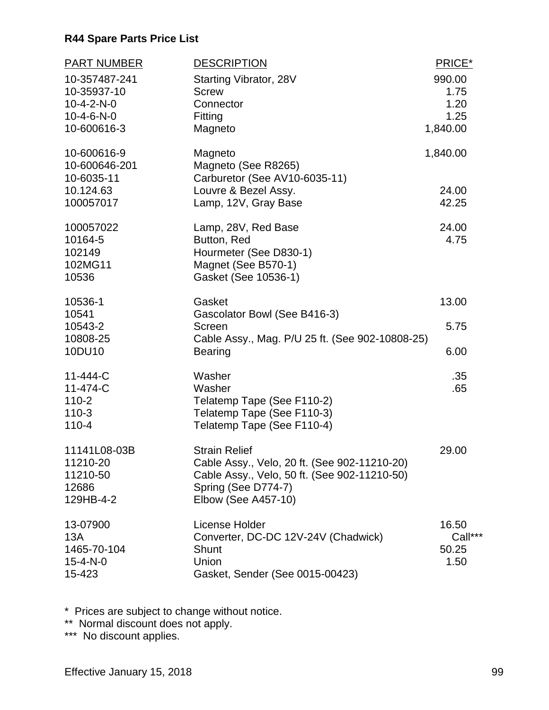| <b>PART NUMBER</b>                                                                          | <b>DESCRIPTION</b>                                                                                                                                                 | PRICE*                                     |
|---------------------------------------------------------------------------------------------|--------------------------------------------------------------------------------------------------------------------------------------------------------------------|--------------------------------------------|
| 10-357487-241<br>10-35937-10<br>$10 - 4 - 2 - N - 0$<br>$10 - 4 - 6 - N - 0$<br>10-600616-3 | Starting Vibrator, 28V<br><b>Screw</b><br>Connector<br>Fitting<br>Magneto                                                                                          | 990.00<br>1.75<br>1.20<br>1.25<br>1,840.00 |
| 10-600616-9<br>10-600646-201<br>10-6035-11                                                  | Magneto<br>Magneto (See R8265)<br>Carburetor (See AV10-6035-11)                                                                                                    | 1,840.00                                   |
| 10.124.63<br>100057017                                                                      | Louvre & Bezel Assy.<br>Lamp, 12V, Gray Base                                                                                                                       | 24.00<br>42.25                             |
| 100057022<br>10164-5<br>102149<br>102MG11<br>10536                                          | Lamp, 28V, Red Base<br>Button, Red<br>Hourmeter (See D830-1)<br>Magnet (See B570-1)<br>Gasket (See 10536-1)                                                        | 24.00<br>4.75                              |
| 10536-1                                                                                     | Gasket                                                                                                                                                             | 13.00                                      |
| 10541<br>10543-2<br>10808-25                                                                | Gascolator Bowl (See B416-3)<br>Screen<br>Cable Assy., Mag. P/U 25 ft. (See 902-10808-25)                                                                          | 5.75                                       |
| 10DU10                                                                                      | <b>Bearing</b>                                                                                                                                                     | 6.00                                       |
| 11-444-C<br>11-474-C<br>$110 - 2$<br>$110-3$<br>$110 - 4$                                   | Washer<br>Washer<br>Telatemp Tape (See F110-2)<br>Telatemp Tape (See F110-3)<br>Telatemp Tape (See F110-4)                                                         | .35<br>.65                                 |
| 11141L08-03B<br>11210-20<br>11210-50<br>12686<br>129HB-4-2                                  | <b>Strain Relief</b><br>Cable Assy., Velo, 20 ft. (See 902-11210-20)<br>Cable Assy., Velo, 50 ft. (See 902-11210-50)<br>Spring (See D774-7)<br>Elbow (See A457-10) | 29.00                                      |
| 13-07900<br>13A<br>1465-70-104<br>$15 - 4 - N - 0$<br>15-423                                | License Holder<br>Converter, DC-DC 12V-24V (Chadwick)<br>Shunt<br>Union<br>Gasket, Sender (See 0015-00423)                                                         | 16.50<br>Call***<br>50.25<br>1.50          |

\* Prices are subject to change without notice.

\*\* Normal discount does not apply.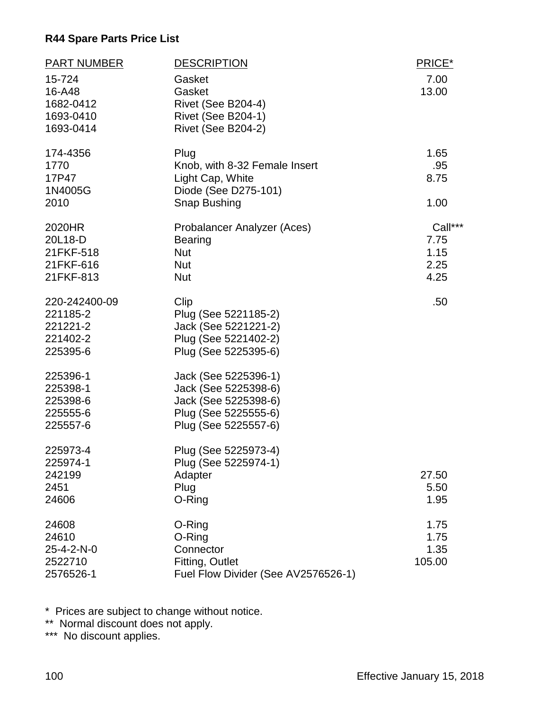| <b>PART NUMBER</b>                                            | <b>DESCRIPTION</b>                                                                                                   | PRICE*                                  |
|---------------------------------------------------------------|----------------------------------------------------------------------------------------------------------------------|-----------------------------------------|
| 15-724<br>16-A48<br>1682-0412<br>1693-0410<br>1693-0414       | Gasket<br>Gasket<br>Rivet (See B204-4)<br><b>Rivet (See B204-1)</b><br>Rivet (See B204-2)                            | 7.00<br>13.00                           |
| 174-4356<br>1770<br>17P47<br>1N4005G<br>2010                  | Plug<br>Knob, with 8-32 Female Insert<br>Light Cap, White<br>Diode (See D275-101)<br>Snap Bushing                    | 1.65<br>.95<br>8.75<br>1.00             |
| 2020HR<br>20L18-D<br>21FKF-518<br>21FKF-616<br>21FKF-813      | Probalancer Analyzer (Aces)<br><b>Bearing</b><br><b>Nut</b><br><b>Nut</b><br><b>Nut</b>                              | Call***<br>7.75<br>1.15<br>2.25<br>4.25 |
| 220-242400-09<br>221185-2<br>221221-2<br>221402-2<br>225395-6 | Clip<br>Plug (See 5221185-2)<br>Jack (See 5221221-2)<br>Plug (See 5221402-2)<br>Plug (See 5225395-6)                 | .50                                     |
| 225396-1<br>225398-1<br>225398-6<br>225555-6<br>225557-6      | Jack (See 5225396-1)<br>Jack (See 5225398-6)<br>Jack (See 5225398-6)<br>Plug (See 5225555-6)<br>Plug (See 5225557-6) |                                         |
| 225973-4<br>225974-1<br>242199<br>2451<br>24606               | Plug (See 5225973-4)<br>Plug (See 5225974-1)<br>Adapter<br>Plug<br>O-Ring                                            | 27.50<br>5.50<br>1.95                   |
| 24608<br>24610<br>25-4-2-N-0<br>2522710<br>2576526-1          | O-Ring<br>O-Ring<br>Connector<br>Fitting, Outlet<br>Fuel Flow Divider (See AV2576526-1)                              | 1.75<br>1.75<br>1.35<br>105.00          |

\* Prices are subject to change without notice.

\*\* Normal discount does not apply.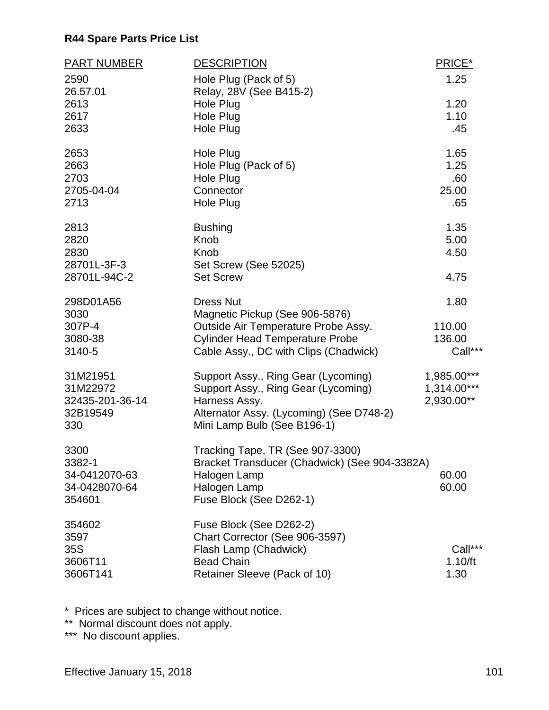| <b>PART NUMBER</b> | <b>DESCRIPTION</b>                               | PRICE*        |
|--------------------|--------------------------------------------------|---------------|
| 2590<br>26.57.01   | Hole Plug (Pack of 5)<br>Relay, 28V (See B415-2) | 1.25          |
| 2613               | Hole Plug                                        | 1.20          |
| 2617               | Hole Plug                                        | 1.10          |
| 2633               | Hole Plug                                        | .45           |
| 2653               | Hole Plug                                        | 1.65          |
| 2663               | Hole Plug (Pack of 5)                            | 1.25          |
| 2703               | <b>Hole Plug</b>                                 | .60           |
| 2705-04-04         | Connector                                        | 25.00         |
| 2713               | Hole Plug                                        | .65           |
| 2813               | <b>Bushing</b>                                   | 1.35          |
| 2820               | Knob                                             | 5.00          |
| 2830               | Knob                                             | 4.50          |
| 28701L-3F-3        | Set Screw (See 52025)                            |               |
| 28701L-94C-2       | <b>Set Screw</b>                                 | 4.75          |
| 298D01A56          | <b>Dress Nut</b>                                 | 1.80          |
| 3030               | Magnetic Pickup (See 906-5876)                   |               |
| 307P-4             | Outside Air Temperature Probe Assy.              | 110.00        |
| 3080-38            | <b>Cylinder Head Temperature Probe</b>           | 136.00        |
| 3140-5             | Cable Assy., DC with Clips (Chadwick)            | Call***       |
| 31M21951           | Support Assy., Ring Gear (Lycoming)              | 1,985.00***   |
| 31M22972           | Support Assy., Ring Gear (Lycoming)              | $1,314.00***$ |
| 32435-201-36-14    | Harness Assy.                                    | 2,930.00**    |
| 32B19549           | Alternator Assy. (Lycoming) (See D748-2)         |               |
| 330                | Mini Lamp Bulb (See B196-1)                      |               |
| 3300               | Tracking Tape, TR (See 907-3300)                 |               |
| 3382-1             | Bracket Transducer (Chadwick) (See 904-3382A)    |               |
| 34-0412070-63      | Halogen Lamp                                     | 60.00         |
| 34-0428070-64      | Halogen Lamp                                     | 60.00         |
| 354601             | Fuse Block (See D262-1)                          |               |
| 354602             | Fuse Block (See D262-2)                          |               |
| 3597               | Chart Corrector (See 906-3597)                   |               |
| 35S                | Flash Lamp (Chadwick)                            | Call***       |
| 3606T11            | <b>Bead Chain</b>                                | 1.10/ft       |
| 3606T141           | Retainer Sleeve (Pack of 10)                     | 1.30          |

\* Prices are subject to change without notice.

\*\* Normal discount does not apply.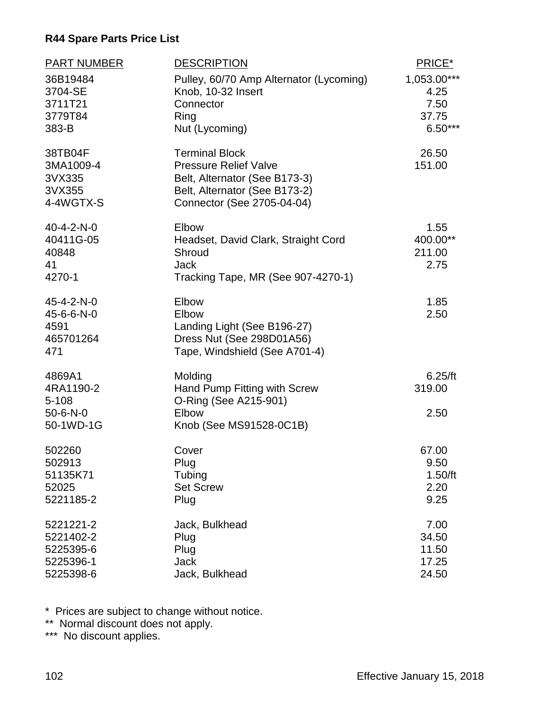| <b>PART NUMBER</b>                                                | <b>DESCRIPTION</b>                                                                                                                                    | PRICE*                                            |
|-------------------------------------------------------------------|-------------------------------------------------------------------------------------------------------------------------------------------------------|---------------------------------------------------|
| 36B19484<br>3704-SE<br>3711T21<br>3779T84<br>383-B                | Pulley, 60/70 Amp Alternator (Lycoming)<br>Knob, 10-32 Insert<br>Connector<br>Ring<br>Nut (Lycoming)                                                  | 1,053.00***<br>4.25<br>7.50<br>37.75<br>$6.50***$ |
| 38TB04F<br>3MA1009-4<br>3VX335<br>3VX355<br>4-4WGTX-S             | <b>Terminal Block</b><br><b>Pressure Relief Valve</b><br>Belt, Alternator (See B173-3)<br>Belt, Alternator (See B173-2)<br>Connector (See 2705-04-04) | 26.50<br>151.00                                   |
| 40-4-2-N-0<br>40411G-05<br>40848<br>41<br>4270-1                  | Elbow<br>Headset, David Clark, Straight Cord<br>Shroud<br><b>Jack</b><br>Tracking Tape, MR (See 907-4270-1)                                           | 1.55<br>400.00**<br>211.00<br>2.75                |
| 45-4-2-N-0<br>45-6-6-N-0<br>4591<br>465701264<br>471              | Elbow<br>Elbow<br>Landing Light (See B196-27)<br>Dress Nut (See 298D01A56)<br>Tape, Windshield (See A701-4)                                           | 1.85<br>2.50                                      |
| 4869A1<br>4RA1190-2<br>$5 - 108$<br>$50 - 6 - N - 0$<br>50-1WD-1G | Molding<br>Hand Pump Fitting with Screw<br>O-Ring (See A215-901)<br>Elbow<br>Knob (See MS91528-0C1B)                                                  | 6.25/ft<br>319.00<br>2.50                         |
| 502260<br>502913<br>51135K71<br>52025<br>5221185-2                | Cover<br>Plug<br>Tubing<br><b>Set Screw</b><br>Plug                                                                                                   | 67.00<br>9.50<br>$1.50$ /ft<br>2.20<br>9.25       |
| 5221221-2<br>5221402-2<br>5225395-6<br>5225396-1<br>5225398-6     | Jack, Bulkhead<br>Plug<br>Plug<br><b>Jack</b><br>Jack, Bulkhead                                                                                       | 7.00<br>34.50<br>11.50<br>17.25<br>24.50          |

\* Prices are subject to change without notice.

\*\* Normal discount does not apply.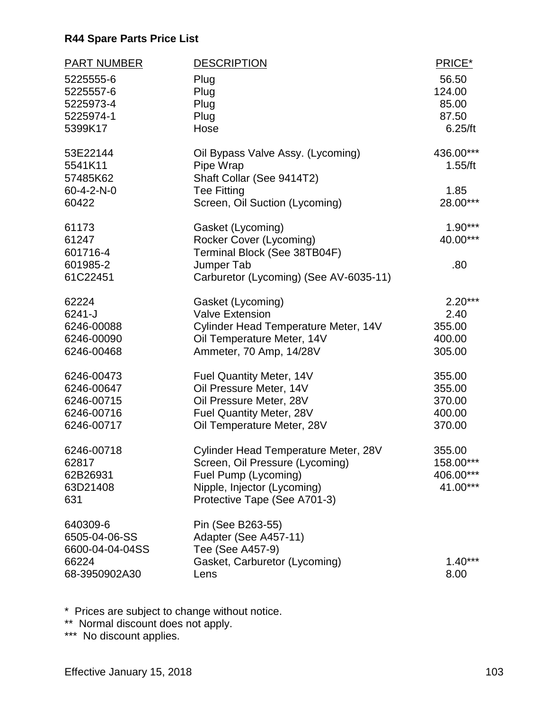| <b>PART NUMBER</b><br>5225555-6<br>5225557-6<br>5225973-4<br>5225974-1<br>5399K17 | <b>DESCRIPTION</b><br>Plug<br>Plug<br>Plug<br>Plug<br>Hose                                                                                                            | PRICE*<br>56.50<br>124.00<br>85.00<br>87.50<br>6.25/ft |
|-----------------------------------------------------------------------------------|-----------------------------------------------------------------------------------------------------------------------------------------------------------------------|--------------------------------------------------------|
| 53E22144<br>5541K11<br>57485K62<br>$60 - 4 - 2 - N - 0$<br>60422                  | Oil Bypass Valve Assy. (Lycoming)<br>Pipe Wrap<br>Shaft Collar (See 9414T2)<br><b>Tee Fitting</b><br>Screen, Oil Suction (Lycoming)                                   | 436.00***<br>1.55/ft<br>1.85<br>28.00***               |
| 61173<br>61247<br>601716-4<br>601985-2<br>61C22451                                | Gasket (Lycoming)<br>Rocker Cover (Lycoming)<br>Terminal Block (See 38TB04F)<br>Jumper Tab<br>Carburetor (Lycoming) (See AV-6035-11)                                  | $1.90***$<br>40.00***<br>.80                           |
| 62224<br>6241-J<br>6246-00088<br>6246-00090<br>6246-00468                         | Gasket (Lycoming)<br><b>Valve Extension</b><br>Cylinder Head Temperature Meter, 14V<br>Oil Temperature Meter, 14V<br>Ammeter, 70 Amp, 14/28V                          | $2.20***$<br>2.40<br>355.00<br>400.00<br>305.00        |
| 6246-00473<br>6246-00647<br>6246-00715<br>6246-00716<br>6246-00717                | Fuel Quantity Meter, 14V<br>Oil Pressure Meter, 14V<br>Oil Pressure Meter, 28V<br>Fuel Quantity Meter, 28V<br>Oil Temperature Meter, 28V                              | 355.00<br>355.00<br>370.00<br>400.00<br>370.00         |
| 6246-00718<br>62817<br>62B26931<br>63D21408<br>631                                | <b>Cylinder Head Temperature Meter, 28V</b><br>Screen, Oil Pressure (Lycoming)<br>Fuel Pump (Lycoming)<br>Nipple, Injector (Lycoming)<br>Protective Tape (See A701-3) | 355.00<br>158.00***<br>406.00***<br>41.00***           |
| 640309-6<br>6505-04-06-SS<br>6600-04-04-04SS<br>66224<br>68-3950902A30            | Pin (See B263-55)<br>Adapter (See A457-11)<br>Tee (See A457-9)<br>Gasket, Carburetor (Lycoming)<br>Lens                                                               | $1.40***$<br>8.00                                      |

\* Prices are subject to change without notice.

\*\* Normal discount does not apply.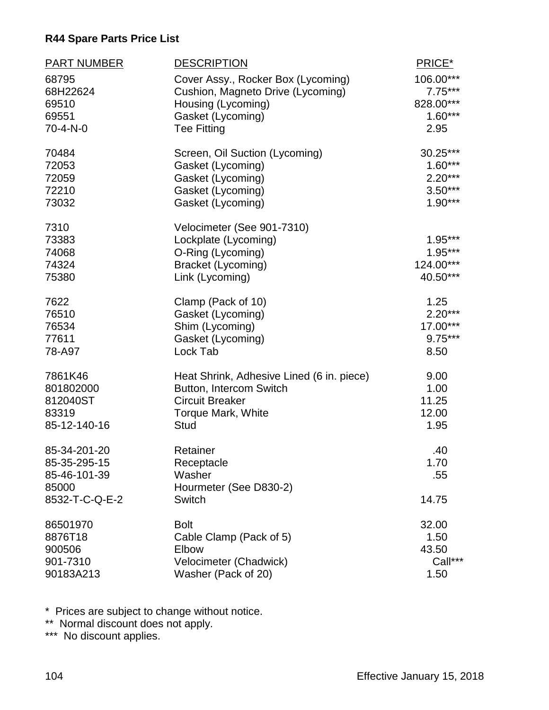| PART NUMBER    | <b>DESCRIPTION</b>                        | PRICE*                 |
|----------------|-------------------------------------------|------------------------|
| 68795          | Cover Assy., Rocker Box (Lycoming)        | 106.00***              |
| 68H22624       | Cushion, Magneto Drive (Lycoming)         | $7.75***$              |
| 69510          | Housing (Lycoming)                        | 828.00***              |
| 69551          | Gasket (Lycoming)                         | $1.60***$              |
| 70-4-N-0       | <b>Tee Fitting</b>                        | 2.95                   |
| 70484          | Screen, Oil Suction (Lycoming)            | 30.25***               |
| 72053          | Gasket (Lycoming)                         | $1.60***$              |
| 72059          | Gasket (Lycoming)                         | $2.20***$              |
| 72210          | Gasket (Lycoming)                         | $3.50***$<br>$1.90***$ |
| 73032          | Gasket (Lycoming)                         |                        |
| 7310           | Velocimeter (See 901-7310)                |                        |
| 73383          | Lockplate (Lycoming)                      | $1.95***$              |
| 74068<br>74324 | O-Ring (Lycoming)                         | $1.95***$<br>124.00*** |
| 75380          | Bracket (Lycoming)<br>Link (Lycoming)     | 40.50***               |
|                |                                           |                        |
| 7622           | Clamp (Pack of 10)                        | 1.25                   |
| 76510          | Gasket (Lycoming)                         | $2.20***$              |
| 76534          | Shim (Lycoming)                           | 17.00***               |
| 77611          | Gasket (Lycoming)                         | $9.75***$              |
| 78-A97         | Lock Tab                                  | 8.50                   |
| 7861K46        | Heat Shrink, Adhesive Lined (6 in. piece) | 9.00                   |
| 801802000      | Button, Intercom Switch                   | 1.00                   |
| 812040ST       | <b>Circuit Breaker</b>                    | 11.25                  |
| 83319          | Torque Mark, White                        | 12.00                  |
| 85-12-140-16   | <b>Stud</b>                               | 1.95                   |
| 85-34-201-20   | Retainer                                  | .40                    |
| 85-35-295-15   | Receptacle                                | 1.70                   |
| 85-46-101-39   | Washer                                    | .55                    |
| 85000          | Hourmeter (See D830-2)                    |                        |
| 8532-T-C-Q-E-2 | <b>Switch</b>                             | 14.75                  |
| 86501970       | <b>Bolt</b>                               | 32.00                  |
| 8876T18        | Cable Clamp (Pack of 5)                   | 1.50                   |
| 900506         | Elbow                                     | 43.50                  |
| 901-7310       | Velocimeter (Chadwick)                    | Call***                |
| 90183A213      | Washer (Pack of 20)                       | 1.50                   |

\* Prices are subject to change without notice.

\*\* Normal discount does not apply.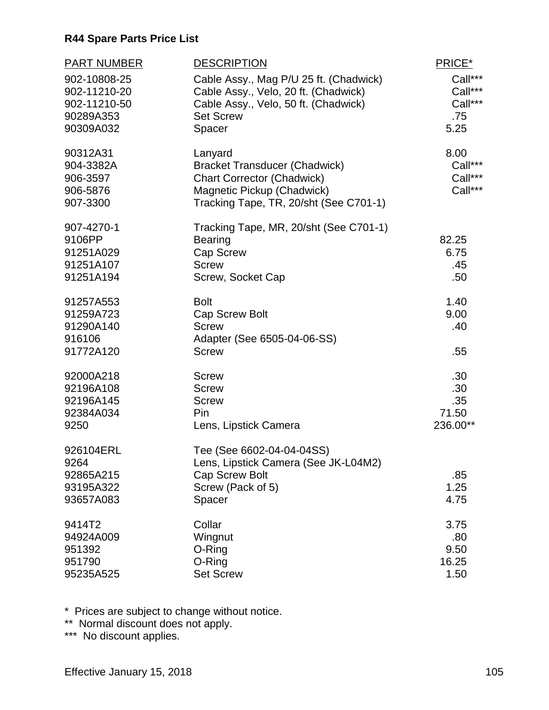| <b>DESCRIPTION</b>                                                                                                                                           | PRICE*                                                                                                                                                                                                      |
|--------------------------------------------------------------------------------------------------------------------------------------------------------------|-------------------------------------------------------------------------------------------------------------------------------------------------------------------------------------------------------------|
| Cable Assy., Mag P/U 25 ft. (Chadwick)<br>Cable Assy., Velo, 20 ft. (Chadwick)<br>Cable Assy., Velo, 50 ft. (Chadwick)<br><b>Set Screw</b>                   | Call***<br>Call***<br>Call***<br>.75<br>5.25                                                                                                                                                                |
|                                                                                                                                                              |                                                                                                                                                                                                             |
| Lanyard<br><b>Bracket Transducer (Chadwick)</b><br><b>Chart Corrector (Chadwick)</b><br>Magnetic Pickup (Chadwick)<br>Tracking Tape, TR, 20/sht (See C701-1) | 8.00<br>Call***<br>Call***<br>Call***                                                                                                                                                                       |
| Tracking Tape, MR, 20/sht (See C701-1)                                                                                                                       |                                                                                                                                                                                                             |
|                                                                                                                                                              | 82.25<br>6.75                                                                                                                                                                                               |
|                                                                                                                                                              | .45                                                                                                                                                                                                         |
| Screw, Socket Cap                                                                                                                                            | .50                                                                                                                                                                                                         |
| <b>Bolt</b>                                                                                                                                                  | 1.40                                                                                                                                                                                                        |
| Cap Screw Bolt                                                                                                                                               | 9.00                                                                                                                                                                                                        |
|                                                                                                                                                              | .40                                                                                                                                                                                                         |
| <b>Screw</b>                                                                                                                                                 | .55                                                                                                                                                                                                         |
| <b>Screw</b>                                                                                                                                                 | .30                                                                                                                                                                                                         |
| <b>Screw</b>                                                                                                                                                 | .30                                                                                                                                                                                                         |
|                                                                                                                                                              | .35                                                                                                                                                                                                         |
| Lens, Lipstick Camera                                                                                                                                        | 71.50<br>236.00**                                                                                                                                                                                           |
| Tee (See 6602-04-04-04SS)                                                                                                                                    |                                                                                                                                                                                                             |
| <b>Cap Screw Bolt</b>                                                                                                                                        | .85                                                                                                                                                                                                         |
| Screw (Pack of 5)                                                                                                                                            | 1.25                                                                                                                                                                                                        |
| Spacer                                                                                                                                                       | 4.75                                                                                                                                                                                                        |
| Collar                                                                                                                                                       | 3.75                                                                                                                                                                                                        |
| Wingnut                                                                                                                                                      | .80                                                                                                                                                                                                         |
|                                                                                                                                                              | 9.50<br>16.25                                                                                                                                                                                               |
|                                                                                                                                                              | 1.50                                                                                                                                                                                                        |
|                                                                                                                                                              | Spacer<br><b>Bearing</b><br>Cap Screw<br><b>Screw</b><br><b>Screw</b><br>Adapter (See 6505-04-06-SS)<br><b>Screw</b><br>Pin<br>Lens, Lipstick Camera (See JK-L04M2)<br>O-Ring<br>O-Ring<br><b>Set Screw</b> |

\* Prices are subject to change without notice.

\*\* Normal discount does not apply.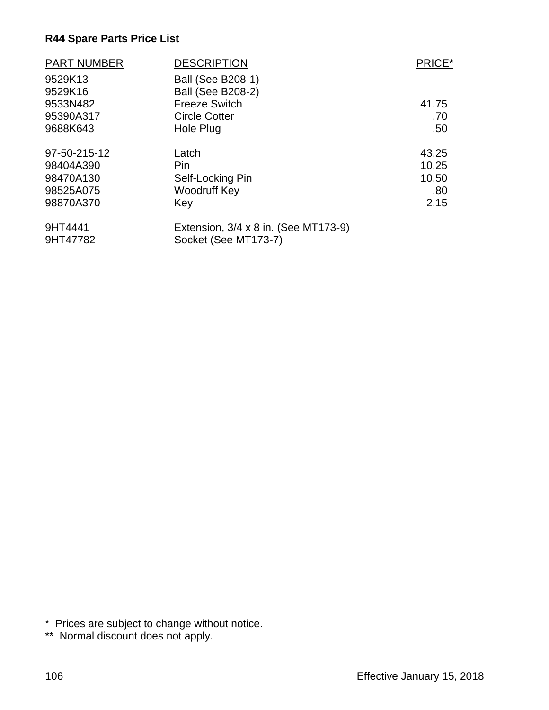| <b>PART NUMBER</b> | <b>DESCRIPTION</b>                   | PRICE* |
|--------------------|--------------------------------------|--------|
| 9529K13            | <b>Ball (See B208-1)</b>             |        |
| 9529K16            | <b>Ball (See B208-2)</b>             |        |
| 9533N482           | <b>Freeze Switch</b>                 | 41.75  |
| 95390A317          | <b>Circle Cotter</b>                 | .70    |
| 9688K643           | Hole Plug                            | .50    |
| 97-50-215-12       | Latch                                | 43.25  |
| 98404A390          | Pin                                  | 10.25  |
| 98470A130          | Self-Locking Pin                     | 10.50  |
| 98525A075          | Woodruff Key                         | .80    |
| 98870A370          | Key                                  | 2.15   |
| 9HT4441            | Extension, 3/4 x 8 in. (See MT173-9) |        |
| 9HT47782           | Socket (See MT173-7)                 |        |

\* Prices are subject to change without notice.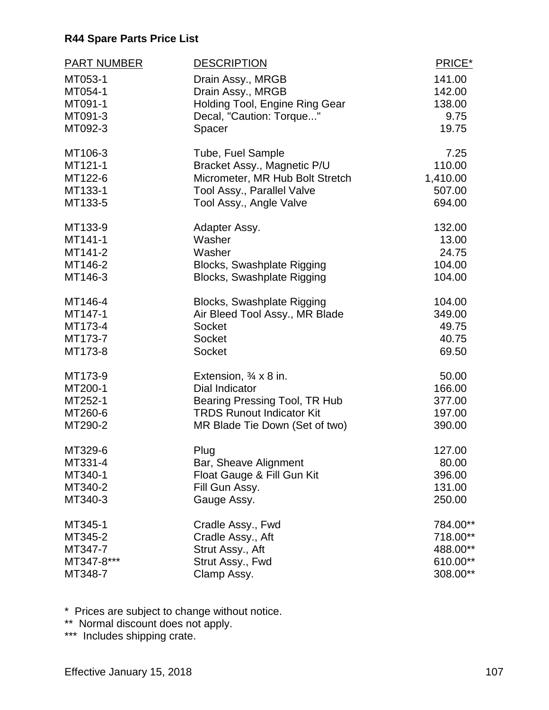| <b>PART NUMBER</b> | <b>DESCRIPTION</b>                    | PRICE*   |
|--------------------|---------------------------------------|----------|
| MT053-1            | Drain Assy., MRGB                     | 141.00   |
| MT054-1            | Drain Assy., MRGB                     | 142.00   |
| MT091-1            | Holding Tool, Engine Ring Gear        | 138.00   |
| MT091-3            | Decal, "Caution: Torque"              | 9.75     |
| MT092-3            | Spacer                                | 19.75    |
|                    |                                       |          |
| MT106-3            | Tube, Fuel Sample                     | 7.25     |
| MT121-1            | Bracket Assy., Magnetic P/U           | 110.00   |
| MT122-6            | Micrometer, MR Hub Bolt Stretch       | 1,410.00 |
| MT133-1            | Tool Assy., Parallel Valve            | 507.00   |
| MT133-5            | Tool Assy., Angle Valve               | 694.00   |
| MT133-9            | Adapter Assy.                         | 132.00   |
| MT141-1            | Washer                                | 13.00    |
| MT141-2            | Washer                                | 24.75    |
| MT146-2            | Blocks, Swashplate Rigging            | 104.00   |
| MT146-3            | Blocks, Swashplate Rigging            | 104.00   |
|                    |                                       |          |
| MT146-4            | Blocks, Swashplate Rigging            | 104.00   |
| MT147-1            | Air Bleed Tool Assy., MR Blade        | 349.00   |
| MT173-4            | <b>Socket</b>                         | 49.75    |
| MT173-7            | <b>Socket</b>                         | 40.75    |
| MT173-8            | Socket                                | 69.50    |
| MT173-9            | Extension, $\frac{3}{4} \times 8$ in. | 50.00    |
| MT200-1            | Dial Indicator                        | 166.00   |
| MT252-1            | Bearing Pressing Tool, TR Hub         | 377.00   |
| MT260-6            | <b>TRDS Runout Indicator Kit</b>      | 197.00   |
| MT290-2            | MR Blade Tie Down (Set of two)        | 390.00   |
|                    |                                       |          |
| MT329-6            | Plug                                  | 127.00   |
| MT331-4            | Bar, Sheave Alignment                 | 80.00    |
| MT340-1            | Float Gauge & Fill Gun Kit            | 396.00   |
| MT340-2            | Fill Gun Assy.                        | 131.00   |
| MT340-3            | Gauge Assy.                           | 250.00   |
| MT345-1            | Cradle Assy., Fwd                     | 784.00** |
| MT345-2            | Cradle Assy., Aft                     | 718.00** |
| MT347-7            | Strut Assy., Aft                      | 488.00** |
| MT347-8***         | Strut Assy., Fwd                      | 610.00** |
| MT348-7            | Clamp Assy.                           | 308.00** |
|                    |                                       |          |

\* Prices are subject to change without notice.

\*\* Normal discount does not apply.

\*\*\* Includes shipping crate.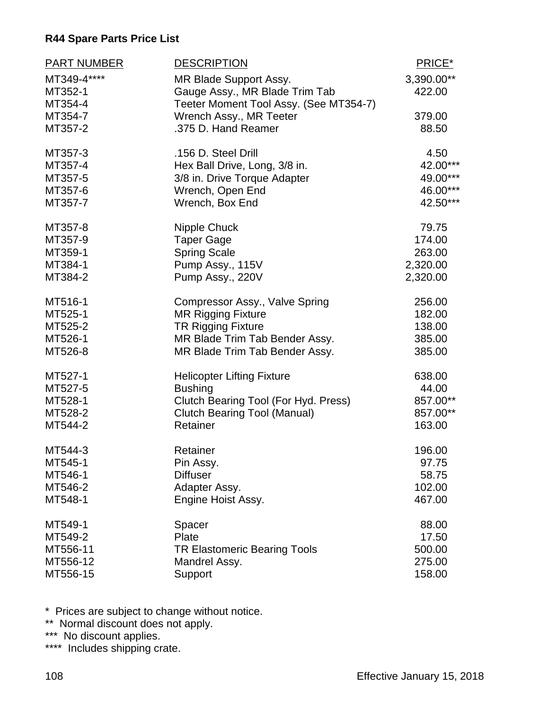| <b>PART NUMBER</b> | <b>DESCRIPTION</b>                     | PRICE*     |
|--------------------|----------------------------------------|------------|
| MT349-4****        | MR Blade Support Assy.                 | 3,390.00** |
| MT352-1            | Gauge Assy., MR Blade Trim Tab         | 422.00     |
| MT354-4            | Teeter Moment Tool Assy. (See MT354-7) |            |
| MT354-7            | Wrench Assy., MR Teeter                | 379.00     |
| MT357-2            | .375 D. Hand Reamer                    | 88.50      |
| MT357-3            | .156 D. Steel Drill                    | 4.50       |
| MT357-4            | Hex Ball Drive, Long, 3/8 in.          | 42.00***   |
| MT357-5            | 3/8 in. Drive Torque Adapter           | 49.00***   |
| MT357-6            | Wrench, Open End                       | 46.00***   |
| MT357-7            | Wrench, Box End                        | 42.50***   |
| MT357-8            | Nipple Chuck                           | 79.75      |
| MT357-9            | <b>Taper Gage</b>                      | 174.00     |
| MT359-1            | <b>Spring Scale</b>                    | 263.00     |
| MT384-1            | Pump Assy., 115V                       | 2,320.00   |
| MT384-2            | Pump Assy., 220V                       | 2,320.00   |
| MT516-1            | Compressor Assy., Valve Spring         | 256.00     |
| MT525-1            | <b>MR Rigging Fixture</b>              | 182.00     |
| MT525-2            | <b>TR Rigging Fixture</b>              | 138.00     |
| MT526-1            | MR Blade Trim Tab Bender Assy.         | 385.00     |
| MT526-8            | MR Blade Trim Tab Bender Assy.         | 385.00     |
| MT527-1            | <b>Helicopter Lifting Fixture</b>      | 638.00     |
| MT527-5            | <b>Bushing</b>                         | 44.00      |
| MT528-1            | Clutch Bearing Tool (For Hyd. Press)   | 857.00**   |
| MT528-2            | <b>Clutch Bearing Tool (Manual)</b>    | 857.00**   |
| MT544-2            | Retainer                               | 163.00     |
| MT544-3            | Retainer                               | 196.00     |
| MT545-1            | Pin Assy.                              | 97.75      |
| MT546-1            | <b>Diffuser</b>                        | 58.75      |
| MT546-2            | Adapter Assy.                          | 102.00     |
| MT548-1            | Engine Hoist Assy.                     | 467.00     |
| MT549-1            | Spacer                                 | 88.00      |
| MT549-2            | Plate                                  | 17.50      |
| MT556-11           | <b>TR Elastomeric Bearing Tools</b>    | 500.00     |
| MT556-12           | Mandrel Assy.                          | 275.00     |
| MT556-15           | Support                                | 158.00     |

\* Prices are subject to change without notice.

\*\* Normal discount does not apply.

\*\*\* No discount applies.

\*\*\*\* Includes shipping crate.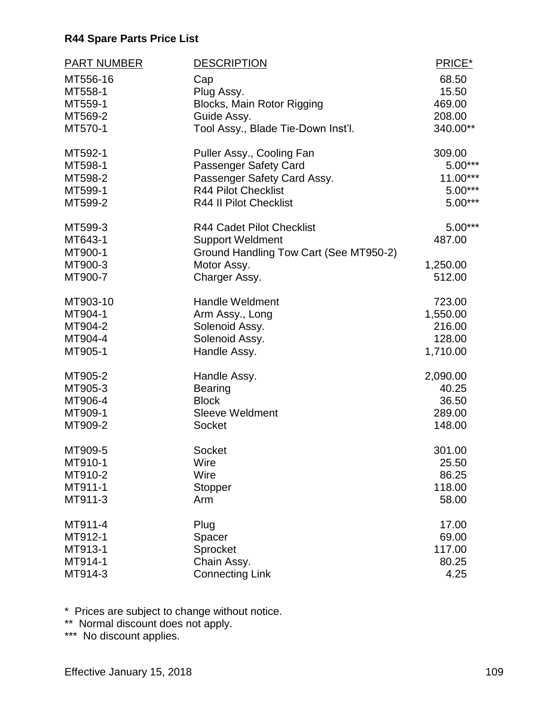| <b>PART NUMBER</b>                                  | <b>DESCRIPTION</b>                                                                                                                    | PRICE*                                    |
|-----------------------------------------------------|---------------------------------------------------------------------------------------------------------------------------------------|-------------------------------------------|
| MT556-16                                            | Cap                                                                                                                                   | 68.50                                     |
| MT558-1                                             | Plug Assy.                                                                                                                            | 15.50                                     |
| MT559-1                                             | Blocks, Main Rotor Rigging                                                                                                            | 469.00                                    |
| MT569-2                                             | Guide Assy.                                                                                                                           | 208.00                                    |
| MT570-1                                             | Tool Assy., Blade Tie-Down Inst'l.                                                                                                    | 340.00**                                  |
| MT592-1                                             | Puller Assy., Cooling Fan                                                                                                             | 309.00                                    |
| MT598-1                                             | Passenger Safety Card                                                                                                                 | $5.00***$                                 |
| MT598-2                                             | Passenger Safety Card Assy.                                                                                                           | $11.00***$                                |
| MT599-1                                             | <b>R44 Pilot Checklist</b>                                                                                                            | $5.00***$                                 |
| MT599-2                                             | <b>R44 II Pilot Checklist</b>                                                                                                         | $5.00***$                                 |
| MT599-3<br>MT643-1<br>MT900-1<br>MT900-3<br>MT900-7 | <b>R44 Cadet Pilot Checklist</b><br><b>Support Weldment</b><br>Ground Handling Tow Cart (See MT950-2)<br>Motor Assy.<br>Charger Assy. | $5.00***$<br>487.00<br>1,250.00<br>512.00 |
| MT903-10                                            | <b>Handle Weldment</b>                                                                                                                | 723.00                                    |
| MT904-1                                             | Arm Assy., Long                                                                                                                       | 1,550.00                                  |
| MT904-2                                             | Solenoid Assy.                                                                                                                        | 216.00                                    |
| MT904-4                                             | Solenoid Assy.                                                                                                                        | 128.00                                    |
| MT905-1                                             | Handle Assy.                                                                                                                          | 1,710.00                                  |
| MT905-2                                             | Handle Assy.                                                                                                                          | 2,090.00                                  |
| MT905-3                                             | <b>Bearing</b>                                                                                                                        | 40.25                                     |
| MT906-4                                             | <b>Block</b>                                                                                                                          | 36.50                                     |
| MT909-1                                             | <b>Sleeve Weldment</b>                                                                                                                | 289.00                                    |
| MT909-2                                             | <b>Socket</b>                                                                                                                         | 148.00                                    |
| MT909-5                                             | Socket                                                                                                                                | 301.00                                    |
| MT910-1                                             | Wire                                                                                                                                  | 25.50                                     |
| MT910-2                                             | Wire                                                                                                                                  | 86.25                                     |
| MT911-1                                             | Stopper                                                                                                                               | 118.00                                    |
| MT911-3                                             | Arm                                                                                                                                   | 58.00                                     |
| MT911-4                                             | Plug                                                                                                                                  | 17.00                                     |
| MT912-1                                             | Spacer                                                                                                                                | 69.00                                     |
| MT913-1                                             | Sprocket                                                                                                                              | 117.00                                    |
| MT914-1                                             | Chain Assy.                                                                                                                           | 80.25                                     |
| MT914-3                                             | <b>Connecting Link</b>                                                                                                                | 4.25                                      |

\* Prices are subject to change without notice.

\*\* Normal discount does not apply.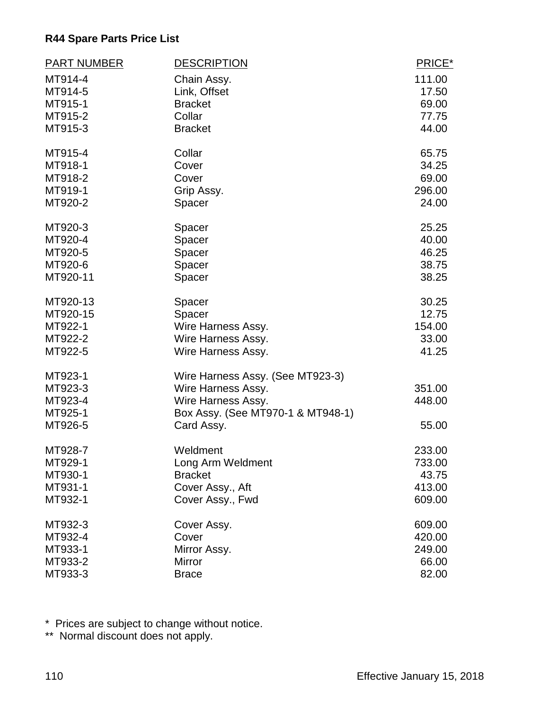| <b>PART NUMBER</b> | <b>DESCRIPTION</b>                | PRICE* |
|--------------------|-----------------------------------|--------|
| MT914-4            | Chain Assy.                       | 111.00 |
| MT914-5            | Link, Offset                      | 17.50  |
| MT915-1            | <b>Bracket</b>                    | 69.00  |
| MT915-2            | Collar                            | 77.75  |
| MT915-3            | <b>Bracket</b>                    | 44.00  |
| MT915-4            | Collar                            | 65.75  |
| MT918-1            | Cover                             | 34.25  |
| MT918-2            | Cover                             | 69.00  |
| MT919-1            | Grip Assy.                        | 296.00 |
| MT920-2            | Spacer                            | 24.00  |
| MT920-3            | Spacer                            | 25.25  |
| MT920-4            | Spacer                            | 40.00  |
| MT920-5            | Spacer                            | 46.25  |
| MT920-6            | Spacer                            | 38.75  |
| MT920-11           | Spacer                            | 38.25  |
| MT920-13           | Spacer                            | 30.25  |
| MT920-15           | Spacer                            | 12.75  |
| MT922-1            | Wire Harness Assy.                | 154.00 |
| MT922-2            | Wire Harness Assy.                | 33.00  |
| MT922-5            | Wire Harness Assy.                | 41.25  |
| MT923-1            | Wire Harness Assy. (See MT923-3)  |        |
| MT923-3            | Wire Harness Assy.                | 351.00 |
| MT923-4            | Wire Harness Assy.                | 448.00 |
| MT925-1            | Box Assy. (See MT970-1 & MT948-1) |        |
| MT926-5            | Card Assy.                        | 55.00  |
| MT928-7            | Weldment                          | 233.00 |
| MT929-1            | Long Arm Weldment                 | 733.00 |
| MT930-1            | <b>Bracket</b>                    | 43.75  |
| MT931-1            | Cover Assy., Aft                  | 413.00 |
| MT932-1            | Cover Assy., Fwd                  | 609.00 |
| MT932-3            | Cover Assy.                       | 609.00 |
| MT932-4            | Cover                             | 420.00 |
| MT933-1            | Mirror Assy.                      | 249.00 |
| MT933-2            | Mirror                            | 66.00  |
| MT933-3            | <b>Brace</b>                      | 82.00  |

\* Prices are subject to change without notice.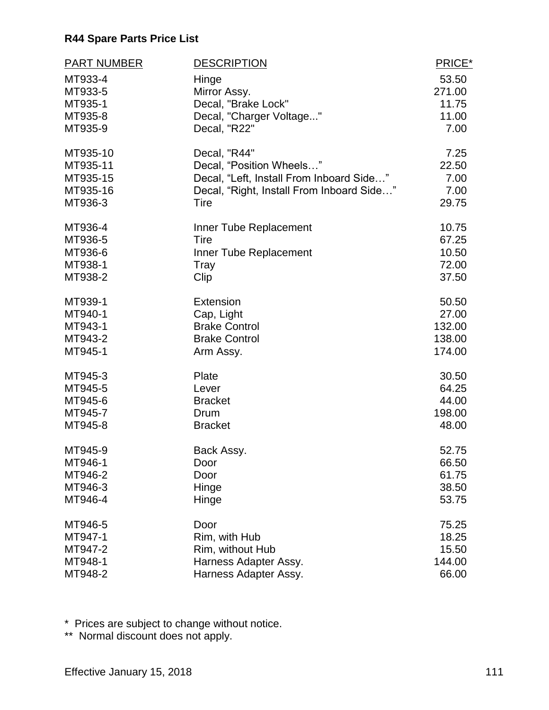| <b>PART NUMBER</b> | <b>DESCRIPTION</b>                        | PRICE* |
|--------------------|-------------------------------------------|--------|
| MT933-4            | Hinge                                     | 53.50  |
| MT933-5            | Mirror Assy.                              | 271.00 |
| MT935-1            | Decal, "Brake Lock"                       | 11.75  |
| MT935-8            | Decal, "Charger Voltage"                  | 11.00  |
| MT935-9            | Decal, "R22"                              | 7.00   |
| MT935-10           | Decal, "R44"                              | 7.25   |
| MT935-11           | Decal, "Position Wheels"                  | 22.50  |
| MT935-15           | Decal, "Left, Install From Inboard Side"  | 7.00   |
| MT935-16           | Decal, "Right, Install From Inboard Side" | 7.00   |
| MT936-3            | Tire                                      | 29.75  |
| MT936-4            | Inner Tube Replacement                    | 10.75  |
| MT936-5            | Tire                                      | 67.25  |
| MT936-6            | Inner Tube Replacement                    | 10.50  |
| MT938-1            | Tray                                      | 72.00  |
| MT938-2            | Clip                                      | 37.50  |
| MT939-1            | Extension                                 | 50.50  |
| MT940-1            | Cap, Light                                | 27.00  |
| MT943-1            | <b>Brake Control</b>                      | 132.00 |
| MT943-2            | <b>Brake Control</b>                      | 138.00 |
| MT945-1            | Arm Assy.                                 | 174.00 |
| MT945-3            | Plate                                     | 30.50  |
| MT945-5            | Lever                                     | 64.25  |
| MT945-6            | <b>Bracket</b>                            | 44.00  |
| MT945-7            | Drum                                      | 198.00 |
| MT945-8            | <b>Bracket</b>                            | 48.00  |
| MT945-9            | Back Assy.                                | 52.75  |
| MT946-1            | Door                                      | 66.50  |
| MT946-2            | Door                                      | 61.75  |
| MT946-3            | Hinge                                     | 38.50  |
| MT946-4            | Hinge                                     | 53.75  |
| MT946-5            | Door                                      | 75.25  |
| MT947-1            | Rim, with Hub                             | 18.25  |
| MT947-2            | Rim, without Hub                          | 15.50  |
| MT948-1            | Harness Adapter Assy.                     | 144.00 |
| MT948-2            | Harness Adapter Assy.                     | 66.00  |

\* Prices are subject to change without notice.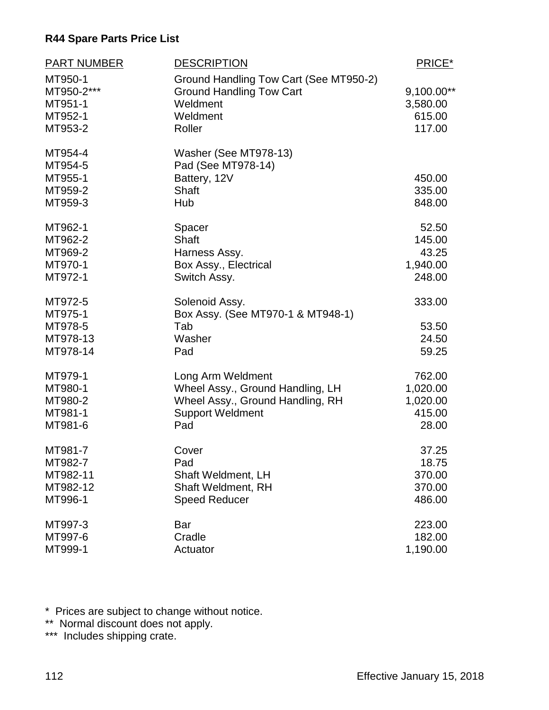| PART NUMBER | <b>DESCRIPTION</b>                     | PRICE*     |
|-------------|----------------------------------------|------------|
| MT950-1     | Ground Handling Tow Cart (See MT950-2) |            |
| MT950-2***  | <b>Ground Handling Tow Cart</b>        | 9,100.00** |
| MT951-1     | Weldment                               | 3,580.00   |
| MT952-1     | Weldment                               | 615.00     |
| MT953-2     | Roller                                 | 117.00     |
| MT954-4     | Washer (See MT978-13)                  |            |
| MT954-5     | Pad (See MT978-14)                     |            |
| MT955-1     | Battery, 12V                           | 450.00     |
| MT959-2     | <b>Shaft</b>                           | 335.00     |
| MT959-3     | Hub                                    | 848.00     |
| MT962-1     | Spacer                                 | 52.50      |
| MT962-2     | <b>Shaft</b>                           | 145.00     |
| MT969-2     | Harness Assy.                          | 43.25      |
| MT970-1     | Box Assy., Electrical                  | 1,940.00   |
| MT972-1     | Switch Assy.                           | 248.00     |
| MT972-5     | Solenoid Assy.                         | 333.00     |
| MT975-1     | Box Assy. (See MT970-1 & MT948-1)      |            |
| MT978-5     | Tab                                    | 53.50      |
| MT978-13    | Washer                                 | 24.50      |
| MT978-14    | Pad                                    | 59.25      |
| MT979-1     | Long Arm Weldment                      | 762.00     |
| MT980-1     | Wheel Assy., Ground Handling, LH       | 1,020.00   |
| MT980-2     | Wheel Assy., Ground Handling, RH       | 1,020.00   |
| MT981-1     | <b>Support Weldment</b>                | 415.00     |
| MT981-6     | Pad                                    | 28.00      |
| MT981-7     | Cover                                  | 37.25      |
| MT982-7     | Pad                                    | 18.75      |
| MT982-11    | <b>Shaft Weldment, LH</b>              | 370.00     |
| MT982-12    | <b>Shaft Weldment, RH</b>              | 370.00     |
| MT996-1     | <b>Speed Reducer</b>                   | 486.00     |
| MT997-3     | Bar                                    | 223.00     |
| MT997-6     | Cradle                                 | 182.00     |
| MT999-1     | Actuator                               | 1,190.00   |

\* Prices are subject to change without notice.

\*\* Normal discount does not apply.

\*\*\* Includes shipping crate.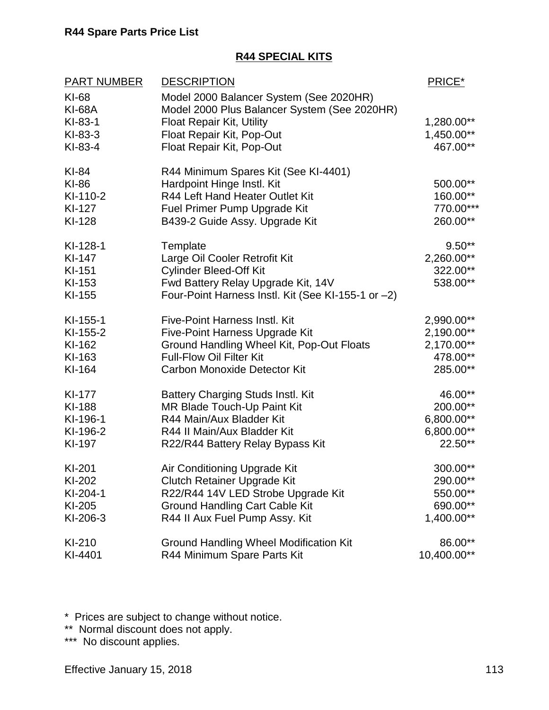#### **R44 SPECIAL KITS**

| <b>PART NUMBER</b> | <b>DESCRIPTION</b>                                 | PRICE*       |
|--------------------|----------------------------------------------------|--------------|
| KI-68              | Model 2000 Balancer System (See 2020HR)            |              |
| <b>KI-68A</b>      | Model 2000 Plus Balancer System (See 2020HR)       |              |
| KI-83-1            | Float Repair Kit, Utility                          | 1,280.00**   |
| $KI-83-3$          | Float Repair Kit, Pop-Out                          | 1,450.00**   |
| $KI-83-4$          | Float Repair Kit, Pop-Out                          | 467.00**     |
| KI-84              | R44 Minimum Spares Kit (See KI-4401)               |              |
| KI-86              | Hardpoint Hinge Instl. Kit                         | 500.00**     |
| KI-110-2           | R44 Left Hand Heater Outlet Kit                    | 160.00**     |
| KI-127             | Fuel Primer Pump Upgrade Kit                       | 770.00***    |
| KI-128             | B439-2 Guide Assy. Upgrade Kit                     | 260.00**     |
| KI-128-1           | Template                                           | $9.50**$     |
| KI-147             | Large Oil Cooler Retrofit Kit                      | $2,260.00**$ |
| KI-151             | <b>Cylinder Bleed-Off Kit</b>                      | 322.00**     |
| KI-153             | Fwd Battery Relay Upgrade Kit, 14V                 | 538.00**     |
| KI-155             | Four-Point Harness Instl. Kit (See KI-155-1 or -2) |              |
| KI-155-1           | <b>Five-Point Harness Instl. Kit</b>               | 2,990.00**   |
| KI-155-2           | Five-Point Harness Upgrade Kit                     | 2,190.00**   |
| KI-162             | Ground Handling Wheel Kit, Pop-Out Floats          | $2,170.00**$ |
| KI-163             | <b>Full-Flow Oil Filter Kit</b>                    | 478.00**     |
| KI-164             | <b>Carbon Monoxide Detector Kit</b>                | 285.00**     |
| KI-177             | <b>Battery Charging Studs Instl. Kit</b>           | 46.00**      |
| KI-188             | MR Blade Touch-Up Paint Kit                        | 200.00**     |
| KI-196-1           | R44 Main/Aux Bladder Kit                           | 6,800.00**   |
| KI-196-2           | R44 II Main/Aux Bladder Kit                        | 6,800.00**   |
| KI-197             | R22/R44 Battery Relay Bypass Kit                   | 22.50**      |
| KI-201             | Air Conditioning Upgrade Kit                       | 300.00**     |
| KI-202             | Clutch Retainer Upgrade Kit                        | 290.00**     |
| KI-204-1           | R22/R44 14V LED Strobe Upgrade Kit                 | 550.00**     |
| KI-205             | <b>Ground Handling Cart Cable Kit</b>              | 690.00**     |
| KI-206-3           | R44 II Aux Fuel Pump Assy. Kit                     | 1,400.00**   |
| KI-210             | <b>Ground Handling Wheel Modification Kit</b>      | 86.00**      |
| KI-4401            | R44 Minimum Spare Parts Kit                        | 10,400.00**  |

\* Prices are subject to change without notice.

\*\* Normal discount does not apply.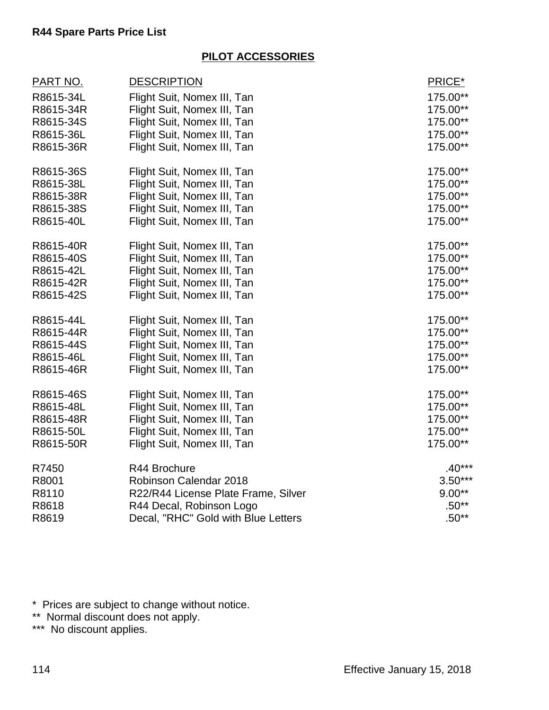## **PILOT ACCESSORIES**

| <u>PART NO.</u> | <b>DESCRIPTION</b>                  | PRICE*    |
|-----------------|-------------------------------------|-----------|
| R8615-34L       | Flight Suit, Nomex III, Tan         | 175.00**  |
| R8615-34R       | Flight Suit, Nomex III, Tan         | 175.00**  |
| R8615-34S       | Flight Suit, Nomex III, Tan         | 175.00**  |
| R8615-36L       | Flight Suit, Nomex III, Tan         | 175.00**  |
| R8615-36R       | Flight Suit, Nomex III, Tan         | 175.00**  |
| R8615-36S       | Flight Suit, Nomex III, Tan         | 175.00**  |
| R8615-38L       | Flight Suit, Nomex III, Tan         | 175.00**  |
| R8615-38R       | Flight Suit, Nomex III, Tan         | 175.00**  |
| R8615-38S       | Flight Suit, Nomex III, Tan         | 175.00**  |
| R8615-40L       | Flight Suit, Nomex III, Tan         | 175.00**  |
| R8615-40R       | Flight Suit, Nomex III, Tan         | 175.00**  |
| R8615-40S       | Flight Suit, Nomex III, Tan         | 175.00**  |
| R8615-42L       | Flight Suit, Nomex III, Tan         | 175.00**  |
| R8615-42R       | Flight Suit, Nomex III, Tan         | 175.00**  |
| R8615-42S       | Flight Suit, Nomex III, Tan         | 175.00**  |
| R8615-44L       | Flight Suit, Nomex III, Tan         | 175.00**  |
| R8615-44R       | Flight Suit, Nomex III, Tan         | 175.00**  |
| R8615-44S       | Flight Suit, Nomex III, Tan         | 175.00**  |
| R8615-46L       | Flight Suit, Nomex III, Tan         | 175.00**  |
| R8615-46R       | Flight Suit, Nomex III, Tan         | 175.00**  |
| R8615-46S       | Flight Suit, Nomex III, Tan         | 175.00**  |
| R8615-48L       | Flight Suit, Nomex III, Tan         | 175.00**  |
| R8615-48R       | Flight Suit, Nomex III, Tan         | 175.00**  |
| R8615-50L       | Flight Suit, Nomex III, Tan         | 175.00**  |
| R8615-50R       | Flight Suit, Nomex III, Tan         | 175.00**  |
| R7450           | R44 Brochure                        | $.40***$  |
| R8001           | Robinson Calendar 2018              | $3.50***$ |
| R8110           | R22/R44 License Plate Frame, Silver | $9.00**$  |
| R8618           | R44 Decal, Robinson Logo            | $.50**$   |
| R8619           | Decal, "RHC" Gold with Blue Letters | $.50**$   |

\* Prices are subject to change without notice.

\*\* Normal discount does not apply.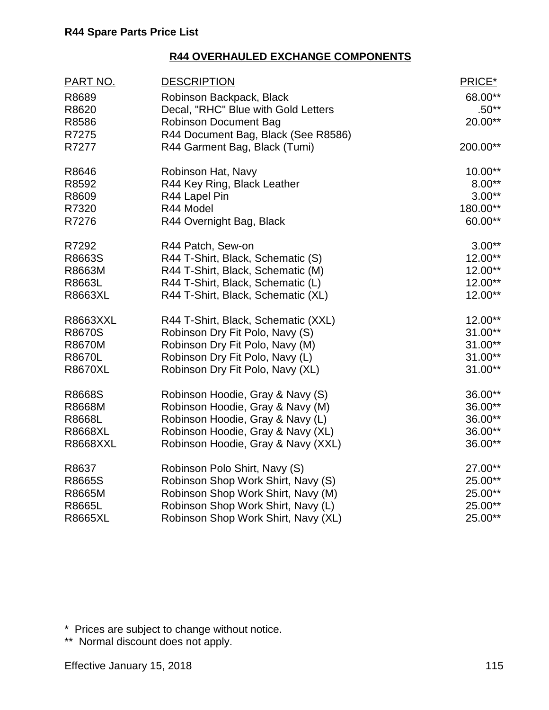| <u>PART NO.</u> | <b>DESCRIPTION</b>                  | PRICE*    |
|-----------------|-------------------------------------|-----------|
| R8689           | Robinson Backpack, Black            | 68.00**   |
| R8620           | Decal, "RHC" Blue with Gold Letters | $.50**$   |
| R8586           | <b>Robinson Document Bag</b>        | 20.00**   |
| R7275           | R44 Document Bag, Black (See R8586) |           |
| R7277           | R44 Garment Bag, Black (Tumi)       | 200.00**  |
| R8646           | Robinson Hat, Navy                  | 10.00**   |
| R8592           | R44 Key Ring, Black Leather         | $8.00**$  |
| R8609           | R44 Lapel Pin                       | $3.00**$  |
| R7320           | R44 Model                           | 180.00**  |
| R7276           | R44 Overnight Bag, Black            | 60.00**   |
| R7292           | R44 Patch, Sew-on                   | $3.00**$  |
| R8663S          | R44 T-Shirt, Black, Schematic (S)   | 12.00**   |
| R8663M          | R44 T-Shirt, Black, Schematic (M)   | 12.00**   |
| R8663L          | R44 T-Shirt, Black, Schematic (L)   | 12.00**   |
| R8663XL         | R44 T-Shirt, Black, Schematic (XL)  | 12.00**   |
| <b>R8663XXL</b> | R44 T-Shirt, Black, Schematic (XXL) | 12.00**   |
| R8670S          | Robinson Dry Fit Polo, Navy (S)     | $31.00**$ |
| <b>R8670M</b>   | Robinson Dry Fit Polo, Navy (M)     | $31.00**$ |
| R8670L          | Robinson Dry Fit Polo, Navy (L)     | $31.00**$ |
| <b>R8670XL</b>  | Robinson Dry Fit Polo, Navy (XL)    | 31.00**   |
| R8668S          | Robinson Hoodie, Gray & Navy (S)    | 36.00**   |
| R8668M          | Robinson Hoodie, Gray & Navy (M)    | 36.00**   |
| R8668L          | Robinson Hoodie, Gray & Navy (L)    | 36.00**   |
| <b>R8668XL</b>  | Robinson Hoodie, Gray & Navy (XL)   | 36.00**   |
| <b>R8668XXL</b> | Robinson Hoodie, Gray & Navy (XXL)  | 36.00**   |
| R8637           | Robinson Polo Shirt, Navy (S)       | 27.00**   |
| R8665S          | Robinson Shop Work Shirt, Navy (S)  | 25.00**   |
| R8665M          | Robinson Shop Work Shirt, Navy (M)  | 25.00**   |
| R8665L          | Robinson Shop Work Shirt, Navy (L)  | 25.00**   |
| <b>R8665XL</b>  | Robinson Shop Work Shirt, Navy (XL) | 25.00**   |

\* Prices are subject to change without notice.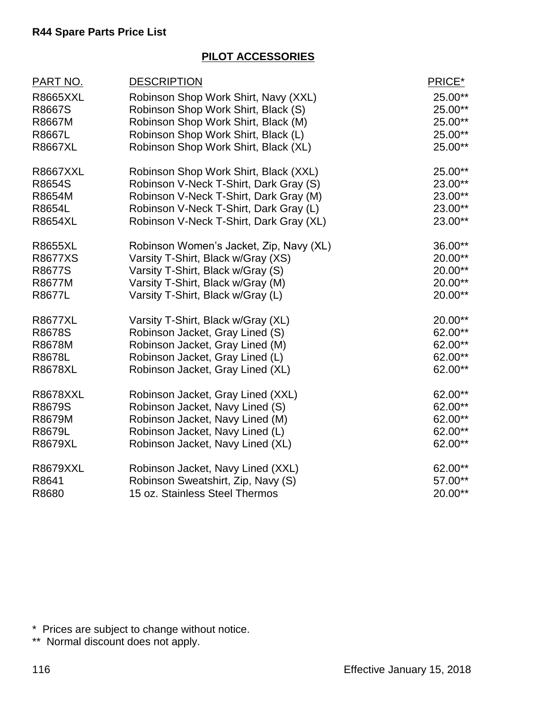## **PILOT ACCESSORIES**

| 25.00**<br>25.00**<br>25.00**<br>25.00**<br>25.00**<br>25.00**<br>23.00** |
|---------------------------------------------------------------------------|
|                                                                           |
|                                                                           |
|                                                                           |
|                                                                           |
|                                                                           |
|                                                                           |
|                                                                           |
| 23.00**                                                                   |
| 23.00**                                                                   |
| 23.00**                                                                   |
| 36.00**                                                                   |
| 20.00**                                                                   |
| 20.00**                                                                   |
| 20.00**                                                                   |
| 20.00**                                                                   |
| 20.00**                                                                   |
| 62.00**                                                                   |
| 62.00**                                                                   |
| 62.00**                                                                   |
| 62.00**                                                                   |
| 62.00**                                                                   |
| 62.00**                                                                   |
| 62.00**                                                                   |
| 62.00**                                                                   |
| 62.00**                                                                   |
| 62.00**                                                                   |
| 57.00**                                                                   |
| 20.00**                                                                   |
|                                                                           |

\* Prices are subject to change without notice.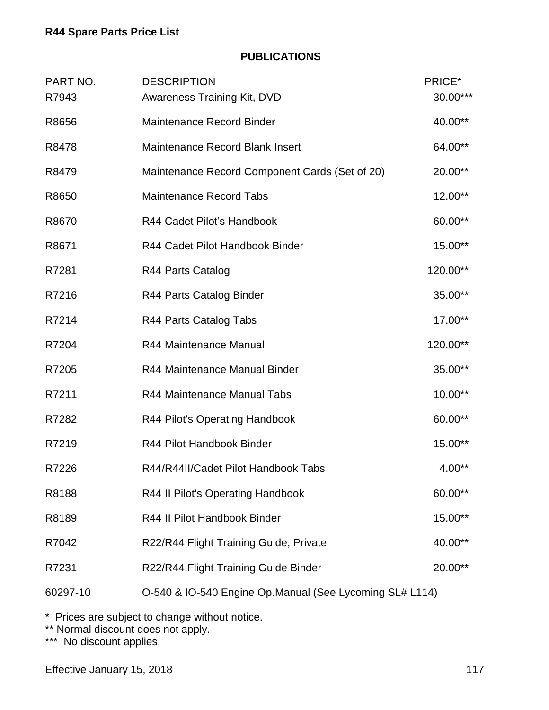### **PUBLICATIONS**

| <b>PART NO.</b> | <b>DESCRIPTION</b>                                      | PRICE*   |
|-----------------|---------------------------------------------------------|----------|
| R7943           | Awareness Training Kit, DVD                             | 30.00*** |
| R8656           | <b>Maintenance Record Binder</b>                        | 40.00**  |
| R8478           | <b>Maintenance Record Blank Insert</b>                  | 64.00**  |
| R8479           | Maintenance Record Component Cards (Set of 20)          | 20.00**  |
| R8650           | <b>Maintenance Record Tabs</b>                          | 12.00**  |
| R8670           | R44 Cadet Pilot's Handbook                              | 60.00**  |
| R8671           | R44 Cadet Pilot Handbook Binder                         | 15.00**  |
| R7281           | R44 Parts Catalog                                       | 120.00** |
| R7216           | R44 Parts Catalog Binder                                | 35.00**  |
| R7214           | R44 Parts Catalog Tabs                                  | 17.00**  |
| R7204           | R44 Maintenance Manual                                  | 120.00** |
| R7205           | R44 Maintenance Manual Binder                           | 35.00**  |
| R7211           | R44 Maintenance Manual Tabs                             | 10.00**  |
| R7282           | R44 Pilot's Operating Handbook                          | 60.00**  |
| R7219           | R44 Pilot Handbook Binder                               | 15.00**  |
| R7226           | R44/R44II/Cadet Pilot Handbook Tabs                     | $4.00**$ |
| R8188           | R44 II Pilot's Operating Handbook                       | 60.00**  |
| R8189           | R44 II Pilot Handbook Binder                            | 15.00**  |
| R7042           | R22/R44 Flight Training Guide, Private                  | 40.00**  |
| R7231           | R22/R44 Flight Training Guide Binder                    | 20.00**  |
| 60297-10        | O-540 & IO-540 Engine Op.Manual (See Lycoming SL# L114) |          |

\* Prices are subject to change without notice.

\*\* Normal discount does not apply.

\*\*\* No discount applies.

Effective January 15, 2018 117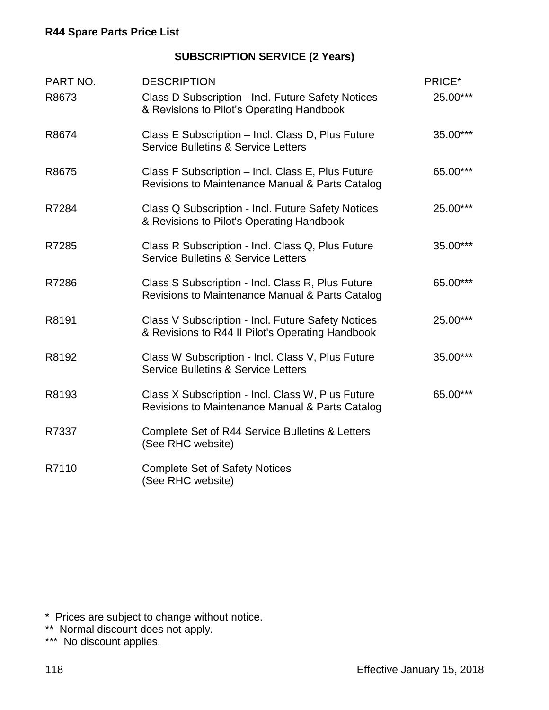### **SUBSCRIPTION SERVICE (2 Years)**

| PART NO. | <b>DESCRIPTION</b>                                                                                     | PRICE*   |
|----------|--------------------------------------------------------------------------------------------------------|----------|
| R8673    | Class D Subscription - Incl. Future Safety Notices<br>& Revisions to Pilot's Operating Handbook        | 25.00*** |
| R8674    | Class E Subscription - Incl. Class D, Plus Future<br><b>Service Bulletins &amp; Service Letters</b>    | 35.00*** |
| R8675    | Class F Subscription - Incl. Class E, Plus Future<br>Revisions to Maintenance Manual & Parts Catalog   | 65.00*** |
| R7284    | Class Q Subscription - Incl. Future Safety Notices<br>& Revisions to Pilot's Operating Handbook        | 25.00*** |
| R7285    | Class R Subscription - Incl. Class Q, Plus Future<br><b>Service Bulletins &amp; Service Letters</b>    | 35.00*** |
| R7286    | Class S Subscription - Incl. Class R, Plus Future<br>Revisions to Maintenance Manual & Parts Catalog   | 65.00*** |
| R8191    | Class V Subscription - Incl. Future Safety Notices<br>& Revisions to R44 II Pilot's Operating Handbook | 25.00*** |
| R8192    | Class W Subscription - Incl. Class V, Plus Future<br><b>Service Bulletins &amp; Service Letters</b>    | 35.00*** |
| R8193    | Class X Subscription - Incl. Class W, Plus Future<br>Revisions to Maintenance Manual & Parts Catalog   | 65.00*** |
| R7337    | Complete Set of R44 Service Bulletins & Letters<br>(See RHC website)                                   |          |
| R7110    | <b>Complete Set of Safety Notices</b><br>(See RHC website)                                             |          |

\* Prices are subject to change without notice.

\*\* Normal discount does not apply.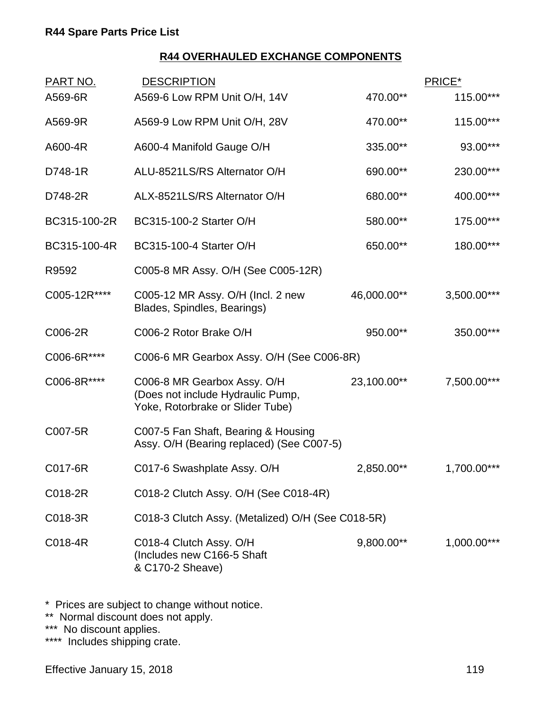| A569-6 Low RPM Unit O/H, 14V<br>A569-6R<br>470.00**<br>A569-9 Low RPM Unit O/H, 28V<br>470.00**<br>A569-9R<br>A600-4R<br>A600-4 Manifold Gauge O/H<br>335.00**<br>ALU-8521LS/RS Alternator O/H<br>690.00**<br>D748-1R<br>ALX-8521LS/RS Alternator O/H<br>D748-2R<br>680.00**<br>BC315-100-2R<br>BC315-100-2 Starter O/H<br>580.00**<br>BC315-100-4R<br>BC315-100-4 Starter O/H<br>650.00**<br>R9592<br>C005-8 MR Assy. O/H (See C005-12R)<br>C005-12R****<br>C005-12 MR Assy. O/H (Incl. 2 new<br>46,000.00**<br>Blades, Spindles, Bearings)<br>950.00**<br>C006-2R<br>C006-2 Rotor Brake O/H<br>C006-6R****<br>C006-6 MR Gearbox Assy. O/H (See C006-8R)<br>C006-8R****<br>C006-8 MR Gearbox Assy. O/H<br>23,100.00**<br>(Does not include Hydraulic Pump,<br>Yoke, Rotorbrake or Slider Tube)<br>C007-5R<br>C007-5 Fan Shaft, Bearing & Housing<br>Assy. O/H (Bearing replaced) (See C007-5)<br>C017-6R<br>C017-6 Swashplate Assy. O/H<br>2,850.00**<br>C018-2 Clutch Assy. O/H (See C018-4R)<br>C018-2R<br>C018-3 Clutch Assy. (Metalized) O/H (See C018-5R)<br>C018-3R<br>C018-4 Clutch Assy. O/H<br>9,800.00**<br>C018-4R<br>(Includes new C166-5 Shaft<br>& C170-2 Sheave) | <u>PART NO.</u> | <b>DESCRIPTION</b> | PRICE*      |
|----------------------------------------------------------------------------------------------------------------------------------------------------------------------------------------------------------------------------------------------------------------------------------------------------------------------------------------------------------------------------------------------------------------------------------------------------------------------------------------------------------------------------------------------------------------------------------------------------------------------------------------------------------------------------------------------------------------------------------------------------------------------------------------------------------------------------------------------------------------------------------------------------------------------------------------------------------------------------------------------------------------------------------------------------------------------------------------------------------------------------------------------------------------------------------|-----------------|--------------------|-------------|
|                                                                                                                                                                                                                                                                                                                                                                                                                                                                                                                                                                                                                                                                                                                                                                                                                                                                                                                                                                                                                                                                                                                                                                                  |                 |                    | 115.00***   |
|                                                                                                                                                                                                                                                                                                                                                                                                                                                                                                                                                                                                                                                                                                                                                                                                                                                                                                                                                                                                                                                                                                                                                                                  |                 |                    | 115.00***   |
|                                                                                                                                                                                                                                                                                                                                                                                                                                                                                                                                                                                                                                                                                                                                                                                                                                                                                                                                                                                                                                                                                                                                                                                  |                 |                    | 93.00***    |
|                                                                                                                                                                                                                                                                                                                                                                                                                                                                                                                                                                                                                                                                                                                                                                                                                                                                                                                                                                                                                                                                                                                                                                                  |                 |                    | 230.00***   |
|                                                                                                                                                                                                                                                                                                                                                                                                                                                                                                                                                                                                                                                                                                                                                                                                                                                                                                                                                                                                                                                                                                                                                                                  |                 |                    | 400.00***   |
|                                                                                                                                                                                                                                                                                                                                                                                                                                                                                                                                                                                                                                                                                                                                                                                                                                                                                                                                                                                                                                                                                                                                                                                  |                 |                    | 175.00***   |
|                                                                                                                                                                                                                                                                                                                                                                                                                                                                                                                                                                                                                                                                                                                                                                                                                                                                                                                                                                                                                                                                                                                                                                                  |                 |                    | 180.00***   |
|                                                                                                                                                                                                                                                                                                                                                                                                                                                                                                                                                                                                                                                                                                                                                                                                                                                                                                                                                                                                                                                                                                                                                                                  |                 |                    |             |
|                                                                                                                                                                                                                                                                                                                                                                                                                                                                                                                                                                                                                                                                                                                                                                                                                                                                                                                                                                                                                                                                                                                                                                                  |                 |                    | 3,500.00*** |
|                                                                                                                                                                                                                                                                                                                                                                                                                                                                                                                                                                                                                                                                                                                                                                                                                                                                                                                                                                                                                                                                                                                                                                                  |                 |                    | 350.00***   |
|                                                                                                                                                                                                                                                                                                                                                                                                                                                                                                                                                                                                                                                                                                                                                                                                                                                                                                                                                                                                                                                                                                                                                                                  |                 |                    |             |
|                                                                                                                                                                                                                                                                                                                                                                                                                                                                                                                                                                                                                                                                                                                                                                                                                                                                                                                                                                                                                                                                                                                                                                                  |                 |                    | 7,500.00*** |
|                                                                                                                                                                                                                                                                                                                                                                                                                                                                                                                                                                                                                                                                                                                                                                                                                                                                                                                                                                                                                                                                                                                                                                                  |                 |                    |             |
|                                                                                                                                                                                                                                                                                                                                                                                                                                                                                                                                                                                                                                                                                                                                                                                                                                                                                                                                                                                                                                                                                                                                                                                  |                 |                    | 1,700.00*** |
|                                                                                                                                                                                                                                                                                                                                                                                                                                                                                                                                                                                                                                                                                                                                                                                                                                                                                                                                                                                                                                                                                                                                                                                  |                 |                    |             |
|                                                                                                                                                                                                                                                                                                                                                                                                                                                                                                                                                                                                                                                                                                                                                                                                                                                                                                                                                                                                                                                                                                                                                                                  |                 |                    |             |
|                                                                                                                                                                                                                                                                                                                                                                                                                                                                                                                                                                                                                                                                                                                                                                                                                                                                                                                                                                                                                                                                                                                                                                                  |                 |                    | 1,000.00*** |

\* Prices are subject to change without notice.

\*\* Normal discount does not apply.

\*\*\* No discount applies.

\*\*\*\* Includes shipping crate.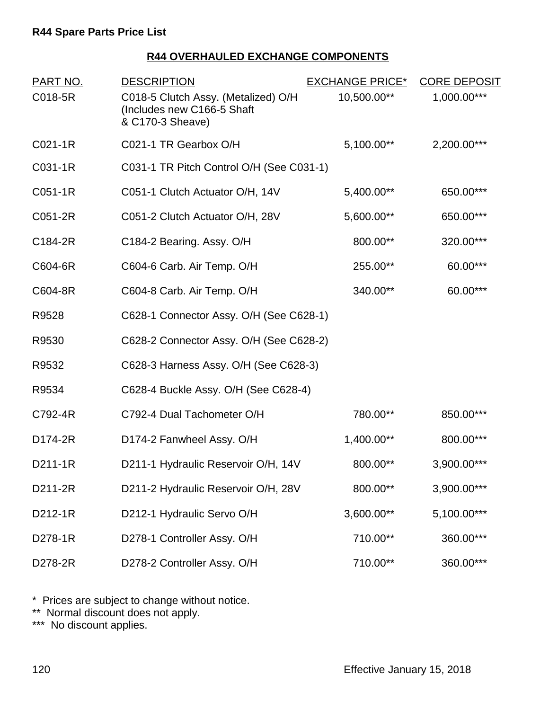| PART NO. | <b>DESCRIPTION</b>                                                                    | <b>EXCHANGE PRICE*</b> | <b>CORE DEPOSIT</b> |
|----------|---------------------------------------------------------------------------------------|------------------------|---------------------|
| C018-5R  | C018-5 Clutch Assy. (Metalized) O/H<br>(Includes new C166-5 Shaft<br>& C170-3 Sheave) | 10,500.00**            | 1,000.00***         |
| C021-1R  | C021-1 TR Gearbox O/H                                                                 | 5,100.00**             | 2,200.00***         |
| C031-1R  | C031-1 TR Pitch Control O/H (See C031-1)                                              |                        |                     |
| C051-1R  | C051-1 Clutch Actuator O/H, 14V                                                       | 5,400.00**             | 650.00***           |
| C051-2R  | C051-2 Clutch Actuator O/H, 28V                                                       | 5,600.00**             | 650.00***           |
| C184-2R  | C184-2 Bearing. Assy. O/H                                                             | 800.00**               | 320.00***           |
| C604-6R  | C604-6 Carb. Air Temp. O/H                                                            | 255.00**               | 60.00***            |
| C604-8R  | C604-8 Carb. Air Temp. O/H                                                            | 340.00**               | 60.00***            |
| R9528    | C628-1 Connector Assy. O/H (See C628-1)                                               |                        |                     |
| R9530    | C628-2 Connector Assy. O/H (See C628-2)                                               |                        |                     |
| R9532    | C628-3 Harness Assy. O/H (See C628-3)                                                 |                        |                     |
| R9534    | C628-4 Buckle Assy. O/H (See C628-4)                                                  |                        |                     |
| C792-4R  | C792-4 Dual Tachometer O/H                                                            | 780.00**               | 850.00***           |
| D174-2R  | D174-2 Fanwheel Assy. O/H                                                             | 1,400.00**             | 800.00***           |
| D211-1R  | D211-1 Hydraulic Reservoir O/H, 14V                                                   | 800.00**               | 3,900.00***         |
| D211-2R  | D211-2 Hydraulic Reservoir O/H, 28V                                                   | 800.00**               | 3,900.00***         |
| D212-1R  | D212-1 Hydraulic Servo O/H                                                            | 3,600.00**             | 5,100.00***         |
| D278-1R  | D278-1 Controller Assy. O/H                                                           | 710.00**               | 360.00***           |
| D278-2R  | D278-2 Controller Assy. O/H                                                           | 710.00**               | 360.00***           |

\* Prices are subject to change without notice.

\*\* Normal discount does not apply.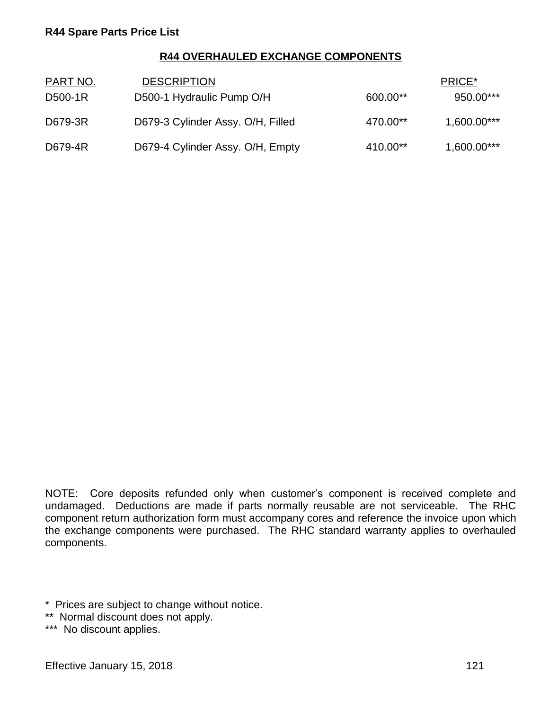| PART NO. | <b>DESCRIPTION</b>                |          | PRICE*      |
|----------|-----------------------------------|----------|-------------|
| D500-1R  | D500-1 Hydraulic Pump O/H         | 600.00** | 950.00***   |
| D679-3R  | D679-3 Cylinder Assy. O/H, Filled | 470.00** | 1,600.00*** |
| D679-4R  | D679-4 Cylinder Assy. O/H, Empty  | 410.00** | 1,600.00*** |

NOTE: Core deposits refunded only when customer's component is received complete and undamaged. Deductions are made if parts normally reusable are not serviceable. The RHC component return authorization form must accompany cores and reference the invoice upon which the exchange components were purchased. The RHC standard warranty applies to overhauled components.

- \* Prices are subject to change without notice.
- \*\* Normal discount does not apply.
- \*\*\* No discount applies.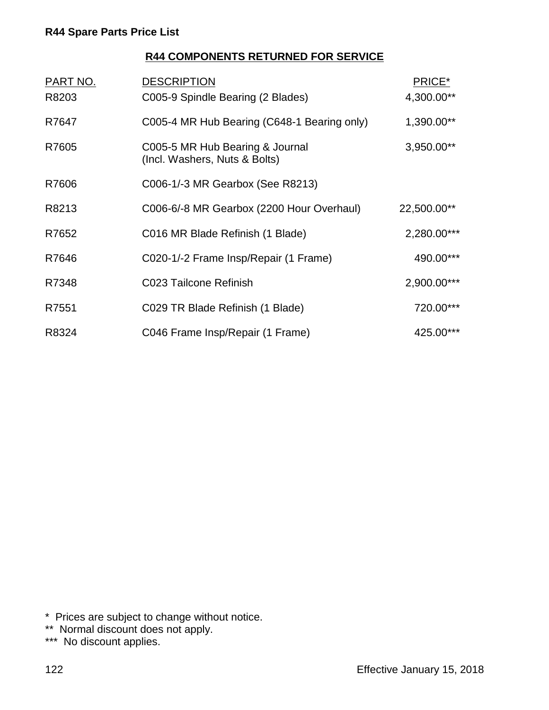### **R44 COMPONENTS RETURNED FOR SERVICE**

| <b>PART NO.</b><br>R8203 | <b>DESCRIPTION</b><br>C005-9 Spindle Bearing (2 Blades)          | PRICE*<br>4,300.00** |
|--------------------------|------------------------------------------------------------------|----------------------|
| R7647                    | C005-4 MR Hub Bearing (C648-1 Bearing only)                      | 1,390.00**           |
| R7605                    | C005-5 MR Hub Bearing & Journal<br>(Incl. Washers, Nuts & Bolts) | 3,950.00**           |
| R7606                    | C006-1/-3 MR Gearbox (See R8213)                                 |                      |
| R8213                    | C006-6/-8 MR Gearbox (2200 Hour Overhaul)                        | 22,500.00**          |
| R7652                    | C016 MR Blade Refinish (1 Blade)                                 | 2,280.00***          |
| R7646                    | C020-1/-2 Frame Insp/Repair (1 Frame)                            | 490.00***            |
| R7348                    | C023 Tailcone Refinish                                           | 2,900.00***          |
| R7551                    | C029 TR Blade Refinish (1 Blade)                                 | 720.00***            |
| R8324                    | C046 Frame Insp/Repair (1 Frame)                                 | 425.00***            |

\* Prices are subject to change without notice.

\*\* Normal discount does not apply.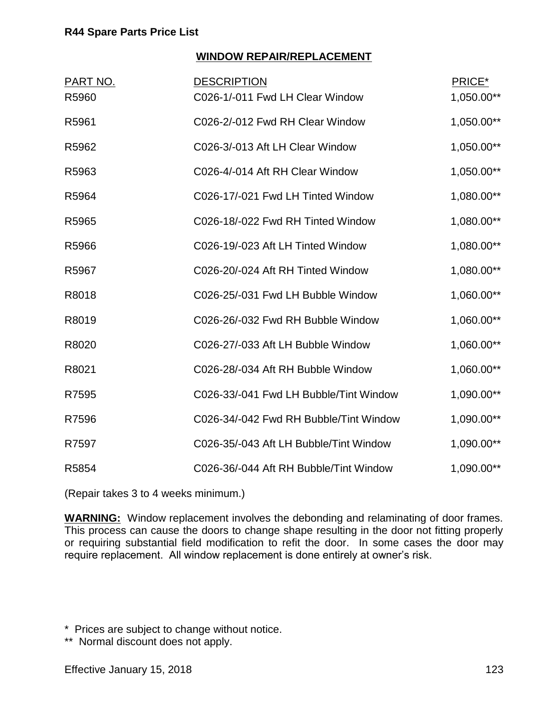#### **WINDOW REPAIR/REPLACEMENT**

| <u>PART NO.</u> | <b>DESCRIPTION</b>                     | PRICE*     |
|-----------------|----------------------------------------|------------|
| R5960           | C026-1/-011 Fwd LH Clear Window        | 1,050.00** |
| R5961           | C026-2/-012 Fwd RH Clear Window        | 1,050.00** |
| R5962           | C026-3/-013 Aft LH Clear Window        | 1,050.00** |
| R5963           | C026-4/-014 Aft RH Clear Window        | 1,050.00** |
| R5964           | C026-17/-021 Fwd LH Tinted Window      | 1,080.00** |
| R5965           | C026-18/-022 Fwd RH Tinted Window      | 1,080.00** |
| R5966           | C026-19/-023 Aft LH Tinted Window      | 1,080.00** |
| R5967           | C026-20/-024 Aft RH Tinted Window      | 1,080.00** |
| R8018           | C026-25/-031 Fwd LH Bubble Window      | 1,060.00** |
| R8019           | C026-26/-032 Fwd RH Bubble Window      | 1,060.00** |
| R8020           | C026-27/-033 Aft LH Bubble Window      | 1,060.00** |
| R8021           | C026-28/-034 Aft RH Bubble Window      | 1,060.00** |
| R7595           | C026-33/-041 Fwd LH Bubble/Tint Window | 1,090.00** |
| R7596           | C026-34/-042 Fwd RH Bubble/Tint Window | 1,090.00** |
| R7597           | C026-35/-043 Aft LH Bubble/Tint Window | 1,090.00** |
| R5854           | C026-36/-044 Aft RH Bubble/Tint Window | 1,090.00** |

(Repair takes 3 to 4 weeks minimum.)

**WARNING:** Window replacement involves the debonding and relaminating of door frames. This process can cause the doors to change shape resulting in the door not fitting properly or requiring substantial field modification to refit the door. In some cases the door may require replacement. All window replacement is done entirely at owner's risk.

\* Prices are subject to change without notice.